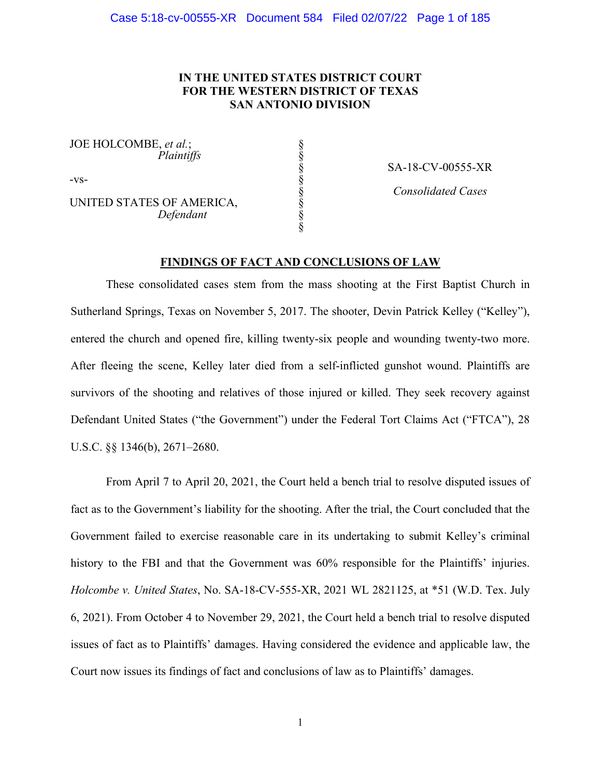# **IN THE UNITED STATES DISTRICT COURT FOR THE WESTERN DISTRICT OF TEXAS SAN ANTONIO DIVISION**

§ § § § § § § §

JOE HOLCOMBE, *et al.*; *Plaintiffs*

-vs-

UNITED STATES OF AMERICA,  *Defendant*

SA-18-CV-00555-XR

*Consolidated Cases*

# **FINDINGS OF FACT AND CONCLUSIONS OF LAW**

These consolidated cases stem from the mass shooting at the First Baptist Church in Sutherland Springs, Texas on November 5, 2017. The shooter, Devin Patrick Kelley ("Kelley"), entered the church and opened fire, killing twenty-six people and wounding twenty-two more. After fleeing the scene, Kelley later died from a self-inflicted gunshot wound. Plaintiffs are survivors of the shooting and relatives of those injured or killed. They seek recovery against Defendant United States ("the Government") under the Federal Tort Claims Act ("FTCA"), 28 U.S.C. §§ 1346(b), 2671–2680.

From April 7 to April 20, 2021, the Court held a bench trial to resolve disputed issues of fact as to the Government's liability for the shooting. After the trial, the Court concluded that the Government failed to exercise reasonable care in its undertaking to submit Kelley's criminal history to the FBI and that the Government was 60% responsible for the Plaintiffs' injuries. *Holcombe v. United States*, No. SA-18-CV-555-XR, 2021 WL 2821125, at \*51 (W.D. Tex. July 6, 2021). From October 4 to November 29, 2021, the Court held a bench trial to resolve disputed issues of fact as to Plaintiffs' damages. Having considered the evidence and applicable law, the Court now issues its findings of fact and conclusions of law as to Plaintiffs' damages.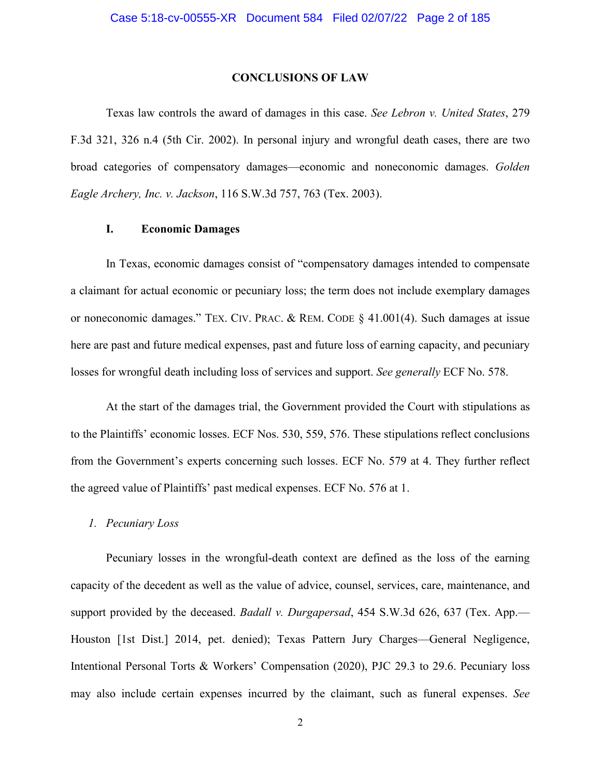#### **CONCLUSIONS OF LAW**

Texas law controls the award of damages in this case. *See Lebron v. United States*, 279 F.3d 321, 326 n.4 (5th Cir. 2002). In personal injury and wrongful death cases, there are two broad categories of compensatory damages—economic and noneconomic damages. *Golden Eagle Archery, Inc. v. Jackson*, 116 S.W.3d 757, 763 (Tex. 2003).

# **I. Economic Damages**

In Texas, economic damages consist of "compensatory damages intended to compensate a claimant for actual economic or pecuniary loss; the term does not include exemplary damages or noneconomic damages." TEX. CIV. PRAC. & REM. CODE § 41.001(4). Such damages at issue here are past and future medical expenses, past and future loss of earning capacity, and pecuniary losses for wrongful death including loss of services and support. *See generally* ECF No. 578.

At the start of the damages trial, the Government provided the Court with stipulations as to the Plaintiffs' economic losses. ECF Nos. 530, 559, 576. These stipulations reflect conclusions from the Government's experts concerning such losses. ECF No. 579 at 4. They further reflect the agreed value of Plaintiffs' past medical expenses. ECF No. 576 at 1.

## *1. Pecuniary Loss*

Pecuniary losses in the wrongful-death context are defined as the loss of the earning capacity of the decedent as well as the value of advice, counsel, services, care, maintenance, and support provided by the deceased. *Badall v. Durgapersad*, 454 S.W.3d 626, 637 (Tex. App.— Houston [1st Dist.] 2014, pet. denied); Texas Pattern Jury Charges—General Negligence, Intentional Personal Torts & Workers' Compensation (2020), PJC 29.3 to 29.6. Pecuniary loss may also include certain expenses incurred by the claimant, such as funeral expenses. *See*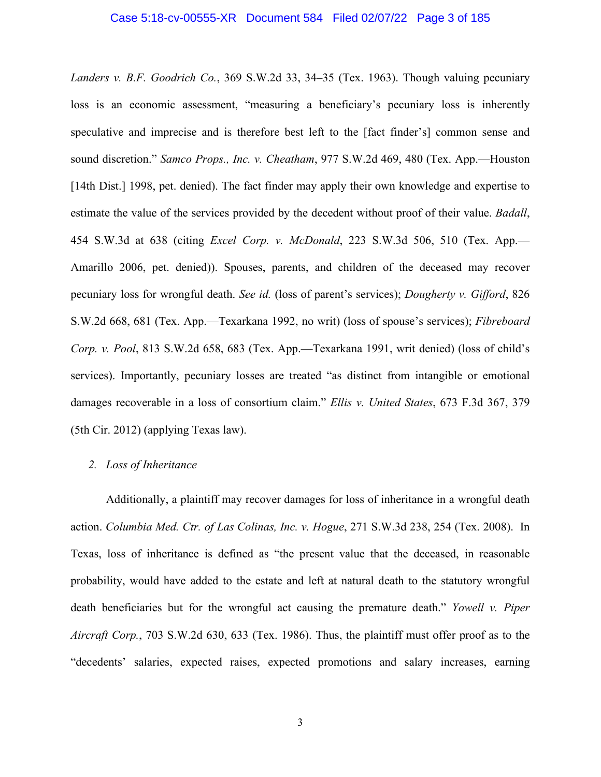#### Case 5:18-cv-00555-XR Document 584 Filed 02/07/22 Page 3 of 185

*Landers v. B.F. Goodrich Co.*, 369 S.W.2d 33, 34–35 (Tex. 1963). Though valuing pecuniary loss is an economic assessment, "measuring a beneficiary's pecuniary loss is inherently speculative and imprecise and is therefore best left to the [fact finder's] common sense and sound discretion." *Samco Props., Inc. v. Cheatham*, 977 S.W.2d 469, 480 (Tex. App.—Houston [14th Dist.] 1998, pet. denied). The fact finder may apply their own knowledge and expertise to estimate the value of the services provided by the decedent without proof of their value. *Badall*, 454 S.W.3d at 638 (citing *Excel Corp. v. McDonald*, 223 S.W.3d 506, 510 (Tex. App.— Amarillo 2006, pet. denied)). Spouses, parents, and children of the deceased may recover pecuniary loss for wrongful death. *See id.* (loss of parent's services); *Dougherty v. Gifford*, 826 S.W.2d 668, 681 (Tex. App.—Texarkana 1992, no writ) (loss of spouse's services); *Fibreboard Corp. v. Pool*, 813 S.W.2d 658, 683 (Tex. App.—Texarkana 1991, writ denied) (loss of child's services). Importantly, pecuniary losses are treated "as distinct from intangible or emotional damages recoverable in a loss of consortium claim." *Ellis v. United States*, 673 F.3d 367, 379 (5th Cir. 2012) (applying Texas law).

#### *2. Loss of Inheritance*

Additionally, a plaintiff may recover damages for loss of inheritance in a wrongful death action. *Columbia Med. Ctr. of Las Colinas, Inc. v. Hogue*, 271 S.W.3d 238, 254 (Tex. 2008). In Texas, loss of inheritance is defined as "the present value that the deceased, in reasonable probability, would have added to the estate and left at natural death to the statutory wrongful death beneficiaries but for the wrongful act causing the premature death." *Yowell v. Piper Aircraft Corp.*, 703 S.W.2d 630, 633 (Tex. 1986). Thus, the plaintiff must offer proof as to the "decedents' salaries, expected raises, expected promotions and salary increases, earning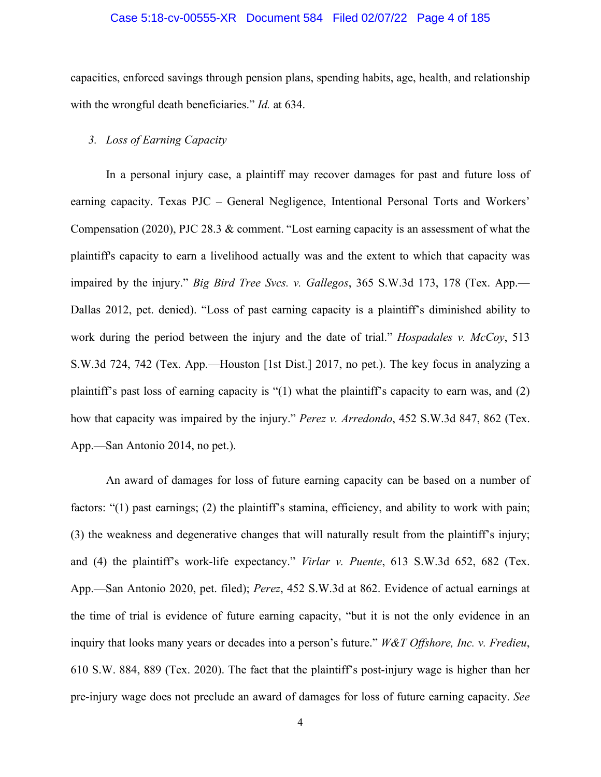## Case 5:18-cv-00555-XR Document 584 Filed 02/07/22 Page 4 of 185

capacities, enforced savings through pension plans, spending habits, age, health, and relationship with the wrongful death beneficiaries." *Id.* at 634.

## *3. Loss of Earning Capacity*

In a personal injury case, a plaintiff may recover damages for past and future loss of earning capacity. Texas PJC – General Negligence, Intentional Personal Torts and Workers' Compensation (2020), PJC 28.3 & comment. "Lost earning capacity is an assessment of what the plaintiff's capacity to earn a livelihood actually was and the extent to which that capacity was impaired by the injury." *Big Bird Tree Svcs. v. Gallegos*, 365 S.W.3d 173, 178 (Tex. App.— Dallas 2012, pet. denied). "Loss of past earning capacity is a plaintiff's diminished ability to work during the period between the injury and the date of trial." *Hospadales v. McCoy*, 513 S.W.3d 724, 742 (Tex. App.—Houston [1st Dist.] 2017, no pet.). The key focus in analyzing a plaintiff's past loss of earning capacity is "(1) what the plaintiff's capacity to earn was, and (2) how that capacity was impaired by the injury." *Perez v. Arredondo*, 452 S.W.3d 847, 862 (Tex. App.—San Antonio 2014, no pet.).

An award of damages for loss of future earning capacity can be based on a number of factors: "(1) past earnings; (2) the plaintiff's stamina, efficiency, and ability to work with pain; (3) the weakness and degenerative changes that will naturally result from the plaintiff's injury; and (4) the plaintiff's work-life expectancy." *Virlar v. Puente*, 613 S.W.3d 652, 682 (Tex. App.—San Antonio 2020, pet. filed); *Perez*, 452 S.W.3d at 862. Evidence of actual earnings at the time of trial is evidence of future earning capacity, "but it is not the only evidence in an inquiry that looks many years or decades into a person's future." *W&T Offshore, Inc. v. Fredieu*, 610 S.W. 884, 889 (Tex. 2020). The fact that the plaintiff's post-injury wage is higher than her pre-injury wage does not preclude an award of damages for loss of future earning capacity. *See*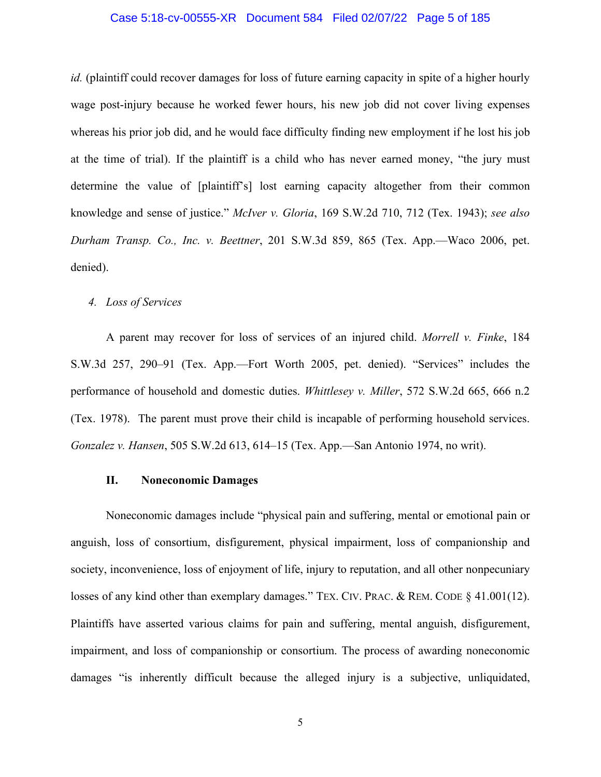## Case 5:18-cv-00555-XR Document 584 Filed 02/07/22 Page 5 of 185

*id.* (plaintiff could recover damages for loss of future earning capacity in spite of a higher hourly wage post-injury because he worked fewer hours, his new job did not cover living expenses whereas his prior job did, and he would face difficulty finding new employment if he lost his job at the time of trial). If the plaintiff is a child who has never earned money, "the jury must determine the value of [plaintiff's] lost earning capacity altogether from their common knowledge and sense of justice." *McIver v. Gloria*, 169 S.W.2d 710, 712 (Tex. 1943); *see also Durham Transp. Co., Inc. v. Beettner*, 201 S.W.3d 859, 865 (Tex. App.—Waco 2006, pet. denied).

# *4. Loss of Services*

A parent may recover for loss of services of an injured child. *Morrell v. Finke*, 184 S.W.3d 257, 290–91 (Tex. App.—Fort Worth 2005, pet. denied). "Services" includes the performance of household and domestic duties. *Whittlesey v. Miller*, 572 S.W.2d 665, 666 n.2 (Tex. 1978). The parent must prove their child is incapable of performing household services. *Gonzalez v. Hansen*, 505 S.W.2d 613, 614–15 (Tex. App.—San Antonio 1974, no writ).

## **II. Noneconomic Damages**

Noneconomic damages include "physical pain and suffering, mental or emotional pain or anguish, loss of consortium, disfigurement, physical impairment, loss of companionship and society, inconvenience, loss of enjoyment of life, injury to reputation, and all other nonpecuniary losses of any kind other than exemplary damages." TEX. CIV. PRAC. & REM. CODE § 41.001(12). Plaintiffs have asserted various claims for pain and suffering, mental anguish, disfigurement, impairment, and loss of companionship or consortium. The process of awarding noneconomic damages "is inherently difficult because the alleged injury is a subjective, unliquidated,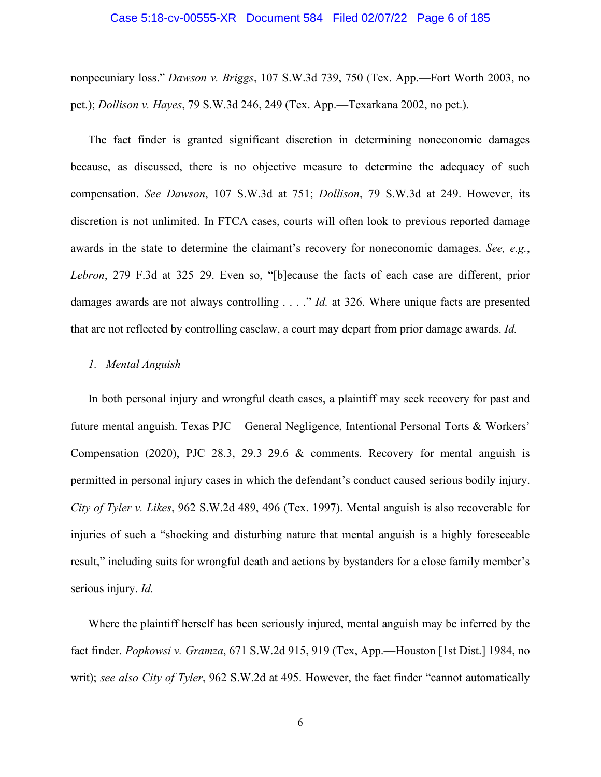#### Case 5:18-cv-00555-XR Document 584 Filed 02/07/22 Page 6 of 185

nonpecuniary loss." *Dawson v. Briggs*, 107 S.W.3d 739, 750 (Tex. App.—Fort Worth 2003, no pet.); *Dollison v. Hayes*, 79 S.W.3d 246, 249 (Tex. App.—Texarkana 2002, no pet.).

The fact finder is granted significant discretion in determining noneconomic damages because, as discussed, there is no objective measure to determine the adequacy of such compensation. *See Dawson*, 107 S.W.3d at 751; *Dollison*, 79 S.W.3d at 249. However, its discretion is not unlimited. In FTCA cases, courts will often look to previous reported damage awards in the state to determine the claimant's recovery for noneconomic damages. *See, e.g.*, *Lebron*, 279 F.3d at 325–29. Even so, "[b]ecause the facts of each case are different, prior damages awards are not always controlling . . . ." *Id.* at 326. Where unique facts are presented that are not reflected by controlling caselaw, a court may depart from prior damage awards. *Id.*

## *1. Mental Anguish*

In both personal injury and wrongful death cases, a plaintiff may seek recovery for past and future mental anguish. Texas PJC – General Negligence, Intentional Personal Torts & Workers' Compensation (2020), PJC 28.3, 29.3–29.6 & comments. Recovery for mental anguish is permitted in personal injury cases in which the defendant's conduct caused serious bodily injury. *City of Tyler v. Likes*, 962 S.W.2d 489, 496 (Tex. 1997). Mental anguish is also recoverable for injuries of such a "shocking and disturbing nature that mental anguish is a highly foreseeable result," including suits for wrongful death and actions by bystanders for a close family member's serious injury. *Id.*

Where the plaintiff herself has been seriously injured, mental anguish may be inferred by the fact finder. *Popkowsi v. Gramza*, 671 S.W.2d 915, 919 (Tex, App.—Houston [1st Dist.] 1984, no writ); *see also City of Tyler*, 962 S.W.2d at 495. However, the fact finder "cannot automatically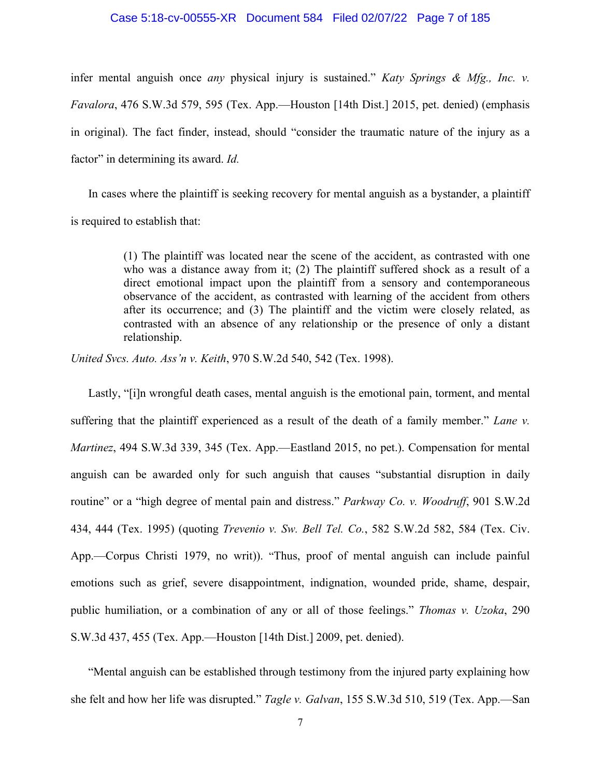#### Case 5:18-cv-00555-XR Document 584 Filed 02/07/22 Page 7 of 185

infer mental anguish once *any* physical injury is sustained." *Katy Springs & Mfg., Inc. v. Favalora*, 476 S.W.3d 579, 595 (Tex. App.—Houston [14th Dist.] 2015, pet. denied) (emphasis in original). The fact finder, instead, should "consider the traumatic nature of the injury as a factor" in determining its award. *Id.*

In cases where the plaintiff is seeking recovery for mental anguish as a bystander, a plaintiff is required to establish that:

> (1) The plaintiff was located near the scene of the accident, as contrasted with one who was a distance away from it; (2) The plaintiff suffered shock as a result of a direct emotional impact upon the plaintiff from a sensory and contemporaneous observance of the accident, as contrasted with learning of the accident from others after its occurrence; and (3) The plaintiff and the victim were closely related, as contrasted with an absence of any relationship or the presence of only a distant relationship.

*United Svcs. Auto. Ass'n v. Keith*, 970 S.W.2d 540, 542 (Tex. 1998).

Lastly, "[i]n wrongful death cases, mental anguish is the emotional pain, torment, and mental suffering that the plaintiff experienced as a result of the death of a family member." *Lane v. Martinez*, 494 S.W.3d 339, 345 (Tex. App.—Eastland 2015, no pet.). Compensation for mental anguish can be awarded only for such anguish that causes "substantial disruption in daily routine" or a "high degree of mental pain and distress." *Parkway Co. v. Woodruff*, 901 S.W.2d 434, 444 (Tex. 1995) (quoting *Trevenio v. Sw. Bell Tel. Co.*, 582 S.W.2d 582, 584 (Tex. Civ. App.—Corpus Christi 1979, no writ)). "Thus, proof of mental anguish can include painful emotions such as grief, severe disappointment, indignation, wounded pride, shame, despair, public humiliation, or a combination of any or all of those feelings." *Thomas v. Uzoka*, 290 S.W.3d 437, 455 (Tex. App.—Houston [14th Dist.] 2009, pet. denied).

"Mental anguish can be established through testimony from the injured party explaining how she felt and how her life was disrupted." *Tagle v. Galvan*, 155 S.W.3d 510, 519 (Tex. App.—San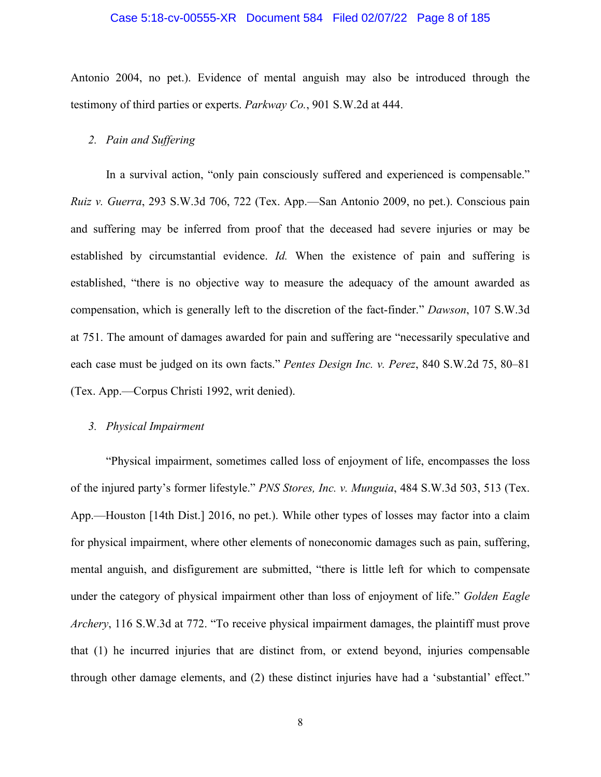#### Case 5:18-cv-00555-XR Document 584 Filed 02/07/22 Page 8 of 185

Antonio 2004, no pet.). Evidence of mental anguish may also be introduced through the testimony of third parties or experts. *Parkway Co.*, 901 S.W.2d at 444.

#### *2. Pain and Suffering*

In a survival action, "only pain consciously suffered and experienced is compensable." *Ruiz v. Guerra*, 293 S.W.3d 706, 722 (Tex. App.—San Antonio 2009, no pet.). Conscious pain and suffering may be inferred from proof that the deceased had severe injuries or may be established by circumstantial evidence. *Id.* When the existence of pain and suffering is established, "there is no objective way to measure the adequacy of the amount awarded as compensation, which is generally left to the discretion of the fact-finder." *Dawson*, 107 S.W.3d at 751. The amount of damages awarded for pain and suffering are "necessarily speculative and each case must be judged on its own facts." *Pentes Design Inc. v. Perez*, 840 S.W.2d 75, 80–81 (Tex. App.—Corpus Christi 1992, writ denied).

# *3. Physical Impairment*

"Physical impairment, sometimes called loss of enjoyment of life, encompasses the loss of the injured party's former lifestyle." *PNS Stores, Inc. v. Munguia*, 484 S.W.3d 503, 513 (Tex. App.—Houston [14th Dist.] 2016, no pet.). While other types of losses may factor into a claim for physical impairment, where other elements of noneconomic damages such as pain, suffering, mental anguish, and disfigurement are submitted, "there is little left for which to compensate under the category of physical impairment other than loss of enjoyment of life." *Golden Eagle Archery*, 116 S.W.3d at 772. "To receive physical impairment damages, the plaintiff must prove that (1) he incurred injuries that are distinct from, or extend beyond, injuries compensable through other damage elements, and (2) these distinct injuries have had a 'substantial' effect."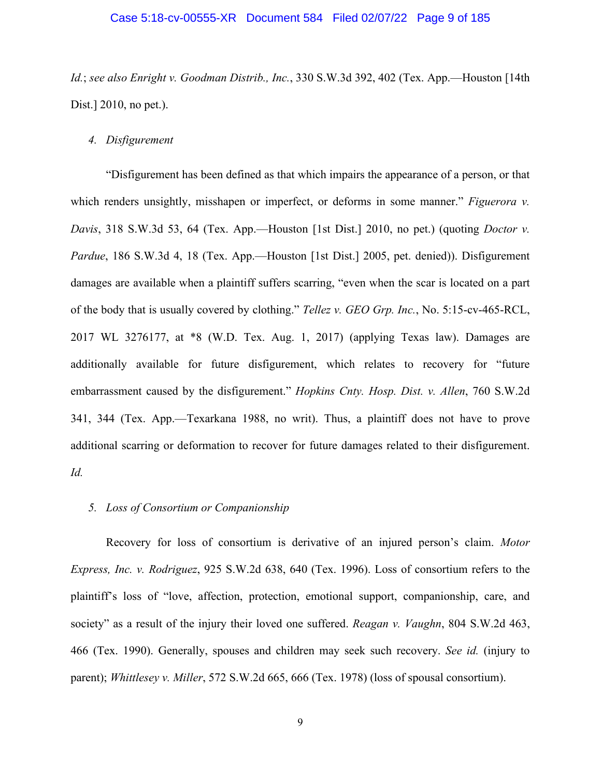#### Case 5:18-cv-00555-XR Document 584 Filed 02/07/22 Page 9 of 185

*Id.*; *see also Enright v. Goodman Distrib., Inc.*, 330 S.W.3d 392, 402 (Tex. App.—Houston [14th Dist.] 2010, no pet.).

### *4. Disfigurement*

"Disfigurement has been defined as that which impairs the appearance of a person, or that which renders unsightly, misshapen or imperfect, or deforms in some manner." *Figuerora v. Davis*, 318 S.W.3d 53, 64 (Tex. App.—Houston [1st Dist.] 2010, no pet.) (quoting *Doctor v. Pardue*, 186 S.W.3d 4, 18 (Tex. App.—Houston [1st Dist.] 2005, pet. denied)). Disfigurement damages are available when a plaintiff suffers scarring, "even when the scar is located on a part of the body that is usually covered by clothing." *Tellez v. GEO Grp. Inc.*, No. 5:15-cv-465-RCL, 2017 WL 3276177, at \*8 (W.D. Tex. Aug. 1, 2017) (applying Texas law). Damages are additionally available for future disfigurement, which relates to recovery for "future embarrassment caused by the disfigurement." *Hopkins Cnty. Hosp. Dist. v. Allen*, 760 S.W.2d 341, 344 (Tex. App.—Texarkana 1988, no writ). Thus, a plaintiff does not have to prove additional scarring or deformation to recover for future damages related to their disfigurement. *Id.*

#### *5. Loss of Consortium or Companionship*

Recovery for loss of consortium is derivative of an injured person's claim. *Motor Express, Inc. v. Rodriguez*, 925 S.W.2d 638, 640 (Tex. 1996). Loss of consortium refers to the plaintiff's loss of "love, affection, protection, emotional support, companionship, care, and society" as a result of the injury their loved one suffered. *Reagan v. Vaughn*, 804 S.W.2d 463, 466 (Tex. 1990). Generally, spouses and children may seek such recovery. *See id.* (injury to parent); *Whittlesey v. Miller*, 572 S.W.2d 665, 666 (Tex. 1978) (loss of spousal consortium).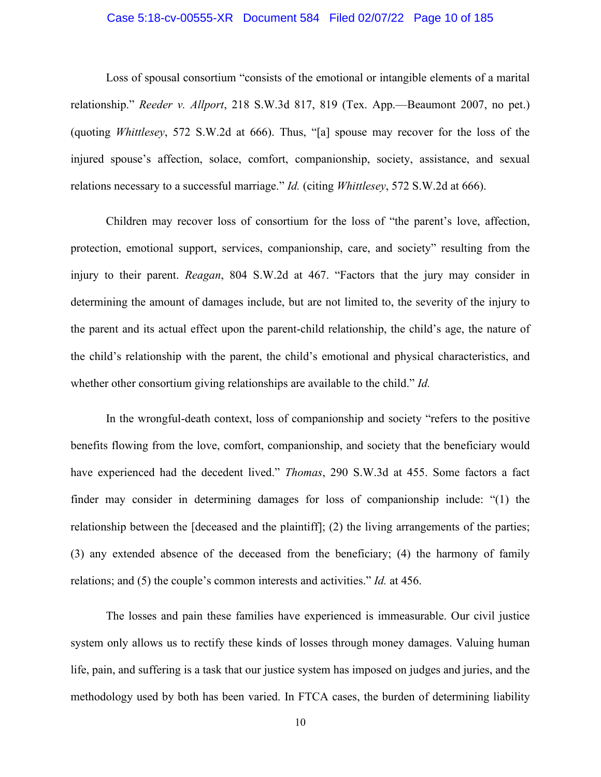## Case 5:18-cv-00555-XR Document 584 Filed 02/07/22 Page 10 of 185

Loss of spousal consortium "consists of the emotional or intangible elements of a marital relationship." *Reeder v. Allport*, 218 S.W.3d 817, 819 (Tex. App.—Beaumont 2007, no pet.) (quoting *Whittlesey*, 572 S.W.2d at 666). Thus, "[a] spouse may recover for the loss of the injured spouse's affection, solace, comfort, companionship, society, assistance, and sexual relations necessary to a successful marriage." *Id.* (citing *Whittlesey*, 572 S.W.2d at 666).

Children may recover loss of consortium for the loss of "the parent's love, affection, protection, emotional support, services, companionship, care, and society" resulting from the injury to their parent. *Reagan*, 804 S.W.2d at 467. "Factors that the jury may consider in determining the amount of damages include, but are not limited to, the severity of the injury to the parent and its actual effect upon the parent-child relationship, the child's age, the nature of the child's relationship with the parent, the child's emotional and physical characteristics, and whether other consortium giving relationships are available to the child." *Id.* 

In the wrongful-death context, loss of companionship and society "refers to the positive benefits flowing from the love, comfort, companionship, and society that the beneficiary would have experienced had the decedent lived." *Thomas*, 290 S.W.3d at 455. Some factors a fact finder may consider in determining damages for loss of companionship include: "(1) the relationship between the [deceased and the plaintiff]; (2) the living arrangements of the parties; (3) any extended absence of the deceased from the beneficiary; (4) the harmony of family relations; and (5) the couple's common interests and activities." *Id.* at 456.

The losses and pain these families have experienced is immeasurable. Our civil justice system only allows us to rectify these kinds of losses through money damages. Valuing human life, pain, and suffering is a task that our justice system has imposed on judges and juries, and the methodology used by both has been varied. In FTCA cases, the burden of determining liability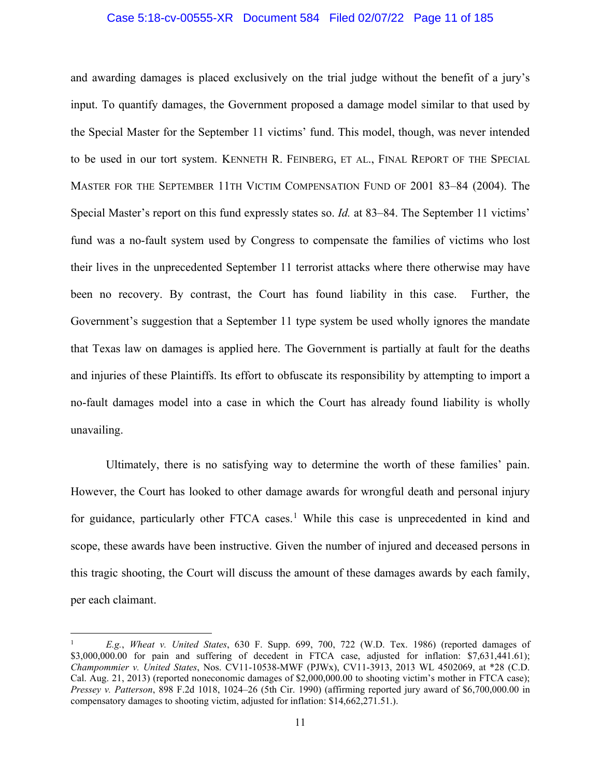## Case 5:18-cv-00555-XR Document 584 Filed 02/07/22 Page 11 of 185

and awarding damages is placed exclusively on the trial judge without the benefit of a jury's input. To quantify damages, the Government proposed a damage model similar to that used by the Special Master for the September 11 victims' fund. This model, though, was never intended to be used in our tort system. KENNETH R. FEINBERG, ET AL., FINAL REPORT OF THE SPECIAL MASTER FOR THE SEPTEMBER 11TH VICTIM COMPENSATION FUND OF 2001 83–84 (2004). The Special Master's report on this fund expressly states so. *Id.* at 83–84. The September 11 victims' fund was a no-fault system used by Congress to compensate the families of victims who lost their lives in the unprecedented September 11 terrorist attacks where there otherwise may have been no recovery. By contrast, the Court has found liability in this case. Further, the Government's suggestion that a September 11 type system be used wholly ignores the mandate that Texas law on damages is applied here. The Government is partially at fault for the deaths and injuries of these Plaintiffs. Its effort to obfuscate its responsibility by attempting to import a no-fault damages model into a case in which the Court has already found liability is wholly unavailing.

Ultimately, there is no satisfying way to determine the worth of these families' pain. However, the Court has looked to other damage awards for wrongful death and personal injury for guidance, particularly other FTCA cases.<sup>[1](#page-10-0)</sup> While this case is unprecedented in kind and scope, these awards have been instructive. Given the number of injured and deceased persons in this tragic shooting, the Court will discuss the amount of these damages awards by each family, per each claimant.

<span id="page-10-0"></span><sup>1</sup> *E.g.*, *Wheat v. United States*, 630 F. Supp. 699, 700, 722 (W.D. Tex. 1986) (reported damages of \$3,000,000.00 for pain and suffering of decedent in FTCA case, adjusted for inflation: \$7,631,441.61); *Champommier v. United States*, Nos. CV11-10538-MWF (PJWx), CV11-3913, 2013 WL 4502069, at \*28 (C.D. Cal. Aug. 21, 2013) (reported noneconomic damages of \$2,000,000.00 to shooting victim's mother in FTCA case); *Pressey v. Patterson*, 898 F.2d 1018, 1024–26 (5th Cir. 1990) (affirming reported jury award of \$6,700,000.00 in compensatory damages to shooting victim, adjusted for inflation: \$14,662,271.51.).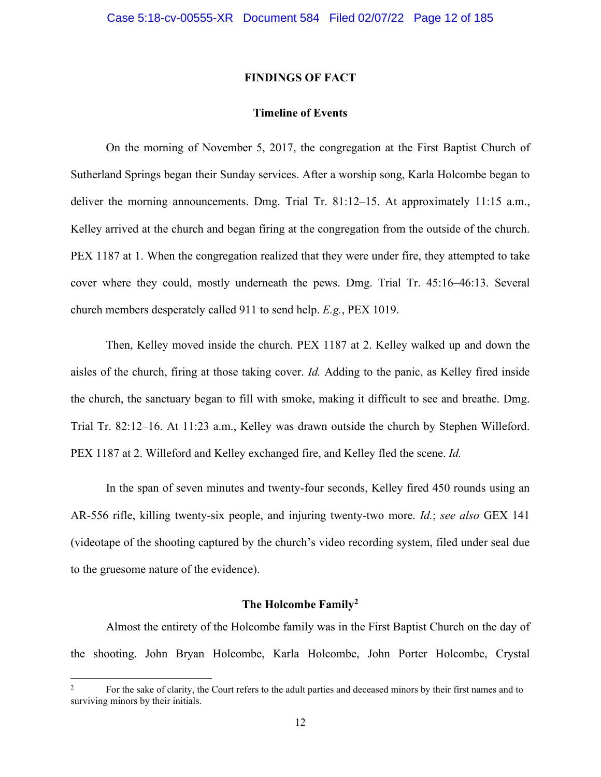## **FINDINGS OF FACT**

## **Timeline of Events**

On the morning of November 5, 2017, the congregation at the First Baptist Church of Sutherland Springs began their Sunday services. After a worship song, Karla Holcombe began to deliver the morning announcements. Dmg. Trial Tr. 81:12–15. At approximately 11:15 a.m., Kelley arrived at the church and began firing at the congregation from the outside of the church. PEX 1187 at 1. When the congregation realized that they were under fire, they attempted to take cover where they could, mostly underneath the pews. Dmg. Trial Tr. 45:16–46:13. Several church members desperately called 911 to send help. *E.g.*, PEX 1019.

Then, Kelley moved inside the church. PEX 1187 at 2. Kelley walked up and down the aisles of the church, firing at those taking cover. *Id.* Adding to the panic, as Kelley fired inside the church, the sanctuary began to fill with smoke, making it difficult to see and breathe. Dmg. Trial Tr. 82:12–16. At 11:23 a.m., Kelley was drawn outside the church by Stephen Willeford. PEX 1187 at 2. Willeford and Kelley exchanged fire, and Kelley fled the scene. *Id.*

In the span of seven minutes and twenty-four seconds, Kelley fired 450 rounds using an AR-556 rifle, killing twenty-six people, and injuring twenty-two more. *Id.*; *see also* GEX 141 (videotape of the shooting captured by the church's video recording system, filed under seal due to the gruesome nature of the evidence).

### **The Holcombe Family[2](#page-11-0)**

Almost the entirety of the Holcombe family was in the First Baptist Church on the day of the shooting. John Bryan Holcombe, Karla Holcombe, John Porter Holcombe, Crystal

<span id="page-11-0"></span><sup>2</sup> For the sake of clarity, the Court refers to the adult parties and deceased minors by their first names and to surviving minors by their initials.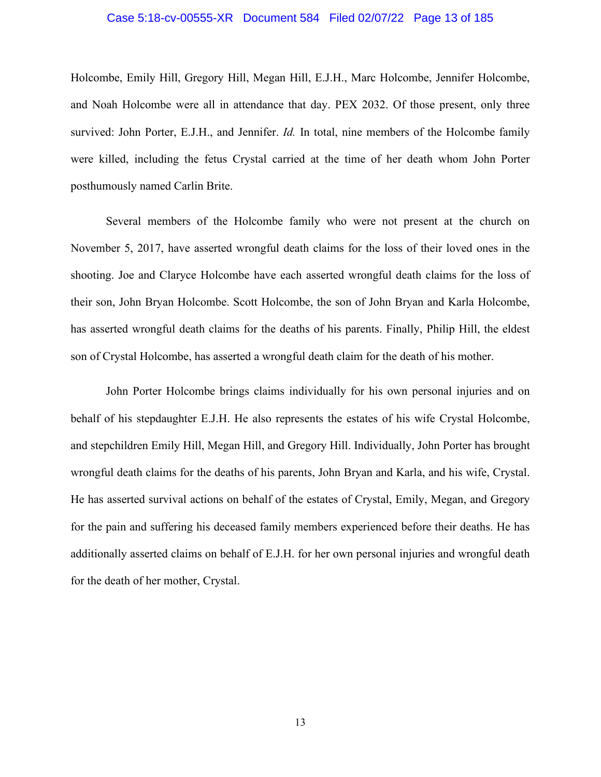#### Case 5:18-cv-00555-XR Document 584 Filed 02/07/22 Page 13 of 185

Holcombe, Emily Hill, Gregory Hill, Megan Hill, E.J.H., Marc Holcombe, Jennifer Holcombe, and Noah Holcombe were all in attendance that day. PEX 2032. Of those present, only three survived: John Porter, E.J.H., and Jennifer. *Id.* In total, nine members of the Holcombe family were killed, including the fetus Crystal carried at the time of her death whom John Porter posthumously named Carlin Brite.

Several members of the Holcombe family who were not present at the church on November 5, 2017, have asserted wrongful death claims for the loss of their loved ones in the shooting. Joe and Claryce Holcombe have each asserted wrongful death claims for the loss of their son, John Bryan Holcombe. Scott Holcombe, the son of John Bryan and Karla Holcombe, has asserted wrongful death claims for the deaths of his parents. Finally, Philip Hill, the eldest son of Crystal Holcombe, has asserted a wrongful death claim for the death of his mother.

John Porter Holcombe brings claims individually for his own personal injuries and on behalf of his stepdaughter E.J.H. He also represents the estates of his wife Crystal Holcombe, and stepchildren Emily Hill, Megan Hill, and Gregory Hill. Individually, John Porter has brought wrongful death claims for the deaths of his parents, John Bryan and Karla, and his wife, Crystal. He has asserted survival actions on behalf of the estates of Crystal, Emily, Megan, and Gregory for the pain and suffering his deceased family members experienced before their deaths. He has additionally asserted claims on behalf of E.J.H. for her own personal injuries and wrongful death for the death of her mother, Crystal.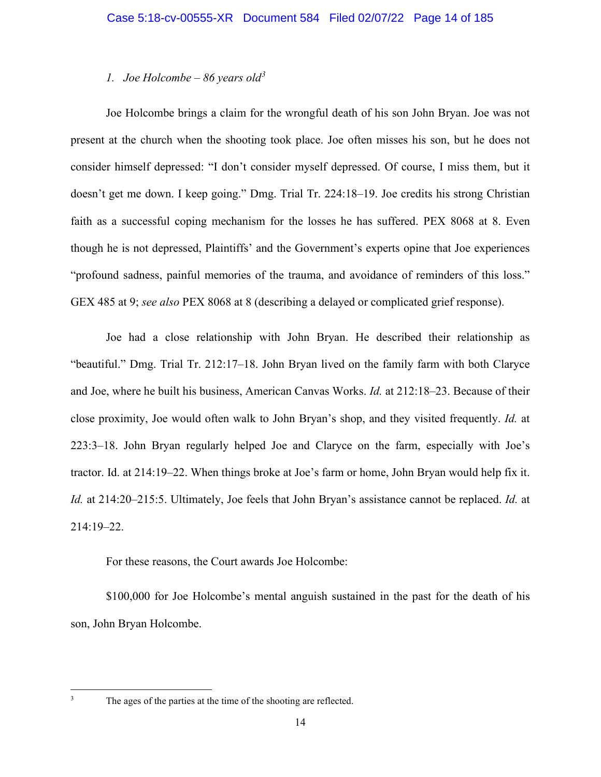# *1. Joe Holcombe – 86 years old[3](#page-13-0)*

Joe Holcombe brings a claim for the wrongful death of his son John Bryan. Joe was not present at the church when the shooting took place. Joe often misses his son, but he does not consider himself depressed: "I don't consider myself depressed. Of course, I miss them, but it doesn't get me down. I keep going." Dmg. Trial Tr. 224:18–19. Joe credits his strong Christian faith as a successful coping mechanism for the losses he has suffered. PEX 8068 at 8. Even though he is not depressed, Plaintiffs' and the Government's experts opine that Joe experiences "profound sadness, painful memories of the trauma, and avoidance of reminders of this loss." GEX 485 at 9; *see also* PEX 8068 at 8 (describing a delayed or complicated grief response).

Joe had a close relationship with John Bryan. He described their relationship as "beautiful." Dmg. Trial Tr. 212:17–18. John Bryan lived on the family farm with both Claryce and Joe, where he built his business, American Canvas Works. *Id.* at 212:18–23. Because of their close proximity, Joe would often walk to John Bryan's shop, and they visited frequently. *Id.* at 223:3–18. John Bryan regularly helped Joe and Claryce on the farm, especially with Joe's tractor. Id. at 214:19–22. When things broke at Joe's farm or home, John Bryan would help fix it. *Id.* at 214:20–215:5. Ultimately, Joe feels that John Bryan's assistance cannot be replaced. *Id.* at 214:19–22.

For these reasons, the Court awards Joe Holcombe:

\$100,000 for Joe Holcombe's mental anguish sustained in the past for the death of his son, John Bryan Holcombe.

<span id="page-13-0"></span><sup>&</sup>lt;sup>3</sup> The ages of the parties at the time of the shooting are reflected.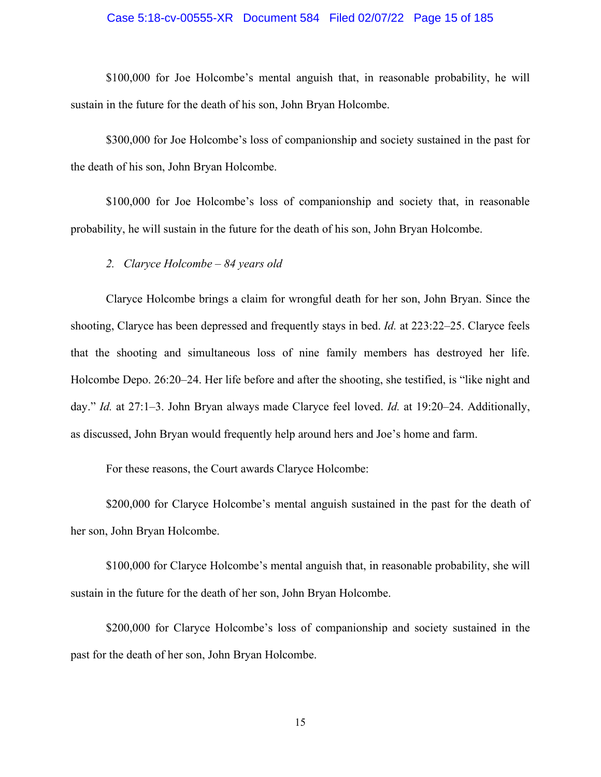## Case 5:18-cv-00555-XR Document 584 Filed 02/07/22 Page 15 of 185

\$100,000 for Joe Holcombe's mental anguish that, in reasonable probability, he will sustain in the future for the death of his son, John Bryan Holcombe.

\$300,000 for Joe Holcombe's loss of companionship and society sustained in the past for the death of his son, John Bryan Holcombe.

\$100,000 for Joe Holcombe's loss of companionship and society that, in reasonable probability, he will sustain in the future for the death of his son, John Bryan Holcombe.

### *2. Claryce Holcombe – 84 years old*

Claryce Holcombe brings a claim for wrongful death for her son, John Bryan. Since the shooting, Claryce has been depressed and frequently stays in bed. *Id.* at 223:22–25. Claryce feels that the shooting and simultaneous loss of nine family members has destroyed her life. Holcombe Depo. 26:20–24. Her life before and after the shooting, she testified, is "like night and day." *Id.* at 27:1–3. John Bryan always made Claryce feel loved. *Id.* at 19:20–24. Additionally, as discussed, John Bryan would frequently help around hers and Joe's home and farm.

For these reasons, the Court awards Claryce Holcombe:

\$200,000 for Claryce Holcombe's mental anguish sustained in the past for the death of her son, John Bryan Holcombe.

\$100,000 for Claryce Holcombe's mental anguish that, in reasonable probability, she will sustain in the future for the death of her son, John Bryan Holcombe.

\$200,000 for Claryce Holcombe's loss of companionship and society sustained in the past for the death of her son, John Bryan Holcombe.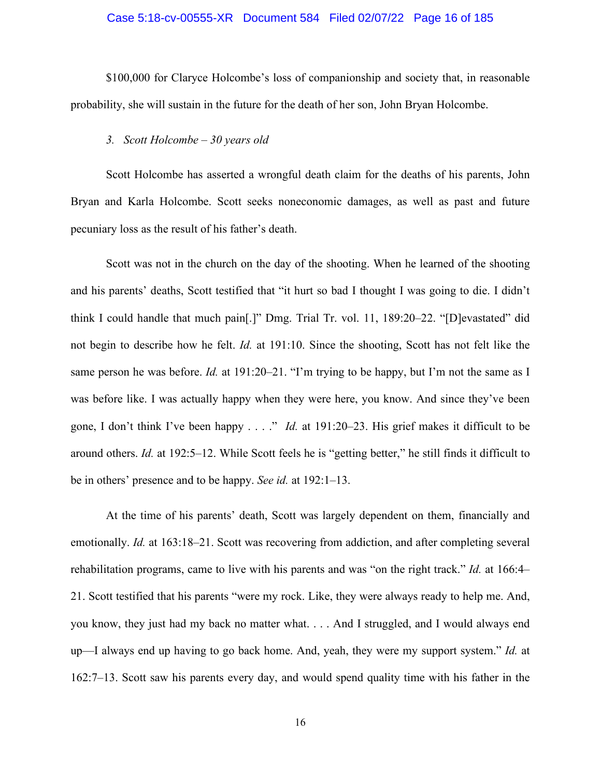## Case 5:18-cv-00555-XR Document 584 Filed 02/07/22 Page 16 of 185

\$100,000 for Claryce Holcombe's loss of companionship and society that, in reasonable probability, she will sustain in the future for the death of her son, John Bryan Holcombe.

### *3. Scott Holcombe – 30 years old*

Scott Holcombe has asserted a wrongful death claim for the deaths of his parents, John Bryan and Karla Holcombe. Scott seeks noneconomic damages, as well as past and future pecuniary loss as the result of his father's death.

Scott was not in the church on the day of the shooting. When he learned of the shooting and his parents' deaths, Scott testified that "it hurt so bad I thought I was going to die. I didn't think I could handle that much pain[.]" Dmg. Trial Tr. vol. 11, 189:20–22. "[D]evastated" did not begin to describe how he felt. *Id.* at 191:10. Since the shooting, Scott has not felt like the same person he was before. *Id.* at 191:20–21. "I'm trying to be happy, but I'm not the same as I was before like. I was actually happy when they were here, you know. And since they've been gone, I don't think I've been happy . . . ." *Id.* at 191:20–23. His grief makes it difficult to be around others. *Id.* at 192:5–12. While Scott feels he is "getting better," he still finds it difficult to be in others' presence and to be happy. *See id.* at 192:1–13.

At the time of his parents' death, Scott was largely dependent on them, financially and emotionally. *Id.* at 163:18–21. Scott was recovering from addiction, and after completing several rehabilitation programs, came to live with his parents and was "on the right track." *Id.* at 166:4– 21. Scott testified that his parents "were my rock. Like, they were always ready to help me. And, you know, they just had my back no matter what. . . . And I struggled, and I would always end up—I always end up having to go back home. And, yeah, they were my support system." *Id.* at 162:7–13. Scott saw his parents every day, and would spend quality time with his father in the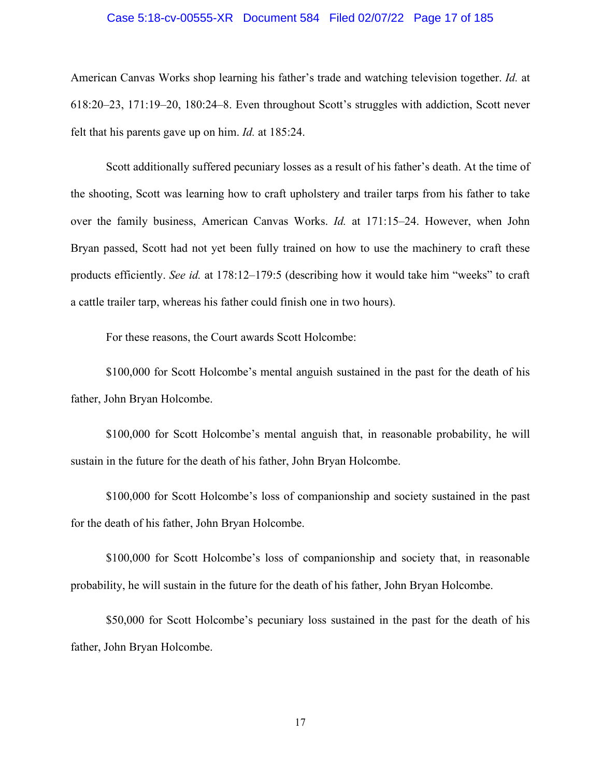## Case 5:18-cv-00555-XR Document 584 Filed 02/07/22 Page 17 of 185

American Canvas Works shop learning his father's trade and watching television together. *Id.* at 618:20–23, 171:19–20, 180:24–8. Even throughout Scott's struggles with addiction, Scott never felt that his parents gave up on him. *Id.* at 185:24.

Scott additionally suffered pecuniary losses as a result of his father's death. At the time of the shooting, Scott was learning how to craft upholstery and trailer tarps from his father to take over the family business, American Canvas Works. *Id.* at 171:15–24. However, when John Bryan passed, Scott had not yet been fully trained on how to use the machinery to craft these products efficiently. *See id.* at 178:12–179:5 (describing how it would take him "weeks" to craft a cattle trailer tarp, whereas his father could finish one in two hours).

For these reasons, the Court awards Scott Holcombe:

\$100,000 for Scott Holcombe's mental anguish sustained in the past for the death of his father, John Bryan Holcombe.

\$100,000 for Scott Holcombe's mental anguish that, in reasonable probability, he will sustain in the future for the death of his father, John Bryan Holcombe.

\$100,000 for Scott Holcombe's loss of companionship and society sustained in the past for the death of his father, John Bryan Holcombe.

\$100,000 for Scott Holcombe's loss of companionship and society that, in reasonable probability, he will sustain in the future for the death of his father, John Bryan Holcombe.

\$50,000 for Scott Holcombe's pecuniary loss sustained in the past for the death of his father, John Bryan Holcombe.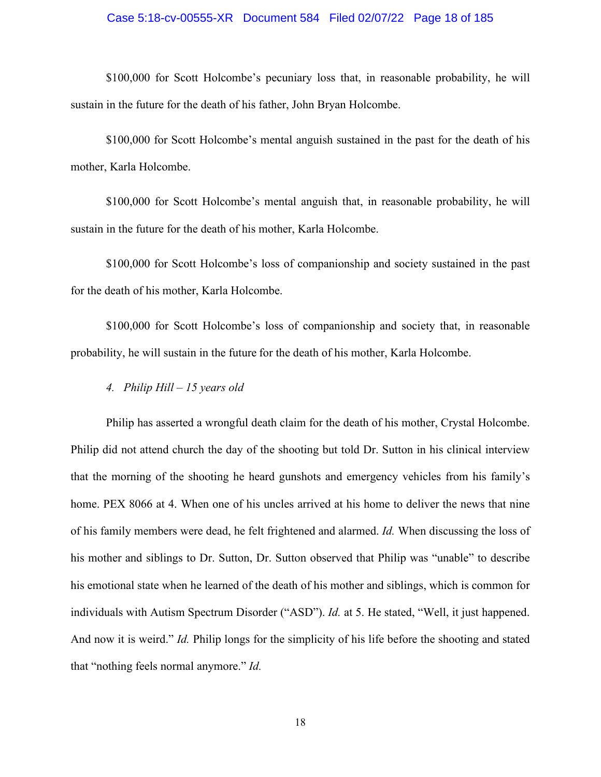## Case 5:18-cv-00555-XR Document 584 Filed 02/07/22 Page 18 of 185

\$100,000 for Scott Holcombe's pecuniary loss that, in reasonable probability, he will sustain in the future for the death of his father, John Bryan Holcombe.

\$100,000 for Scott Holcombe's mental anguish sustained in the past for the death of his mother, Karla Holcombe.

\$100,000 for Scott Holcombe's mental anguish that, in reasonable probability, he will sustain in the future for the death of his mother, Karla Holcombe.

\$100,000 for Scott Holcombe's loss of companionship and society sustained in the past for the death of his mother, Karla Holcombe.

\$100,000 for Scott Holcombe's loss of companionship and society that, in reasonable probability, he will sustain in the future for the death of his mother, Karla Holcombe.

*4. Philip Hill – 15 years old* 

Philip has asserted a wrongful death claim for the death of his mother, Crystal Holcombe. Philip did not attend church the day of the shooting but told Dr. Sutton in his clinical interview that the morning of the shooting he heard gunshots and emergency vehicles from his family's home. PEX 8066 at 4. When one of his uncles arrived at his home to deliver the news that nine of his family members were dead, he felt frightened and alarmed. *Id.* When discussing the loss of his mother and siblings to Dr. Sutton, Dr. Sutton observed that Philip was "unable" to describe his emotional state when he learned of the death of his mother and siblings, which is common for individuals with Autism Spectrum Disorder ("ASD"). *Id.* at 5. He stated, "Well, it just happened. And now it is weird." *Id.* Philip longs for the simplicity of his life before the shooting and stated that "nothing feels normal anymore." *Id.*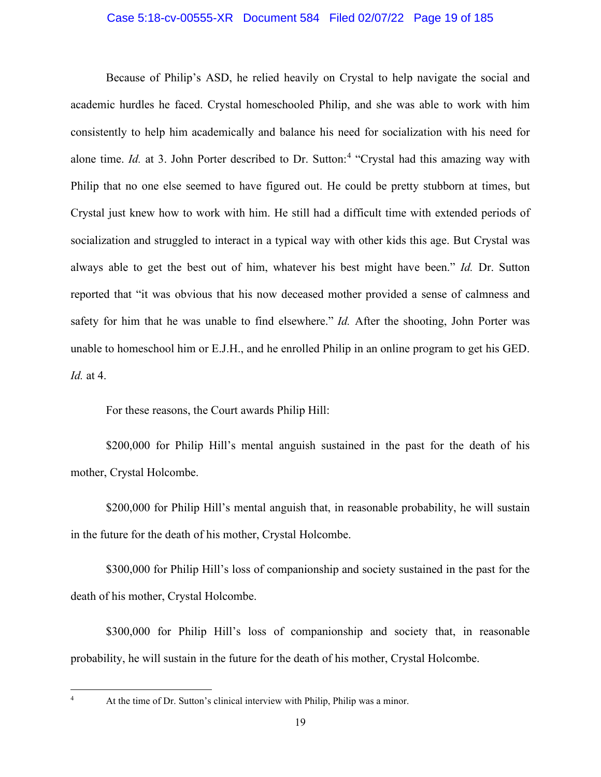## Case 5:18-cv-00555-XR Document 584 Filed 02/07/22 Page 19 of 185

Because of Philip's ASD, he relied heavily on Crystal to help navigate the social and academic hurdles he faced. Crystal homeschooled Philip, and she was able to work with him consistently to help him academically and balance his need for socialization with his need for alone time. *Id.* at 3. John Porter described to Dr. Sutton:<sup>[4](#page-18-0)</sup> "Crystal had this amazing way with Philip that no one else seemed to have figured out. He could be pretty stubborn at times, but Crystal just knew how to work with him. He still had a difficult time with extended periods of socialization and struggled to interact in a typical way with other kids this age. But Crystal was always able to get the best out of him, whatever his best might have been." *Id.* Dr. Sutton reported that "it was obvious that his now deceased mother provided a sense of calmness and safety for him that he was unable to find elsewhere." *Id.* After the shooting, John Porter was unable to homeschool him or E.J.H., and he enrolled Philip in an online program to get his GED. *Id.* at 4.

For these reasons, the Court awards Philip Hill:

\$200,000 for Philip Hill's mental anguish sustained in the past for the death of his mother, Crystal Holcombe.

\$200,000 for Philip Hill's mental anguish that, in reasonable probability, he will sustain in the future for the death of his mother, Crystal Holcombe.

\$300,000 for Philip Hill's loss of companionship and society sustained in the past for the death of his mother, Crystal Holcombe.

\$300,000 for Philip Hill's loss of companionship and society that, in reasonable probability, he will sustain in the future for the death of his mother, Crystal Holcombe.

<span id="page-18-0"></span><sup>4</sup> At the time of Dr. Sutton's clinical interview with Philip, Philip was a minor.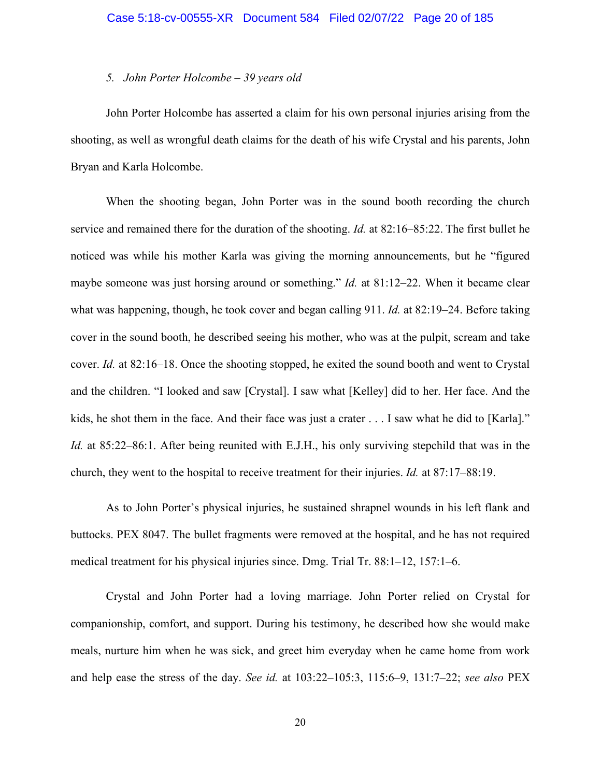#### *5. John Porter Holcombe – 39 years old*

John Porter Holcombe has asserted a claim for his own personal injuries arising from the shooting, as well as wrongful death claims for the death of his wife Crystal and his parents, John Bryan and Karla Holcombe.

When the shooting began, John Porter was in the sound booth recording the church service and remained there for the duration of the shooting. *Id.* at 82:16–85:22. The first bullet he noticed was while his mother Karla was giving the morning announcements, but he "figured maybe someone was just horsing around or something." *Id.* at 81:12–22. When it became clear what was happening, though, he took cover and began calling 911. *Id.* at 82:19–24. Before taking cover in the sound booth, he described seeing his mother, who was at the pulpit, scream and take cover. *Id.* at 82:16–18. Once the shooting stopped, he exited the sound booth and went to Crystal and the children. "I looked and saw [Crystal]. I saw what [Kelley] did to her. Her face. And the kids, he shot them in the face. And their face was just a crater . . . I saw what he did to [Karla]." *Id.* at 85:22–86:1. After being reunited with E.J.H., his only surviving stepchild that was in the church, they went to the hospital to receive treatment for their injuries. *Id.* at 87:17–88:19.

As to John Porter's physical injuries, he sustained shrapnel wounds in his left flank and buttocks. PEX 8047. The bullet fragments were removed at the hospital, and he has not required medical treatment for his physical injuries since. Dmg. Trial Tr. 88:1–12, 157:1–6.

Crystal and John Porter had a loving marriage. John Porter relied on Crystal for companionship, comfort, and support. During his testimony, he described how she would make meals, nurture him when he was sick, and greet him everyday when he came home from work and help ease the stress of the day. *See id.* at 103:22–105:3, 115:6–9, 131:7–22; *see also* PEX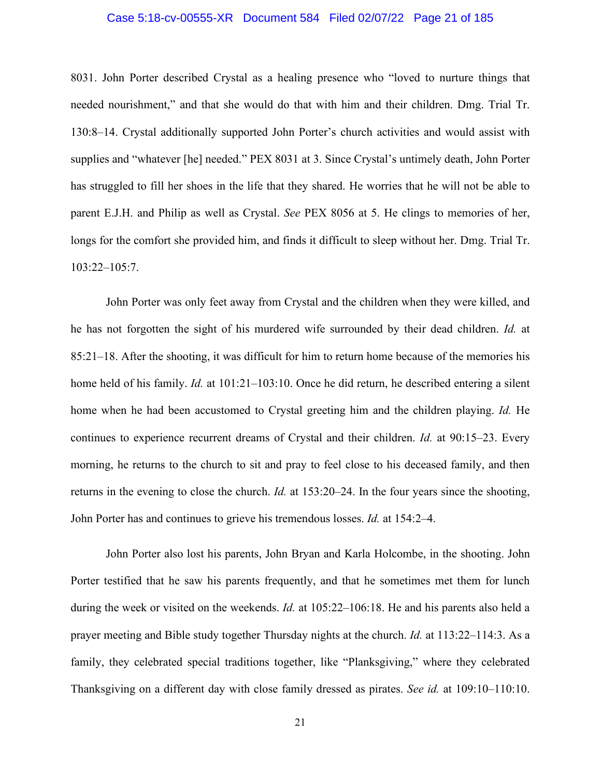### Case 5:18-cv-00555-XR Document 584 Filed 02/07/22 Page 21 of 185

8031. John Porter described Crystal as a healing presence who "loved to nurture things that needed nourishment," and that she would do that with him and their children. Dmg. Trial Tr. 130:8–14. Crystal additionally supported John Porter's church activities and would assist with supplies and "whatever [he] needed." PEX 8031 at 3. Since Crystal's untimely death, John Porter has struggled to fill her shoes in the life that they shared. He worries that he will not be able to parent E.J.H. and Philip as well as Crystal. *See* PEX 8056 at 5. He clings to memories of her, longs for the comfort she provided him, and finds it difficult to sleep without her. Dmg. Trial Tr. 103:22–105:7.

John Porter was only feet away from Crystal and the children when they were killed, and he has not forgotten the sight of his murdered wife surrounded by their dead children. *Id.* at 85:21–18. After the shooting, it was difficult for him to return home because of the memories his home held of his family. *Id.* at 101:21–103:10. Once he did return, he described entering a silent home when he had been accustomed to Crystal greeting him and the children playing. *Id.* He continues to experience recurrent dreams of Crystal and their children. *Id.* at 90:15–23. Every morning, he returns to the church to sit and pray to feel close to his deceased family, and then returns in the evening to close the church. *Id.* at 153:20–24. In the four years since the shooting, John Porter has and continues to grieve his tremendous losses. *Id.* at 154:2–4.

John Porter also lost his parents, John Bryan and Karla Holcombe, in the shooting. John Porter testified that he saw his parents frequently, and that he sometimes met them for lunch during the week or visited on the weekends. *Id.* at 105:22–106:18. He and his parents also held a prayer meeting and Bible study together Thursday nights at the church. *Id.* at 113:22–114:3. As a family, they celebrated special traditions together, like "Planksgiving," where they celebrated Thanksgiving on a different day with close family dressed as pirates. *See id.* at 109:10–110:10.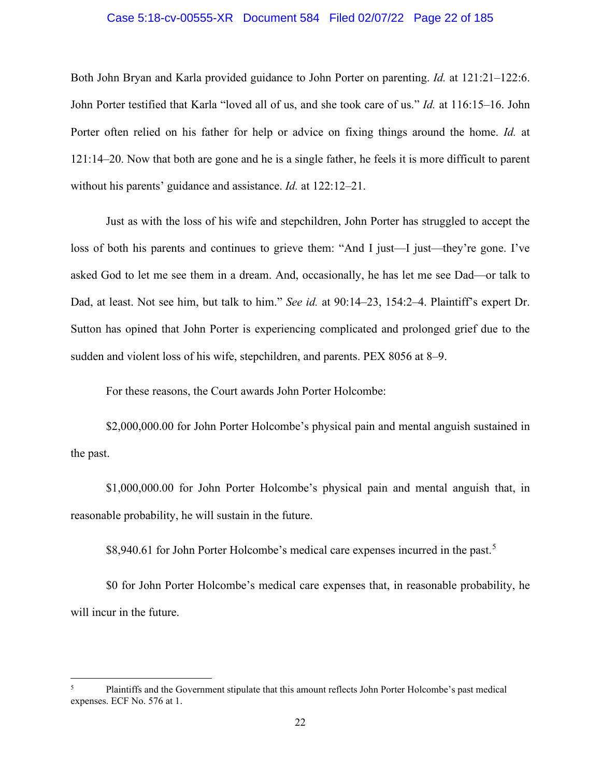## Case 5:18-cv-00555-XR Document 584 Filed 02/07/22 Page 22 of 185

Both John Bryan and Karla provided guidance to John Porter on parenting. *Id.* at 121:21–122:6. John Porter testified that Karla "loved all of us, and she took care of us." *Id.* at 116:15–16. John Porter often relied on his father for help or advice on fixing things around the home. *Id.* at 121:14–20. Now that both are gone and he is a single father, he feels it is more difficult to parent without his parents' guidance and assistance. *Id.* at 122:12–21.

Just as with the loss of his wife and stepchildren, John Porter has struggled to accept the loss of both his parents and continues to grieve them: "And I just—I just—they're gone. I've asked God to let me see them in a dream. And, occasionally, he has let me see Dad—or talk to Dad, at least. Not see him, but talk to him." *See id.* at 90:14–23, 154:2–4. Plaintiff's expert Dr. Sutton has opined that John Porter is experiencing complicated and prolonged grief due to the sudden and violent loss of his wife, stepchildren, and parents. PEX 8056 at 8–9.

For these reasons, the Court awards John Porter Holcombe:

\$2,000,000.00 for John Porter Holcombe's physical pain and mental anguish sustained in the past.

\$1,000,000.00 for John Porter Holcombe's physical pain and mental anguish that, in reasonable probability, he will sustain in the future.

\$8,940.61 for John Porter Holcombe's medical care expenses incurred in the past.<sup>[5](#page-21-0)</sup>

\$0 for John Porter Holcombe's medical care expenses that, in reasonable probability, he will incur in the future.

<span id="page-21-0"></span><sup>5</sup> Plaintiffs and the Government stipulate that this amount reflects John Porter Holcombe's past medical expenses. ECF No. 576 at 1.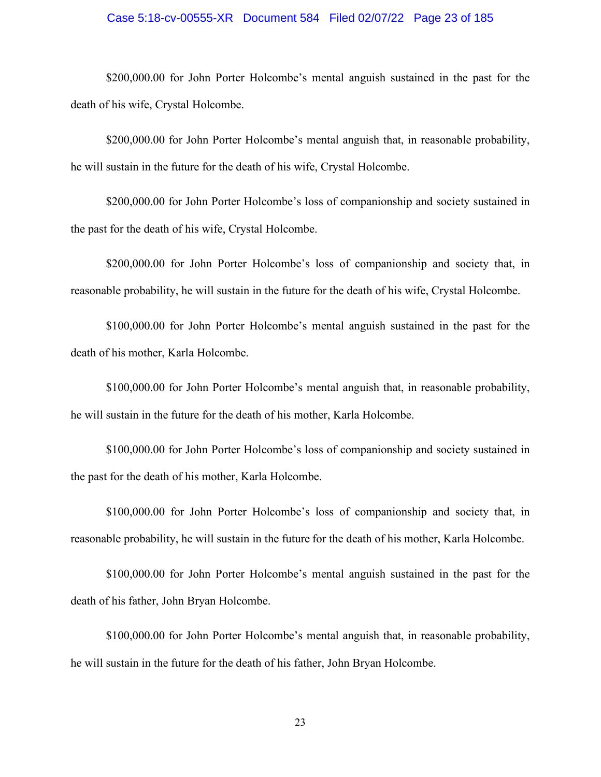## Case 5:18-cv-00555-XR Document 584 Filed 02/07/22 Page 23 of 185

\$200,000.00 for John Porter Holcombe's mental anguish sustained in the past for the death of his wife, Crystal Holcombe.

\$200,000.00 for John Porter Holcombe's mental anguish that, in reasonable probability, he will sustain in the future for the death of his wife, Crystal Holcombe.

\$200,000.00 for John Porter Holcombe's loss of companionship and society sustained in the past for the death of his wife, Crystal Holcombe.

\$200,000.00 for John Porter Holcombe's loss of companionship and society that, in reasonable probability, he will sustain in the future for the death of his wife, Crystal Holcombe.

\$100,000.00 for John Porter Holcombe's mental anguish sustained in the past for the death of his mother, Karla Holcombe.

\$100,000.00 for John Porter Holcombe's mental anguish that, in reasonable probability, he will sustain in the future for the death of his mother, Karla Holcombe.

\$100,000.00 for John Porter Holcombe's loss of companionship and society sustained in the past for the death of his mother, Karla Holcombe.

\$100,000.00 for John Porter Holcombe's loss of companionship and society that, in reasonable probability, he will sustain in the future for the death of his mother, Karla Holcombe.

\$100,000.00 for John Porter Holcombe's mental anguish sustained in the past for the death of his father, John Bryan Holcombe.

\$100,000.00 for John Porter Holcombe's mental anguish that, in reasonable probability, he will sustain in the future for the death of his father, John Bryan Holcombe.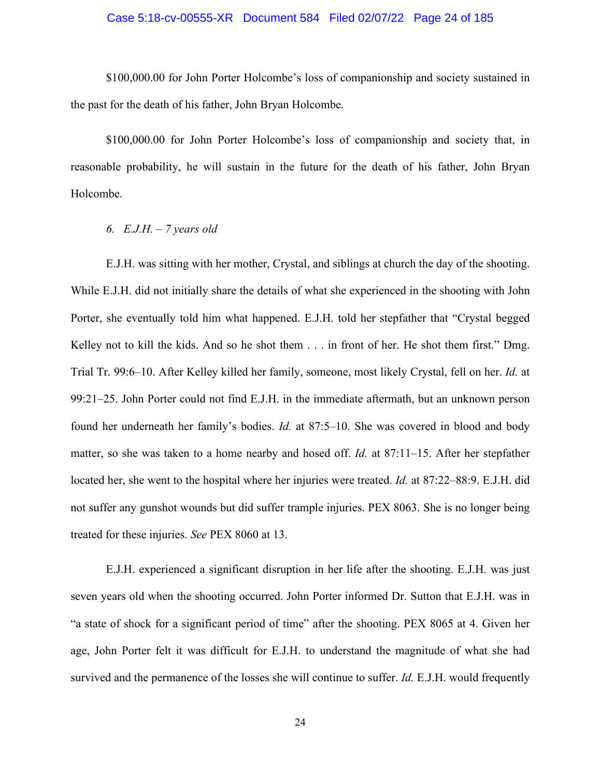## Case 5:18-cv-00555-XR Document 584 Filed 02/07/22 Page 24 of 185

\$100,000.00 for John Porter Holcombe's loss of companionship and society sustained in the past for the death of his father, John Bryan Holcombe.

\$100,000.00 for John Porter Holcombe's loss of companionship and society that, in reasonable probability, he will sustain in the future for the death of his father, John Bryan Holcombe.

#### *6. E.J.H. – 7 years old*

E.J.H. was sitting with her mother, Crystal, and siblings at church the day of the shooting. While E.J.H. did not initially share the details of what she experienced in the shooting with John Porter, she eventually told him what happened. E.J.H. told her stepfather that "Crystal begged Kelley not to kill the kids. And so he shot them . . . in front of her. He shot them first." Dmg. Trial Tr. 99:6–10. After Kelley killed her family, someone, most likely Crystal, fell on her. *Id.* at 99:21–25. John Porter could not find E.J.H. in the immediate aftermath, but an unknown person found her underneath her family's bodies. *Id.* at 87:5–10. She was covered in blood and body matter, so she was taken to a home nearby and hosed off. *Id.* at 87:11–15. After her stepfather located her, she went to the hospital where her injuries were treated. *Id.* at 87:22–88:9. E.J.H. did not suffer any gunshot wounds but did suffer trample injuries. PEX 8063. She is no longer being treated for these injuries. *See* PEX 8060 at 13.

E.J.H. experienced a significant disruption in her life after the shooting. E.J.H. was just seven years old when the shooting occurred. John Porter informed Dr. Sutton that E.J.H. was in "a state of shock for a significant period of time" after the shooting. PEX 8065 at 4. Given her age, John Porter felt it was difficult for E.J.H. to understand the magnitude of what she had survived and the permanence of the losses she will continue to suffer. *Id.* E.J.H. would frequently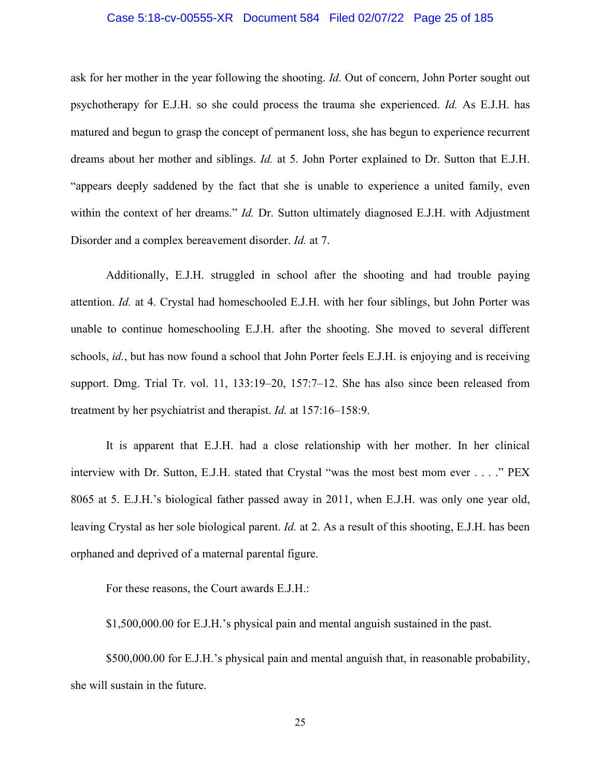## Case 5:18-cv-00555-XR Document 584 Filed 02/07/22 Page 25 of 185

ask for her mother in the year following the shooting. *Id.* Out of concern, John Porter sought out psychotherapy for E.J.H. so she could process the trauma she experienced. *Id.* As E.J.H. has matured and begun to grasp the concept of permanent loss, she has begun to experience recurrent dreams about her mother and siblings. *Id.* at 5. John Porter explained to Dr. Sutton that E.J.H. "appears deeply saddened by the fact that she is unable to experience a united family, even within the context of her dreams." *Id.* Dr. Sutton ultimately diagnosed E.J.H. with Adjustment Disorder and a complex bereavement disorder. *Id.* at 7.

Additionally, E.J.H. struggled in school after the shooting and had trouble paying attention. *Id.* at 4. Crystal had homeschooled E.J.H. with her four siblings, but John Porter was unable to continue homeschooling E.J.H. after the shooting. She moved to several different schools, *id.*, but has now found a school that John Porter feels E.J.H. is enjoying and is receiving support. Dmg. Trial Tr. vol. 11, 133:19–20, 157:7–12. She has also since been released from treatment by her psychiatrist and therapist. *Id.* at 157:16–158:9.

It is apparent that E.J.H. had a close relationship with her mother. In her clinical interview with Dr. Sutton, E.J.H. stated that Crystal "was the most best mom ever . . . ." PEX 8065 at 5. E.J.H.'s biological father passed away in 2011, when E.J.H. was only one year old, leaving Crystal as her sole biological parent. *Id.* at 2. As a result of this shooting, E.J.H. has been orphaned and deprived of a maternal parental figure.

For these reasons, the Court awards E.J.H.:

\$1,500,000.00 for E.J.H.'s physical pain and mental anguish sustained in the past.

\$500,000.00 for E.J.H.'s physical pain and mental anguish that, in reasonable probability, she will sustain in the future.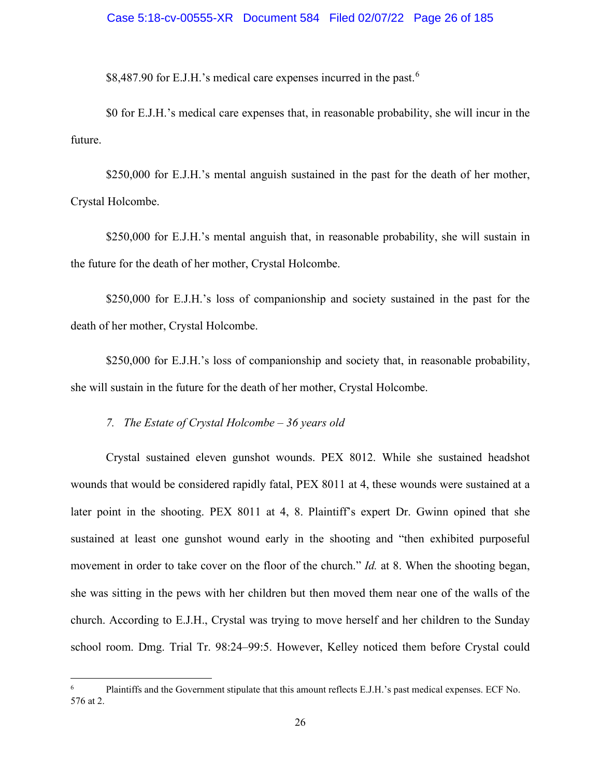\$8,487.90 for E.J.H.'s medical care expenses incurred in the past.<sup>[6](#page-25-0)</sup>

\$0 for E.J.H.'s medical care expenses that, in reasonable probability, she will incur in the future.

\$250,000 for E.J.H.'s mental anguish sustained in the past for the death of her mother, Crystal Holcombe.

\$250,000 for E.J.H.'s mental anguish that, in reasonable probability, she will sustain in the future for the death of her mother, Crystal Holcombe.

\$250,000 for E.J.H.'s loss of companionship and society sustained in the past for the death of her mother, Crystal Holcombe.

\$250,000 for E.J.H.'s loss of companionship and society that, in reasonable probability, she will sustain in the future for the death of her mother, Crystal Holcombe.

*7. The Estate of Crystal Holcombe – 36 years old*

Crystal sustained eleven gunshot wounds. PEX 8012. While she sustained headshot wounds that would be considered rapidly fatal, PEX 8011 at 4, these wounds were sustained at a later point in the shooting. PEX 8011 at 4, 8. Plaintiff's expert Dr. Gwinn opined that she sustained at least one gunshot wound early in the shooting and "then exhibited purposeful movement in order to take cover on the floor of the church." *Id.* at 8. When the shooting began, she was sitting in the pews with her children but then moved them near one of the walls of the church. According to E.J.H., Crystal was trying to move herself and her children to the Sunday school room. Dmg. Trial Tr. 98:24–99:5. However, Kelley noticed them before Crystal could

<span id="page-25-0"></span><sup>6</sup> Plaintiffs and the Government stipulate that this amount reflects E.J.H.'s past medical expenses. ECF No. 576 at 2.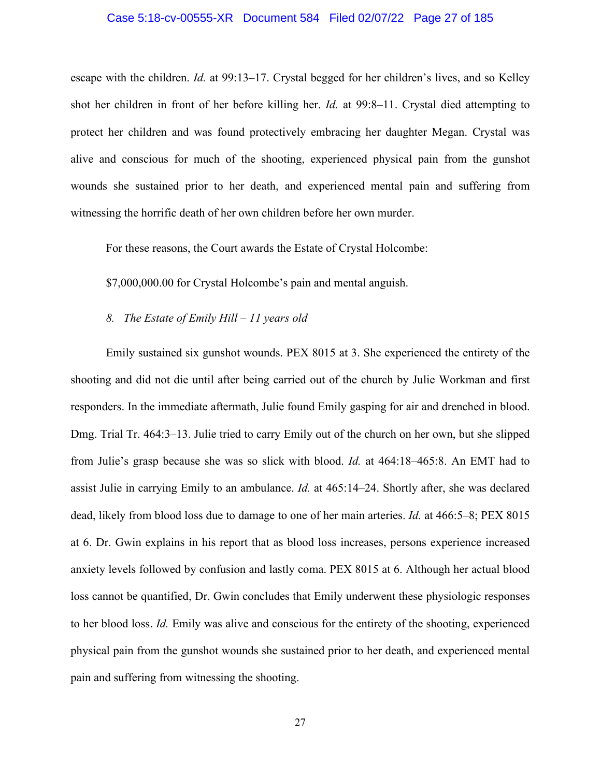#### Case 5:18-cv-00555-XR Document 584 Filed 02/07/22 Page 27 of 185

escape with the children. *Id.* at 99:13–17. Crystal begged for her children's lives, and so Kelley shot her children in front of her before killing her. *Id.* at 99:8–11. Crystal died attempting to protect her children and was found protectively embracing her daughter Megan. Crystal was alive and conscious for much of the shooting, experienced physical pain from the gunshot wounds she sustained prior to her death, and experienced mental pain and suffering from witnessing the horrific death of her own children before her own murder.

For these reasons, the Court awards the Estate of Crystal Holcombe:

\$7,000,000.00 for Crystal Holcombe's pain and mental anguish.

#### *8. The Estate of Emily Hill – 11 years old*

Emily sustained six gunshot wounds. PEX 8015 at 3. She experienced the entirety of the shooting and did not die until after being carried out of the church by Julie Workman and first responders. In the immediate aftermath, Julie found Emily gasping for air and drenched in blood. Dmg. Trial Tr. 464:3–13. Julie tried to carry Emily out of the church on her own, but she slipped from Julie's grasp because she was so slick with blood. *Id.* at 464:18–465:8. An EMT had to assist Julie in carrying Emily to an ambulance. *Id.* at 465:14–24. Shortly after, she was declared dead, likely from blood loss due to damage to one of her main arteries. *Id.* at 466:5–8; PEX 8015 at 6. Dr. Gwin explains in his report that as blood loss increases, persons experience increased anxiety levels followed by confusion and lastly coma. PEX 8015 at 6. Although her actual blood loss cannot be quantified, Dr. Gwin concludes that Emily underwent these physiologic responses to her blood loss. *Id.* Emily was alive and conscious for the entirety of the shooting, experienced physical pain from the gunshot wounds she sustained prior to her death, and experienced mental pain and suffering from witnessing the shooting.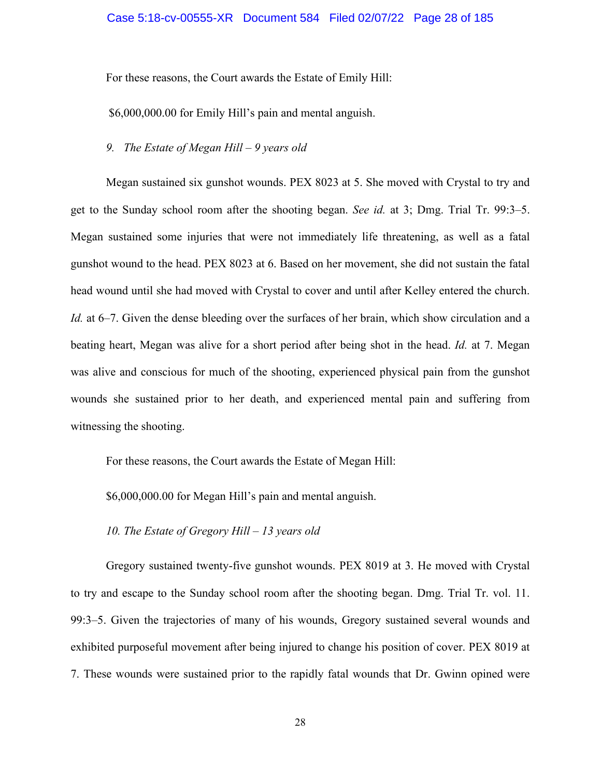For these reasons, the Court awards the Estate of Emily Hill:

\$6,000,000.00 for Emily Hill's pain and mental anguish.

## *9. The Estate of Megan Hill – 9 years old*

Megan sustained six gunshot wounds. PEX 8023 at 5. She moved with Crystal to try and get to the Sunday school room after the shooting began. *See id.* at 3; Dmg. Trial Tr. 99:3–5. Megan sustained some injuries that were not immediately life threatening, as well as a fatal gunshot wound to the head. PEX 8023 at 6. Based on her movement, she did not sustain the fatal head wound until she had moved with Crystal to cover and until after Kelley entered the church. *Id.* at 6–7. Given the dense bleeding over the surfaces of her brain, which show circulation and a beating heart, Megan was alive for a short period after being shot in the head. *Id.* at 7. Megan was alive and conscious for much of the shooting, experienced physical pain from the gunshot wounds she sustained prior to her death, and experienced mental pain and suffering from witnessing the shooting.

For these reasons, the Court awards the Estate of Megan Hill:

\$6,000,000.00 for Megan Hill's pain and mental anguish.

### *10. The Estate of Gregory Hill – 13 years old*

Gregory sustained twenty-five gunshot wounds. PEX 8019 at 3. He moved with Crystal to try and escape to the Sunday school room after the shooting began. Dmg. Trial Tr. vol. 11. 99:3–5. Given the trajectories of many of his wounds, Gregory sustained several wounds and exhibited purposeful movement after being injured to change his position of cover. PEX 8019 at 7. These wounds were sustained prior to the rapidly fatal wounds that Dr. Gwinn opined were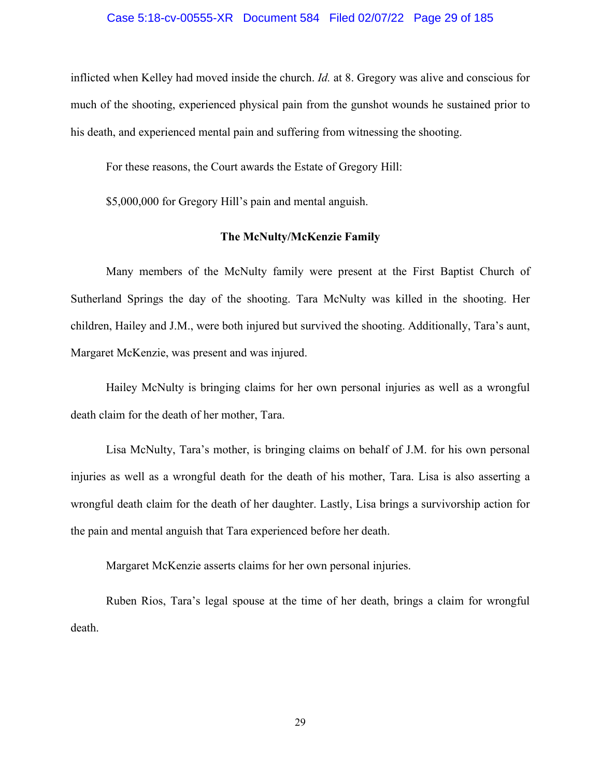#### Case 5:18-cv-00555-XR Document 584 Filed 02/07/22 Page 29 of 185

inflicted when Kelley had moved inside the church. *Id.* at 8. Gregory was alive and conscious for much of the shooting, experienced physical pain from the gunshot wounds he sustained prior to his death, and experienced mental pain and suffering from witnessing the shooting.

For these reasons, the Court awards the Estate of Gregory Hill:

\$5,000,000 for Gregory Hill's pain and mental anguish.

## **The McNulty/McKenzie Family**

Many members of the McNulty family were present at the First Baptist Church of Sutherland Springs the day of the shooting. Tara McNulty was killed in the shooting. Her children, Hailey and J.M., were both injured but survived the shooting. Additionally, Tara's aunt, Margaret McKenzie, was present and was injured.

Hailey McNulty is bringing claims for her own personal injuries as well as a wrongful death claim for the death of her mother, Tara.

Lisa McNulty, Tara's mother, is bringing claims on behalf of J.M. for his own personal injuries as well as a wrongful death for the death of his mother, Tara. Lisa is also asserting a wrongful death claim for the death of her daughter. Lastly, Lisa brings a survivorship action for the pain and mental anguish that Tara experienced before her death.

Margaret McKenzie asserts claims for her own personal injuries.

Ruben Rios, Tara's legal spouse at the time of her death, brings a claim for wrongful death.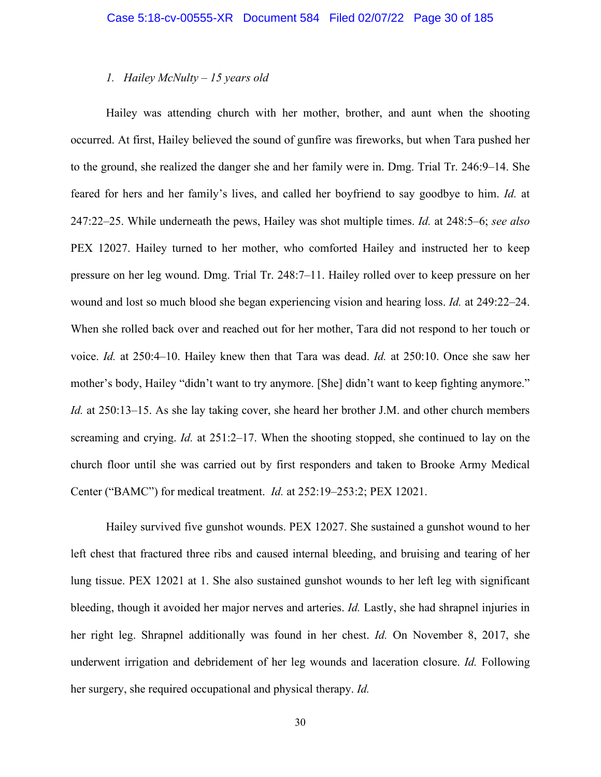## *1. Hailey McNulty – 15 years old*

Hailey was attending church with her mother, brother, and aunt when the shooting occurred. At first, Hailey believed the sound of gunfire was fireworks, but when Tara pushed her to the ground, she realized the danger she and her family were in. Dmg. Trial Tr. 246:9–14. She feared for hers and her family's lives, and called her boyfriend to say goodbye to him. *Id.* at 247:22–25. While underneath the pews, Hailey was shot multiple times. *Id.* at 248:5–6; *see also* PEX 12027. Hailey turned to her mother, who comforted Hailey and instructed her to keep pressure on her leg wound. Dmg. Trial Tr. 248:7–11. Hailey rolled over to keep pressure on her wound and lost so much blood she began experiencing vision and hearing loss. *Id.* at 249:22–24. When she rolled back over and reached out for her mother, Tara did not respond to her touch or voice. *Id.* at 250:4–10. Hailey knew then that Tara was dead. *Id.* at 250:10. Once she saw her mother's body, Hailey "didn't want to try anymore. [She] didn't want to keep fighting anymore." *Id.* at 250:13–15. As she lay taking cover, she heard her brother J.M. and other church members screaming and crying. *Id.* at 251:2–17. When the shooting stopped, she continued to lay on the church floor until she was carried out by first responders and taken to Brooke Army Medical Center ("BAMC") for medical treatment. *Id.* at 252:19–253:2; PEX 12021.

Hailey survived five gunshot wounds. PEX 12027. She sustained a gunshot wound to her left chest that fractured three ribs and caused internal bleeding, and bruising and tearing of her lung tissue. PEX 12021 at 1. She also sustained gunshot wounds to her left leg with significant bleeding, though it avoided her major nerves and arteries. *Id.* Lastly, she had shrapnel injuries in her right leg. Shrapnel additionally was found in her chest. *Id.* On November 8, 2017, she underwent irrigation and debridement of her leg wounds and laceration closure. *Id.* Following her surgery, she required occupational and physical therapy. *Id.*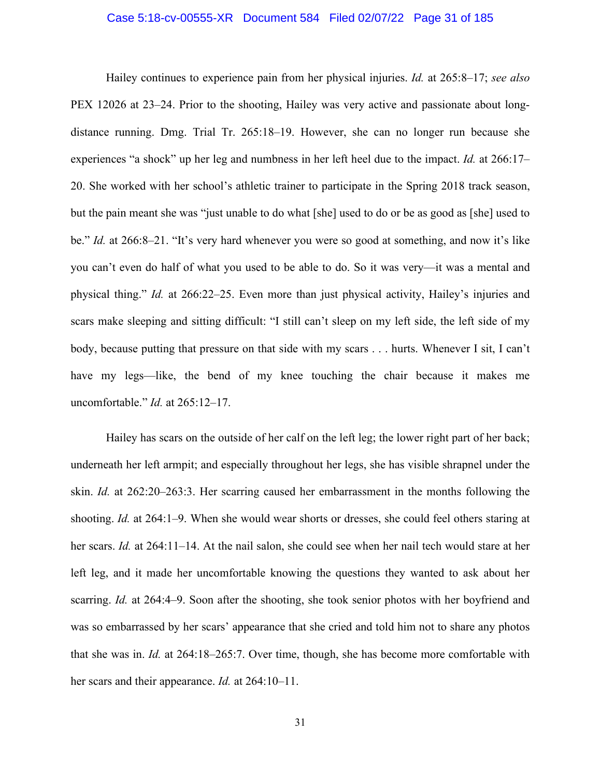## Case 5:18-cv-00555-XR Document 584 Filed 02/07/22 Page 31 of 185

Hailey continues to experience pain from her physical injuries. *Id.* at 265:8–17; *see also* PEX 12026 at 23–24. Prior to the shooting, Hailey was very active and passionate about longdistance running. Dmg. Trial Tr. 265:18–19. However, she can no longer run because she experiences "a shock" up her leg and numbness in her left heel due to the impact. *Id.* at 266:17– 20. She worked with her school's athletic trainer to participate in the Spring 2018 track season, but the pain meant she was "just unable to do what [she] used to do or be as good as [she] used to be." *Id.* at 266:8–21. "It's very hard whenever you were so good at something, and now it's like you can't even do half of what you used to be able to do. So it was very—it was a mental and physical thing." *Id.* at 266:22–25. Even more than just physical activity, Hailey's injuries and scars make sleeping and sitting difficult: "I still can't sleep on my left side, the left side of my body, because putting that pressure on that side with my scars . . . hurts. Whenever I sit, I can't have my legs—like, the bend of my knee touching the chair because it makes me uncomfortable." *Id.* at 265:12–17.

Hailey has scars on the outside of her calf on the left leg; the lower right part of her back; underneath her left armpit; and especially throughout her legs, she has visible shrapnel under the skin. *Id.* at 262:20–263:3. Her scarring caused her embarrassment in the months following the shooting. *Id.* at 264:1–9. When she would wear shorts or dresses, she could feel others staring at her scars. *Id.* at 264:11–14. At the nail salon, she could see when her nail tech would stare at her left leg, and it made her uncomfortable knowing the questions they wanted to ask about her scarring. *Id.* at 264:4–9. Soon after the shooting, she took senior photos with her boyfriend and was so embarrassed by her scars' appearance that she cried and told him not to share any photos that she was in. *Id.* at 264:18–265:7. Over time, though, she has become more comfortable with her scars and their appearance. *Id.* at 264:10–11.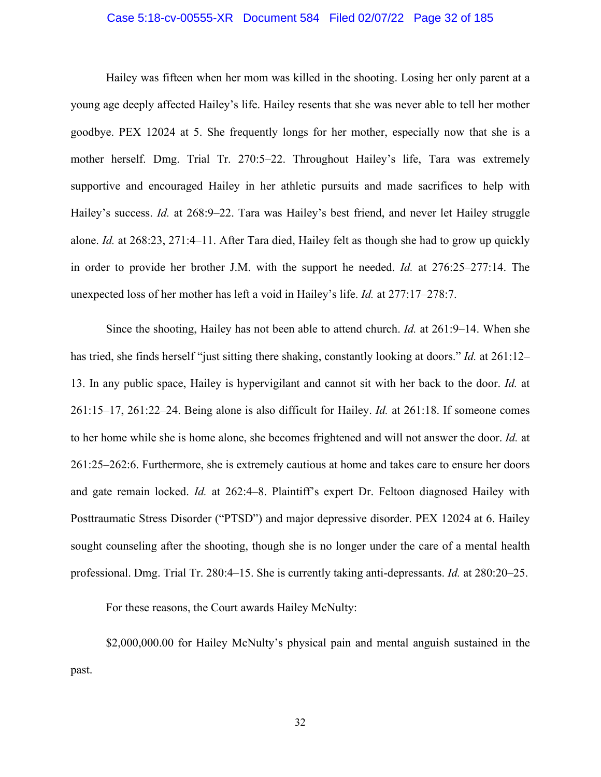## Case 5:18-cv-00555-XR Document 584 Filed 02/07/22 Page 32 of 185

Hailey was fifteen when her mom was killed in the shooting. Losing her only parent at a young age deeply affected Hailey's life. Hailey resents that she was never able to tell her mother goodbye. PEX 12024 at 5. She frequently longs for her mother, especially now that she is a mother herself. Dmg. Trial Tr. 270:5–22. Throughout Hailey's life, Tara was extremely supportive and encouraged Hailey in her athletic pursuits and made sacrifices to help with Hailey's success. *Id.* at 268:9–22. Tara was Hailey's best friend, and never let Hailey struggle alone. *Id.* at 268:23, 271:4–11. After Tara died, Hailey felt as though she had to grow up quickly in order to provide her brother J.M. with the support he needed. *Id.* at 276:25–277:14. The unexpected loss of her mother has left a void in Hailey's life. *Id.* at 277:17–278:7.

Since the shooting, Hailey has not been able to attend church. *Id.* at 261:9–14. When she has tried, she finds herself "just sitting there shaking, constantly looking at doors." *Id.* at 261:12– 13. In any public space, Hailey is hypervigilant and cannot sit with her back to the door. *Id.* at 261:15–17, 261:22–24. Being alone is also difficult for Hailey. *Id.* at 261:18. If someone comes to her home while she is home alone, she becomes frightened and will not answer the door. *Id.* at 261:25–262:6. Furthermore, she is extremely cautious at home and takes care to ensure her doors and gate remain locked. *Id.* at 262:4–8. Plaintiff's expert Dr. Feltoon diagnosed Hailey with Posttraumatic Stress Disorder ("PTSD") and major depressive disorder. PEX 12024 at 6. Hailey sought counseling after the shooting, though she is no longer under the care of a mental health professional. Dmg. Trial Tr. 280:4–15. She is currently taking anti-depressants. *Id.* at 280:20–25.

For these reasons, the Court awards Hailey McNulty:

\$2,000,000.00 for Hailey McNulty's physical pain and mental anguish sustained in the past.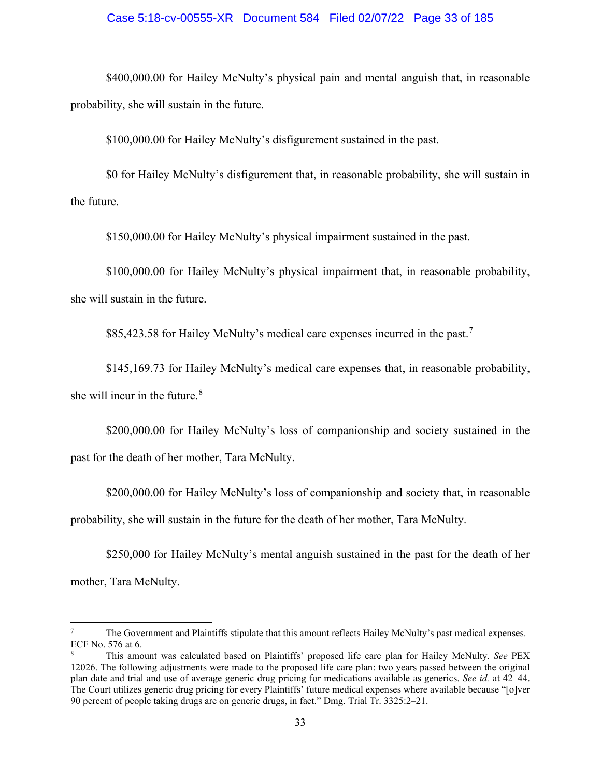## Case 5:18-cv-00555-XR Document 584 Filed 02/07/22 Page 33 of 185

\$400,000.00 for Hailey McNulty's physical pain and mental anguish that, in reasonable probability, she will sustain in the future.

\$100,000.00 for Hailey McNulty's disfigurement sustained in the past.

\$0 for Hailey McNulty's disfigurement that, in reasonable probability, she will sustain in the future.

\$150,000.00 for Hailey McNulty's physical impairment sustained in the past.

\$100,000.00 for Hailey McNulty's physical impairment that, in reasonable probability, she will sustain in the future.

\$85,423.58 for Hailey McNulty's medical care expenses incurred in the past.<sup>[7](#page-32-0)</sup>

\$145,169.73 for Hailey McNulty's medical care expenses that, in reasonable probability, she will incur in the future. $8$ 

\$200,000.00 for Hailey McNulty's loss of companionship and society sustained in the past for the death of her mother, Tara McNulty.

\$200,000.00 for Hailey McNulty's loss of companionship and society that, in reasonable probability, she will sustain in the future for the death of her mother, Tara McNulty.

\$250,000 for Hailey McNulty's mental anguish sustained in the past for the death of her mother, Tara McNulty.

<span id="page-32-0"></span><sup>7</sup> The Government and Plaintiffs stipulate that this amount reflects Hailey McNulty's past medical expenses. ECF No. 576 at 6.

<span id="page-32-1"></span><sup>8</sup> This amount was calculated based on Plaintiffs' proposed life care plan for Hailey McNulty. *See* PEX 12026. The following adjustments were made to the proposed life care plan: two years passed between the original plan date and trial and use of average generic drug pricing for medications available as generics. *See id.* at 42–44. The Court utilizes generic drug pricing for every Plaintiffs' future medical expenses where available because "[o]ver 90 percent of people taking drugs are on generic drugs, in fact." Dmg. Trial Tr. 3325:2–21.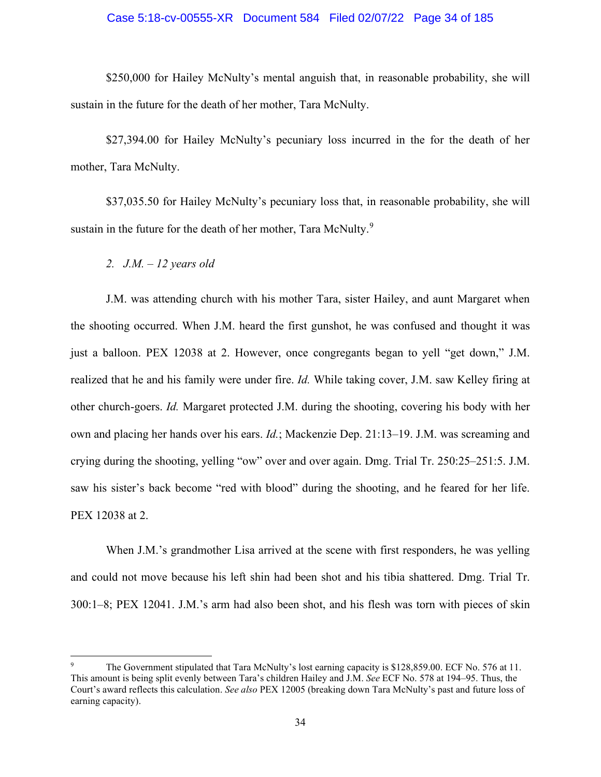## Case 5:18-cv-00555-XR Document 584 Filed 02/07/22 Page 34 of 185

\$250,000 for Hailey McNulty's mental anguish that, in reasonable probability, she will sustain in the future for the death of her mother, Tara McNulty.

\$27,394.00 for Hailey McNulty's pecuniary loss incurred in the for the death of her mother, Tara McNulty.

\$37,035.50 for Hailey McNulty's pecuniary loss that, in reasonable probability, she will sustain in the future for the death of her mother, Tara McNulty. $^9$  $^9$ 

*2. J.M. – 12 years old*

J.M. was attending church with his mother Tara, sister Hailey, and aunt Margaret when the shooting occurred. When J.M. heard the first gunshot, he was confused and thought it was just a balloon. PEX 12038 at 2. However, once congregants began to yell "get down," J.M. realized that he and his family were under fire. *Id.* While taking cover, J.M. saw Kelley firing at other church-goers. *Id.* Margaret protected J.M. during the shooting, covering his body with her own and placing her hands over his ears. *Id.*; Mackenzie Dep. 21:13–19. J.M. was screaming and crying during the shooting, yelling "ow" over and over again. Dmg. Trial Tr. 250:25–251:5. J.M. saw his sister's back become "red with blood" during the shooting, and he feared for her life. PEX 12038 at 2.

When J.M.'s grandmother Lisa arrived at the scene with first responders, he was yelling and could not move because his left shin had been shot and his tibia shattered. Dmg. Trial Tr. 300:1–8; PEX 12041. J.M.'s arm had also been shot, and his flesh was torn with pieces of skin

<span id="page-33-0"></span>The Government stipulated that Tara McNulty's lost earning capacity is \$128,859.00. ECF No. 576 at 11. This amount is being split evenly between Tara's children Hailey and J.M. *See* ECF No. 578 at 194–95. Thus, the Court's award reflects this calculation. *See also* PEX 12005 (breaking down Tara McNulty's past and future loss of earning capacity).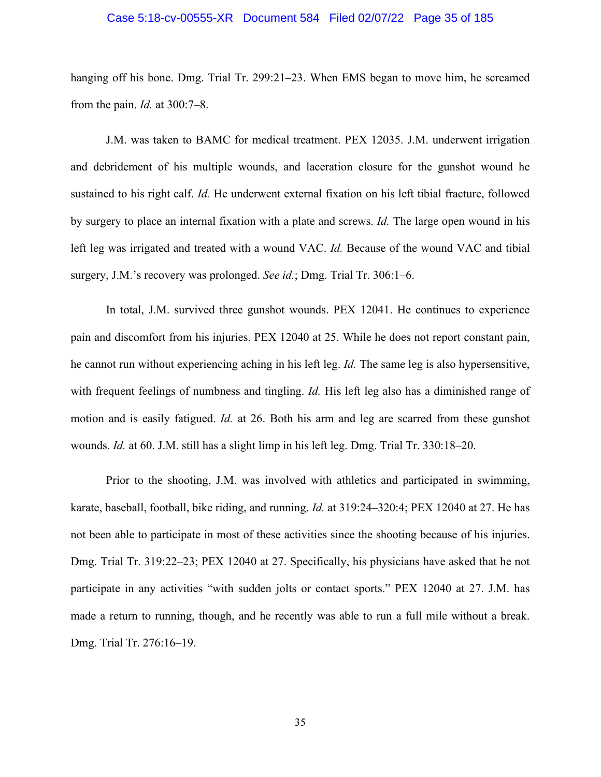#### Case 5:18-cv-00555-XR Document 584 Filed 02/07/22 Page 35 of 185

hanging off his bone. Dmg. Trial Tr. 299:21–23. When EMS began to move him, he screamed from the pain. *Id.* at 300:7–8.

J.M. was taken to BAMC for medical treatment. PEX 12035. J.M. underwent irrigation and debridement of his multiple wounds, and laceration closure for the gunshot wound he sustained to his right calf. *Id.* He underwent external fixation on his left tibial fracture, followed by surgery to place an internal fixation with a plate and screws. *Id.* The large open wound in his left leg was irrigated and treated with a wound VAC. *Id.* Because of the wound VAC and tibial surgery, J.M.'s recovery was prolonged. *See id.*; Dmg. Trial Tr. 306:1–6.

In total, J.M. survived three gunshot wounds. PEX 12041. He continues to experience pain and discomfort from his injuries. PEX 12040 at 25. While he does not report constant pain, he cannot run without experiencing aching in his left leg. *Id.* The same leg is also hypersensitive, with frequent feelings of numbness and tingling. *Id.* His left leg also has a diminished range of motion and is easily fatigued. *Id.* at 26. Both his arm and leg are scarred from these gunshot wounds. *Id.* at 60. J.M. still has a slight limp in his left leg. Dmg. Trial Tr. 330:18–20.

Prior to the shooting, J.M. was involved with athletics and participated in swimming, karate, baseball, football, bike riding, and running. *Id.* at 319:24–320:4; PEX 12040 at 27. He has not been able to participate in most of these activities since the shooting because of his injuries. Dmg. Trial Tr. 319:22–23; PEX 12040 at 27. Specifically, his physicians have asked that he not participate in any activities "with sudden jolts or contact sports." PEX 12040 at 27. J.M. has made a return to running, though, and he recently was able to run a full mile without a break. Dmg. Trial Tr. 276:16–19.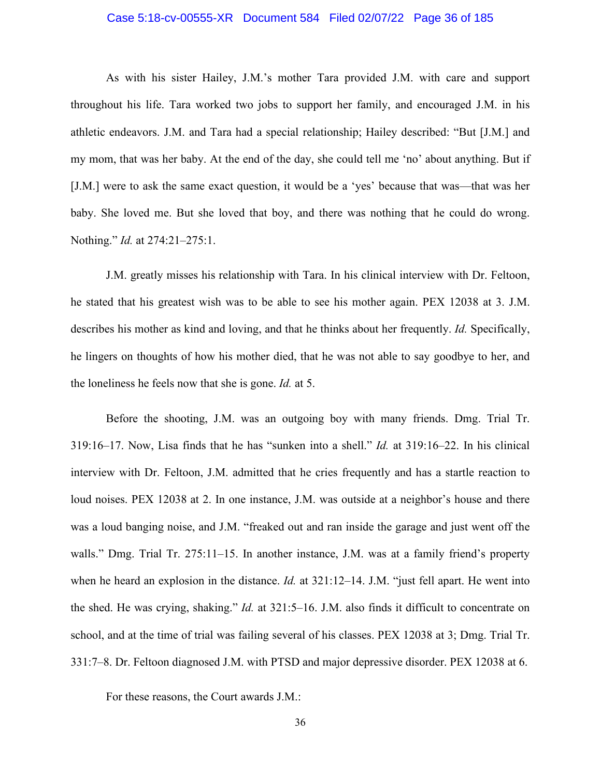## Case 5:18-cv-00555-XR Document 584 Filed 02/07/22 Page 36 of 185

As with his sister Hailey, J.M.'s mother Tara provided J.M. with care and support throughout his life. Tara worked two jobs to support her family, and encouraged J.M. in his athletic endeavors. J.M. and Tara had a special relationship; Hailey described: "But [J.M.] and my mom, that was her baby. At the end of the day, she could tell me 'no' about anything. But if [J.M.] were to ask the same exact question, it would be a 'yes' because that was—that was her baby. She loved me. But she loved that boy, and there was nothing that he could do wrong. Nothing." *Id.* at 274:21–275:1.

J.M. greatly misses his relationship with Tara. In his clinical interview with Dr. Feltoon, he stated that his greatest wish was to be able to see his mother again. PEX 12038 at 3. J.M. describes his mother as kind and loving, and that he thinks about her frequently. *Id.* Specifically, he lingers on thoughts of how his mother died, that he was not able to say goodbye to her, and the loneliness he feels now that she is gone. *Id.* at 5.

Before the shooting, J.M. was an outgoing boy with many friends. Dmg. Trial Tr. 319:16–17. Now, Lisa finds that he has "sunken into a shell." *Id.* at 319:16–22. In his clinical interview with Dr. Feltoon, J.M. admitted that he cries frequently and has a startle reaction to loud noises. PEX 12038 at 2. In one instance, J.M. was outside at a neighbor's house and there was a loud banging noise, and J.M. "freaked out and ran inside the garage and just went off the walls." Dmg. Trial Tr. 275:11–15. In another instance, J.M. was at a family friend's property when he heard an explosion in the distance. *Id.* at 321:12–14. J.M. "just fell apart. He went into the shed. He was crying, shaking." *Id.* at 321:5–16. J.M. also finds it difficult to concentrate on school, and at the time of trial was failing several of his classes. PEX 12038 at 3; Dmg. Trial Tr. 331:7–8. Dr. Feltoon diagnosed J.M. with PTSD and major depressive disorder. PEX 12038 at 6.

For these reasons, the Court awards J.M.: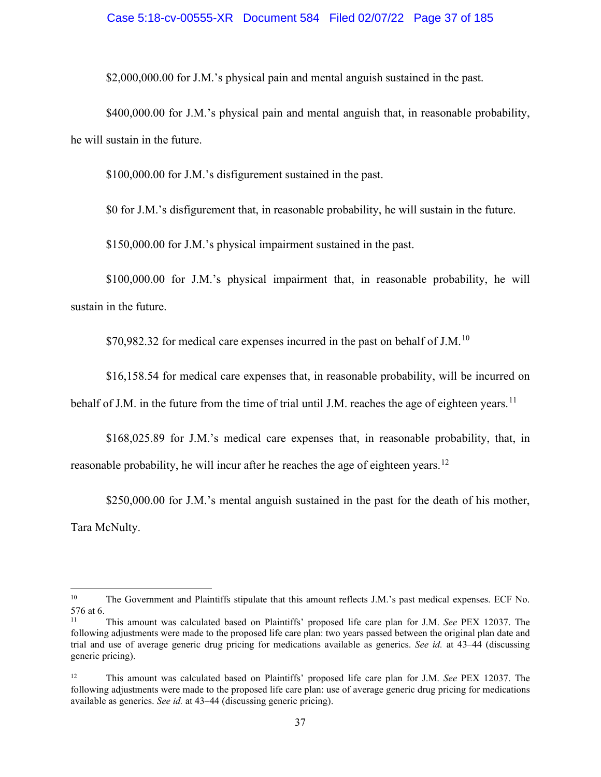## Case 5:18-cv-00555-XR Document 584 Filed 02/07/22 Page 37 of 185

\$2,000,000.00 for J.M.'s physical pain and mental anguish sustained in the past.

\$400,000.00 for J.M.'s physical pain and mental anguish that, in reasonable probability, he will sustain in the future.

\$100,000.00 for J.M.'s disfigurement sustained in the past.

\$0 for J.M.'s disfigurement that, in reasonable probability, he will sustain in the future.

\$150,000.00 for J.M.'s physical impairment sustained in the past.

\$100,000.00 for J.M.'s physical impairment that, in reasonable probability, he will sustain in the future.

\$70,982.32 for medical care expenses incurred in the past on behalf of J.M.<sup>10</sup>

\$16,158.54 for medical care expenses that, in reasonable probability, will be incurred on

behalf of J.M. in the future from the time of trial until J.M. reaches the age of eighteen years.<sup>[11](#page-36-1)</sup>

\$168,025.89 for J.M.'s medical care expenses that, in reasonable probability, that, in reasonable probability, he will incur after he reaches the age of eighteen years.<sup>[12](#page-36-2)</sup>

\$250,000.00 for J.M.'s mental anguish sustained in the past for the death of his mother, Tara McNulty.

<span id="page-36-0"></span><sup>&</sup>lt;sup>10</sup> The Government and Plaintiffs stipulate that this amount reflects J.M.'s past medical expenses. ECF No. 576 at 6.

<span id="page-36-1"></span><sup>11</sup> This amount was calculated based on Plaintiffs' proposed life care plan for J.M. *See* PEX 12037. The following adjustments were made to the proposed life care plan: two years passed between the original plan date and trial and use of average generic drug pricing for medications available as generics. *See id.* at 43–44 (discussing generic pricing).

<span id="page-36-2"></span><sup>12</sup> This amount was calculated based on Plaintiffs' proposed life care plan for J.M. *See* PEX 12037. The following adjustments were made to the proposed life care plan: use of average generic drug pricing for medications available as generics. *See id.* at 43–44 (discussing generic pricing).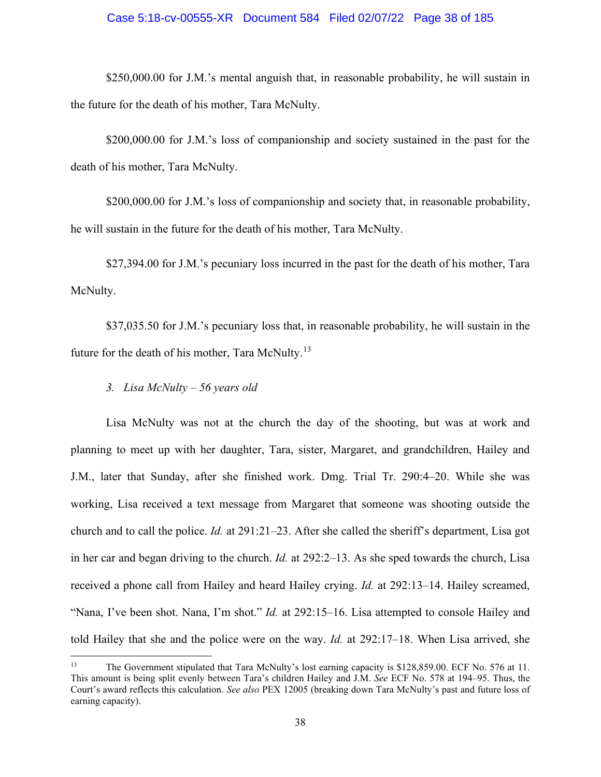## Case 5:18-cv-00555-XR Document 584 Filed 02/07/22 Page 38 of 185

\$250,000.00 for J.M.'s mental anguish that, in reasonable probability, he will sustain in the future for the death of his mother, Tara McNulty.

\$200,000.00 for J.M.'s loss of companionship and society sustained in the past for the death of his mother, Tara McNulty.

\$200,000.00 for J.M.'s loss of companionship and society that, in reasonable probability, he will sustain in the future for the death of his mother, Tara McNulty.

\$27,394.00 for J.M.'s pecuniary loss incurred in the past for the death of his mother, Tara McNulty.

\$37,035.50 for J.M.'s pecuniary loss that, in reasonable probability, he will sustain in the future for the death of his mother, Tara McNulty.<sup>[13](#page-37-0)</sup>

*3. Lisa McNulty – 56 years old* 

Lisa McNulty was not at the church the day of the shooting, but was at work and planning to meet up with her daughter, Tara, sister, Margaret, and grandchildren, Hailey and J.M., later that Sunday, after she finished work. Dmg. Trial Tr. 290:4–20. While she was working, Lisa received a text message from Margaret that someone was shooting outside the church and to call the police. *Id.* at 291:21–23. After she called the sheriff's department, Lisa got in her car and began driving to the church. *Id.* at 292:2–13. As she sped towards the church, Lisa received a phone call from Hailey and heard Hailey crying. *Id.* at 292:13–14. Hailey screamed, "Nana, I've been shot. Nana, I'm shot." *Id.* at 292:15–16. Lisa attempted to console Hailey and told Hailey that she and the police were on the way. *Id.* at 292:17–18. When Lisa arrived, she

<span id="page-37-0"></span><sup>13</sup> The Government stipulated that Tara McNulty's lost earning capacity is \$128,859.00. ECF No. 576 at 11. This amount is being split evenly between Tara's children Hailey and J.M. *See* ECF No. 578 at 194–95. Thus, the Court's award reflects this calculation. *See also* PEX 12005 (breaking down Tara McNulty's past and future loss of earning capacity).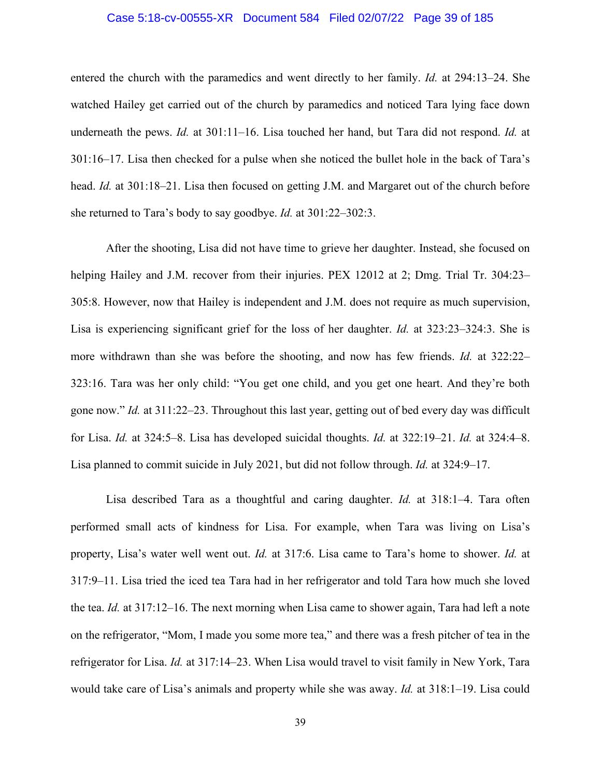## Case 5:18-cv-00555-XR Document 584 Filed 02/07/22 Page 39 of 185

entered the church with the paramedics and went directly to her family. *Id.* at 294:13–24. She watched Hailey get carried out of the church by paramedics and noticed Tara lying face down underneath the pews. *Id.* at 301:11–16. Lisa touched her hand, but Tara did not respond. *Id.* at 301:16–17. Lisa then checked for a pulse when she noticed the bullet hole in the back of Tara's head. *Id.* at 301:18–21. Lisa then focused on getting J.M. and Margaret out of the church before she returned to Tara's body to say goodbye. *Id.* at 301:22–302:3.

After the shooting, Lisa did not have time to grieve her daughter. Instead, she focused on helping Hailey and J.M. recover from their injuries. PEX 12012 at 2; Dmg. Trial Tr. 304:23– 305:8. However, now that Hailey is independent and J.M. does not require as much supervision, Lisa is experiencing significant grief for the loss of her daughter. *Id.* at 323:23–324:3. She is more withdrawn than she was before the shooting, and now has few friends. *Id.* at 322:22– 323:16. Tara was her only child: "You get one child, and you get one heart. And they're both gone now." *Id.* at 311:22–23. Throughout this last year, getting out of bed every day was difficult for Lisa. *Id.* at 324:5–8. Lisa has developed suicidal thoughts. *Id.* at 322:19–21. *Id.* at 324:4–8. Lisa planned to commit suicide in July 2021, but did not follow through. *Id.* at 324:9–17.

Lisa described Tara as a thoughtful and caring daughter. *Id.* at 318:1–4. Tara often performed small acts of kindness for Lisa. For example, when Tara was living on Lisa's property, Lisa's water well went out. *Id.* at 317:6. Lisa came to Tara's home to shower. *Id.* at 317:9–11. Lisa tried the iced tea Tara had in her refrigerator and told Tara how much she loved the tea. *Id.* at 317:12–16. The next morning when Lisa came to shower again, Tara had left a note on the refrigerator, "Mom, I made you some more tea," and there was a fresh pitcher of tea in the refrigerator for Lisa. *Id.* at 317:14–23. When Lisa would travel to visit family in New York, Tara would take care of Lisa's animals and property while she was away. *Id.* at 318:1–19. Lisa could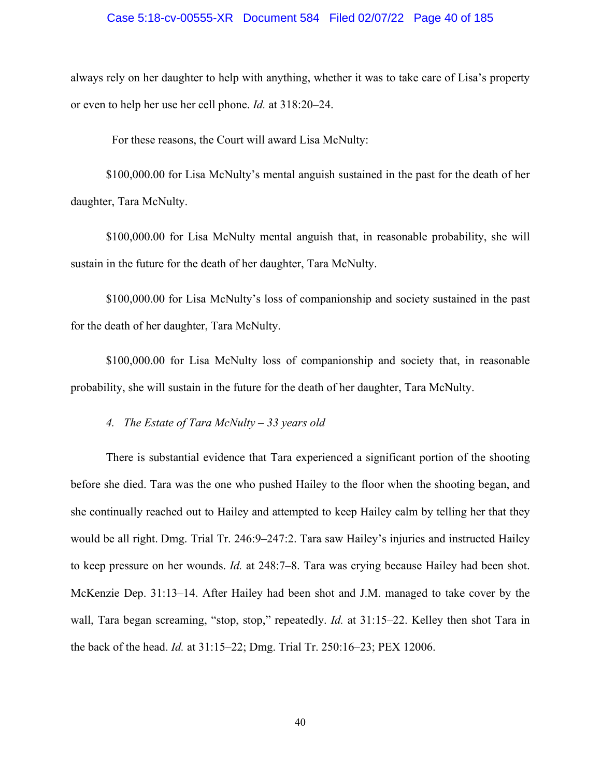## Case 5:18-cv-00555-XR Document 584 Filed 02/07/22 Page 40 of 185

always rely on her daughter to help with anything, whether it was to take care of Lisa's property or even to help her use her cell phone. *Id.* at 318:20–24.

For these reasons, the Court will award Lisa McNulty:

\$100,000.00 for Lisa McNulty's mental anguish sustained in the past for the death of her daughter, Tara McNulty.

\$100,000.00 for Lisa McNulty mental anguish that, in reasonable probability, she will sustain in the future for the death of her daughter, Tara McNulty.

\$100,000.00 for Lisa McNulty's loss of companionship and society sustained in the past for the death of her daughter, Tara McNulty.

\$100,000.00 for Lisa McNulty loss of companionship and society that, in reasonable probability, she will sustain in the future for the death of her daughter, Tara McNulty.

*4. The Estate of Tara McNulty – 33 years old*

There is substantial evidence that Tara experienced a significant portion of the shooting before she died. Tara was the one who pushed Hailey to the floor when the shooting began, and she continually reached out to Hailey and attempted to keep Hailey calm by telling her that they would be all right. Dmg. Trial Tr. 246:9–247:2. Tara saw Hailey's injuries and instructed Hailey to keep pressure on her wounds. *Id.* at 248:7–8. Tara was crying because Hailey had been shot. McKenzie Dep. 31:13–14. After Hailey had been shot and J.M. managed to take cover by the wall, Tara began screaming, "stop, stop," repeatedly. *Id.* at 31:15–22. Kelley then shot Tara in the back of the head. *Id.* at 31:15–22; Dmg. Trial Tr. 250:16–23; PEX 12006.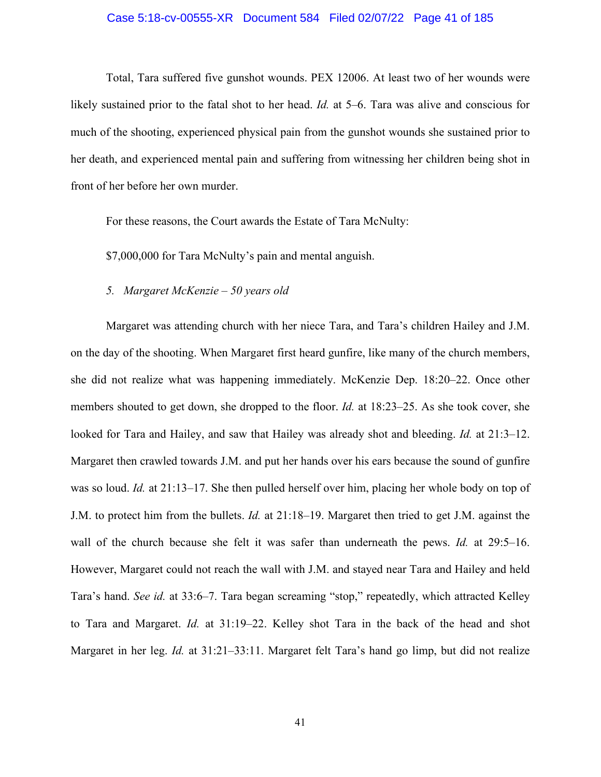## Case 5:18-cv-00555-XR Document 584 Filed 02/07/22 Page 41 of 185

Total, Tara suffered five gunshot wounds. PEX 12006. At least two of her wounds were likely sustained prior to the fatal shot to her head. *Id.* at 5–6. Tara was alive and conscious for much of the shooting, experienced physical pain from the gunshot wounds she sustained prior to her death, and experienced mental pain and suffering from witnessing her children being shot in front of her before her own murder.

For these reasons, the Court awards the Estate of Tara McNulty:

\$7,000,000 for Tara McNulty's pain and mental anguish.

## *5. Margaret McKenzie – 50 years old*

Margaret was attending church with her niece Tara, and Tara's children Hailey and J.M. on the day of the shooting. When Margaret first heard gunfire, like many of the church members, she did not realize what was happening immediately. McKenzie Dep. 18:20–22. Once other members shouted to get down, she dropped to the floor. *Id.* at 18:23–25. As she took cover, she looked for Tara and Hailey, and saw that Hailey was already shot and bleeding. *Id.* at 21:3–12. Margaret then crawled towards J.M. and put her hands over his ears because the sound of gunfire was so loud. *Id.* at 21:13–17. She then pulled herself over him, placing her whole body on top of J.M. to protect him from the bullets. *Id.* at 21:18–19. Margaret then tried to get J.M. against the wall of the church because she felt it was safer than underneath the pews. *Id.* at 29:5–16. However, Margaret could not reach the wall with J.M. and stayed near Tara and Hailey and held Tara's hand. *See id.* at 33:6–7. Tara began screaming "stop," repeatedly, which attracted Kelley to Tara and Margaret. *Id.* at 31:19–22. Kelley shot Tara in the back of the head and shot Margaret in her leg. *Id.* at 31:21–33:11. Margaret felt Tara's hand go limp, but did not realize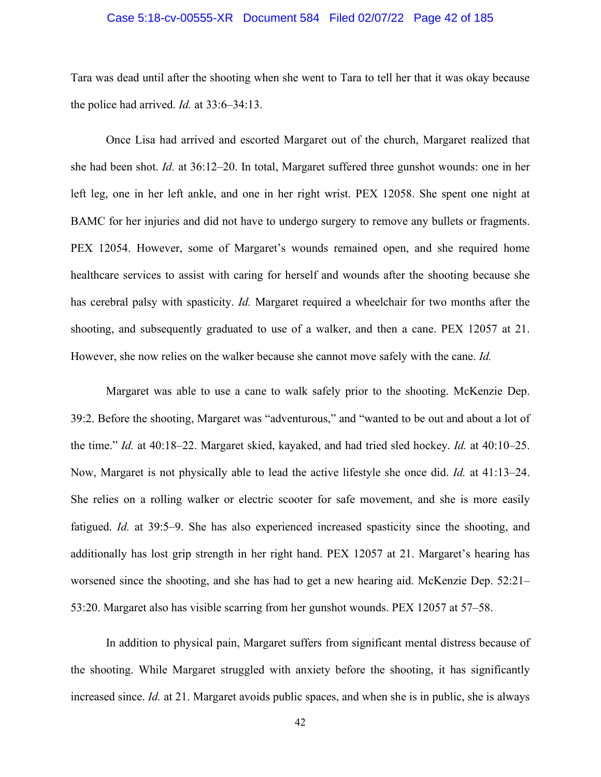### Case 5:18-cv-00555-XR Document 584 Filed 02/07/22 Page 42 of 185

Tara was dead until after the shooting when she went to Tara to tell her that it was okay because the police had arrived. *Id.* at 33:6–34:13.

Once Lisa had arrived and escorted Margaret out of the church, Margaret realized that she had been shot. *Id.* at 36:12–20. In total, Margaret suffered three gunshot wounds: one in her left leg, one in her left ankle, and one in her right wrist. PEX 12058. She spent one night at BAMC for her injuries and did not have to undergo surgery to remove any bullets or fragments. PEX 12054. However, some of Margaret's wounds remained open, and she required home healthcare services to assist with caring for herself and wounds after the shooting because she has cerebral palsy with spasticity. *Id.* Margaret required a wheelchair for two months after the shooting, and subsequently graduated to use of a walker, and then a cane. PEX 12057 at 21. However, she now relies on the walker because she cannot move safely with the cane. *Id.*

Margaret was able to use a cane to walk safely prior to the shooting. McKenzie Dep. 39:2. Before the shooting, Margaret was "adventurous," and "wanted to be out and about a lot of the time." *Id.* at 40:18–22. Margaret skied, kayaked, and had tried sled hockey. *Id.* at 40:10–25. Now, Margaret is not physically able to lead the active lifestyle she once did. *Id.* at 41:13–24. She relies on a rolling walker or electric scooter for safe movement, and she is more easily fatigued. *Id.* at 39:5–9. She has also experienced increased spasticity since the shooting, and additionally has lost grip strength in her right hand. PEX 12057 at 21. Margaret's hearing has worsened since the shooting, and she has had to get a new hearing aid. McKenzie Dep. 52:21– 53:20. Margaret also has visible scarring from her gunshot wounds. PEX 12057 at 57–58.

In addition to physical pain, Margaret suffers from significant mental distress because of the shooting. While Margaret struggled with anxiety before the shooting, it has significantly increased since. *Id.* at 21. Margaret avoids public spaces, and when she is in public, she is always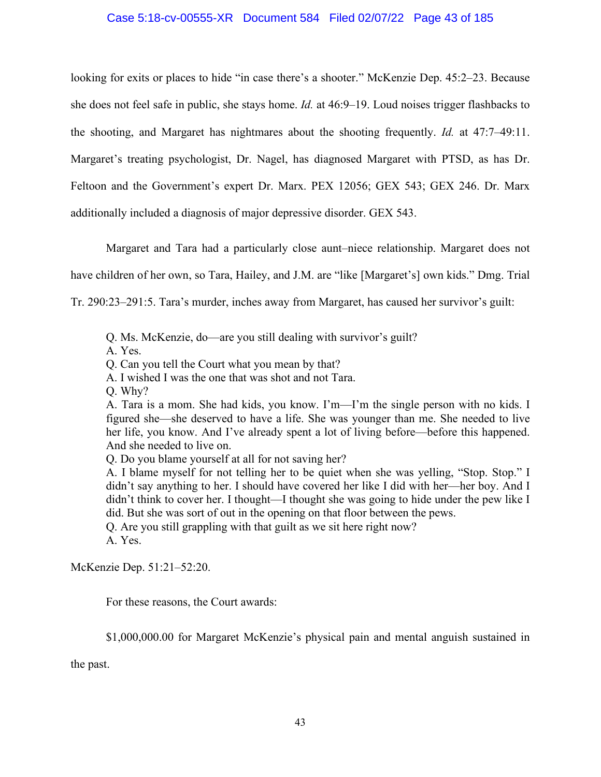## Case 5:18-cv-00555-XR Document 584 Filed 02/07/22 Page 43 of 185

looking for exits or places to hide "in case there's a shooter." McKenzie Dep. 45:2–23. Because she does not feel safe in public, she stays home. *Id.* at 46:9–19. Loud noises trigger flashbacks to the shooting, and Margaret has nightmares about the shooting frequently. *Id.* at 47:7–49:11. Margaret's treating psychologist, Dr. Nagel, has diagnosed Margaret with PTSD, as has Dr. Feltoon and the Government's expert Dr. Marx. PEX 12056; GEX 543; GEX 246. Dr. Marx additionally included a diagnosis of major depressive disorder. GEX 543.

Margaret and Tara had a particularly close aunt–niece relationship. Margaret does not

have children of her own, so Tara, Hailey, and J.M. are "like [Margaret's] own kids." Dmg. Trial

Tr. 290:23–291:5. Tara's murder, inches away from Margaret, has caused her survivor's guilt:

Q. Ms. McKenzie, do—are you still dealing with survivor's guilt?

A. Yes.

Q. Can you tell the Court what you mean by that?

A. I wished I was the one that was shot and not Tara.

Q. Why?

A. Tara is a mom. She had kids, you know. I'm—I'm the single person with no kids. I figured she—she deserved to have a life. She was younger than me. She needed to live her life, you know. And I've already spent a lot of living before—before this happened. And she needed to live on.

Q. Do you blame yourself at all for not saving her?

A. I blame myself for not telling her to be quiet when she was yelling, "Stop. Stop." I didn't say anything to her. I should have covered her like I did with her—her boy. And I didn't think to cover her. I thought—I thought she was going to hide under the pew like I did. But she was sort of out in the opening on that floor between the pews.

Q. Are you still grappling with that guilt as we sit here right now? A. Yes.

McKenzie Dep. 51:21–52:20.

For these reasons, the Court awards:

\$1,000,000.00 for Margaret McKenzie's physical pain and mental anguish sustained in

the past.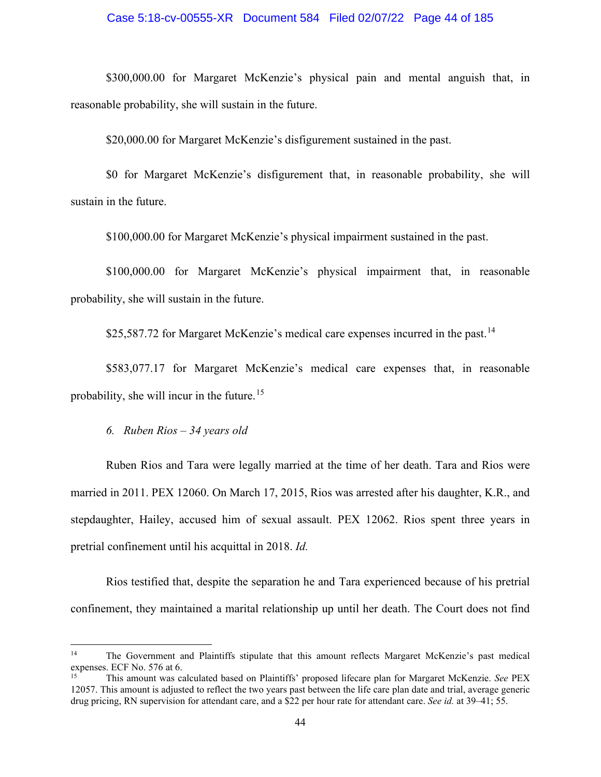## Case 5:18-cv-00555-XR Document 584 Filed 02/07/22 Page 44 of 185

\$300,000.00 for Margaret McKenzie's physical pain and mental anguish that, in reasonable probability, she will sustain in the future.

\$20,000.00 for Margaret McKenzie's disfigurement sustained in the past.

\$0 for Margaret McKenzie's disfigurement that, in reasonable probability, she will sustain in the future.

\$100,000.00 for Margaret McKenzie's physical impairment sustained in the past.

\$100,000.00 for Margaret McKenzie's physical impairment that, in reasonable probability, she will sustain in the future.

\$25,587.72 for Margaret McKenzie's medical care expenses incurred in the past.<sup>[14](#page-43-0)</sup>

\$583,077.17 for Margaret McKenzie's medical care expenses that, in reasonable probability, she will incur in the future.[15](#page-43-1)

*6. Ruben Rios – 34 years old* 

Ruben Rios and Tara were legally married at the time of her death. Tara and Rios were married in 2011. PEX 12060. On March 17, 2015, Rios was arrested after his daughter, K.R., and stepdaughter, Hailey, accused him of sexual assault. PEX 12062. Rios spent three years in pretrial confinement until his acquittal in 2018. *Id.*

Rios testified that, despite the separation he and Tara experienced because of his pretrial confinement, they maintained a marital relationship up until her death. The Court does not find

<span id="page-43-0"></span><sup>&</sup>lt;sup>14</sup> The Government and Plaintiffs stipulate that this amount reflects Margaret McKenzie's past medical expenses. ECF No. 576 at 6.

<span id="page-43-1"></span><sup>15</sup> This amount was calculated based on Plaintiffs' proposed lifecare plan for Margaret McKenzie. *See* PEX 12057. This amount is adjusted to reflect the two years past between the life care plan date and trial, average generic drug pricing, RN supervision for attendant care, and a \$22 per hour rate for attendant care. *See id.* at 39–41; 55.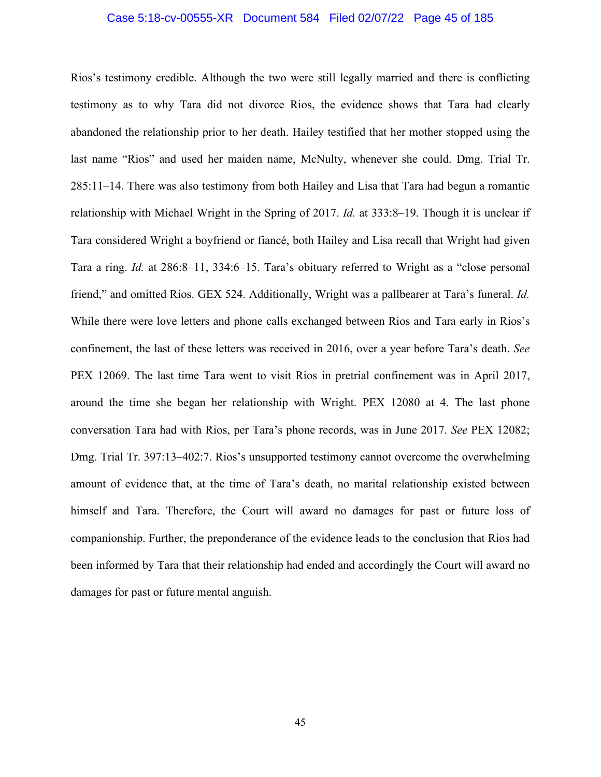## Case 5:18-cv-00555-XR Document 584 Filed 02/07/22 Page 45 of 185

Rios's testimony credible. Although the two were still legally married and there is conflicting testimony as to why Tara did not divorce Rios, the evidence shows that Tara had clearly abandoned the relationship prior to her death. Hailey testified that her mother stopped using the last name "Rios" and used her maiden name, McNulty, whenever she could. Dmg. Trial Tr. 285:11–14. There was also testimony from both Hailey and Lisa that Tara had begun a romantic relationship with Michael Wright in the Spring of 2017. *Id.* at 333:8–19. Though it is unclear if Tara considered Wright a boyfriend or fiancé, both Hailey and Lisa recall that Wright had given Tara a ring. *Id.* at 286:8–11, 334:6–15. Tara's obituary referred to Wright as a "close personal friend," and omitted Rios. GEX 524. Additionally, Wright was a pallbearer at Tara's funeral. *Id.* While there were love letters and phone calls exchanged between Rios and Tara early in Rios's confinement, the last of these letters was received in 2016, over a year before Tara's death. *See*  PEX 12069. The last time Tara went to visit Rios in pretrial confinement was in April 2017, around the time she began her relationship with Wright. PEX 12080 at 4. The last phone conversation Tara had with Rios, per Tara's phone records, was in June 2017. *See* PEX 12082; Dmg. Trial Tr. 397:13–402:7. Rios's unsupported testimony cannot overcome the overwhelming amount of evidence that, at the time of Tara's death, no marital relationship existed between himself and Tara. Therefore, the Court will award no damages for past or future loss of companionship. Further, the preponderance of the evidence leads to the conclusion that Rios had been informed by Tara that their relationship had ended and accordingly the Court will award no damages for past or future mental anguish.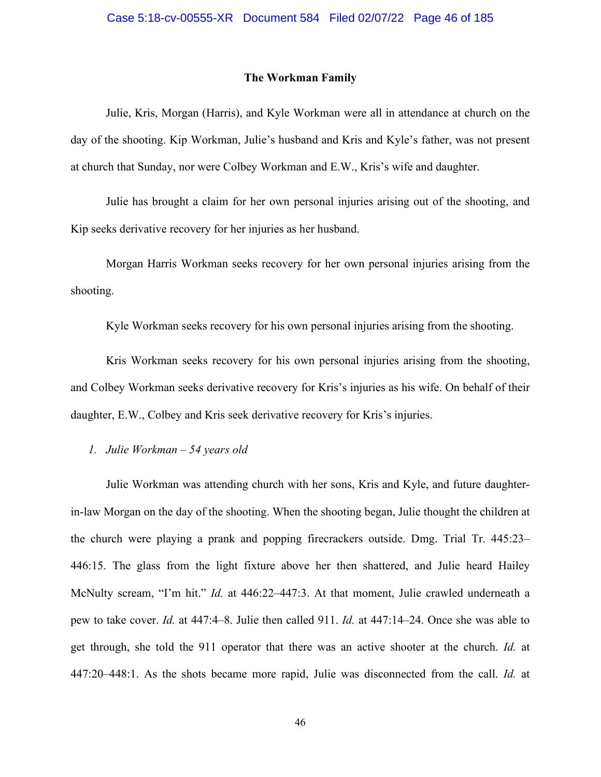#### **The Workman Family**

Julie, Kris, Morgan (Harris), and Kyle Workman were all in attendance at church on the day of the shooting. Kip Workman, Julie's husband and Kris and Kyle's father, was not present at church that Sunday, nor were Colbey Workman and E.W., Kris's wife and daughter.

Julie has brought a claim for her own personal injuries arising out of the shooting, and Kip seeks derivative recovery for her injuries as her husband.

Morgan Harris Workman seeks recovery for her own personal injuries arising from the shooting.

Kyle Workman seeks recovery for his own personal injuries arising from the shooting.

Kris Workman seeks recovery for his own personal injuries arising from the shooting, and Colbey Workman seeks derivative recovery for Kris's injuries as his wife. On behalf of their daughter, E.W., Colbey and Kris seek derivative recovery for Kris's injuries.

## *1. Julie Workman – 54 years old*

Julie Workman was attending church with her sons, Kris and Kyle, and future daughterin-law Morgan on the day of the shooting. When the shooting began, Julie thought the children at the church were playing a prank and popping firecrackers outside. Dmg. Trial Tr. 445:23– 446:15. The glass from the light fixture above her then shattered, and Julie heard Hailey McNulty scream, "I'm hit." *Id.* at 446:22–447:3. At that moment, Julie crawled underneath a pew to take cover. *Id.* at 447:4–8. Julie then called 911. *Id.* at 447:14–24. Once she was able to get through, she told the 911 operator that there was an active shooter at the church. *Id.* at 447:20–448:1. As the shots became more rapid, Julie was disconnected from the call. *Id.* at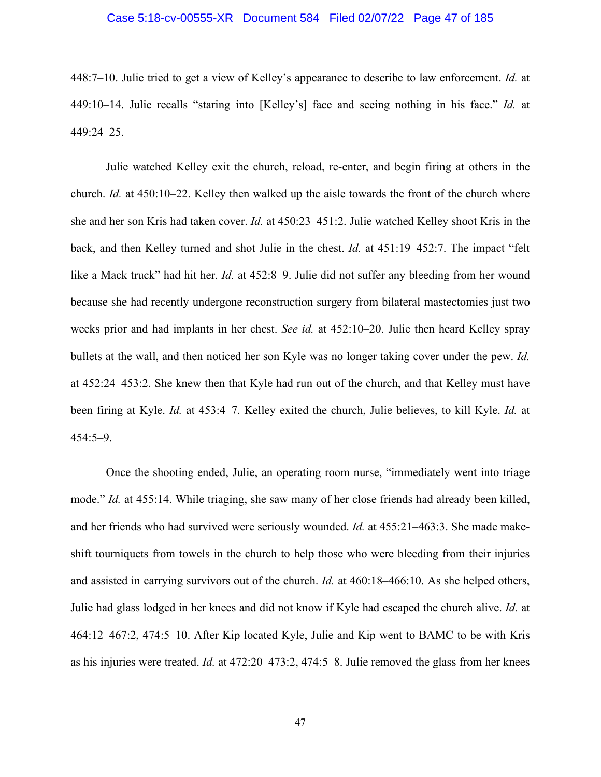## Case 5:18-cv-00555-XR Document 584 Filed 02/07/22 Page 47 of 185

448:7–10. Julie tried to get a view of Kelley's appearance to describe to law enforcement. *Id.* at 449:10–14. Julie recalls "staring into [Kelley's] face and seeing nothing in his face." *Id.* at 449:24–25.

Julie watched Kelley exit the church, reload, re-enter, and begin firing at others in the church. *Id.* at 450:10–22. Kelley then walked up the aisle towards the front of the church where she and her son Kris had taken cover. *Id.* at 450:23–451:2. Julie watched Kelley shoot Kris in the back, and then Kelley turned and shot Julie in the chest. *Id.* at 451:19–452:7. The impact "felt like a Mack truck" had hit her. *Id.* at 452:8–9. Julie did not suffer any bleeding from her wound because she had recently undergone reconstruction surgery from bilateral mastectomies just two weeks prior and had implants in her chest. *See id.* at 452:10–20. Julie then heard Kelley spray bullets at the wall, and then noticed her son Kyle was no longer taking cover under the pew. *Id.* at 452:24–453:2. She knew then that Kyle had run out of the church, and that Kelley must have been firing at Kyle. *Id.* at 453:4–7. Kelley exited the church, Julie believes, to kill Kyle. *Id.* at 454:5–9.

Once the shooting ended, Julie, an operating room nurse, "immediately went into triage mode." *Id.* at 455:14. While triaging, she saw many of her close friends had already been killed, and her friends who had survived were seriously wounded. *Id.* at 455:21–463:3. She made makeshift tourniquets from towels in the church to help those who were bleeding from their injuries and assisted in carrying survivors out of the church. *Id.* at 460:18–466:10. As she helped others, Julie had glass lodged in her knees and did not know if Kyle had escaped the church alive. *Id.* at 464:12–467:2, 474:5–10. After Kip located Kyle, Julie and Kip went to BAMC to be with Kris as his injuries were treated. *Id.* at 472:20–473:2, 474:5–8. Julie removed the glass from her knees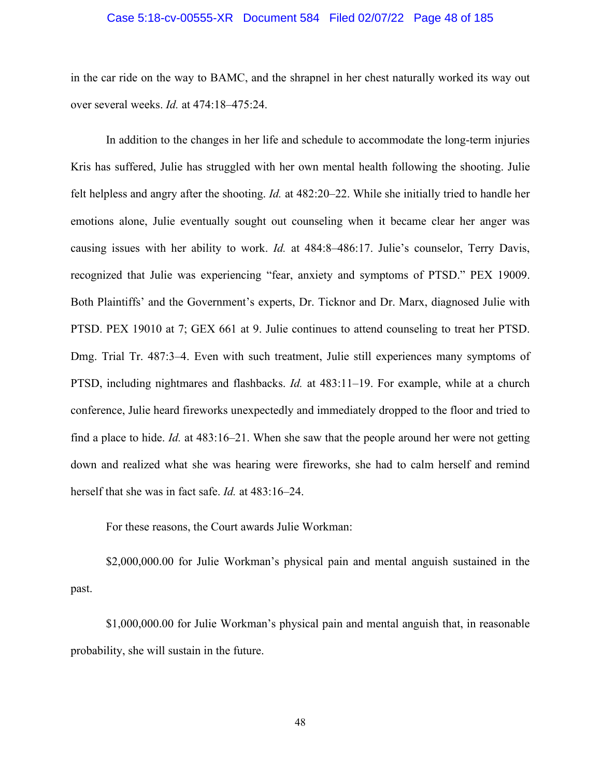### Case 5:18-cv-00555-XR Document 584 Filed 02/07/22 Page 48 of 185

in the car ride on the way to BAMC, and the shrapnel in her chest naturally worked its way out over several weeks. *Id.* at 474:18–475:24.

In addition to the changes in her life and schedule to accommodate the long-term injuries Kris has suffered, Julie has struggled with her own mental health following the shooting. Julie felt helpless and angry after the shooting. *Id.* at 482:20–22. While she initially tried to handle her emotions alone, Julie eventually sought out counseling when it became clear her anger was causing issues with her ability to work. *Id.* at 484:8–486:17. Julie's counselor, Terry Davis, recognized that Julie was experiencing "fear, anxiety and symptoms of PTSD." PEX 19009. Both Plaintiffs' and the Government's experts, Dr. Ticknor and Dr. Marx, diagnosed Julie with PTSD. PEX 19010 at 7; GEX 661 at 9. Julie continues to attend counseling to treat her PTSD. Dmg. Trial Tr. 487:3–4. Even with such treatment, Julie still experiences many symptoms of PTSD, including nightmares and flashbacks. *Id.* at 483:11–19. For example, while at a church conference, Julie heard fireworks unexpectedly and immediately dropped to the floor and tried to find a place to hide. *Id.* at 483:16–21. When she saw that the people around her were not getting down and realized what she was hearing were fireworks, she had to calm herself and remind herself that she was in fact safe. *Id.* at 483:16–24.

For these reasons, the Court awards Julie Workman:

\$2,000,000.00 for Julie Workman's physical pain and mental anguish sustained in the past.

\$1,000,000.00 for Julie Workman's physical pain and mental anguish that, in reasonable probability, she will sustain in the future.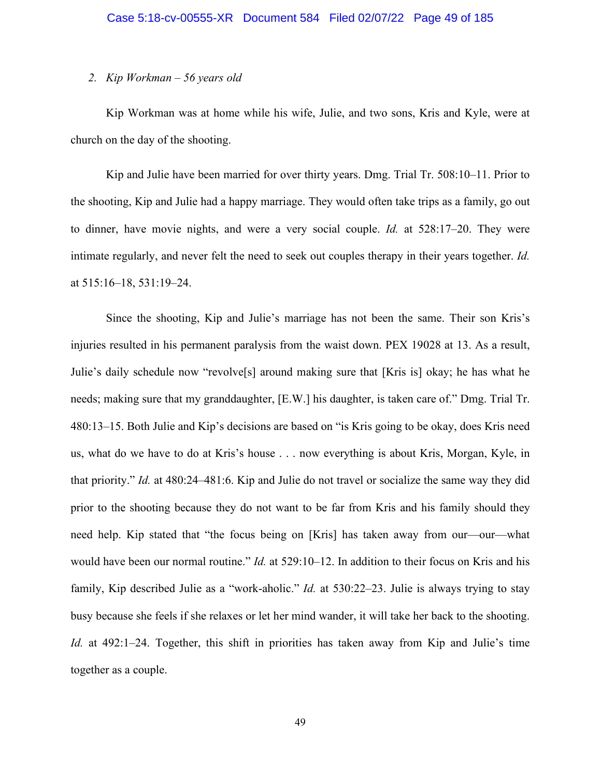## *2. Kip Workman – 56 years old*

Kip Workman was at home while his wife, Julie, and two sons, Kris and Kyle, were at church on the day of the shooting.

Kip and Julie have been married for over thirty years. Dmg. Trial Tr. 508:10–11. Prior to the shooting, Kip and Julie had a happy marriage. They would often take trips as a family, go out to dinner, have movie nights, and were a very social couple. *Id.* at 528:17–20. They were intimate regularly, and never felt the need to seek out couples therapy in their years together. *Id.* at 515:16–18, 531:19–24.

Since the shooting, Kip and Julie's marriage has not been the same. Their son Kris's injuries resulted in his permanent paralysis from the waist down. PEX 19028 at 13. As a result, Julie's daily schedule now "revolve[s] around making sure that [Kris is] okay; he has what he needs; making sure that my granddaughter, [E.W.] his daughter, is taken care of." Dmg. Trial Tr. 480:13–15. Both Julie and Kip's decisions are based on "is Kris going to be okay, does Kris need us, what do we have to do at Kris's house . . . now everything is about Kris, Morgan, Kyle, in that priority." *Id.* at 480:24–481:6. Kip and Julie do not travel or socialize the same way they did prior to the shooting because they do not want to be far from Kris and his family should they need help. Kip stated that "the focus being on [Kris] has taken away from our—our—what would have been our normal routine." *Id.* at 529:10–12. In addition to their focus on Kris and his family, Kip described Julie as a "work-aholic." *Id.* at 530:22–23. Julie is always trying to stay busy because she feels if she relaxes or let her mind wander, it will take her back to the shooting. *Id.* at 492:1–24. Together, this shift in priorities has taken away from Kip and Julie's time together as a couple.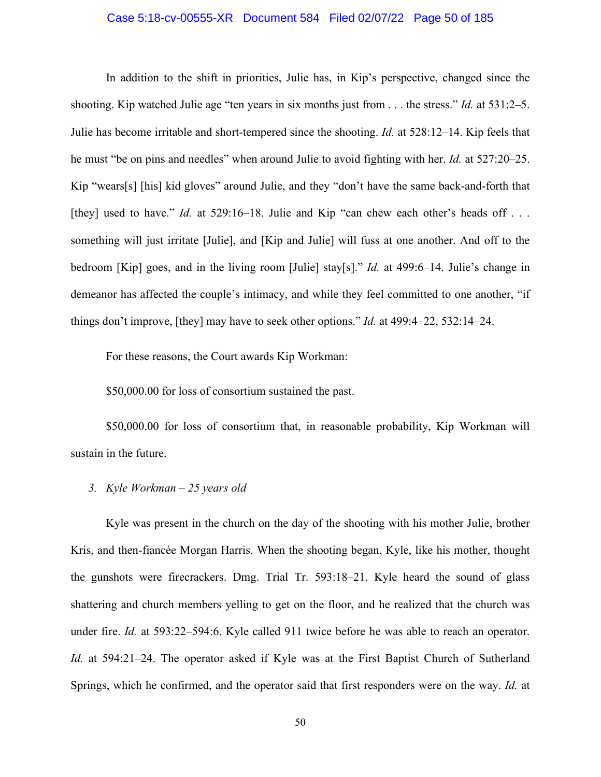## Case 5:18-cv-00555-XR Document 584 Filed 02/07/22 Page 50 of 185

In addition to the shift in priorities, Julie has, in Kip's perspective, changed since the shooting. Kip watched Julie age "ten years in six months just from . . . the stress." *Id.* at 531:2–5. Julie has become irritable and short-tempered since the shooting. *Id.* at 528:12–14. Kip feels that he must "be on pins and needles" when around Julie to avoid fighting with her. *Id.* at 527:20–25. Kip "wears[s] [his] kid gloves" around Julie, and they "don't have the same back-and-forth that [they] used to have." *Id.* at 529:16–18. Julie and Kip "can chew each other's heads off . . . something will just irritate [Julie], and [Kip and Julie] will fuss at one another. And off to the bedroom [Kip] goes, and in the living room [Julie] stay[s]." *Id.* at 499:6–14. Julie's change in demeanor has affected the couple's intimacy, and while they feel committed to one another, "if things don't improve, [they] may have to seek other options." *Id.* at 499:4–22, 532:14–24.

For these reasons, the Court awards Kip Workman:

\$50,000.00 for loss of consortium sustained the past.

\$50,000.00 for loss of consortium that, in reasonable probability, Kip Workman will sustain in the future.

# *3. Kyle Workman – 25 years old*

Kyle was present in the church on the day of the shooting with his mother Julie, brother Kris, and then-fiancée Morgan Harris. When the shooting began, Kyle, like his mother, thought the gunshots were firecrackers. Dmg. Trial Tr. 593:18–21. Kyle heard the sound of glass shattering and church members yelling to get on the floor, and he realized that the church was under fire. *Id.* at 593:22–594:6. Kyle called 911 twice before he was able to reach an operator. *Id.* at 594:21–24. The operator asked if Kyle was at the First Baptist Church of Sutherland Springs, which he confirmed, and the operator said that first responders were on the way. *Id.* at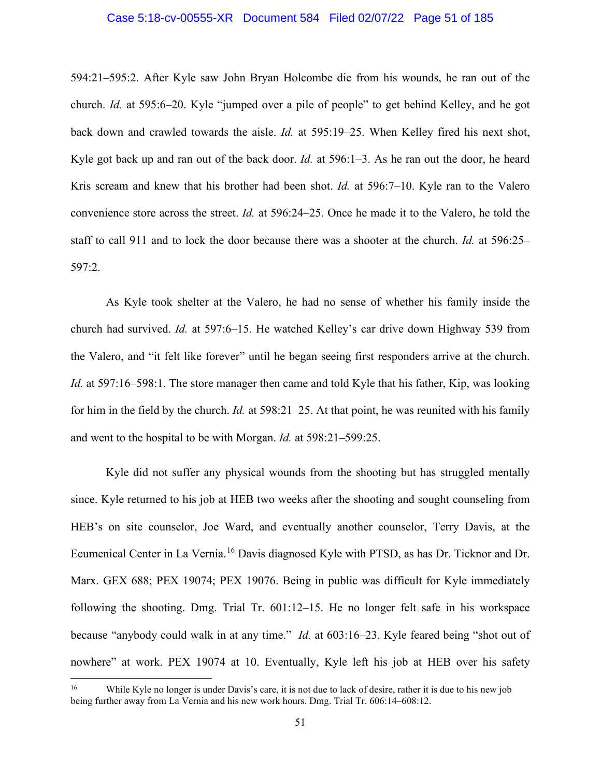## Case 5:18-cv-00555-XR Document 584 Filed 02/07/22 Page 51 of 185

594:21–595:2. After Kyle saw John Bryan Holcombe die from his wounds, he ran out of the church. *Id.* at 595:6–20. Kyle "jumped over a pile of people" to get behind Kelley, and he got back down and crawled towards the aisle. *Id.* at 595:19–25. When Kelley fired his next shot, Kyle got back up and ran out of the back door. *Id.* at 596:1–3. As he ran out the door, he heard Kris scream and knew that his brother had been shot. *Id.* at 596:7–10. Kyle ran to the Valero convenience store across the street. *Id.* at 596:24–25. Once he made it to the Valero, he told the staff to call 911 and to lock the door because there was a shooter at the church. *Id.* at 596:25– 597:2.

As Kyle took shelter at the Valero, he had no sense of whether his family inside the church had survived. *Id.* at 597:6–15. He watched Kelley's car drive down Highway 539 from the Valero, and "it felt like forever" until he began seeing first responders arrive at the church. *Id.* at 597:16–598:1. The store manager then came and told Kyle that his father, Kip, was looking for him in the field by the church. *Id.* at 598:21–25. At that point, he was reunited with his family and went to the hospital to be with Morgan. *Id.* at 598:21–599:25.

Kyle did not suffer any physical wounds from the shooting but has struggled mentally since. Kyle returned to his job at HEB two weeks after the shooting and sought counseling from HEB's on site counselor, Joe Ward, and eventually another counselor, Terry Davis, at the Ecumenical Center in La Vernia.<sup>[16](#page-50-0)</sup> Davis diagnosed Kyle with PTSD, as has Dr. Ticknor and Dr. Marx. GEX 688; PEX 19074; PEX 19076. Being in public was difficult for Kyle immediately following the shooting. Dmg. Trial Tr. 601:12–15. He no longer felt safe in his workspace because "anybody could walk in at any time." *Id.* at 603:16–23. Kyle feared being "shot out of nowhere" at work. PEX 19074 at 10. Eventually, Kyle left his job at HEB over his safety

<span id="page-50-0"></span><sup>&</sup>lt;sup>16</sup> While Kyle no longer is under Davis's care, it is not due to lack of desire, rather it is due to his new job being further away from La Vernia and his new work hours. Dmg. Trial Tr. 606:14–608:12.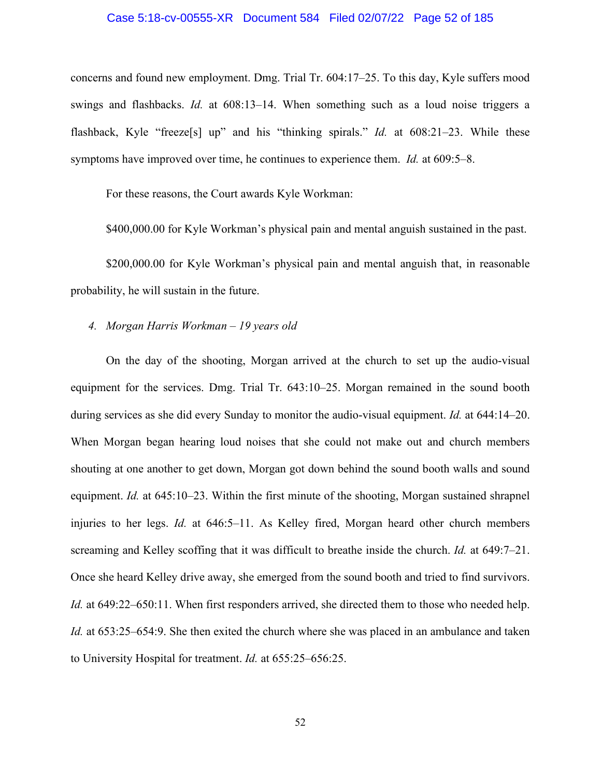### Case 5:18-cv-00555-XR Document 584 Filed 02/07/22 Page 52 of 185

concerns and found new employment. Dmg. Trial Tr. 604:17–25. To this day, Kyle suffers mood swings and flashbacks. *Id.* at 608:13–14. When something such as a loud noise triggers a flashback, Kyle "freeze[s] up" and his "thinking spirals." *Id.* at 608:21–23. While these symptoms have improved over time, he continues to experience them. *Id.* at 609:5–8.

For these reasons, the Court awards Kyle Workman:

\$400,000.00 for Kyle Workman's physical pain and mental anguish sustained in the past.

\$200,000.00 for Kyle Workman's physical pain and mental anguish that, in reasonable probability, he will sustain in the future.

## *4. Morgan Harris Workman – 19 years old*

On the day of the shooting, Morgan arrived at the church to set up the audio-visual equipment for the services. Dmg. Trial Tr. 643:10–25. Morgan remained in the sound booth during services as she did every Sunday to monitor the audio-visual equipment. *Id.* at 644:14–20. When Morgan began hearing loud noises that she could not make out and church members shouting at one another to get down, Morgan got down behind the sound booth walls and sound equipment. *Id.* at 645:10–23. Within the first minute of the shooting, Morgan sustained shrapnel injuries to her legs. *Id.* at 646:5–11. As Kelley fired, Morgan heard other church members screaming and Kelley scoffing that it was difficult to breathe inside the church. *Id.* at 649:7–21. Once she heard Kelley drive away, she emerged from the sound booth and tried to find survivors. *Id.* at 649:22–650:11. When first responders arrived, she directed them to those who needed help. *Id.* at 653:25–654:9. She then exited the church where she was placed in an ambulance and taken to University Hospital for treatment. *Id.* at 655:25–656:25.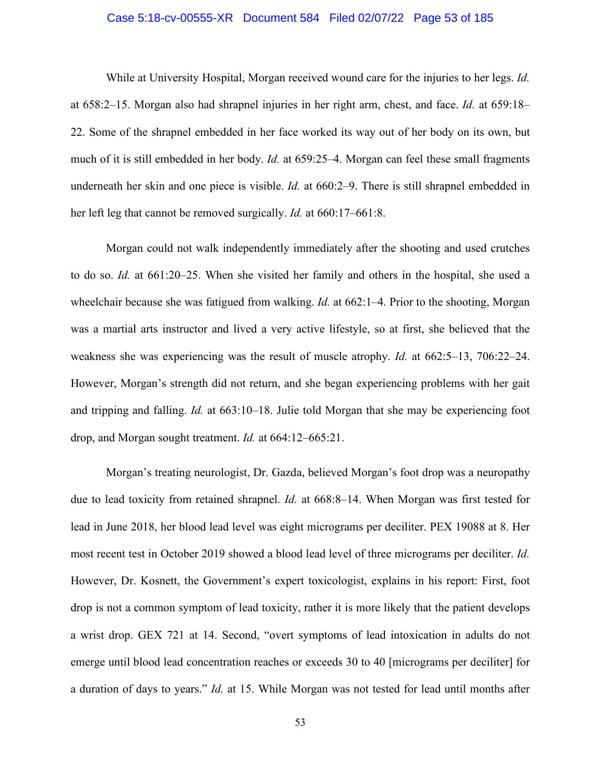## Case 5:18-cv-00555-XR Document 584 Filed 02/07/22 Page 53 of 185

While at University Hospital, Morgan received wound care for the injuries to her legs. *Id.* at 658:2–15. Morgan also had shrapnel injuries in her right arm, chest, and face. *Id.* at 659:18– 22. Some of the shrapnel embedded in her face worked its way out of her body on its own, but much of it is still embedded in her body. *Id.* at 659:25–4. Morgan can feel these small fragments underneath her skin and one piece is visible. *Id.* at 660:2–9. There is still shrapnel embedded in her left leg that cannot be removed surgically. *Id.* at 660:17–661:8.

Morgan could not walk independently immediately after the shooting and used crutches to do so. *Id.* at 661:20–25. When she visited her family and others in the hospital, she used a wheelchair because she was fatigued from walking. *Id.* at 662:1–4. Prior to the shooting, Morgan was a martial arts instructor and lived a very active lifestyle, so at first, she believed that the weakness she was experiencing was the result of muscle atrophy. *Id.* at 662:5–13, 706:22–24. However, Morgan's strength did not return, and she began experiencing problems with her gait and tripping and falling. *Id.* at 663:10–18. Julie told Morgan that she may be experiencing foot drop, and Morgan sought treatment. *Id.* at 664:12–665:21.

Morgan's treating neurologist, Dr. Gazda, believed Morgan's foot drop was a neuropathy due to lead toxicity from retained shrapnel. *Id.* at 668:8–14. When Morgan was first tested for lead in June 2018, her blood lead level was eight micrograms per deciliter. PEX 19088 at 8. Her most recent test in October 2019 showed a blood lead level of three micrograms per deciliter. *Id.* However, Dr. Kosnett, the Government's expert toxicologist, explains in his report: First, foot drop is not a common symptom of lead toxicity, rather it is more likely that the patient develops a wrist drop. GEX 721 at 14. Second, "overt symptoms of lead intoxication in adults do not emerge until blood lead concentration reaches or exceeds 30 to 40 [micrograms per deciliter] for a duration of days to years." *Id.* at 15. While Morgan was not tested for lead until months after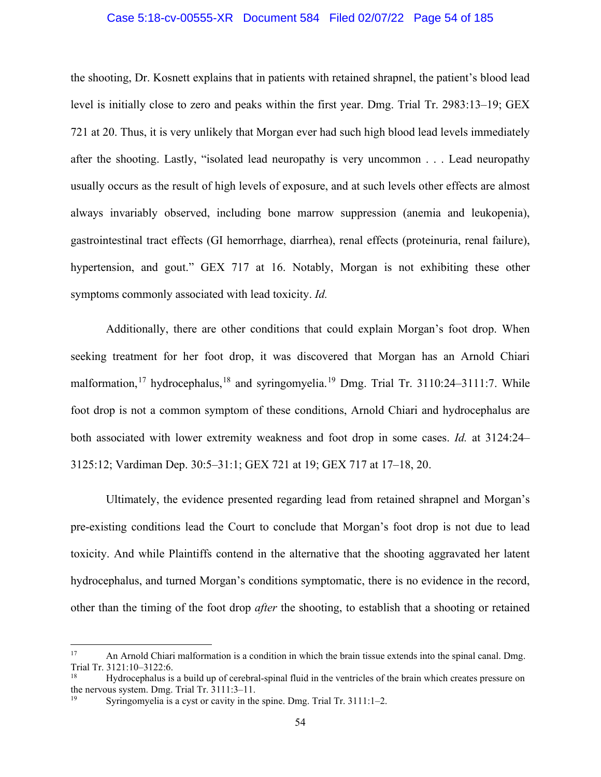## Case 5:18-cv-00555-XR Document 584 Filed 02/07/22 Page 54 of 185

the shooting, Dr. Kosnett explains that in patients with retained shrapnel, the patient's blood lead level is initially close to zero and peaks within the first year. Dmg. Trial Tr. 2983:13–19; GEX 721 at 20. Thus, it is very unlikely that Morgan ever had such high blood lead levels immediately after the shooting. Lastly, "isolated lead neuropathy is very uncommon . . . Lead neuropathy usually occurs as the result of high levels of exposure, and at such levels other effects are almost always invariably observed, including bone marrow suppression (anemia and leukopenia), gastrointestinal tract effects (GI hemorrhage, diarrhea), renal effects (proteinuria, renal failure), hypertension, and gout." GEX 717 at 16. Notably, Morgan is not exhibiting these other symptoms commonly associated with lead toxicity. *Id.*

Additionally, there are other conditions that could explain Morgan's foot drop. When seeking treatment for her foot drop, it was discovered that Morgan has an Arnold Chiari malformation,<sup>[17](#page-53-0)</sup> hydrocephalus,<sup>[18](#page-53-1)</sup> and syringomyelia.<sup>[19](#page-53-2)</sup> Dmg. Trial Tr. 3110:24–3111:7. While foot drop is not a common symptom of these conditions, Arnold Chiari and hydrocephalus are both associated with lower extremity weakness and foot drop in some cases. *Id.* at 3124:24– 3125:12; Vardiman Dep. 30:5–31:1; GEX 721 at 19; GEX 717 at 17–18, 20.

Ultimately, the evidence presented regarding lead from retained shrapnel and Morgan's pre-existing conditions lead the Court to conclude that Morgan's foot drop is not due to lead toxicity. And while Plaintiffs contend in the alternative that the shooting aggravated her latent hydrocephalus, and turned Morgan's conditions symptomatic, there is no evidence in the record, other than the timing of the foot drop *after* the shooting, to establish that a shooting or retained

<span id="page-53-0"></span><sup>&</sup>lt;sup>17</sup> An Arnold Chiari malformation is a condition in which the brain tissue extends into the spinal canal. Dmg. Trial Tr. 3121:10-3122:6.<br><sup>18</sup> Hydrocenhalus is

<span id="page-53-1"></span><sup>18</sup> Hydrocephalus is a build up of cerebral-spinal fluid in the ventricles of the brain which creates pressure on the nervous system. Dmg. Trial Tr. 3111:3–11.

<span id="page-53-2"></span>Syringomyelia is a cyst or cavity in the spine. Dmg. Trial Tr. 3111:1-2.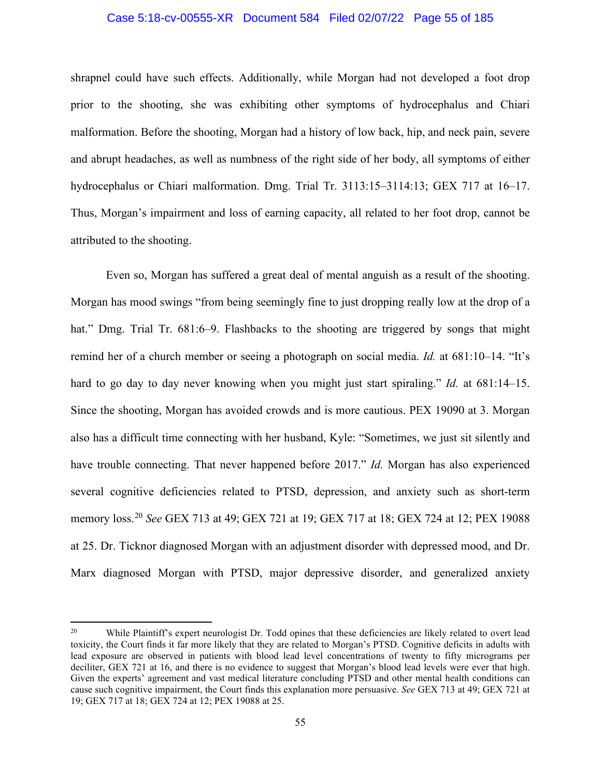## Case 5:18-cv-00555-XR Document 584 Filed 02/07/22 Page 55 of 185

shrapnel could have such effects. Additionally, while Morgan had not developed a foot drop prior to the shooting, she was exhibiting other symptoms of hydrocephalus and Chiari malformation. Before the shooting, Morgan had a history of low back, hip, and neck pain, severe and abrupt headaches, as well as numbness of the right side of her body, all symptoms of either hydrocephalus or Chiari malformation. Dmg. Trial Tr. 3113:15–3114:13; GEX 717 at 16–17. Thus, Morgan's impairment and loss of earning capacity, all related to her foot drop, cannot be attributed to the shooting.

Even so, Morgan has suffered a great deal of mental anguish as a result of the shooting. Morgan has mood swings "from being seemingly fine to just dropping really low at the drop of a hat." Dmg. Trial Tr. 681:6–9. Flashbacks to the shooting are triggered by songs that might remind her of a church member or seeing a photograph on social media. *Id.* at 681:10–14. "It's hard to go day to day never knowing when you might just start spiraling." *Id.* at 681:14–15. Since the shooting, Morgan has avoided crowds and is more cautious. PEX 19090 at 3. Morgan also has a difficult time connecting with her husband, Kyle: "Sometimes, we just sit silently and have trouble connecting. That never happened before 2017." *Id.* Morgan has also experienced several cognitive deficiencies related to PTSD, depression, and anxiety such as short-term memory loss.[20](#page-54-0) *See* GEX 713 at 49; GEX 721 at 19; GEX 717 at 18; GEX 724 at 12; PEX 19088 at 25. Dr. Ticknor diagnosed Morgan with an adjustment disorder with depressed mood, and Dr. Marx diagnosed Morgan with PTSD, major depressive disorder, and generalized anxiety

<span id="page-54-0"></span><sup>&</sup>lt;sup>20</sup> While Plaintiff's expert neurologist Dr. Todd opines that these deficiencies are likely related to overt lead toxicity, the Court finds it far more likely that they are related to Morgan's PTSD. Cognitive deficits in adults with lead exposure are observed in patients with blood lead level concentrations of twenty to fifty micrograms per deciliter, GEX 721 at 16, and there is no evidence to suggest that Morgan's blood lead levels were ever that high. Given the experts' agreement and vast medical literature concluding PTSD and other mental health conditions can cause such cognitive impairment, the Court finds this explanation more persuasive. *See* GEX 713 at 49; GEX 721 at 19; GEX 717 at 18; GEX 724 at 12; PEX 19088 at 25.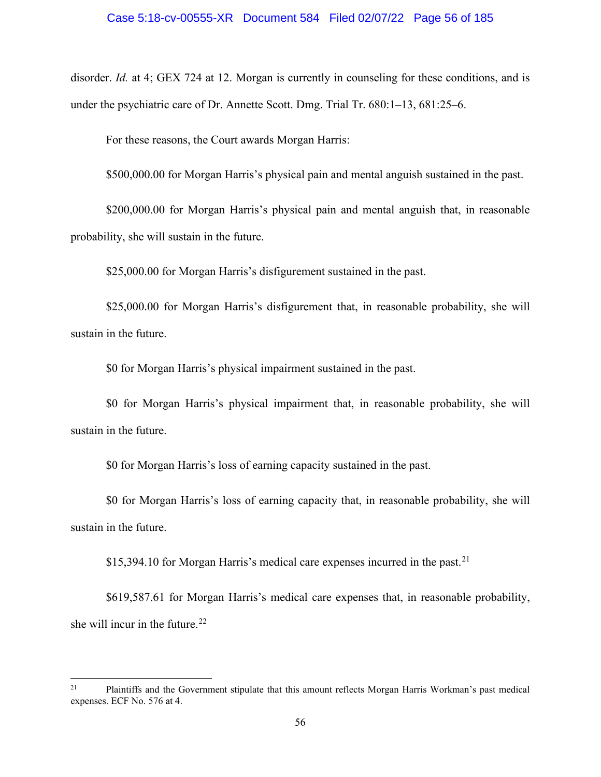disorder. *Id.* at 4; GEX 724 at 12. Morgan is currently in counseling for these conditions, and is under the psychiatric care of Dr. Annette Scott. Dmg. Trial Tr. 680:1–13, 681:25–6.

For these reasons, the Court awards Morgan Harris:

\$500,000.00 for Morgan Harris's physical pain and mental anguish sustained in the past.

\$200,000.00 for Morgan Harris's physical pain and mental anguish that, in reasonable probability, she will sustain in the future.

\$25,000.00 for Morgan Harris's disfigurement sustained in the past.

\$25,000.00 for Morgan Harris's disfigurement that, in reasonable probability, she will sustain in the future.

\$0 for Morgan Harris's physical impairment sustained in the past.

\$0 for Morgan Harris's physical impairment that, in reasonable probability, she will sustain in the future.

\$0 for Morgan Harris's loss of earning capacity sustained in the past.

\$0 for Morgan Harris's loss of earning capacity that, in reasonable probability, she will sustain in the future.

\$15,394.10 for Morgan Harris's medical care expenses incurred in the past.<sup>[21](#page-55-0)</sup>

\$619,587.61 for Morgan Harris's medical care expenses that, in reasonable probability, she will incur in the future. $^{22}$  $^{22}$  $^{22}$ 

<span id="page-55-0"></span><sup>&</sup>lt;sup>21</sup> Plaintiffs and the Government stipulate that this amount reflects Morgan Harris Workman's past medical expenses. ECF No. 576 at 4.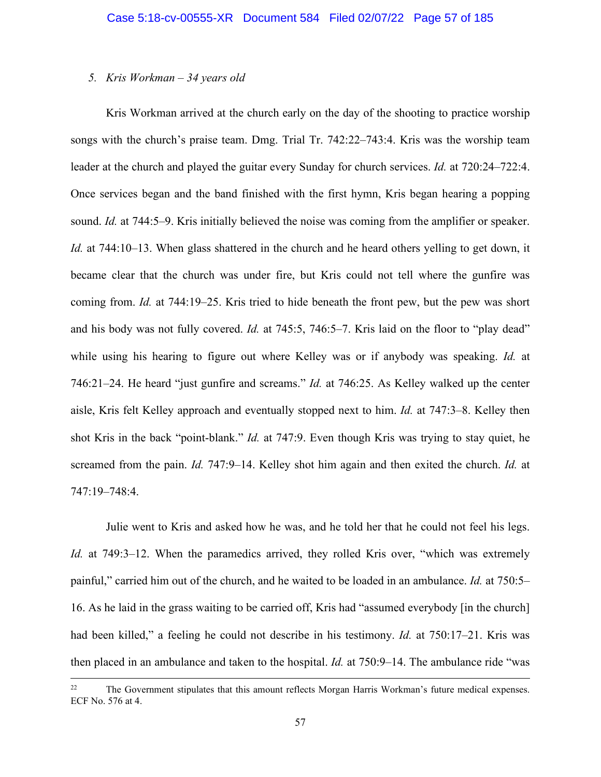## *5. Kris Workman – 34 years old*

Kris Workman arrived at the church early on the day of the shooting to practice worship songs with the church's praise team. Dmg. Trial Tr. 742:22–743:4. Kris was the worship team leader at the church and played the guitar every Sunday for church services. *Id.* at 720:24–722:4. Once services began and the band finished with the first hymn, Kris began hearing a popping sound. *Id.* at 744:5–9. Kris initially believed the noise was coming from the amplifier or speaker. *Id.* at 744:10–13. When glass shattered in the church and he heard others yelling to get down, it became clear that the church was under fire, but Kris could not tell where the gunfire was coming from. *Id.* at 744:19–25. Kris tried to hide beneath the front pew, but the pew was short and his body was not fully covered. *Id.* at 745:5, 746:5–7. Kris laid on the floor to "play dead" while using his hearing to figure out where Kelley was or if anybody was speaking. *Id.* at 746:21–24. He heard "just gunfire and screams." *Id.* at 746:25. As Kelley walked up the center aisle, Kris felt Kelley approach and eventually stopped next to him. *Id.* at 747:3–8. Kelley then shot Kris in the back "point-blank." *Id.* at 747:9. Even though Kris was trying to stay quiet, he screamed from the pain. *Id.* 747:9–14. Kelley shot him again and then exited the church. *Id.* at 747:19–748:4.

Julie went to Kris and asked how he was, and he told her that he could not feel his legs. *Id.* at 749:3–12. When the paramedics arrived, they rolled Kris over, "which was extremely painful," carried him out of the church, and he waited to be loaded in an ambulance. *Id.* at 750:5– 16. As he laid in the grass waiting to be carried off, Kris had "assumed everybody [in the church] had been killed," a feeling he could not describe in his testimony. *Id.* at 750:17–21. Kris was then placed in an ambulance and taken to the hospital. *Id.* at 750:9–14. The ambulance ride "was

<sup>&</sup>lt;sup>22</sup> The Government stipulates that this amount reflects Morgan Harris Workman's future medical expenses. ECF No. 576 at 4.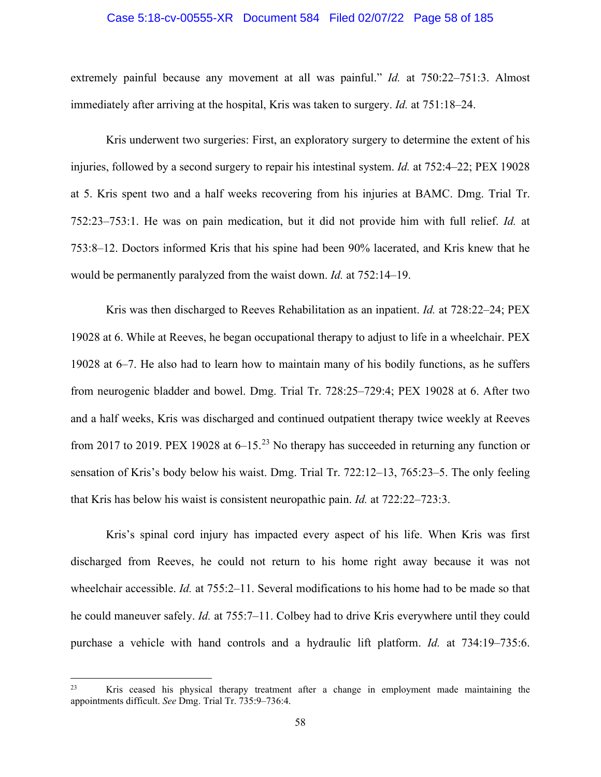### Case 5:18-cv-00555-XR Document 584 Filed 02/07/22 Page 58 of 185

extremely painful because any movement at all was painful." *Id.* at 750:22–751:3. Almost immediately after arriving at the hospital, Kris was taken to surgery. *Id.* at 751:18–24.

Kris underwent two surgeries: First, an exploratory surgery to determine the extent of his injuries, followed by a second surgery to repair his intestinal system. *Id.* at 752:4–22; PEX 19028 at 5. Kris spent two and a half weeks recovering from his injuries at BAMC. Dmg. Trial Tr. 752:23–753:1. He was on pain medication, but it did not provide him with full relief. *Id.* at 753:8–12. Doctors informed Kris that his spine had been 90% lacerated, and Kris knew that he would be permanently paralyzed from the waist down. *Id.* at 752:14–19.

Kris was then discharged to Reeves Rehabilitation as an inpatient. *Id.* at 728:22–24; PEX 19028 at 6. While at Reeves, he began occupational therapy to adjust to life in a wheelchair. PEX 19028 at 6–7. He also had to learn how to maintain many of his bodily functions, as he suffers from neurogenic bladder and bowel. Dmg. Trial Tr. 728:25–729:4; PEX 19028 at 6. After two and a half weeks, Kris was discharged and continued outpatient therapy twice weekly at Reeves from 2017 to 2019. PEX 19028 at  $6-15<sup>23</sup>$  $6-15<sup>23</sup>$  $6-15<sup>23</sup>$  No therapy has succeeded in returning any function or sensation of Kris's body below his waist. Dmg. Trial Tr. 722:12–13, 765:23–5. The only feeling that Kris has below his waist is consistent neuropathic pain. *Id.* at 722:22–723:3.

Kris's spinal cord injury has impacted every aspect of his life. When Kris was first discharged from Reeves, he could not return to his home right away because it was not wheelchair accessible. *Id.* at 755:2–11. Several modifications to his home had to be made so that he could maneuver safely. *Id.* at 755:7–11. Colbey had to drive Kris everywhere until they could purchase a vehicle with hand controls and a hydraulic lift platform. *Id.* at 734:19–735:6.

<span id="page-57-0"></span><sup>&</sup>lt;sup>23</sup> Kris ceased his physical therapy treatment after a change in employment made maintaining the appointments difficult. *See* Dmg. Trial Tr. 735:9–736:4.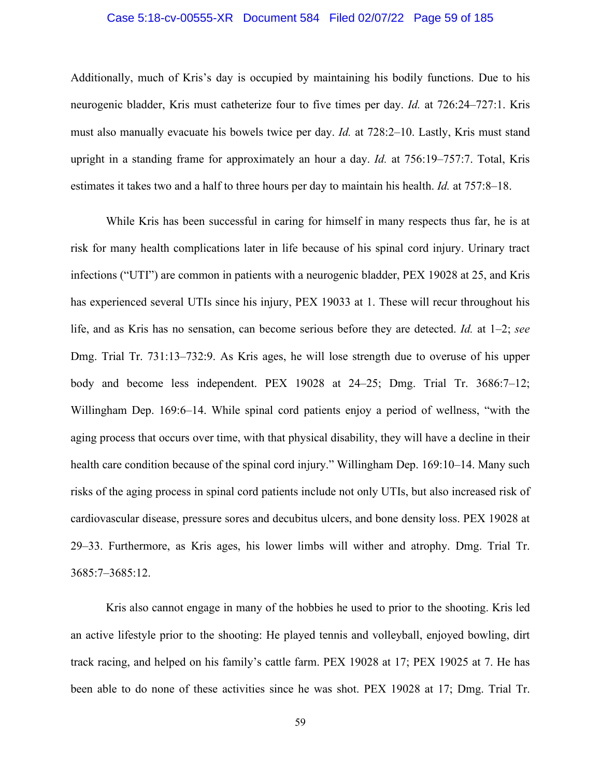## Case 5:18-cv-00555-XR Document 584 Filed 02/07/22 Page 59 of 185

Additionally, much of Kris's day is occupied by maintaining his bodily functions. Due to his neurogenic bladder, Kris must catheterize four to five times per day. *Id.* at 726:24–727:1. Kris must also manually evacuate his bowels twice per day. *Id.* at 728:2–10. Lastly, Kris must stand upright in a standing frame for approximately an hour a day. *Id.* at 756:19–757:7. Total, Kris estimates it takes two and a half to three hours per day to maintain his health. *Id.* at 757:8–18.

While Kris has been successful in caring for himself in many respects thus far, he is at risk for many health complications later in life because of his spinal cord injury. Urinary tract infections ("UTI") are common in patients with a neurogenic bladder, PEX 19028 at 25, and Kris has experienced several UTIs since his injury, PEX 19033 at 1. These will recur throughout his life, and as Kris has no sensation, can become serious before they are detected. *Id.* at 1–2; *see* Dmg. Trial Tr. 731:13–732:9. As Kris ages, he will lose strength due to overuse of his upper body and become less independent. PEX 19028 at 24–25; Dmg. Trial Tr. 3686:7–12; Willingham Dep. 169:6–14. While spinal cord patients enjoy a period of wellness, "with the aging process that occurs over time, with that physical disability, they will have a decline in their health care condition because of the spinal cord injury." Willingham Dep. 169:10–14. Many such risks of the aging process in spinal cord patients include not only UTIs, but also increased risk of cardiovascular disease, pressure sores and decubitus ulcers, and bone density loss. PEX 19028 at 29–33. Furthermore, as Kris ages, his lower limbs will wither and atrophy. Dmg. Trial Tr. 3685:7–3685:12.

Kris also cannot engage in many of the hobbies he used to prior to the shooting. Kris led an active lifestyle prior to the shooting: He played tennis and volleyball, enjoyed bowling, dirt track racing, and helped on his family's cattle farm. PEX 19028 at 17; PEX 19025 at 7. He has been able to do none of these activities since he was shot. PEX 19028 at 17; Dmg. Trial Tr.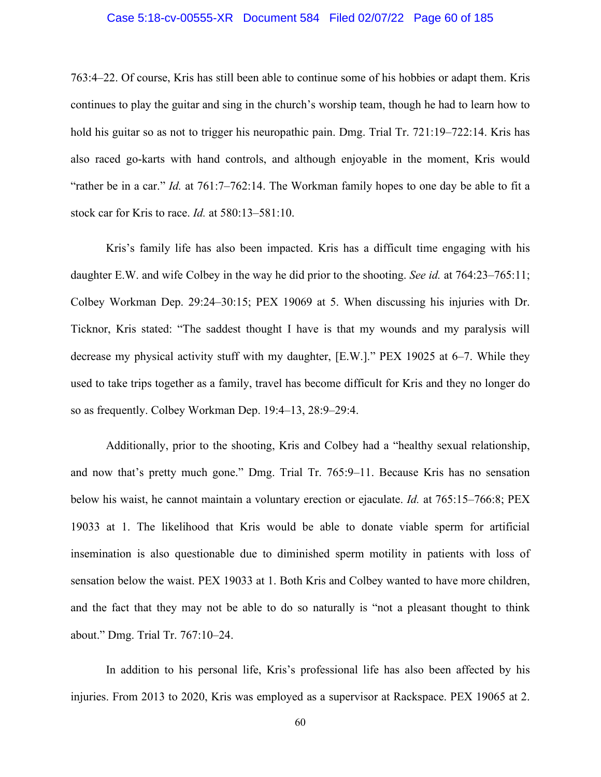## Case 5:18-cv-00555-XR Document 584 Filed 02/07/22 Page 60 of 185

763:4–22. Of course, Kris has still been able to continue some of his hobbies or adapt them. Kris continues to play the guitar and sing in the church's worship team, though he had to learn how to hold his guitar so as not to trigger his neuropathic pain. Dmg. Trial Tr. 721:19–722:14. Kris has also raced go-karts with hand controls, and although enjoyable in the moment, Kris would "rather be in a car." *Id.* at 761:7–762:14. The Workman family hopes to one day be able to fit a stock car for Kris to race. *Id.* at 580:13–581:10.

Kris's family life has also been impacted. Kris has a difficult time engaging with his daughter E.W. and wife Colbey in the way he did prior to the shooting. *See id.* at 764:23–765:11; Colbey Workman Dep. 29:24–30:15; PEX 19069 at 5. When discussing his injuries with Dr. Ticknor, Kris stated: "The saddest thought I have is that my wounds and my paralysis will decrease my physical activity stuff with my daughter, [E.W.]." PEX 19025 at 6–7. While they used to take trips together as a family, travel has become difficult for Kris and they no longer do so as frequently. Colbey Workman Dep. 19:4–13, 28:9–29:4.

Additionally, prior to the shooting, Kris and Colbey had a "healthy sexual relationship, and now that's pretty much gone." Dmg. Trial Tr. 765:9–11. Because Kris has no sensation below his waist, he cannot maintain a voluntary erection or ejaculate. *Id.* at 765:15–766:8; PEX 19033 at 1. The likelihood that Kris would be able to donate viable sperm for artificial insemination is also questionable due to diminished sperm motility in patients with loss of sensation below the waist. PEX 19033 at 1. Both Kris and Colbey wanted to have more children, and the fact that they may not be able to do so naturally is "not a pleasant thought to think about." Dmg. Trial Tr. 767:10–24.

In addition to his personal life, Kris's professional life has also been affected by his injuries. From 2013 to 2020, Kris was employed as a supervisor at Rackspace. PEX 19065 at 2.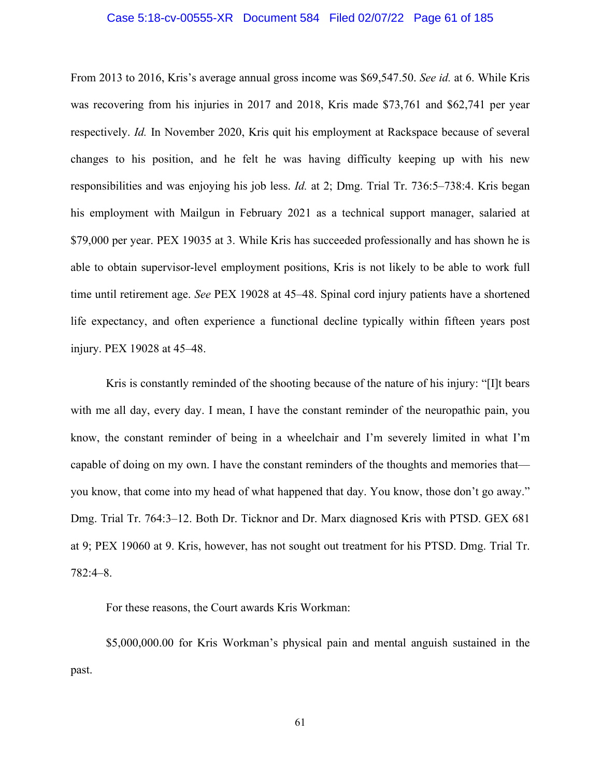## Case 5:18-cv-00555-XR Document 584 Filed 02/07/22 Page 61 of 185

From 2013 to 2016, Kris's average annual gross income was \$69,547.50. *See id.* at 6. While Kris was recovering from his injuries in 2017 and 2018, Kris made \$73,761 and \$62,741 per year respectively. *Id.* In November 2020, Kris quit his employment at Rackspace because of several changes to his position, and he felt he was having difficulty keeping up with his new responsibilities and was enjoying his job less. *Id.* at 2; Dmg. Trial Tr. 736:5–738:4. Kris began his employment with Mailgun in February 2021 as a technical support manager, salaried at \$79,000 per year. PEX 19035 at 3. While Kris has succeeded professionally and has shown he is able to obtain supervisor-level employment positions, Kris is not likely to be able to work full time until retirement age. *See* PEX 19028 at 45–48. Spinal cord injury patients have a shortened life expectancy, and often experience a functional decline typically within fifteen years post injury. PEX 19028 at 45–48.

Kris is constantly reminded of the shooting because of the nature of his injury: "[I]t bears with me all day, every day. I mean, I have the constant reminder of the neuropathic pain, you know, the constant reminder of being in a wheelchair and I'm severely limited in what I'm capable of doing on my own. I have the constant reminders of the thoughts and memories that you know, that come into my head of what happened that day. You know, those don't go away." Dmg. Trial Tr. 764:3–12. Both Dr. Ticknor and Dr. Marx diagnosed Kris with PTSD. GEX 681 at 9; PEX 19060 at 9. Kris, however, has not sought out treatment for his PTSD. Dmg. Trial Tr. 782:4–8.

For these reasons, the Court awards Kris Workman:

\$5,000,000.00 for Kris Workman's physical pain and mental anguish sustained in the past.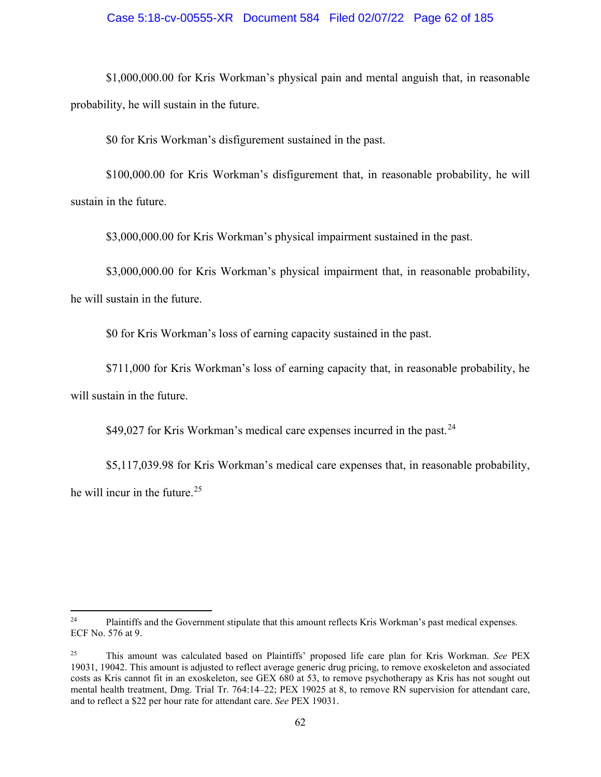## Case 5:18-cv-00555-XR Document 584 Filed 02/07/22 Page 62 of 185

\$1,000,000.00 for Kris Workman's physical pain and mental anguish that, in reasonable probability, he will sustain in the future.

\$0 for Kris Workman's disfigurement sustained in the past.

\$100,000.00 for Kris Workman's disfigurement that, in reasonable probability, he will sustain in the future.

\$3,000,000.00 for Kris Workman's physical impairment sustained in the past.

\$3,000,000.00 for Kris Workman's physical impairment that, in reasonable probability, he will sustain in the future.

\$0 for Kris Workman's loss of earning capacity sustained in the past.

\$711,000 for Kris Workman's loss of earning capacity that, in reasonable probability, he will sustain in the future.

\$49,027 for Kris Workman's medical care expenses incurred in the past.  $24$ 

\$5,117,039.98 for Kris Workman's medical care expenses that, in reasonable probability, he will incur in the future.<sup>[25](#page-61-1)</sup>

<span id="page-61-0"></span><sup>&</sup>lt;sup>24</sup> Plaintiffs and the Government stipulate that this amount reflects Kris Workman's past medical expenses. ECF No. 576 at 9.

<span id="page-61-1"></span><sup>25</sup> This amount was calculated based on Plaintiffs' proposed life care plan for Kris Workman. *See* PEX 19031, 19042. This amount is adjusted to reflect average generic drug pricing, to remove exoskeleton and associated costs as Kris cannot fit in an exoskeleton, see GEX 680 at 53, to remove psychotherapy as Kris has not sought out mental health treatment, Dmg. Trial Tr. 764:14–22; PEX 19025 at 8, to remove RN supervision for attendant care, and to reflect a \$22 per hour rate for attendant care. *See* PEX 19031.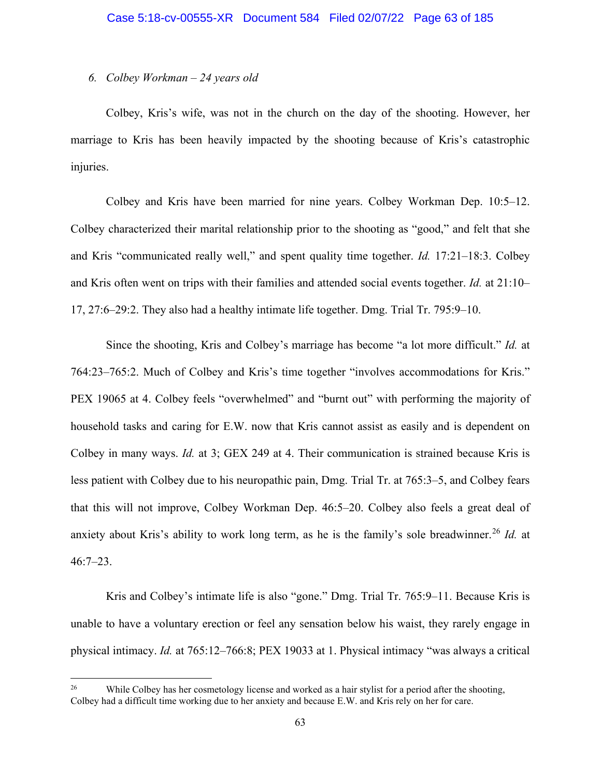## *6. Colbey Workman – 24 years old*

Colbey, Kris's wife, was not in the church on the day of the shooting. However, her marriage to Kris has been heavily impacted by the shooting because of Kris's catastrophic injuries.

Colbey and Kris have been married for nine years. Colbey Workman Dep. 10:5–12. Colbey characterized their marital relationship prior to the shooting as "good," and felt that she and Kris "communicated really well," and spent quality time together. *Id.* 17:21–18:3. Colbey and Kris often went on trips with their families and attended social events together. *Id.* at 21:10– 17, 27:6–29:2. They also had a healthy intimate life together. Dmg. Trial Tr. 795:9–10.

Since the shooting, Kris and Colbey's marriage has become "a lot more difficult." *Id.* at 764:23–765:2. Much of Colbey and Kris's time together "involves accommodations for Kris." PEX 19065 at 4. Colbey feels "overwhelmed" and "burnt out" with performing the majority of household tasks and caring for E.W. now that Kris cannot assist as easily and is dependent on Colbey in many ways. *Id.* at 3; GEX 249 at 4. Their communication is strained because Kris is less patient with Colbey due to his neuropathic pain, Dmg. Trial Tr. at 765:3–5, and Colbey fears that this will not improve, Colbey Workman Dep. 46:5–20. Colbey also feels a great deal of anxiety about Kris's ability to work long term, as he is the family's sole breadwinner. [26](#page-62-0) *Id.* at 46:7–23.

Kris and Colbey's intimate life is also "gone." Dmg. Trial Tr. 765:9–11. Because Kris is unable to have a voluntary erection or feel any sensation below his waist, they rarely engage in physical intimacy. *Id.* at 765:12–766:8; PEX 19033 at 1. Physical intimacy "was always a critical

<span id="page-62-0"></span><sup>&</sup>lt;sup>26</sup> While Colbey has her cosmetology license and worked as a hair stylist for a period after the shooting, Colbey had a difficult time working due to her anxiety and because E.W. and Kris rely on her for care.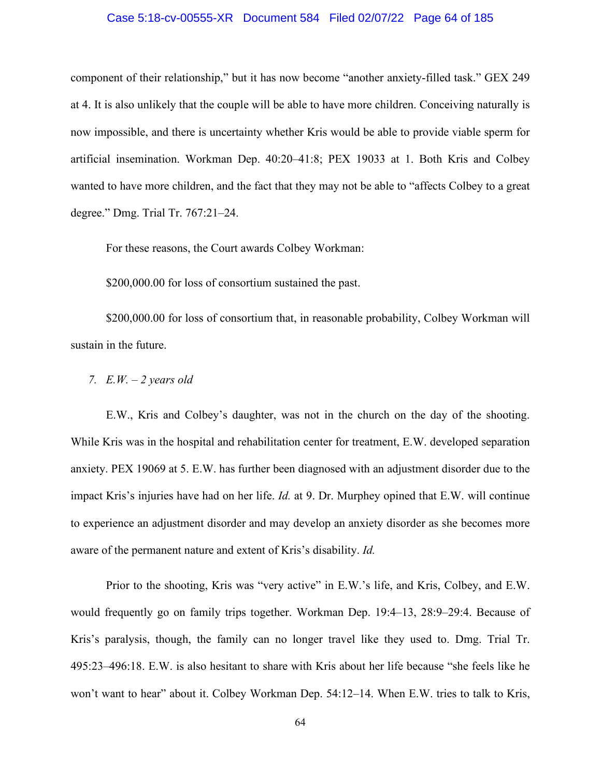## Case 5:18-cv-00555-XR Document 584 Filed 02/07/22 Page 64 of 185

component of their relationship," but it has now become "another anxiety-filled task." GEX 249 at 4. It is also unlikely that the couple will be able to have more children. Conceiving naturally is now impossible, and there is uncertainty whether Kris would be able to provide viable sperm for artificial insemination. Workman Dep. 40:20–41:8; PEX 19033 at 1. Both Kris and Colbey wanted to have more children, and the fact that they may not be able to "affects Colbey to a great degree." Dmg. Trial Tr. 767:21–24.

For these reasons, the Court awards Colbey Workman:

\$200,000.00 for loss of consortium sustained the past.

\$200,000.00 for loss of consortium that, in reasonable probability, Colbey Workman will sustain in the future.

*7. E.W. – 2 years old* 

E.W., Kris and Colbey's daughter, was not in the church on the day of the shooting. While Kris was in the hospital and rehabilitation center for treatment, E.W. developed separation anxiety. PEX 19069 at 5. E.W. has further been diagnosed with an adjustment disorder due to the impact Kris's injuries have had on her life. *Id.* at 9. Dr. Murphey opined that E.W. will continue to experience an adjustment disorder and may develop an anxiety disorder as she becomes more aware of the permanent nature and extent of Kris's disability. *Id.*

Prior to the shooting, Kris was "very active" in E.W.'s life, and Kris, Colbey, and E.W. would frequently go on family trips together. Workman Dep. 19:4–13, 28:9–29:4. Because of Kris's paralysis, though, the family can no longer travel like they used to. Dmg. Trial Tr. 495:23–496:18. E.W. is also hesitant to share with Kris about her life because "she feels like he won't want to hear" about it. Colbey Workman Dep. 54:12–14. When E.W. tries to talk to Kris,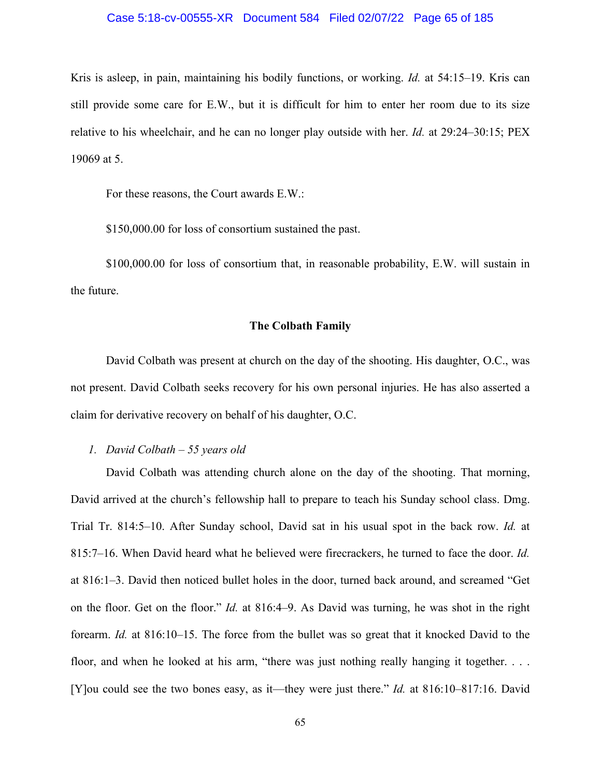#### Case 5:18-cv-00555-XR Document 584 Filed 02/07/22 Page 65 of 185

Kris is asleep, in pain, maintaining his bodily functions, or working. *Id.* at 54:15–19. Kris can still provide some care for E.W., but it is difficult for him to enter her room due to its size relative to his wheelchair, and he can no longer play outside with her. *Id.* at 29:24–30:15; PEX 19069 at 5.

For these reasons, the Court awards E.W.:

\$150,000.00 for loss of consortium sustained the past.

\$100,000.00 for loss of consortium that, in reasonable probability, E.W. will sustain in the future.

## **The Colbath Family**

David Colbath was present at church on the day of the shooting. His daughter, O.C., was not present. David Colbath seeks recovery for his own personal injuries. He has also asserted a claim for derivative recovery on behalf of his daughter, O.C.

*1. David Colbath – 55 years old* 

David Colbath was attending church alone on the day of the shooting. That morning, David arrived at the church's fellowship hall to prepare to teach his Sunday school class. Dmg. Trial Tr. 814:5–10. After Sunday school, David sat in his usual spot in the back row. *Id.* at 815:7–16. When David heard what he believed were firecrackers, he turned to face the door. *Id.* at 816:1–3. David then noticed bullet holes in the door, turned back around, and screamed "Get on the floor. Get on the floor." *Id.* at 816:4–9. As David was turning, he was shot in the right forearm. *Id.* at 816:10–15. The force from the bullet was so great that it knocked David to the floor, and when he looked at his arm, "there was just nothing really hanging it together. . . . [Y]ou could see the two bones easy, as it—they were just there." *Id.* at 816:10–817:16. David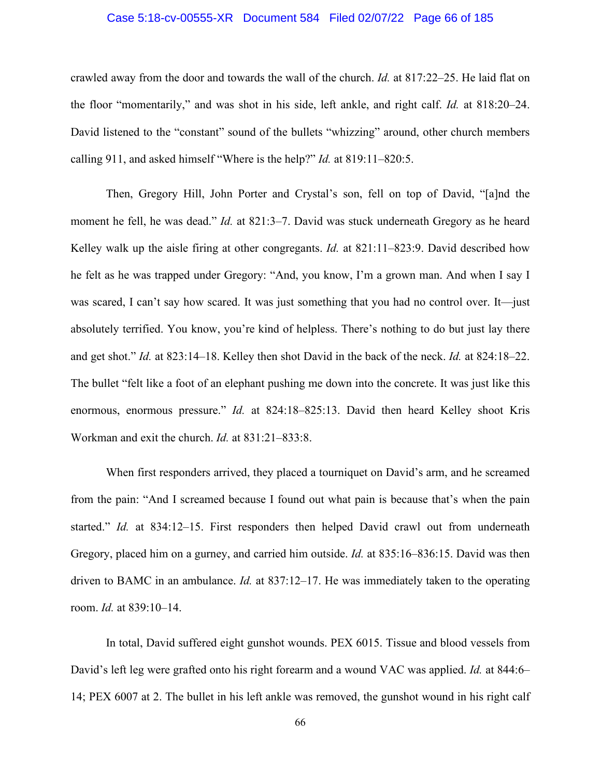## Case 5:18-cv-00555-XR Document 584 Filed 02/07/22 Page 66 of 185

crawled away from the door and towards the wall of the church. *Id.* at 817:22–25. He laid flat on the floor "momentarily," and was shot in his side, left ankle, and right calf. *Id.* at 818:20–24. David listened to the "constant" sound of the bullets "whizzing" around, other church members calling 911, and asked himself "Where is the help?" *Id.* at 819:11–820:5.

Then, Gregory Hill, John Porter and Crystal's son, fell on top of David, "[a]nd the moment he fell, he was dead." *Id.* at 821:3–7. David was stuck underneath Gregory as he heard Kelley walk up the aisle firing at other congregants. *Id.* at 821:11–823:9. David described how he felt as he was trapped under Gregory: "And, you know, I'm a grown man. And when I say I was scared, I can't say how scared. It was just something that you had no control over. It—just absolutely terrified. You know, you're kind of helpless. There's nothing to do but just lay there and get shot." *Id.* at 823:14–18. Kelley then shot David in the back of the neck. *Id.* at 824:18–22. The bullet "felt like a foot of an elephant pushing me down into the concrete. It was just like this enormous, enormous pressure." *Id.* at 824:18–825:13. David then heard Kelley shoot Kris Workman and exit the church. *Id.* at 831:21–833:8.

When first responders arrived, they placed a tourniquet on David's arm, and he screamed from the pain: "And I screamed because I found out what pain is because that's when the pain started." *Id.* at 834:12–15. First responders then helped David crawl out from underneath Gregory, placed him on a gurney, and carried him outside. *Id.* at 835:16–836:15. David was then driven to BAMC in an ambulance. *Id.* at 837:12–17. He was immediately taken to the operating room. *Id.* at 839:10–14.

 In total, David suffered eight gunshot wounds. PEX 6015. Tissue and blood vessels from David's left leg were grafted onto his right forearm and a wound VAC was applied. *Id.* at 844:6– 14; PEX 6007 at 2. The bullet in his left ankle was removed, the gunshot wound in his right calf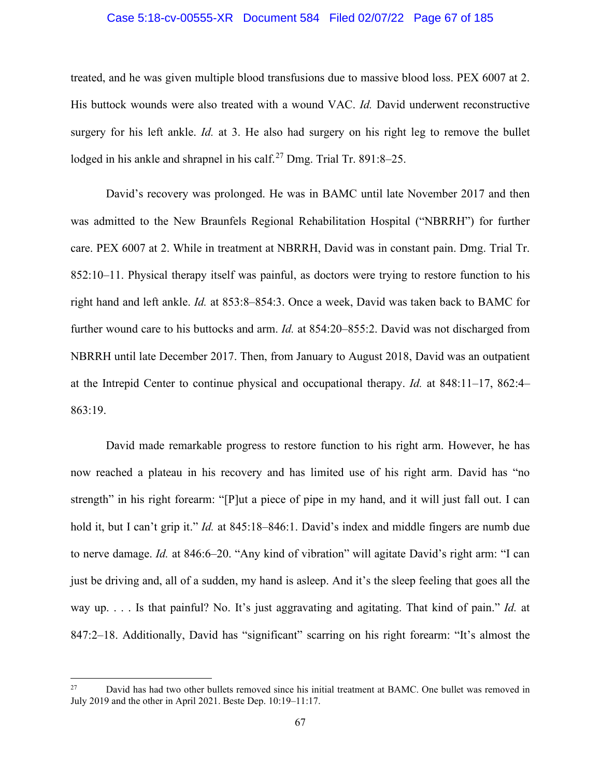## Case 5:18-cv-00555-XR Document 584 Filed 02/07/22 Page 67 of 185

treated, and he was given multiple blood transfusions due to massive blood loss. PEX 6007 at 2. His buttock wounds were also treated with a wound VAC. *Id.* David underwent reconstructive surgery for his left ankle. *Id.* at 3. He also had surgery on his right leg to remove the bullet lodged in his ankle and shrapnel in his calf.<sup>[27](#page-66-0)</sup> Dmg. Trial Tr. 891:8–25.

David's recovery was prolonged. He was in BAMC until late November 2017 and then was admitted to the New Braunfels Regional Rehabilitation Hospital ("NBRRH") for further care. PEX 6007 at 2. While in treatment at NBRRH, David was in constant pain. Dmg. Trial Tr. 852:10–11. Physical therapy itself was painful, as doctors were trying to restore function to his right hand and left ankle. *Id.* at 853:8–854:3. Once a week, David was taken back to BAMC for further wound care to his buttocks and arm. *Id.* at 854:20–855:2. David was not discharged from NBRRH until late December 2017. Then, from January to August 2018, David was an outpatient at the Intrepid Center to continue physical and occupational therapy. *Id.* at 848:11–17, 862:4– 863:19.

David made remarkable progress to restore function to his right arm. However, he has now reached a plateau in his recovery and has limited use of his right arm. David has "no strength" in his right forearm: "[P]ut a piece of pipe in my hand, and it will just fall out. I can hold it, but I can't grip it." *Id.* at 845:18–846:1. David's index and middle fingers are numb due to nerve damage. *Id.* at 846:6–20. "Any kind of vibration" will agitate David's right arm: "I can just be driving and, all of a sudden, my hand is asleep. And it's the sleep feeling that goes all the way up. . . . Is that painful? No. It's just aggravating and agitating. That kind of pain." *Id.* at 847:2–18. Additionally, David has "significant" scarring on his right forearm: "It's almost the

<span id="page-66-0"></span><sup>&</sup>lt;sup>27</sup> David has had two other bullets removed since his initial treatment at BAMC. One bullet was removed in July 2019 and the other in April 2021. Beste Dep. 10:19–11:17.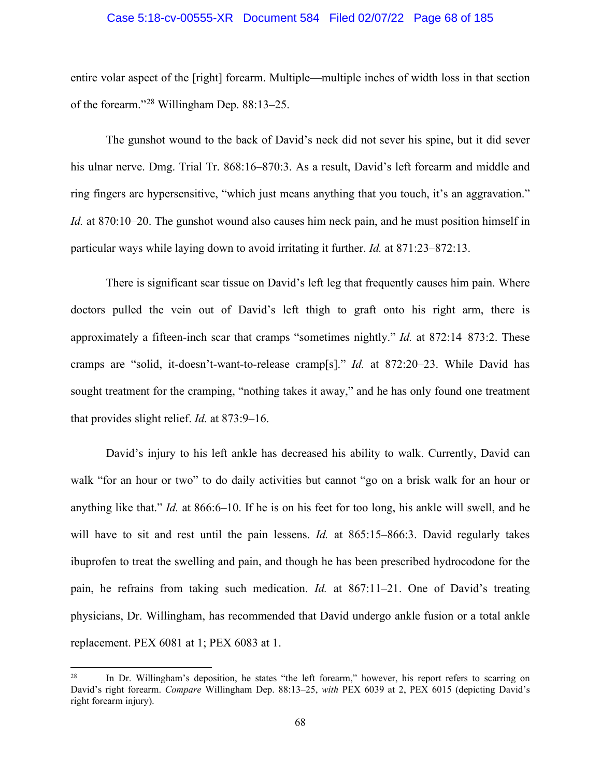### Case 5:18-cv-00555-XR Document 584 Filed 02/07/22 Page 68 of 185

entire volar aspect of the [right] forearm. Multiple—multiple inches of width loss in that section of the forearm."[28](#page-67-0) Willingham Dep. 88:13–25.

The gunshot wound to the back of David's neck did not sever his spine, but it did sever his ulnar nerve. Dmg. Trial Tr. 868:16–870:3. As a result, David's left forearm and middle and ring fingers are hypersensitive, "which just means anything that you touch, it's an aggravation." *Id.* at 870:10–20. The gunshot wound also causes him neck pain, and he must position himself in particular ways while laying down to avoid irritating it further. *Id.* at 871:23–872:13.

There is significant scar tissue on David's left leg that frequently causes him pain. Where doctors pulled the vein out of David's left thigh to graft onto his right arm, there is approximately a fifteen-inch scar that cramps "sometimes nightly." *Id.* at 872:14–873:2. These cramps are "solid, it-doesn't-want-to-release cramp[s]." *Id.* at 872:20–23. While David has sought treatment for the cramping, "nothing takes it away," and he has only found one treatment that provides slight relief. *Id.* at 873:9–16.

David's injury to his left ankle has decreased his ability to walk. Currently, David can walk "for an hour or two" to do daily activities but cannot "go on a brisk walk for an hour or anything like that." *Id.* at 866:6–10. If he is on his feet for too long, his ankle will swell, and he will have to sit and rest until the pain lessens. *Id.* at 865:15–866:3. David regularly takes ibuprofen to treat the swelling and pain, and though he has been prescribed hydrocodone for the pain, he refrains from taking such medication. *Id.* at 867:11–21. One of David's treating physicians, Dr. Willingham, has recommended that David undergo ankle fusion or a total ankle replacement. PEX 6081 at 1; PEX 6083 at 1.

<span id="page-67-0"></span><sup>&</sup>lt;sup>28</sup> In Dr. Willingham's deposition, he states "the left forearm," however, his report refers to scarring on David's right forearm. *Compare* Willingham Dep. 88:13–25, *with* PEX 6039 at 2, PEX 6015 (depicting David's right forearm injury).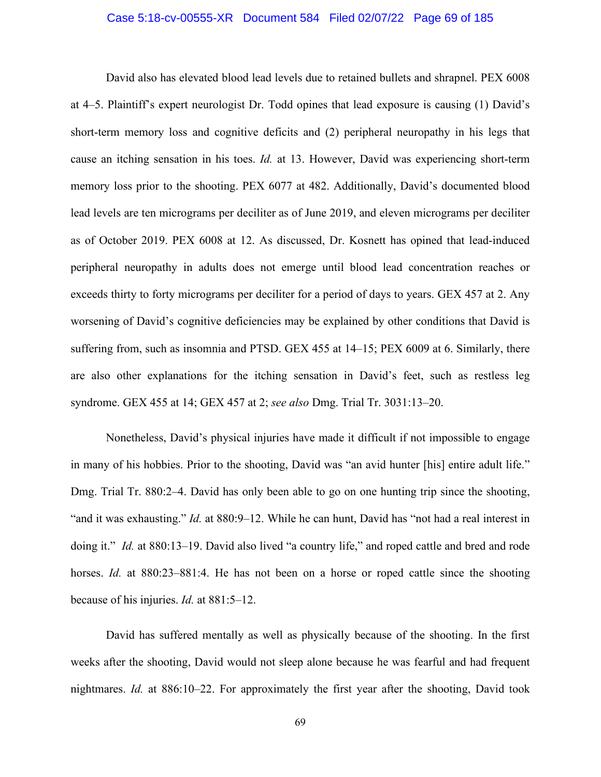## Case 5:18-cv-00555-XR Document 584 Filed 02/07/22 Page 69 of 185

David also has elevated blood lead levels due to retained bullets and shrapnel. PEX 6008 at 4–5. Plaintiff's expert neurologist Dr. Todd opines that lead exposure is causing (1) David's short-term memory loss and cognitive deficits and (2) peripheral neuropathy in his legs that cause an itching sensation in his toes. *Id.* at 13. However, David was experiencing short-term memory loss prior to the shooting. PEX 6077 at 482. Additionally, David's documented blood lead levels are ten micrograms per deciliter as of June 2019, and eleven micrograms per deciliter as of October 2019. PEX 6008 at 12. As discussed, Dr. Kosnett has opined that lead-induced peripheral neuropathy in adults does not emerge until blood lead concentration reaches or exceeds thirty to forty micrograms per deciliter for a period of days to years. GEX 457 at 2. Any worsening of David's cognitive deficiencies may be explained by other conditions that David is suffering from, such as insomnia and PTSD. GEX 455 at 14–15; PEX 6009 at 6. Similarly, there are also other explanations for the itching sensation in David's feet, such as restless leg syndrome. GEX 455 at 14; GEX 457 at 2; *see also* Dmg. Trial Tr. 3031:13–20.

Nonetheless, David's physical injuries have made it difficult if not impossible to engage in many of his hobbies. Prior to the shooting, David was "an avid hunter [his] entire adult life." Dmg. Trial Tr. 880:2–4. David has only been able to go on one hunting trip since the shooting, "and it was exhausting." *Id.* at 880:9–12. While he can hunt, David has "not had a real interest in doing it." *Id.* at 880:13–19. David also lived "a country life," and roped cattle and bred and rode horses. *Id.* at 880:23–881:4. He has not been on a horse or roped cattle since the shooting because of his injuries. *Id.* at 881:5–12.

David has suffered mentally as well as physically because of the shooting. In the first weeks after the shooting, David would not sleep alone because he was fearful and had frequent nightmares. *Id.* at 886:10–22. For approximately the first year after the shooting, David took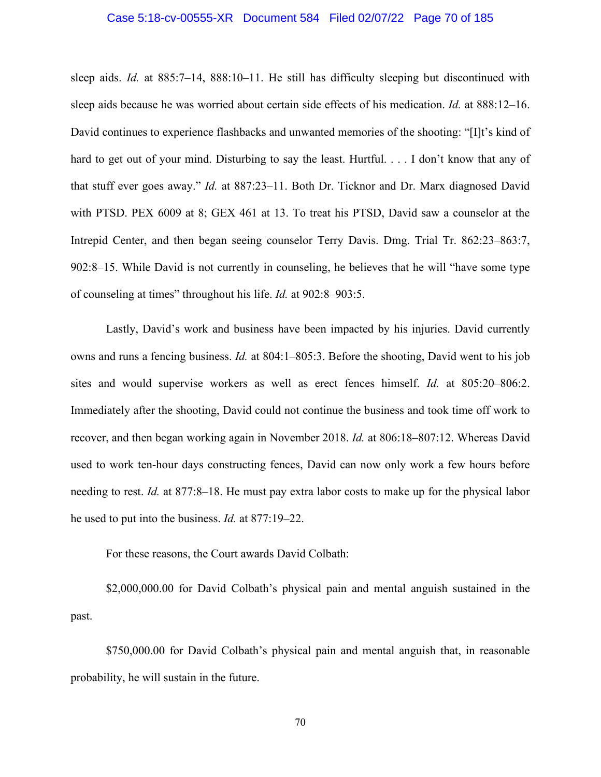## Case 5:18-cv-00555-XR Document 584 Filed 02/07/22 Page 70 of 185

sleep aids. *Id.* at 885:7–14, 888:10–11. He still has difficulty sleeping but discontinued with sleep aids because he was worried about certain side effects of his medication. *Id.* at 888:12–16. David continues to experience flashbacks and unwanted memories of the shooting: "[I]t's kind of hard to get out of your mind. Disturbing to say the least. Hurtful. . . . I don't know that any of that stuff ever goes away." *Id.* at 887:23–11. Both Dr. Ticknor and Dr. Marx diagnosed David with PTSD. PEX 6009 at 8; GEX 461 at 13. To treat his PTSD, David saw a counselor at the Intrepid Center, and then began seeing counselor Terry Davis. Dmg. Trial Tr. 862:23–863:7, 902:8–15. While David is not currently in counseling, he believes that he will "have some type of counseling at times" throughout his life. *Id.* at 902:8–903:5.

Lastly, David's work and business have been impacted by his injuries. David currently owns and runs a fencing business. *Id.* at 804:1–805:3. Before the shooting, David went to his job sites and would supervise workers as well as erect fences himself. *Id.* at 805:20–806:2. Immediately after the shooting, David could not continue the business and took time off work to recover, and then began working again in November 2018. *Id.* at 806:18–807:12. Whereas David used to work ten-hour days constructing fences, David can now only work a few hours before needing to rest. *Id.* at 877:8–18. He must pay extra labor costs to make up for the physical labor he used to put into the business. *Id.* at 877:19–22.

For these reasons, the Court awards David Colbath:

\$2,000,000.00 for David Colbath's physical pain and mental anguish sustained in the past.

\$750,000.00 for David Colbath's physical pain and mental anguish that, in reasonable probability, he will sustain in the future.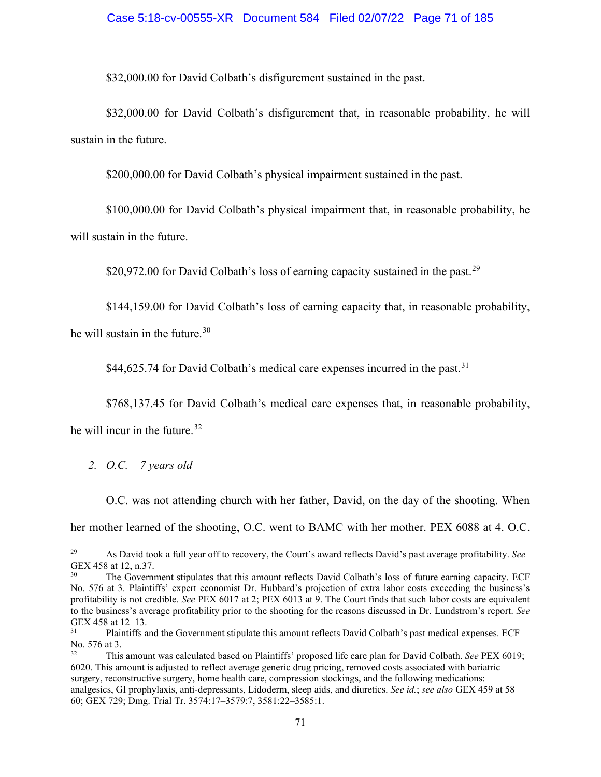## Case 5:18-cv-00555-XR Document 584 Filed 02/07/22 Page 71 of 185

\$32,000.00 for David Colbath's disfigurement sustained in the past.

\$32,000.00 for David Colbath's disfigurement that, in reasonable probability, he will sustain in the future.

\$200,000.00 for David Colbath's physical impairment sustained in the past.

\$100,000.00 for David Colbath's physical impairment that, in reasonable probability, he will sustain in the future.

\$20,972.00 for David Colbath's loss of earning capacity sustained in the past.<sup>[29](#page-70-0)</sup>

\$144,159.00 for David Colbath's loss of earning capacity that, in reasonable probability,

he will sustain in the future.<sup>[30](#page-70-1)</sup>

\$44,625.74 for David Colbath's medical care expenses incurred in the past.<sup>[31](#page-70-2)</sup>

\$768,137.45 for David Colbath's medical care expenses that, in reasonable probability,

he will incur in the future. $32$ 

*2. O.C. – 7 years old* 

O.C. was not attending church with her father, David, on the day of the shooting. When her mother learned of the shooting, O.C. went to BAMC with her mother. PEX 6088 at 4. O.C.

<span id="page-70-0"></span><sup>29</sup> As David took a full year off to recovery, the Court's award reflects David's past average profitability. *See* GEX 458 at 12, n.37.

<span id="page-70-1"></span>The Government stipulates that this amount reflects David Colbath's loss of future earning capacity. ECF No. 576 at 3. Plaintiffs' expert economist Dr. Hubbard's projection of extra labor costs exceeding the business's profitability is not credible. *See* PEX 6017 at 2; PEX 6013 at 9. The Court finds that such labor costs are equivalent to the business's average profitability prior to the shooting for the reasons discussed in Dr. Lundstrom's report. *See* GEX 458 at  $12-13$ .

<span id="page-70-2"></span><sup>31</sup> Plaintiffs and the Government stipulate this amount reflects David Colbath's past medical expenses. ECF No. 576 at 3.

<span id="page-70-3"></span><sup>32</sup> This amount was calculated based on Plaintiffs' proposed life care plan for David Colbath. *See* PEX 6019; 6020. This amount is adjusted to reflect average generic drug pricing, removed costs associated with bariatric surgery, reconstructive surgery, home health care, compression stockings, and the following medications: analgesics, GI prophylaxis, anti-depressants, Lidoderm, sleep aids, and diuretics. *See id.*; *see also* GEX 459 at 58– 60; GEX 729; Dmg. Trial Tr. 3574:17–3579:7, 3581:22–3585:1.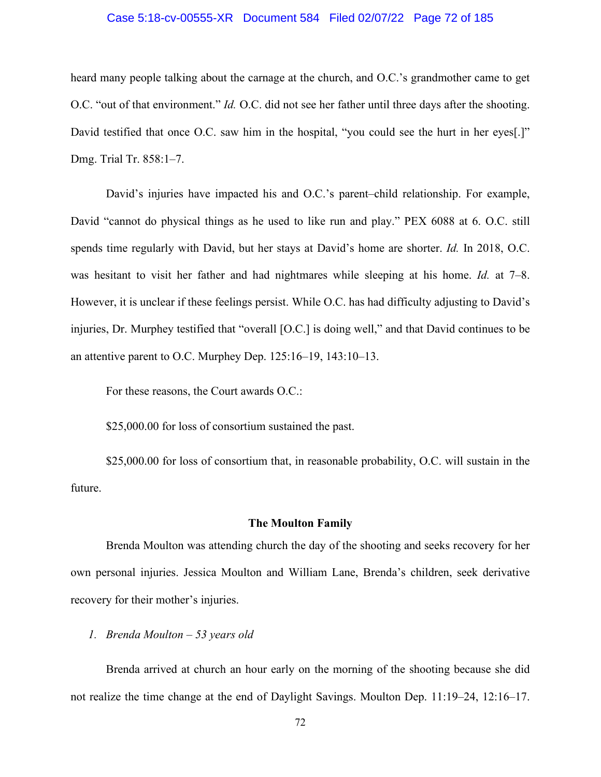## Case 5:18-cv-00555-XR Document 584 Filed 02/07/22 Page 72 of 185

heard many people talking about the carnage at the church, and O.C.'s grandmother came to get O.C. "out of that environment." *Id.* O.C. did not see her father until three days after the shooting. David testified that once O.C. saw him in the hospital, "you could see the hurt in her eyes[.]" Dmg. Trial Tr. 858:1–7.

David's injuries have impacted his and O.C.'s parent–child relationship. For example, David "cannot do physical things as he used to like run and play." PEX 6088 at 6. O.C. still spends time regularly with David, but her stays at David's home are shorter. *Id.* In 2018, O.C. was hesitant to visit her father and had nightmares while sleeping at his home. *Id.* at 7–8. However, it is unclear if these feelings persist. While O.C. has had difficulty adjusting to David's injuries, Dr. Murphey testified that "overall [O.C.] is doing well," and that David continues to be an attentive parent to O.C. Murphey Dep. 125:16–19, 143:10–13.

For these reasons, the Court awards O.C.:

\$25,000.00 for loss of consortium sustained the past.

\$25,000.00 for loss of consortium that, in reasonable probability, O.C. will sustain in the future.

#### **The Moulton Family**

Brenda Moulton was attending church the day of the shooting and seeks recovery for her own personal injuries. Jessica Moulton and William Lane, Brenda's children, seek derivative recovery for their mother's injuries.

## *1. Brenda Moulton – 53 years old*

Brenda arrived at church an hour early on the morning of the shooting because she did not realize the time change at the end of Daylight Savings. Moulton Dep. 11:19–24, 12:16–17.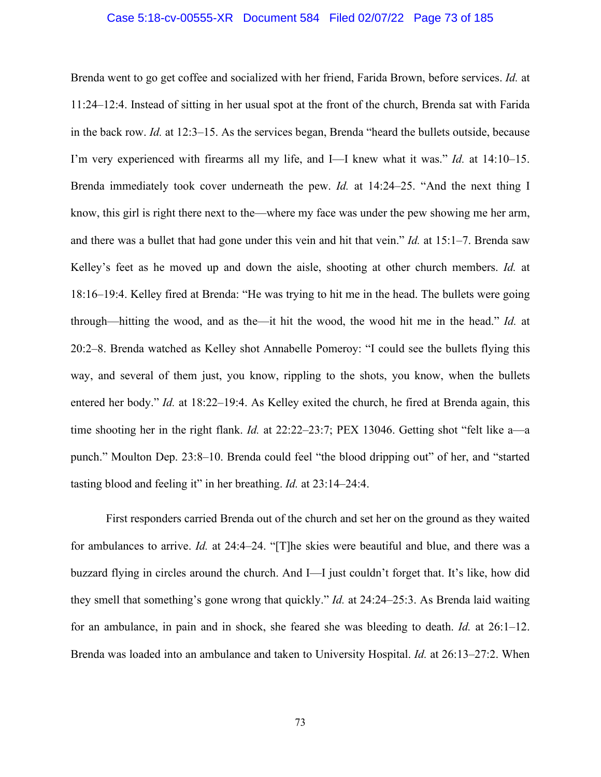### Case 5:18-cv-00555-XR Document 584 Filed 02/07/22 Page 73 of 185

Brenda went to go get coffee and socialized with her friend, Farida Brown, before services. *Id.* at 11:24–12:4. Instead of sitting in her usual spot at the front of the church, Brenda sat with Farida in the back row. *Id.* at 12:3–15. As the services began, Brenda "heard the bullets outside, because I'm very experienced with firearms all my life, and I—I knew what it was." *Id.* at 14:10–15. Brenda immediately took cover underneath the pew. *Id.* at 14:24–25. "And the next thing I know, this girl is right there next to the—where my face was under the pew showing me her arm, and there was a bullet that had gone under this vein and hit that vein." *Id.* at 15:1–7. Brenda saw Kelley's feet as he moved up and down the aisle, shooting at other church members. *Id.* at 18:16–19:4. Kelley fired at Brenda: "He was trying to hit me in the head. The bullets were going through—hitting the wood, and as the—it hit the wood, the wood hit me in the head." *Id.* at 20:2–8. Brenda watched as Kelley shot Annabelle Pomeroy: "I could see the bullets flying this way, and several of them just, you know, rippling to the shots, you know, when the bullets entered her body." *Id.* at 18:22–19:4. As Kelley exited the church, he fired at Brenda again, this time shooting her in the right flank. *Id.* at 22:22–23:7; PEX 13046. Getting shot "felt like a—a punch." Moulton Dep. 23:8–10. Brenda could feel "the blood dripping out" of her, and "started tasting blood and feeling it" in her breathing. *Id.* at 23:14–24:4.

First responders carried Brenda out of the church and set her on the ground as they waited for ambulances to arrive. *Id.* at 24:4–24. "[T]he skies were beautiful and blue, and there was a buzzard flying in circles around the church. And I—I just couldn't forget that. It's like, how did they smell that something's gone wrong that quickly." *Id.* at 24:24–25:3. As Brenda laid waiting for an ambulance, in pain and in shock, she feared she was bleeding to death. *Id.* at 26:1–12. Brenda was loaded into an ambulance and taken to University Hospital. *Id.* at 26:13–27:2. When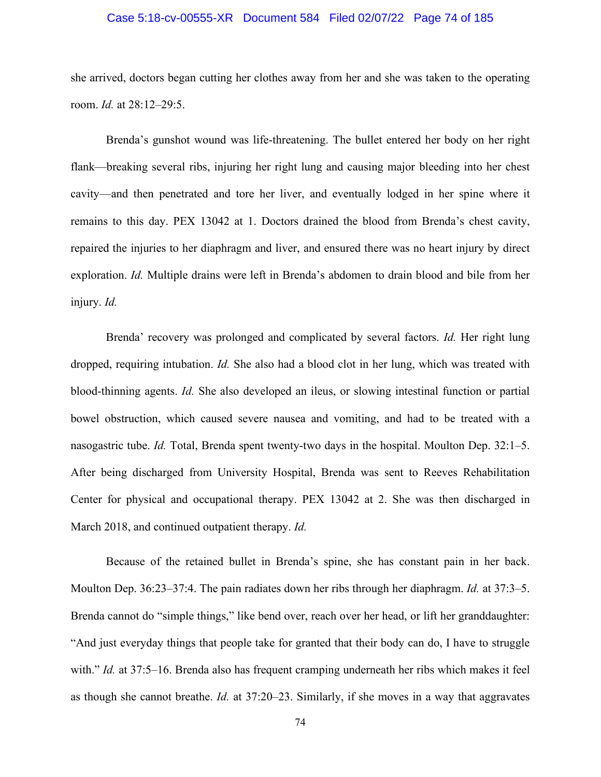### Case 5:18-cv-00555-XR Document 584 Filed 02/07/22 Page 74 of 185

she arrived, doctors began cutting her clothes away from her and she was taken to the operating room. *Id.* at 28:12–29:5.

Brenda's gunshot wound was life-threatening. The bullet entered her body on her right flank—breaking several ribs, injuring her right lung and causing major bleeding into her chest cavity—and then penetrated and tore her liver, and eventually lodged in her spine where it remains to this day. PEX 13042 at 1. Doctors drained the blood from Brenda's chest cavity, repaired the injuries to her diaphragm and liver, and ensured there was no heart injury by direct exploration. *Id.* Multiple drains were left in Brenda's abdomen to drain blood and bile from her injury. *Id.*

Brenda' recovery was prolonged and complicated by several factors. *Id.* Her right lung dropped, requiring intubation. *Id.* She also had a blood clot in her lung, which was treated with blood-thinning agents. *Id.* She also developed an ileus, or slowing intestinal function or partial bowel obstruction, which caused severe nausea and vomiting, and had to be treated with a nasogastric tube. *Id.* Total, Brenda spent twenty-two days in the hospital. Moulton Dep. 32:1–5. After being discharged from University Hospital, Brenda was sent to Reeves Rehabilitation Center for physical and occupational therapy. PEX 13042 at 2. She was then discharged in March 2018, and continued outpatient therapy. *Id.*

Because of the retained bullet in Brenda's spine, she has constant pain in her back. Moulton Dep. 36:23–37:4. The pain radiates down her ribs through her diaphragm. *Id.* at 37:3–5. Brenda cannot do "simple things," like bend over, reach over her head, or lift her granddaughter: "And just everyday things that people take for granted that their body can do, I have to struggle with." *Id.* at 37:5–16. Brenda also has frequent cramping underneath her ribs which makes it feel as though she cannot breathe. *Id.* at 37:20–23. Similarly, if she moves in a way that aggravates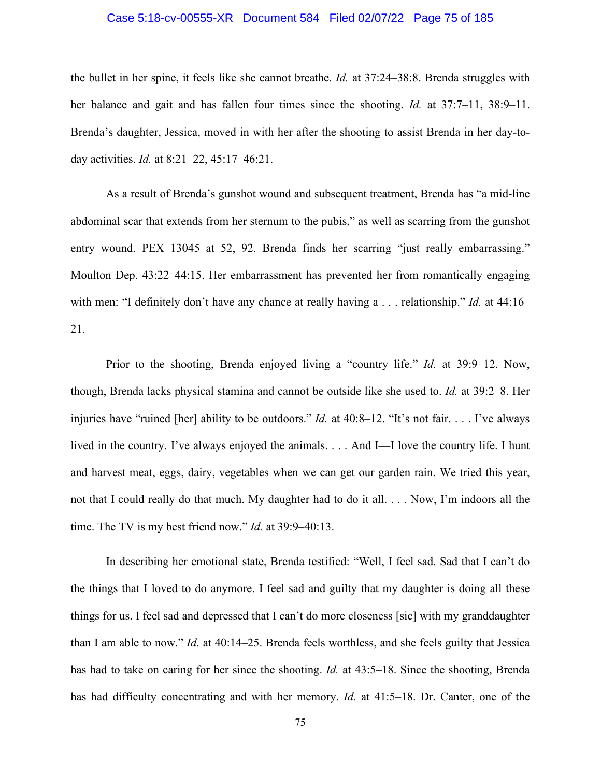### Case 5:18-cv-00555-XR Document 584 Filed 02/07/22 Page 75 of 185

the bullet in her spine, it feels like she cannot breathe. *Id.* at 37:24–38:8. Brenda struggles with her balance and gait and has fallen four times since the shooting. *Id.* at 37:7–11, 38:9–11. Brenda's daughter, Jessica, moved in with her after the shooting to assist Brenda in her day-today activities. *Id.* at 8:21–22, 45:17–46:21.

As a result of Brenda's gunshot wound and subsequent treatment, Brenda has "a mid-line abdominal scar that extends from her sternum to the pubis," as well as scarring from the gunshot entry wound. PEX 13045 at 52, 92. Brenda finds her scarring "just really embarrassing." Moulton Dep. 43:22–44:15. Her embarrassment has prevented her from romantically engaging with men: "I definitely don't have any chance at really having a . . . relationship." *Id.* at 44:16– 21.

Prior to the shooting, Brenda enjoyed living a "country life." *Id.* at 39:9–12. Now, though, Brenda lacks physical stamina and cannot be outside like she used to. *Id.* at 39:2–8. Her injuries have "ruined [her] ability to be outdoors." *Id.* at 40:8–12. "It's not fair. . . . I've always lived in the country. I've always enjoyed the animals. . . . And I—I love the country life. I hunt and harvest meat, eggs, dairy, vegetables when we can get our garden rain. We tried this year, not that I could really do that much. My daughter had to do it all. . . . Now, I'm indoors all the time. The TV is my best friend now." *Id.* at 39:9–40:13.

In describing her emotional state, Brenda testified: "Well, I feel sad. Sad that I can't do the things that I loved to do anymore. I feel sad and guilty that my daughter is doing all these things for us. I feel sad and depressed that I can't do more closeness [sic] with my granddaughter than I am able to now." *Id.* at 40:14–25. Brenda feels worthless, and she feels guilty that Jessica has had to take on caring for her since the shooting. *Id.* at 43:5–18. Since the shooting, Brenda has had difficulty concentrating and with her memory. *Id.* at 41:5–18. Dr. Canter, one of the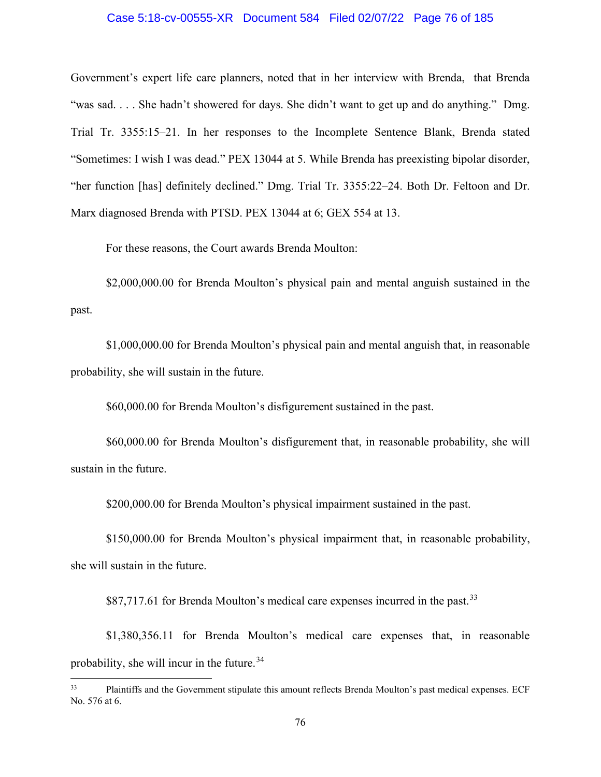### Case 5:18-cv-00555-XR Document 584 Filed 02/07/22 Page 76 of 185

Government's expert life care planners, noted that in her interview with Brenda, that Brenda "was sad. . . . She hadn't showered for days. She didn't want to get up and do anything." Dmg. Trial Tr. 3355:15–21. In her responses to the Incomplete Sentence Blank, Brenda stated "Sometimes: I wish I was dead." PEX 13044 at 5. While Brenda has preexisting bipolar disorder, "her function [has] definitely declined." Dmg. Trial Tr. 3355:22–24. Both Dr. Feltoon and Dr. Marx diagnosed Brenda with PTSD. PEX 13044 at 6; GEX 554 at 13.

For these reasons, the Court awards Brenda Moulton:

\$2,000,000.00 for Brenda Moulton's physical pain and mental anguish sustained in the past.

\$1,000,000.00 for Brenda Moulton's physical pain and mental anguish that, in reasonable probability, she will sustain in the future.

\$60,000.00 for Brenda Moulton's disfigurement sustained in the past.

\$60,000.00 for Brenda Moulton's disfigurement that, in reasonable probability, she will sustain in the future.

\$200,000.00 for Brenda Moulton's physical impairment sustained in the past.

\$150,000.00 for Brenda Moulton's physical impairment that, in reasonable probability, she will sustain in the future.

\$87,717.61 for Brenda Moulton's medical care expenses incurred in the past.<sup>33</sup>

<span id="page-75-1"></span>\$1,380,356.11 for Brenda Moulton's medical care expenses that, in reasonable probability, she will incur in the future.<sup>[34](#page-75-1)</sup>

<span id="page-75-0"></span><sup>&</sup>lt;sup>33</sup> Plaintiffs and the Government stipulate this amount reflects Brenda Moulton's past medical expenses. ECF No. 576 at 6.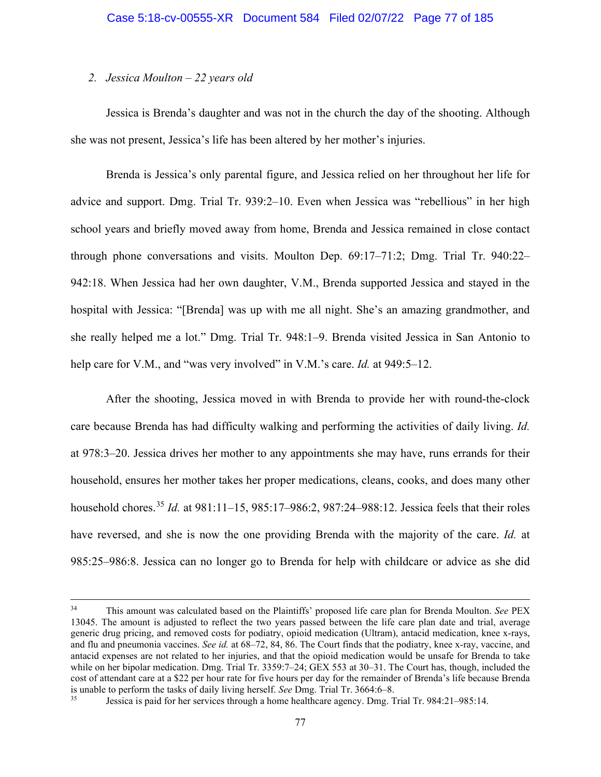## *2. Jessica Moulton – 22 years old*

Jessica is Brenda's daughter and was not in the church the day of the shooting. Although she was not present, Jessica's life has been altered by her mother's injuries.

Brenda is Jessica's only parental figure, and Jessica relied on her throughout her life for advice and support. Dmg. Trial Tr. 939:2–10. Even when Jessica was "rebellious" in her high school years and briefly moved away from home, Brenda and Jessica remained in close contact through phone conversations and visits. Moulton Dep. 69:17–71:2; Dmg. Trial Tr. 940:22– 942:18. When Jessica had her own daughter, V.M., Brenda supported Jessica and stayed in the hospital with Jessica: "[Brenda] was up with me all night. She's an amazing grandmother, and she really helped me a lot." Dmg. Trial Tr. 948:1–9. Brenda visited Jessica in San Antonio to help care for V.M., and "was very involved" in V.M.'s care. *Id.* at 949:5–12.

After the shooting, Jessica moved in with Brenda to provide her with round-the-clock care because Brenda has had difficulty walking and performing the activities of daily living. *Id.* at 978:3–20. Jessica drives her mother to any appointments she may have, runs errands for their household, ensures her mother takes her proper medications, cleans, cooks, and does many other household chores.[35](#page-76-0) *Id.* at 981:11–15, 985:17–986:2, 987:24–988:12. Jessica feels that their roles have reversed, and she is now the one providing Brenda with the majority of the care. *Id.* at 985:25–986:8. Jessica can no longer go to Brenda for help with childcare or advice as she did

<sup>34</sup> This amount was calculated based on the Plaintiffs' proposed life care plan for Brenda Moulton. *See* PEX 13045. The amount is adjusted to reflect the two years passed between the life care plan date and trial, average generic drug pricing, and removed costs for podiatry, opioid medication (Ultram), antacid medication, knee x-rays, and flu and pneumonia vaccines. *See id.* at 68–72, 84, 86. The Court finds that the podiatry, knee x-ray, vaccine, and antacid expenses are not related to her injuries, and that the opioid medication would be unsafe for Brenda to take while on her bipolar medication. Dmg. Trial Tr. 3359:7–24; GEX 553 at 30–31. The Court has, though, included the cost of attendant care at a \$22 per hour rate for five hours per day for the remainder of Brenda's life because Brenda is unable to perform the tasks of daily living herself. *See* Dmg. Trial Tr. 3664:6–8.

<span id="page-76-0"></span><sup>35</sup> Jessica is paid for her services through a home healthcare agency. Dmg. Trial Tr. 984:21–985:14.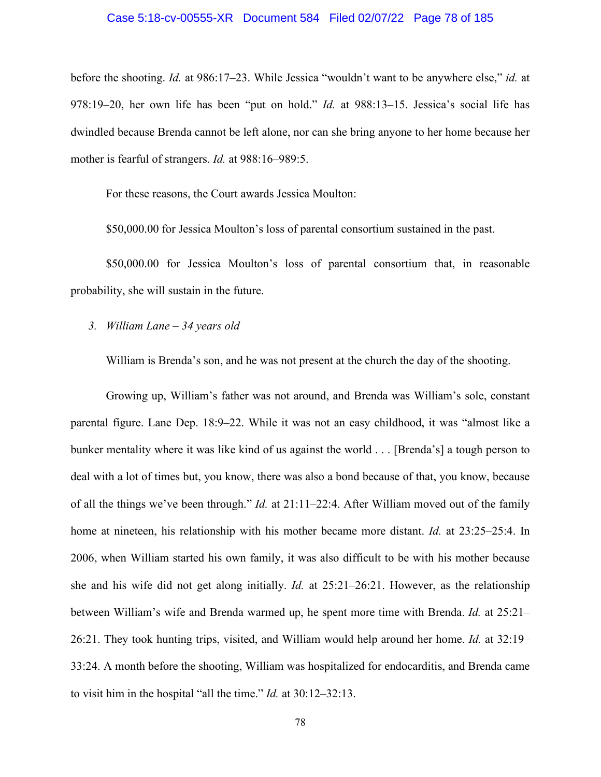### Case 5:18-cv-00555-XR Document 584 Filed 02/07/22 Page 78 of 185

before the shooting. *Id.* at 986:17–23. While Jessica "wouldn't want to be anywhere else," *id.* at 978:19–20, her own life has been "put on hold." *Id.* at 988:13–15. Jessica's social life has dwindled because Brenda cannot be left alone, nor can she bring anyone to her home because her mother is fearful of strangers. *Id.* at 988:16–989:5.

For these reasons, the Court awards Jessica Moulton:

\$50,000.00 for Jessica Moulton's loss of parental consortium sustained in the past.

\$50,000.00 for Jessica Moulton's loss of parental consortium that, in reasonable probability, she will sustain in the future.

*3. William Lane – 34 years old* 

William is Brenda's son, and he was not present at the church the day of the shooting.

Growing up, William's father was not around, and Brenda was William's sole, constant parental figure. Lane Dep. 18:9–22. While it was not an easy childhood, it was "almost like a bunker mentality where it was like kind of us against the world . . . [Brenda's] a tough person to deal with a lot of times but, you know, there was also a bond because of that, you know, because of all the things we've been through." *Id.* at 21:11–22:4. After William moved out of the family home at nineteen, his relationship with his mother became more distant. *Id.* at 23:25–25:4. In 2006, when William started his own family, it was also difficult to be with his mother because she and his wife did not get along initially. *Id.* at 25:21–26:21. However, as the relationship between William's wife and Brenda warmed up, he spent more time with Brenda. *Id.* at 25:21– 26:21. They took hunting trips, visited, and William would help around her home. *Id.* at 32:19– 33:24. A month before the shooting, William was hospitalized for endocarditis, and Brenda came to visit him in the hospital "all the time." *Id.* at 30:12–32:13.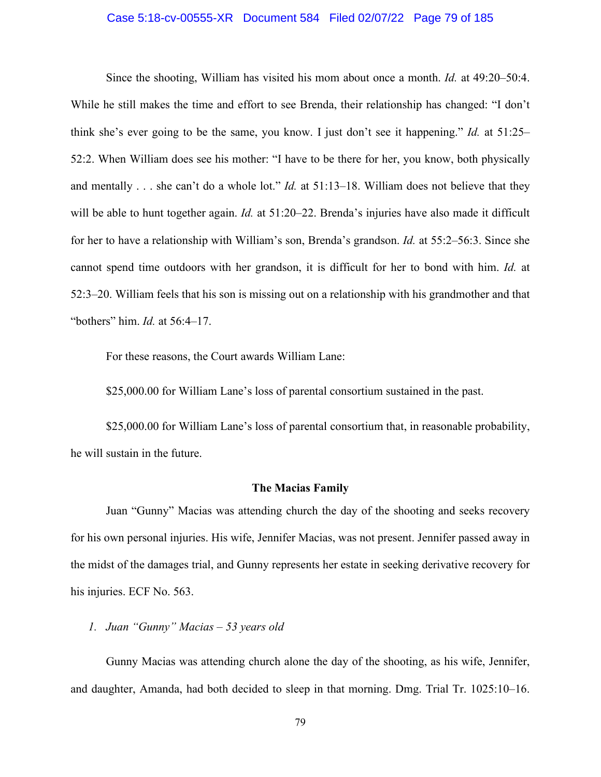### Case 5:18-cv-00555-XR Document 584 Filed 02/07/22 Page 79 of 185

Since the shooting, William has visited his mom about once a month. *Id.* at 49:20–50:4. While he still makes the time and effort to see Brenda, their relationship has changed: "I don't think she's ever going to be the same, you know. I just don't see it happening." *Id.* at 51:25– 52:2. When William does see his mother: "I have to be there for her, you know, both physically and mentally . . . she can't do a whole lot." *Id.* at 51:13–18. William does not believe that they will be able to hunt together again. *Id.* at 51:20–22. Brenda's injuries have also made it difficult for her to have a relationship with William's son, Brenda's grandson. *Id.* at 55:2–56:3. Since she cannot spend time outdoors with her grandson, it is difficult for her to bond with him. *Id.* at 52:3–20. William feels that his son is missing out on a relationship with his grandmother and that "bothers" him. *Id.* at 56:4–17.

For these reasons, the Court awards William Lane:

\$25,000.00 for William Lane's loss of parental consortium sustained in the past.

\$25,000.00 for William Lane's loss of parental consortium that, in reasonable probability, he will sustain in the future.

## **The Macias Family**

Juan "Gunny" Macias was attending church the day of the shooting and seeks recovery for his own personal injuries. His wife, Jennifer Macias, was not present. Jennifer passed away in the midst of the damages trial, and Gunny represents her estate in seeking derivative recovery for his injuries. ECF No. 563.

# *1. Juan "Gunny" Macias – 53 years old*

Gunny Macias was attending church alone the day of the shooting, as his wife, Jennifer, and daughter, Amanda, had both decided to sleep in that morning. Dmg. Trial Tr. 1025:10–16.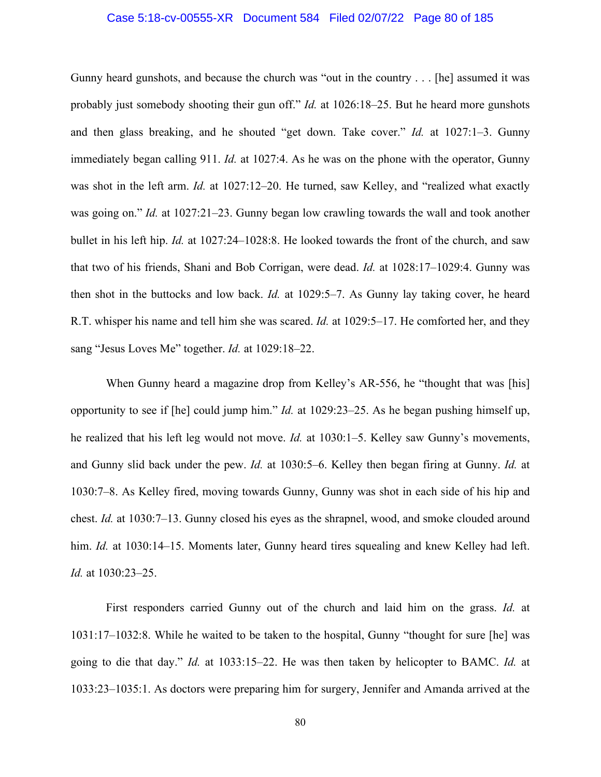### Case 5:18-cv-00555-XR Document 584 Filed 02/07/22 Page 80 of 185

Gunny heard gunshots, and because the church was "out in the country . . . [he] assumed it was probably just somebody shooting their gun off." *Id.* at 1026:18–25. But he heard more gunshots and then glass breaking, and he shouted "get down. Take cover." *Id.* at 1027:1–3. Gunny immediately began calling 911. *Id.* at 1027:4. As he was on the phone with the operator, Gunny was shot in the left arm. *Id.* at 1027:12–20. He turned, saw Kelley, and "realized what exactly was going on." *Id.* at 1027:21–23. Gunny began low crawling towards the wall and took another bullet in his left hip. *Id.* at 1027:24–1028:8. He looked towards the front of the church, and saw that two of his friends, Shani and Bob Corrigan, were dead. *Id.* at 1028:17–1029:4. Gunny was then shot in the buttocks and low back. *Id.* at 1029:5–7. As Gunny lay taking cover, he heard R.T. whisper his name and tell him she was scared. *Id.* at 1029:5–17. He comforted her, and they sang "Jesus Loves Me" together. *Id.* at 1029:18–22.

When Gunny heard a magazine drop from Kelley's AR-556, he "thought that was [his] opportunity to see if [he] could jump him." *Id.* at 1029:23–25. As he began pushing himself up, he realized that his left leg would not move. *Id.* at 1030:1–5. Kelley saw Gunny's movements, and Gunny slid back under the pew. *Id.* at 1030:5–6. Kelley then began firing at Gunny. *Id.* at 1030:7–8. As Kelley fired, moving towards Gunny, Gunny was shot in each side of his hip and chest. *Id.* at 1030:7–13. Gunny closed his eyes as the shrapnel, wood, and smoke clouded around him. *Id.* at 1030:14–15. Moments later, Gunny heard tires squealing and knew Kelley had left. *Id.* at 1030:23–25.

First responders carried Gunny out of the church and laid him on the grass. *Id.* at 1031:17–1032:8. While he waited to be taken to the hospital, Gunny "thought for sure [he] was going to die that day." *Id.* at 1033:15–22. He was then taken by helicopter to BAMC. *Id.* at 1033:23–1035:1. As doctors were preparing him for surgery, Jennifer and Amanda arrived at the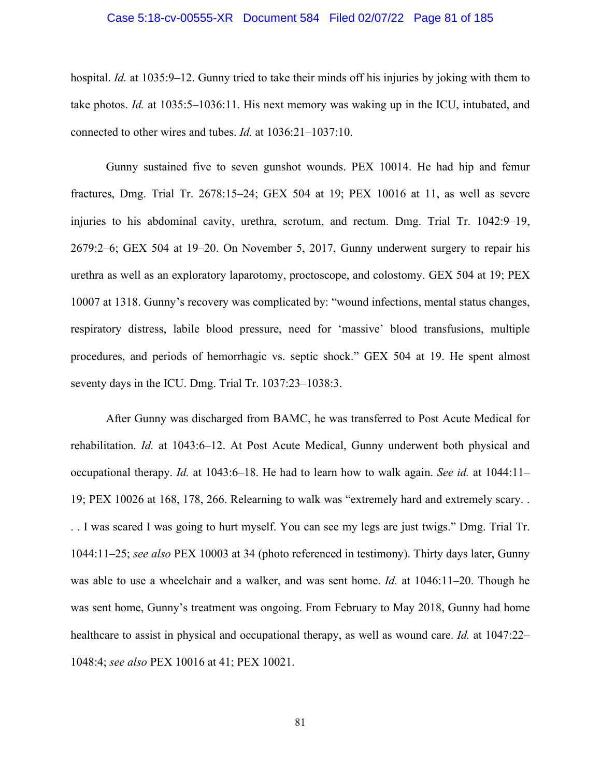### Case 5:18-cv-00555-XR Document 584 Filed 02/07/22 Page 81 of 185

hospital. *Id.* at 1035:9–12. Gunny tried to take their minds off his injuries by joking with them to take photos. *Id.* at 1035:5–1036:11. His next memory was waking up in the ICU, intubated, and connected to other wires and tubes. *Id.* at 1036:21–1037:10.

Gunny sustained five to seven gunshot wounds. PEX 10014. He had hip and femur fractures, Dmg. Trial Tr. 2678:15–24; GEX 504 at 19; PEX 10016 at 11, as well as severe injuries to his abdominal cavity, urethra, scrotum, and rectum. Dmg. Trial Tr. 1042:9–19, 2679:2–6; GEX 504 at 19–20. On November 5, 2017, Gunny underwent surgery to repair his urethra as well as an exploratory laparotomy, proctoscope, and colostomy. GEX 504 at 19; PEX 10007 at 1318. Gunny's recovery was complicated by: "wound infections, mental status changes, respiratory distress, labile blood pressure, need for 'massive' blood transfusions, multiple procedures, and periods of hemorrhagic vs. septic shock." GEX 504 at 19. He spent almost seventy days in the ICU. Dmg. Trial Tr. 1037:23–1038:3.

After Gunny was discharged from BAMC, he was transferred to Post Acute Medical for rehabilitation. *Id.* at 1043:6–12. At Post Acute Medical, Gunny underwent both physical and occupational therapy. *Id.* at 1043:6–18. He had to learn how to walk again. *See id.* at 1044:11– 19; PEX 10026 at 168, 178, 266. Relearning to walk was "extremely hard and extremely scary. . . . I was scared I was going to hurt myself. You can see my legs are just twigs." Dmg. Trial Tr. 1044:11–25; *see also* PEX 10003 at 34 (photo referenced in testimony). Thirty days later, Gunny was able to use a wheelchair and a walker, and was sent home. *Id.* at 1046:11–20. Though he was sent home, Gunny's treatment was ongoing. From February to May 2018, Gunny had home healthcare to assist in physical and occupational therapy, as well as wound care. *Id.* at 1047:22– 1048:4; *see also* PEX 10016 at 41; PEX 10021.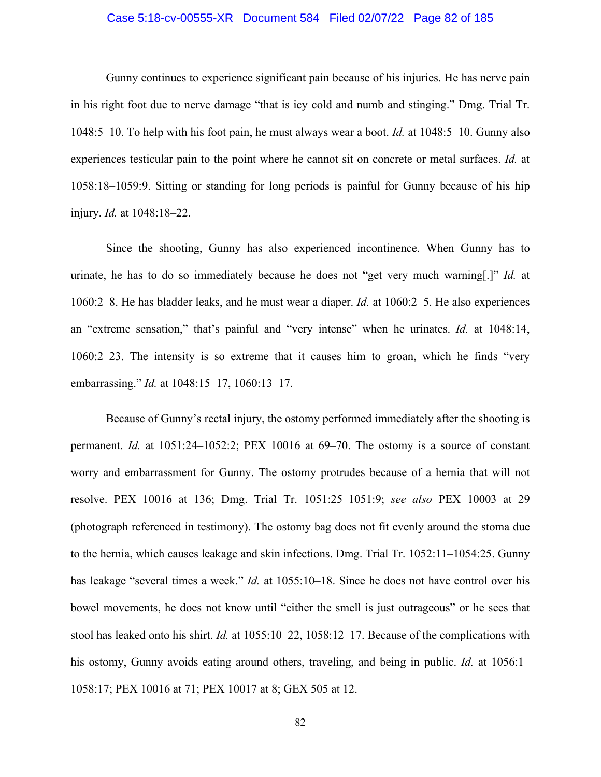### Case 5:18-cv-00555-XR Document 584 Filed 02/07/22 Page 82 of 185

Gunny continues to experience significant pain because of his injuries. He has nerve pain in his right foot due to nerve damage "that is icy cold and numb and stinging." Dmg. Trial Tr. 1048:5–10. To help with his foot pain, he must always wear a boot. *Id.* at 1048:5–10. Gunny also experiences testicular pain to the point where he cannot sit on concrete or metal surfaces. *Id.* at 1058:18–1059:9. Sitting or standing for long periods is painful for Gunny because of his hip injury. *Id.* at 1048:18–22.

Since the shooting, Gunny has also experienced incontinence. When Gunny has to urinate, he has to do so immediately because he does not "get very much warning[.]" *Id.* at 1060:2–8. He has bladder leaks, and he must wear a diaper. *Id.* at 1060:2–5. He also experiences an "extreme sensation," that's painful and "very intense" when he urinates. *Id.* at 1048:14, 1060:2–23. The intensity is so extreme that it causes him to groan, which he finds "very embarrassing." *Id.* at 1048:15–17, 1060:13–17.

Because of Gunny's rectal injury, the ostomy performed immediately after the shooting is permanent. *Id.* at 1051:24–1052:2; PEX 10016 at 69–70. The ostomy is a source of constant worry and embarrassment for Gunny. The ostomy protrudes because of a hernia that will not resolve. PEX 10016 at 136; Dmg. Trial Tr. 1051:25–1051:9; *see also* PEX 10003 at 29 (photograph referenced in testimony). The ostomy bag does not fit evenly around the stoma due to the hernia, which causes leakage and skin infections. Dmg. Trial Tr. 1052:11–1054:25. Gunny has leakage "several times a week." *Id.* at 1055:10–18. Since he does not have control over his bowel movements, he does not know until "either the smell is just outrageous" or he sees that stool has leaked onto his shirt. *Id.* at 1055:10–22, 1058:12–17. Because of the complications with his ostomy, Gunny avoids eating around others, traveling, and being in public. *Id.* at 1056:1– 1058:17; PEX 10016 at 71; PEX 10017 at 8; GEX 505 at 12.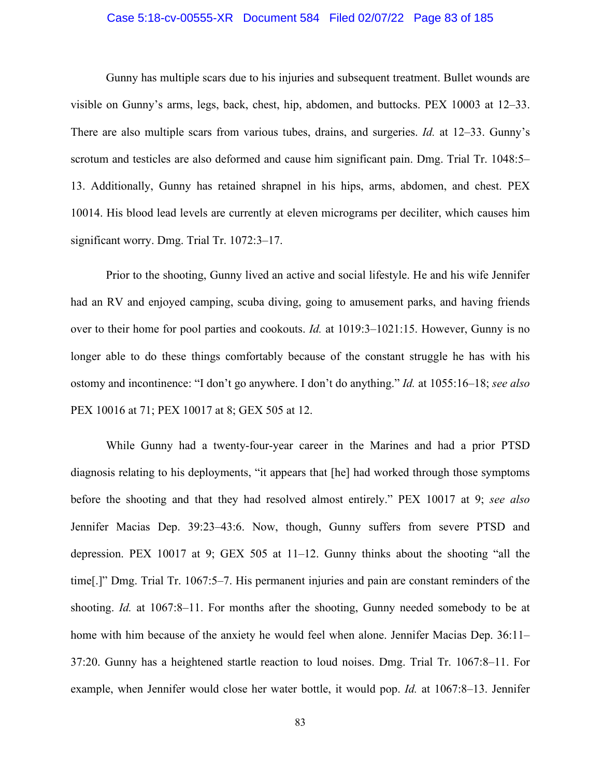### Case 5:18-cv-00555-XR Document 584 Filed 02/07/22 Page 83 of 185

Gunny has multiple scars due to his injuries and subsequent treatment. Bullet wounds are visible on Gunny's arms, legs, back, chest, hip, abdomen, and buttocks. PEX 10003 at 12–33. There are also multiple scars from various tubes, drains, and surgeries. *Id.* at 12–33. Gunny's scrotum and testicles are also deformed and cause him significant pain. Dmg. Trial Tr. 1048:5– 13. Additionally, Gunny has retained shrapnel in his hips, arms, abdomen, and chest. PEX 10014. His blood lead levels are currently at eleven micrograms per deciliter, which causes him significant worry. Dmg. Trial Tr. 1072:3–17.

Prior to the shooting, Gunny lived an active and social lifestyle. He and his wife Jennifer had an RV and enjoyed camping, scuba diving, going to amusement parks, and having friends over to their home for pool parties and cookouts. *Id.* at 1019:3–1021:15. However, Gunny is no longer able to do these things comfortably because of the constant struggle he has with his ostomy and incontinence: "I don't go anywhere. I don't do anything." *Id.* at 1055:16–18; *see also* PEX 10016 at 71; PEX 10017 at 8; GEX 505 at 12.

While Gunny had a twenty-four-year career in the Marines and had a prior PTSD diagnosis relating to his deployments, "it appears that [he] had worked through those symptoms before the shooting and that they had resolved almost entirely." PEX 10017 at 9; *see also*  Jennifer Macias Dep. 39:23–43:6. Now, though, Gunny suffers from severe PTSD and depression. PEX 10017 at 9; GEX 505 at 11–12. Gunny thinks about the shooting "all the time[.]" Dmg. Trial Tr. 1067:5–7. His permanent injuries and pain are constant reminders of the shooting. *Id.* at 1067:8–11. For months after the shooting, Gunny needed somebody to be at home with him because of the anxiety he would feel when alone. Jennifer Macias Dep. 36:11– 37:20. Gunny has a heightened startle reaction to loud noises. Dmg. Trial Tr. 1067:8–11. For example, when Jennifer would close her water bottle, it would pop. *Id.* at 1067:8–13. Jennifer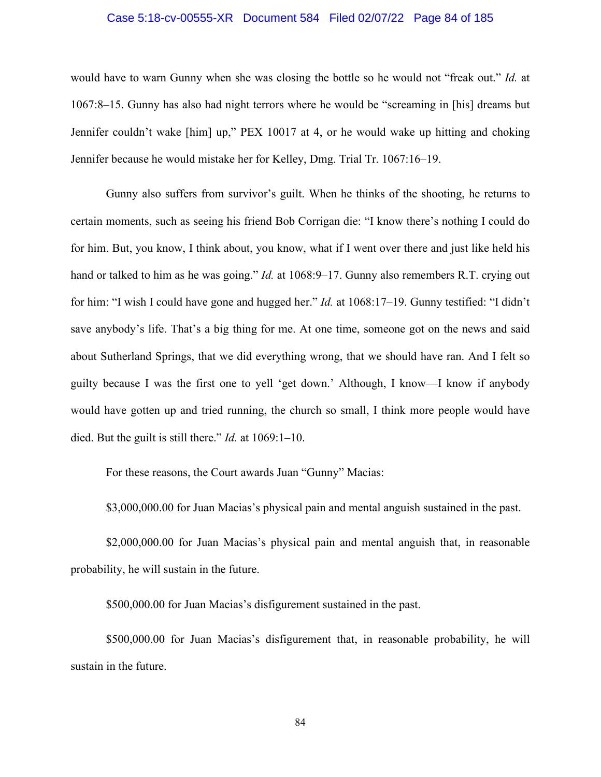### Case 5:18-cv-00555-XR Document 584 Filed 02/07/22 Page 84 of 185

would have to warn Gunny when she was closing the bottle so he would not "freak out." *Id.* at 1067:8–15. Gunny has also had night terrors where he would be "screaming in [his] dreams but Jennifer couldn't wake [him] up," PEX 10017 at 4, or he would wake up hitting and choking Jennifer because he would mistake her for Kelley, Dmg. Trial Tr. 1067:16–19.

Gunny also suffers from survivor's guilt. When he thinks of the shooting, he returns to certain moments, such as seeing his friend Bob Corrigan die: "I know there's nothing I could do for him. But, you know, I think about, you know, what if I went over there and just like held his hand or talked to him as he was going." *Id.* at 1068:9–17. Gunny also remembers R.T. crying out for him: "I wish I could have gone and hugged her." *Id.* at 1068:17–19. Gunny testified: "I didn't save anybody's life. That's a big thing for me. At one time, someone got on the news and said about Sutherland Springs, that we did everything wrong, that we should have ran. And I felt so guilty because I was the first one to yell 'get down.' Although, I know—I know if anybody would have gotten up and tried running, the church so small, I think more people would have died. But the guilt is still there." *Id.* at 1069:1–10.

For these reasons, the Court awards Juan "Gunny" Macias:

\$3,000,000.00 for Juan Macias's physical pain and mental anguish sustained in the past.

\$2,000,000.00 for Juan Macias's physical pain and mental anguish that, in reasonable probability, he will sustain in the future.

\$500,000.00 for Juan Macias's disfigurement sustained in the past.

\$500,000.00 for Juan Macias's disfigurement that, in reasonable probability, he will sustain in the future.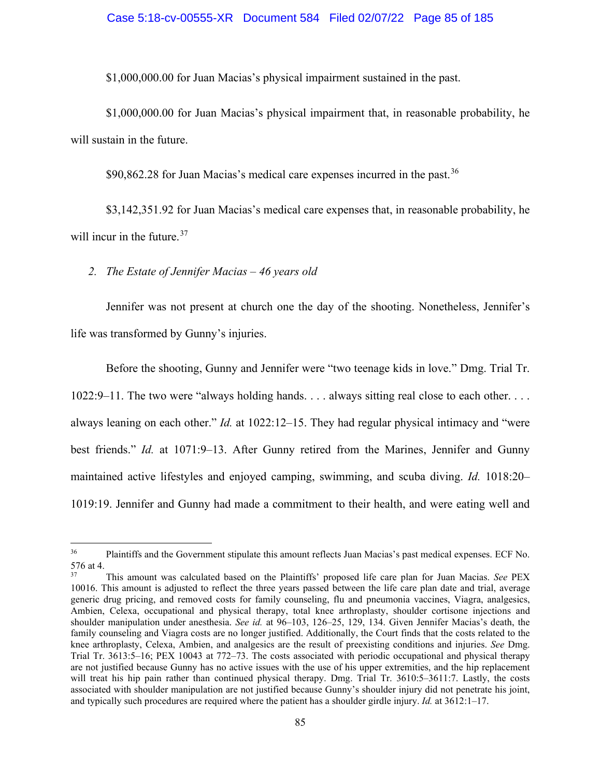\$1,000,000.00 for Juan Macias's physical impairment sustained in the past.

\$1,000,000.00 for Juan Macias's physical impairment that, in reasonable probability, he will sustain in the future.

 $$90,862.28$  for Juan Macias's medical care expenses incurred in the past.<sup>[36](#page-84-0)</sup>

\$3,142,351.92 for Juan Macias's medical care expenses that, in reasonable probability, he will incur in the future.<sup>[37](#page-84-1)</sup>

*2. The Estate of Jennifer Macias – 46 years old*

Jennifer was not present at church one the day of the shooting. Nonetheless, Jennifer's life was transformed by Gunny's injuries.

Before the shooting, Gunny and Jennifer were "two teenage kids in love." Dmg. Trial Tr. 1022:9–11. The two were "always holding hands. . . . always sitting real close to each other. . . . always leaning on each other." *Id.* at 1022:12–15. They had regular physical intimacy and "were best friends." *Id.* at 1071:9–13. After Gunny retired from the Marines, Jennifer and Gunny maintained active lifestyles and enjoyed camping, swimming, and scuba diving. *Id.* 1018:20– 1019:19. Jennifer and Gunny had made a commitment to their health, and were eating well and

<span id="page-84-0"></span><sup>&</sup>lt;sup>36</sup> Plaintiffs and the Government stipulate this amount reflects Juan Macias's past medical expenses. ECF No. 576 at 4.

<span id="page-84-1"></span><sup>37</sup> This amount was calculated based on the Plaintiffs' proposed life care plan for Juan Macias. *See* PEX 10016. This amount is adjusted to reflect the three years passed between the life care plan date and trial, average generic drug pricing, and removed costs for family counseling, flu and pneumonia vaccines, Viagra, analgesics, Ambien, Celexa, occupational and physical therapy, total knee arthroplasty, shoulder cortisone injections and shoulder manipulation under anesthesia. *See id.* at 96–103, 126–25, 129, 134. Given Jennifer Macias's death, the family counseling and Viagra costs are no longer justified. Additionally, the Court finds that the costs related to the knee arthroplasty, Celexa, Ambien, and analgesics are the result of preexisting conditions and injuries. *See* Dmg. Trial Tr. 3613:5–16; PEX 10043 at 772–73. The costs associated with periodic occupational and physical therapy are not justified because Gunny has no active issues with the use of his upper extremities, and the hip replacement will treat his hip pain rather than continued physical therapy. Dmg. Trial Tr. 3610:5–3611:7. Lastly, the costs associated with shoulder manipulation are not justified because Gunny's shoulder injury did not penetrate his joint, and typically such procedures are required where the patient has a shoulder girdle injury. *Id.* at 3612:1–17.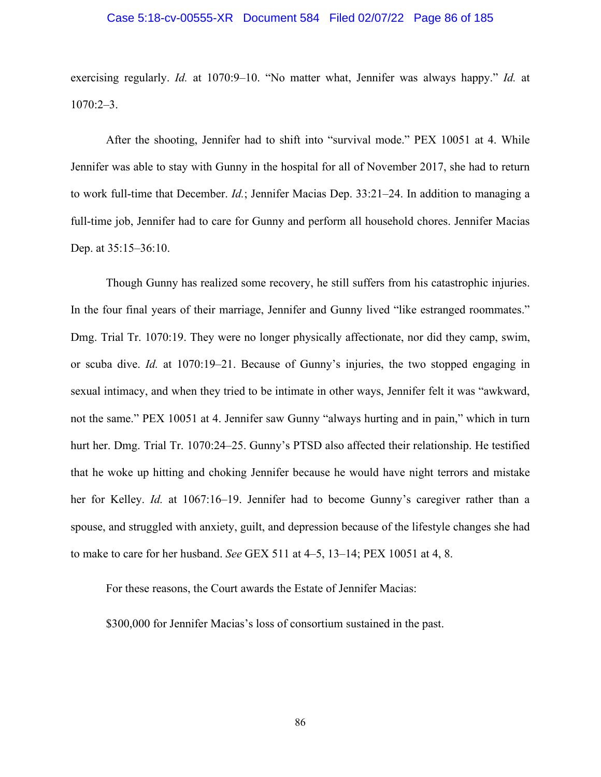### Case 5:18-cv-00555-XR Document 584 Filed 02/07/22 Page 86 of 185

exercising regularly. *Id.* at 1070:9–10. "No matter what, Jennifer was always happy." *Id.* at 1070:2–3.

After the shooting, Jennifer had to shift into "survival mode." PEX 10051 at 4. While Jennifer was able to stay with Gunny in the hospital for all of November 2017, she had to return to work full-time that December. *Id.*; Jennifer Macias Dep. 33:21–24. In addition to managing a full-time job, Jennifer had to care for Gunny and perform all household chores. Jennifer Macias Dep. at 35:15–36:10.

Though Gunny has realized some recovery, he still suffers from his catastrophic injuries. In the four final years of their marriage, Jennifer and Gunny lived "like estranged roommates." Dmg. Trial Tr. 1070:19. They were no longer physically affectionate, nor did they camp, swim, or scuba dive. *Id.* at 1070:19–21. Because of Gunny's injuries, the two stopped engaging in sexual intimacy, and when they tried to be intimate in other ways, Jennifer felt it was "awkward, not the same." PEX 10051 at 4. Jennifer saw Gunny "always hurting and in pain," which in turn hurt her. Dmg. Trial Tr. 1070:24–25. Gunny's PTSD also affected their relationship. He testified that he woke up hitting and choking Jennifer because he would have night terrors and mistake her for Kelley. *Id.* at 1067:16–19. Jennifer had to become Gunny's caregiver rather than a spouse, and struggled with anxiety, guilt, and depression because of the lifestyle changes she had to make to care for her husband. *See* GEX 511 at 4–5, 13–14; PEX 10051 at 4, 8.

For these reasons, the Court awards the Estate of Jennifer Macias:

\$300,000 for Jennifer Macias's loss of consortium sustained in the past.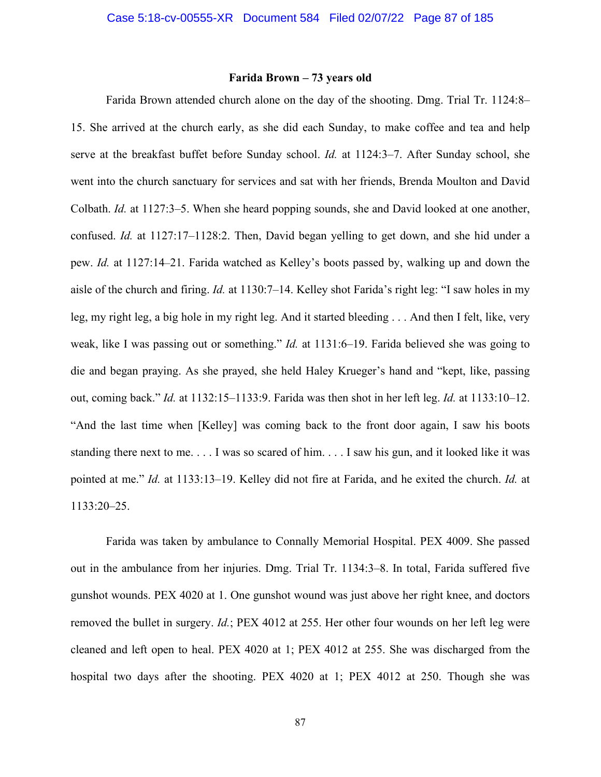## **Farida Brown – 73 years old**

Farida Brown attended church alone on the day of the shooting. Dmg. Trial Tr. 1124:8– 15. She arrived at the church early, as she did each Sunday, to make coffee and tea and help serve at the breakfast buffet before Sunday school. *Id.* at 1124:3–7. After Sunday school, she went into the church sanctuary for services and sat with her friends, Brenda Moulton and David Colbath. *Id.* at 1127:3–5. When she heard popping sounds, she and David looked at one another, confused. *Id.* at 1127:17–1128:2. Then, David began yelling to get down, and she hid under a pew. *Id.* at 1127:14–21. Farida watched as Kelley's boots passed by, walking up and down the aisle of the church and firing. *Id.* at 1130:7–14. Kelley shot Farida's right leg: "I saw holes in my leg, my right leg, a big hole in my right leg. And it started bleeding . . . And then I felt, like, very weak, like I was passing out or something." *Id.* at 1131:6–19. Farida believed she was going to die and began praying. As she prayed, she held Haley Krueger's hand and "kept, like, passing out, coming back." *Id.* at 1132:15–1133:9. Farida was then shot in her left leg. *Id.* at 1133:10–12. "And the last time when [Kelley] was coming back to the front door again, I saw his boots standing there next to me. . . . I was so scared of him. . . . I saw his gun, and it looked like it was pointed at me." *Id.* at 1133:13–19. Kelley did not fire at Farida, and he exited the church. *Id.* at 1133:20–25.

Farida was taken by ambulance to Connally Memorial Hospital. PEX 4009. She passed out in the ambulance from her injuries. Dmg. Trial Tr. 1134:3–8. In total, Farida suffered five gunshot wounds. PEX 4020 at 1. One gunshot wound was just above her right knee, and doctors removed the bullet in surgery. *Id.*; PEX 4012 at 255. Her other four wounds on her left leg were cleaned and left open to heal. PEX 4020 at 1; PEX 4012 at 255. She was discharged from the hospital two days after the shooting. PEX 4020 at 1; PEX 4012 at 250. Though she was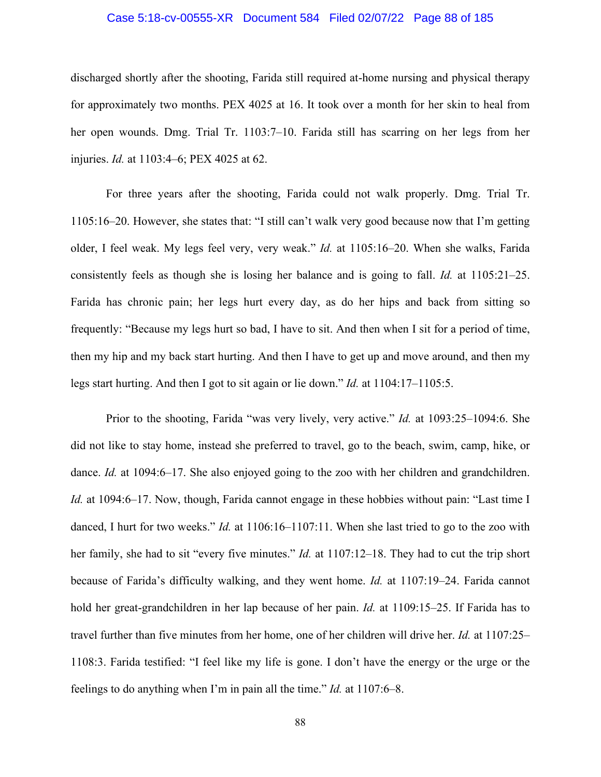### Case 5:18-cv-00555-XR Document 584 Filed 02/07/22 Page 88 of 185

discharged shortly after the shooting, Farida still required at-home nursing and physical therapy for approximately two months. PEX 4025 at 16. It took over a month for her skin to heal from her open wounds. Dmg. Trial Tr. 1103:7–10. Farida still has scarring on her legs from her injuries. *Id.* at 1103:4–6; PEX 4025 at 62.

For three years after the shooting, Farida could not walk properly. Dmg. Trial Tr. 1105:16–20. However, she states that: "I still can't walk very good because now that I'm getting older, I feel weak. My legs feel very, very weak." *Id.* at 1105:16–20. When she walks, Farida consistently feels as though she is losing her balance and is going to fall. *Id.* at 1105:21–25. Farida has chronic pain; her legs hurt every day, as do her hips and back from sitting so frequently: "Because my legs hurt so bad, I have to sit. And then when I sit for a period of time, then my hip and my back start hurting. And then I have to get up and move around, and then my legs start hurting. And then I got to sit again or lie down." *Id.* at 1104:17–1105:5.

Prior to the shooting, Farida "was very lively, very active." *Id.* at 1093:25–1094:6. She did not like to stay home, instead she preferred to travel, go to the beach, swim, camp, hike, or dance. *Id.* at 1094:6–17. She also enjoyed going to the zoo with her children and grandchildren. *Id.* at 1094:6–17. Now, though, Farida cannot engage in these hobbies without pain: "Last time I danced, I hurt for two weeks." *Id.* at 1106:16–1107:11. When she last tried to go to the zoo with her family, she had to sit "every five minutes." *Id.* at 1107:12–18. They had to cut the trip short because of Farida's difficulty walking, and they went home. *Id.* at 1107:19–24. Farida cannot hold her great-grandchildren in her lap because of her pain. *Id.* at 1109:15–25. If Farida has to travel further than five minutes from her home, one of her children will drive her. *Id.* at 1107:25– 1108:3. Farida testified: "I feel like my life is gone. I don't have the energy or the urge or the feelings to do anything when I'm in pain all the time." *Id.* at 1107:6–8.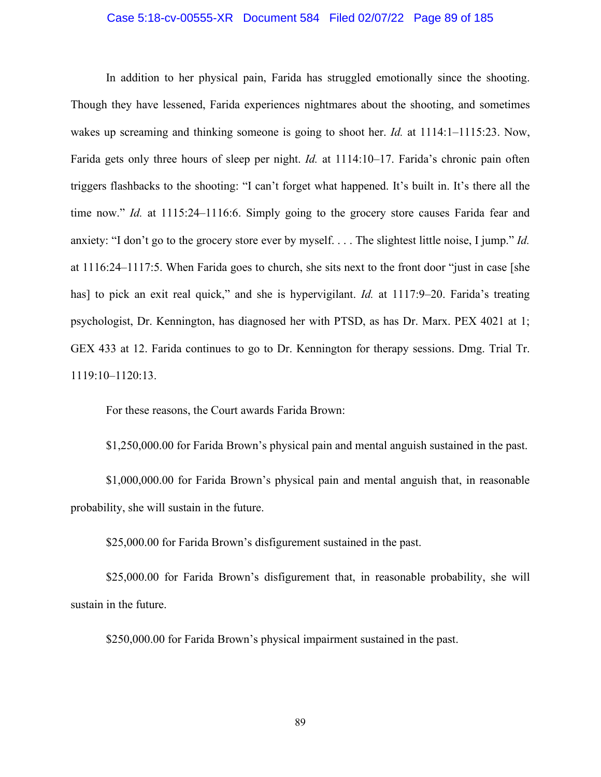### Case 5:18-cv-00555-XR Document 584 Filed 02/07/22 Page 89 of 185

In addition to her physical pain, Farida has struggled emotionally since the shooting. Though they have lessened, Farida experiences nightmares about the shooting, and sometimes wakes up screaming and thinking someone is going to shoot her. *Id.* at 1114:1–1115:23. Now, Farida gets only three hours of sleep per night. *Id.* at 1114:10–17. Farida's chronic pain often triggers flashbacks to the shooting: "I can't forget what happened. It's built in. It's there all the time now." *Id.* at 1115:24–1116:6. Simply going to the grocery store causes Farida fear and anxiety: "I don't go to the grocery store ever by myself. . . . The slightest little noise, I jump." *Id.* at 1116:24–1117:5. When Farida goes to church, she sits next to the front door "just in case [she has] to pick an exit real quick," and she is hypervigilant. *Id.* at 1117:9–20. Farida's treating psychologist, Dr. Kennington, has diagnosed her with PTSD, as has Dr. Marx. PEX 4021 at 1; GEX 433 at 12. Farida continues to go to Dr. Kennington for therapy sessions. Dmg. Trial Tr. 1119:10–1120:13.

For these reasons, the Court awards Farida Brown:

\$1,250,000.00 for Farida Brown's physical pain and mental anguish sustained in the past.

\$1,000,000.00 for Farida Brown's physical pain and mental anguish that, in reasonable probability, she will sustain in the future.

\$25,000.00 for Farida Brown's disfigurement sustained in the past.

\$25,000.00 for Farida Brown's disfigurement that, in reasonable probability, she will sustain in the future.

\$250,000.00 for Farida Brown's physical impairment sustained in the past.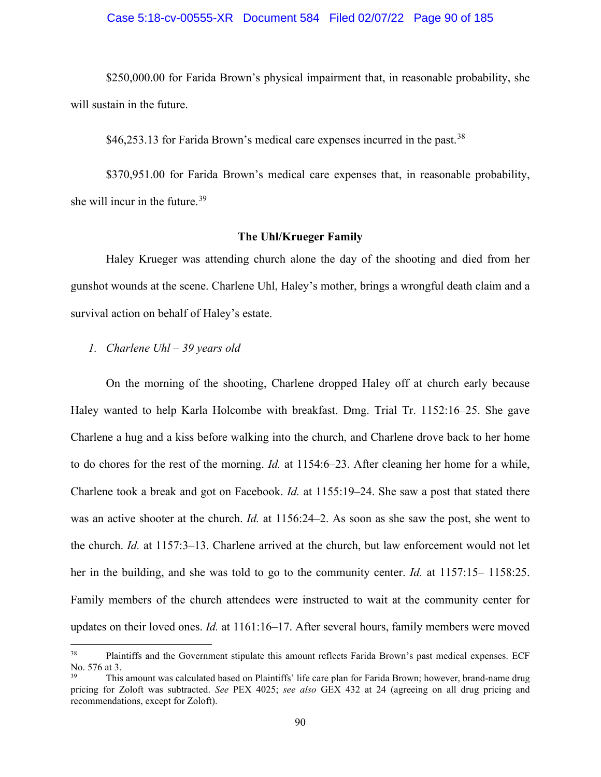### Case 5:18-cv-00555-XR Document 584 Filed 02/07/22 Page 90 of 185

\$250,000.00 for Farida Brown's physical impairment that, in reasonable probability, she will sustain in the future.

 $$46,253.13$  for Farida Brown's medical care expenses incurred in the past.<sup>[38](#page-89-0)</sup>

\$370,951.00 for Farida Brown's medical care expenses that, in reasonable probability, she will incur in the future.<sup>[39](#page-89-1)</sup>

### **The Uhl/Krueger Family**

Haley Krueger was attending church alone the day of the shooting and died from her gunshot wounds at the scene. Charlene Uhl, Haley's mother, brings a wrongful death claim and a survival action on behalf of Haley's estate.

### *1. Charlene Uhl – 39 years old*

On the morning of the shooting, Charlene dropped Haley off at church early because Haley wanted to help Karla Holcombe with breakfast. Dmg. Trial Tr. 1152:16–25. She gave Charlene a hug and a kiss before walking into the church, and Charlene drove back to her home to do chores for the rest of the morning. *Id.* at 1154:6–23. After cleaning her home for a while, Charlene took a break and got on Facebook. *Id.* at 1155:19–24. She saw a post that stated there was an active shooter at the church. *Id.* at 1156:24–2. As soon as she saw the post, she went to the church. *Id.* at 1157:3–13. Charlene arrived at the church, but law enforcement would not let her in the building, and she was told to go to the community center. *Id.* at 1157:15– 1158:25. Family members of the church attendees were instructed to wait at the community center for updates on their loved ones. *Id.* at 1161:16–17. After several hours, family members were moved

<span id="page-89-0"></span><sup>&</sup>lt;sup>38</sup> Plaintiffs and the Government stipulate this amount reflects Farida Brown's past medical expenses. ECF No. 576 at 3.

<span id="page-89-1"></span><sup>39</sup> This amount was calculated based on Plaintiffs' life care plan for Farida Brown; however, brand-name drug pricing for Zoloft was subtracted. *See* PEX 4025; *see also* GEX 432 at 24 (agreeing on all drug pricing and recommendations, except for Zoloft).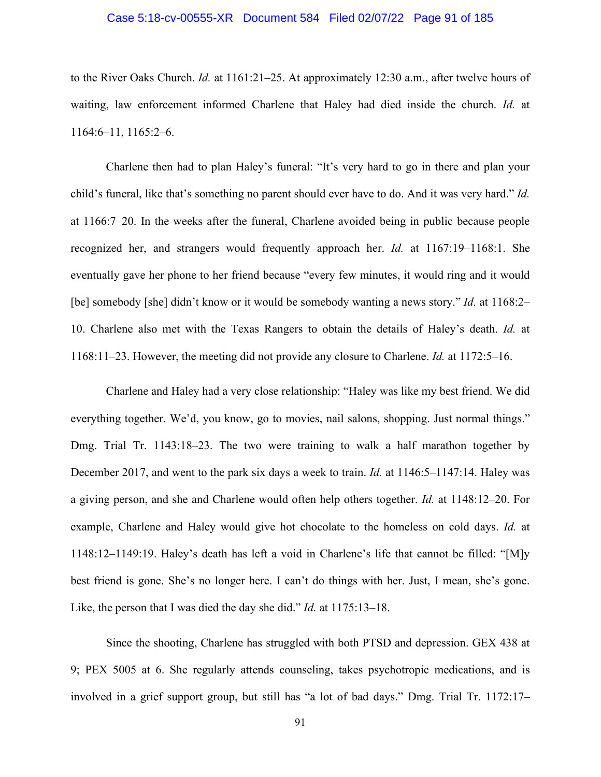### Case 5:18-cv-00555-XR Document 584 Filed 02/07/22 Page 91 of 185

to the River Oaks Church. *Id.* at 1161:21–25. At approximately 12:30 a.m., after twelve hours of waiting, law enforcement informed Charlene that Haley had died inside the church. *Id.* at 1164:6–11, 1165:2–6.

Charlene then had to plan Haley's funeral: "It's very hard to go in there and plan your child's funeral, like that's something no parent should ever have to do. And it was very hard." *Id.* at 1166:7–20. In the weeks after the funeral, Charlene avoided being in public because people recognized her, and strangers would frequently approach her. *Id.* at 1167:19–1168:1. She eventually gave her phone to her friend because "every few minutes, it would ring and it would [be] somebody [she] didn't know or it would be somebody wanting a news story." *Id.* at 1168:2– 10. Charlene also met with the Texas Rangers to obtain the details of Haley's death. *Id.* at 1168:11–23. However, the meeting did not provide any closure to Charlene. *Id.* at 1172:5–16.

Charlene and Haley had a very close relationship: "Haley was like my best friend. We did everything together. We'd, you know, go to movies, nail salons, shopping. Just normal things." Dmg. Trial Tr. 1143:18–23. The two were training to walk a half marathon together by December 2017, and went to the park six days a week to train. *Id.* at 1146:5–1147:14. Haley was a giving person, and she and Charlene would often help others together. *Id.* at 1148:12–20. For example, Charlene and Haley would give hot chocolate to the homeless on cold days. *Id.* at 1148:12–1149:19. Haley's death has left a void in Charlene's life that cannot be filled: "[M]y best friend is gone. She's no longer here. I can't do things with her. Just, I mean, she's gone. Like, the person that I was died the day she did." *Id.* at 1175:13–18.

Since the shooting, Charlene has struggled with both PTSD and depression. GEX 438 at 9; PEX 5005 at 6. She regularly attends counseling, takes psychotropic medications, and is involved in a grief support group, but still has "a lot of bad days." Dmg. Trial Tr. 1172:17–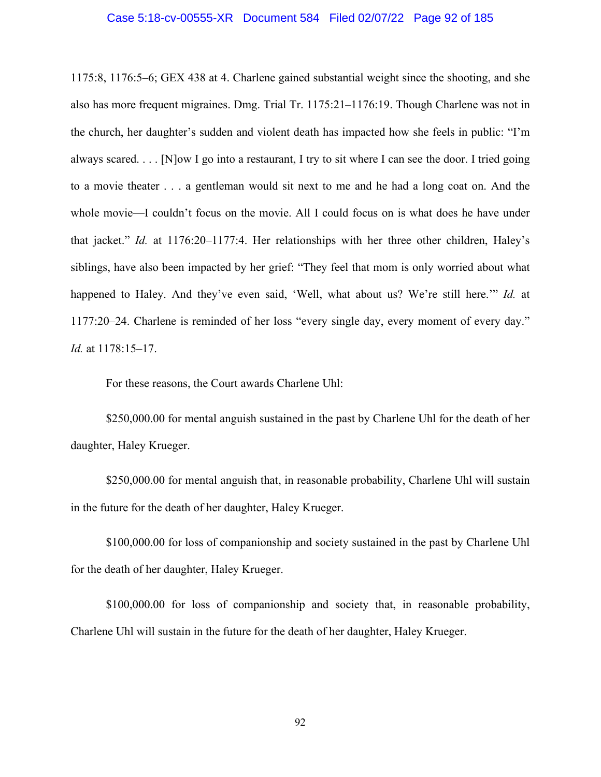#### Case 5:18-cv-00555-XR Document 584 Filed 02/07/22 Page 92 of 185

1175:8, 1176:5–6; GEX 438 at 4. Charlene gained substantial weight since the shooting, and she also has more frequent migraines. Dmg. Trial Tr. 1175:21–1176:19. Though Charlene was not in the church, her daughter's sudden and violent death has impacted how she feels in public: "I'm always scared. . . . [N]ow I go into a restaurant, I try to sit where I can see the door. I tried going to a movie theater . . . a gentleman would sit next to me and he had a long coat on. And the whole movie—I couldn't focus on the movie. All I could focus on is what does he have under that jacket." *Id.* at 1176:20–1177:4. Her relationships with her three other children, Haley's siblings, have also been impacted by her grief: "They feel that mom is only worried about what happened to Haley. And they've even said, 'Well, what about us? We're still here.'" *Id.* at 1177:20–24. Charlene is reminded of her loss "every single day, every moment of every day." *Id.* at 1178:15–17.

For these reasons, the Court awards Charlene Uhl:

\$250,000.00 for mental anguish sustained in the past by Charlene Uhl for the death of her daughter, Haley Krueger.

\$250,000.00 for mental anguish that, in reasonable probability, Charlene Uhl will sustain in the future for the death of her daughter, Haley Krueger.

\$100,000.00 for loss of companionship and society sustained in the past by Charlene Uhl for the death of her daughter, Haley Krueger.

\$100,000.00 for loss of companionship and society that, in reasonable probability, Charlene Uhl will sustain in the future for the death of her daughter, Haley Krueger.

92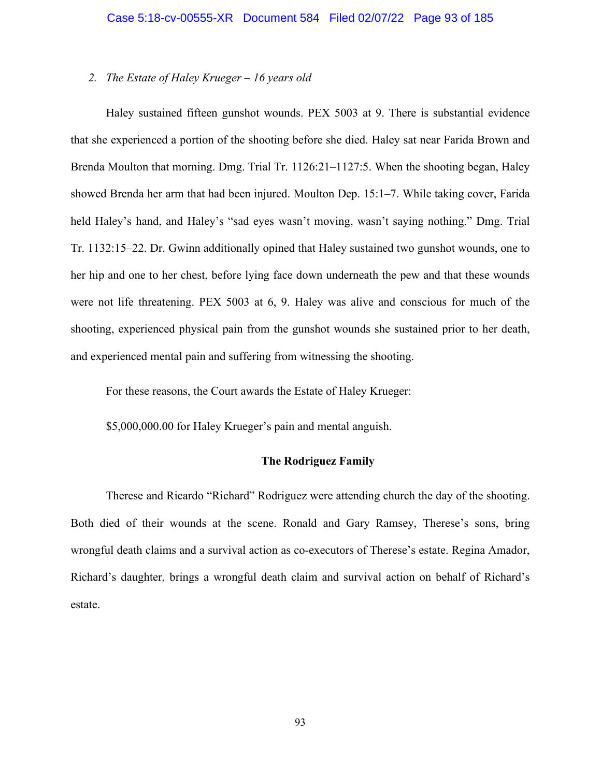### *2. The Estate of Haley Krueger – 16 years old*

Haley sustained fifteen gunshot wounds. PEX 5003 at 9. There is substantial evidence that she experienced a portion of the shooting before she died. Haley sat near Farida Brown and Brenda Moulton that morning. Dmg. Trial Tr. 1126:21–1127:5. When the shooting began, Haley showed Brenda her arm that had been injured. Moulton Dep. 15:1–7. While taking cover, Farida held Haley's hand, and Haley's "sad eyes wasn't moving, wasn't saying nothing." Dmg. Trial Tr. 1132:15–22. Dr. Gwinn additionally opined that Haley sustained two gunshot wounds, one to her hip and one to her chest, before lying face down underneath the pew and that these wounds were not life threatening. PEX 5003 at 6, 9. Haley was alive and conscious for much of the shooting, experienced physical pain from the gunshot wounds she sustained prior to her death, and experienced mental pain and suffering from witnessing the shooting.

For these reasons, the Court awards the Estate of Haley Krueger:

\$5,000,000.00 for Haley Krueger's pain and mental anguish.

### **The Rodriguez Family**

Therese and Ricardo "Richard" Rodriguez were attending church the day of the shooting. Both died of their wounds at the scene. Ronald and Gary Ramsey, Therese's sons, bring wrongful death claims and a survival action as co-executors of Therese's estate. Regina Amador, Richard's daughter, brings a wrongful death claim and survival action on behalf of Richard's estate.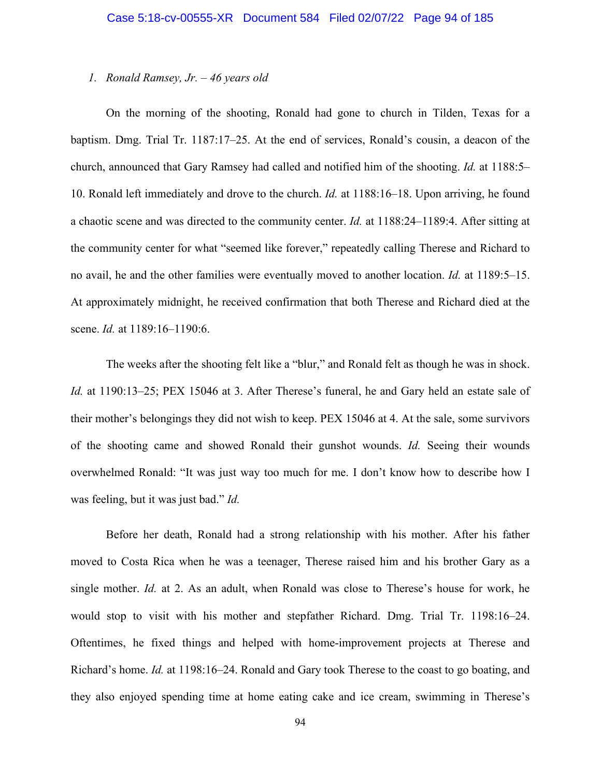### *1. Ronald Ramsey, Jr. – 46 years old*

On the morning of the shooting, Ronald had gone to church in Tilden, Texas for a baptism. Dmg. Trial Tr. 1187:17–25. At the end of services, Ronald's cousin, a deacon of the church, announced that Gary Ramsey had called and notified him of the shooting. *Id.* at 1188:5– 10. Ronald left immediately and drove to the church. *Id.* at 1188:16–18. Upon arriving, he found a chaotic scene and was directed to the community center. *Id.* at 1188:24–1189:4. After sitting at the community center for what "seemed like forever," repeatedly calling Therese and Richard to no avail, he and the other families were eventually moved to another location. *Id.* at 1189:5–15. At approximately midnight, he received confirmation that both Therese and Richard died at the scene. *Id.* at 1189:16–1190:6.

The weeks after the shooting felt like a "blur," and Ronald felt as though he was in shock. *Id.* at 1190:13–25; PEX 15046 at 3. After Therese's funeral, he and Gary held an estate sale of their mother's belongings they did not wish to keep. PEX 15046 at 4. At the sale, some survivors of the shooting came and showed Ronald their gunshot wounds. *Id.* Seeing their wounds overwhelmed Ronald: "It was just way too much for me. I don't know how to describe how I was feeling, but it was just bad." *Id.*

Before her death, Ronald had a strong relationship with his mother. After his father moved to Costa Rica when he was a teenager, Therese raised him and his brother Gary as a single mother. *Id.* at 2. As an adult, when Ronald was close to Therese's house for work, he would stop to visit with his mother and stepfather Richard. Dmg. Trial Tr. 1198:16–24. Oftentimes, he fixed things and helped with home-improvement projects at Therese and Richard's home. *Id.* at 1198:16–24. Ronald and Gary took Therese to the coast to go boating, and they also enjoyed spending time at home eating cake and ice cream, swimming in Therese's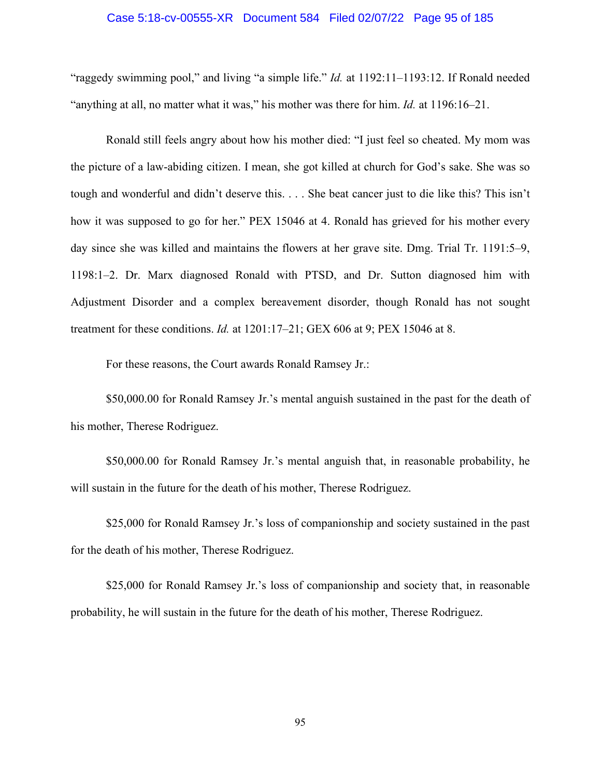#### Case 5:18-cv-00555-XR Document 584 Filed 02/07/22 Page 95 of 185

"raggedy swimming pool," and living "a simple life." *Id.* at 1192:11–1193:12. If Ronald needed "anything at all, no matter what it was," his mother was there for him. *Id.* at 1196:16–21.

Ronald still feels angry about how his mother died: "I just feel so cheated. My mom was the picture of a law-abiding citizen. I mean, she got killed at church for God's sake. She was so tough and wonderful and didn't deserve this. . . . She beat cancer just to die like this? This isn't how it was supposed to go for her." PEX 15046 at 4. Ronald has grieved for his mother every day since she was killed and maintains the flowers at her grave site. Dmg. Trial Tr. 1191:5–9, 1198:1–2. Dr. Marx diagnosed Ronald with PTSD, and Dr. Sutton diagnosed him with Adjustment Disorder and a complex bereavement disorder, though Ronald has not sought treatment for these conditions. *Id.* at 1201:17–21; GEX 606 at 9; PEX 15046 at 8.

For these reasons, the Court awards Ronald Ramsey Jr.:

\$50,000.00 for Ronald Ramsey Jr.'s mental anguish sustained in the past for the death of his mother, Therese Rodriguez.

\$50,000.00 for Ronald Ramsey Jr.'s mental anguish that, in reasonable probability, he will sustain in the future for the death of his mother, Therese Rodriguez.

\$25,000 for Ronald Ramsey Jr.'s loss of companionship and society sustained in the past for the death of his mother, Therese Rodriguez.

\$25,000 for Ronald Ramsey Jr.'s loss of companionship and society that, in reasonable probability, he will sustain in the future for the death of his mother, Therese Rodriguez.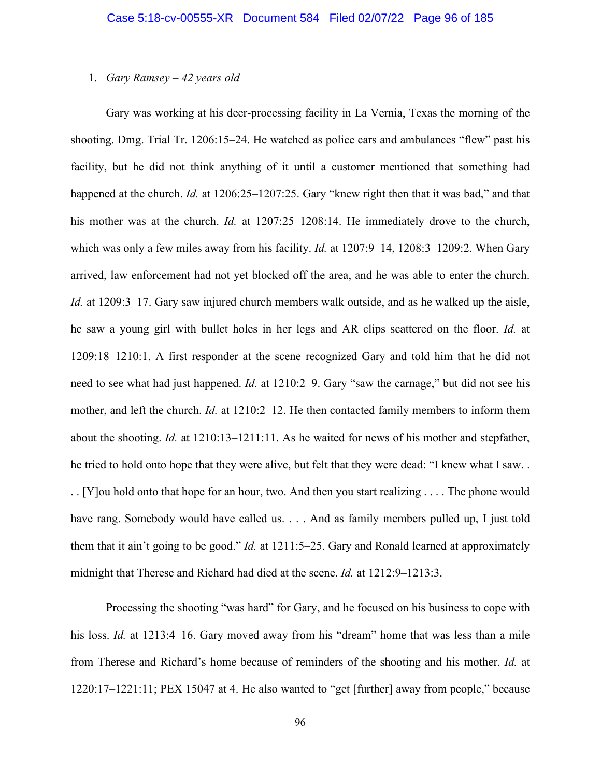### 1. *Gary Ramsey – 42 years old*

Gary was working at his deer-processing facility in La Vernia, Texas the morning of the shooting. Dmg. Trial Tr. 1206:15–24. He watched as police cars and ambulances "flew" past his facility, but he did not think anything of it until a customer mentioned that something had happened at the church. *Id.* at 1206:25–1207:25. Gary "knew right then that it was bad," and that his mother was at the church. *Id.* at 1207:25–1208:14. He immediately drove to the church, which was only a few miles away from his facility. *Id.* at 1207:9–14, 1208:3–1209:2. When Gary arrived, law enforcement had not yet blocked off the area, and he was able to enter the church. *Id.* at 1209:3–17. Gary saw injured church members walk outside, and as he walked up the aisle, he saw a young girl with bullet holes in her legs and AR clips scattered on the floor. *Id.* at 1209:18–1210:1. A first responder at the scene recognized Gary and told him that he did not need to see what had just happened. *Id.* at 1210:2–9. Gary "saw the carnage," but did not see his mother, and left the church. *Id.* at 1210:2–12. He then contacted family members to inform them about the shooting. *Id.* at 1210:13–1211:11. As he waited for news of his mother and stepfather, he tried to hold onto hope that they were alive, but felt that they were dead: "I knew what I saw. . . . [Y]ou hold onto that hope for an hour, two. And then you start realizing . . . . The phone would have rang. Somebody would have called us. . . . And as family members pulled up, I just told them that it ain't going to be good." *Id.* at 1211:5–25. Gary and Ronald learned at approximately midnight that Therese and Richard had died at the scene. *Id.* at 1212:9–1213:3.

Processing the shooting "was hard" for Gary, and he focused on his business to cope with his loss. *Id.* at 1213:4–16. Gary moved away from his "dream" home that was less than a mile from Therese and Richard's home because of reminders of the shooting and his mother. *Id.* at 1220:17–1221:11; PEX 15047 at 4. He also wanted to "get [further] away from people," because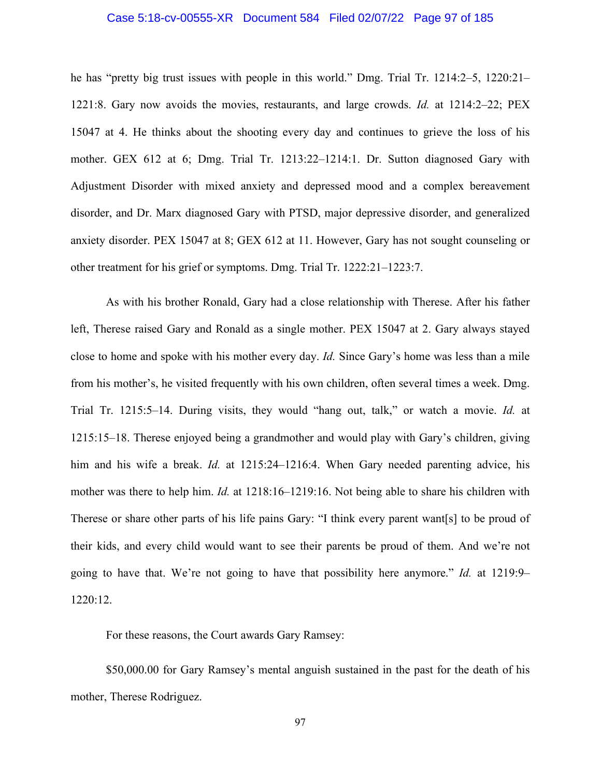### Case 5:18-cv-00555-XR Document 584 Filed 02/07/22 Page 97 of 185

he has "pretty big trust issues with people in this world." Dmg. Trial Tr. 1214:2–5, 1220:21– 1221:8. Gary now avoids the movies, restaurants, and large crowds. *Id.* at 1214:2–22; PEX 15047 at 4. He thinks about the shooting every day and continues to grieve the loss of his mother. GEX 612 at 6; Dmg. Trial Tr. 1213:22–1214:1. Dr. Sutton diagnosed Gary with Adjustment Disorder with mixed anxiety and depressed mood and a complex bereavement disorder, and Dr. Marx diagnosed Gary with PTSD, major depressive disorder, and generalized anxiety disorder. PEX 15047 at 8; GEX 612 at 11. However, Gary has not sought counseling or other treatment for his grief or symptoms. Dmg. Trial Tr. 1222:21–1223:7.

As with his brother Ronald, Gary had a close relationship with Therese. After his father left, Therese raised Gary and Ronald as a single mother. PEX 15047 at 2. Gary always stayed close to home and spoke with his mother every day. *Id.* Since Gary's home was less than a mile from his mother's, he visited frequently with his own children, often several times a week. Dmg. Trial Tr. 1215:5–14. During visits, they would "hang out, talk," or watch a movie. *Id.* at 1215:15–18. Therese enjoyed being a grandmother and would play with Gary's children, giving him and his wife a break. *Id.* at 1215:24–1216:4. When Gary needed parenting advice, his mother was there to help him. *Id.* at 1218:16–1219:16. Not being able to share his children with Therese or share other parts of his life pains Gary: "I think every parent want[s] to be proud of their kids, and every child would want to see their parents be proud of them. And we're not going to have that. We're not going to have that possibility here anymore." *Id.* at 1219:9– 1220:12.

For these reasons, the Court awards Gary Ramsey:

\$50,000.00 for Gary Ramsey's mental anguish sustained in the past for the death of his mother, Therese Rodriguez.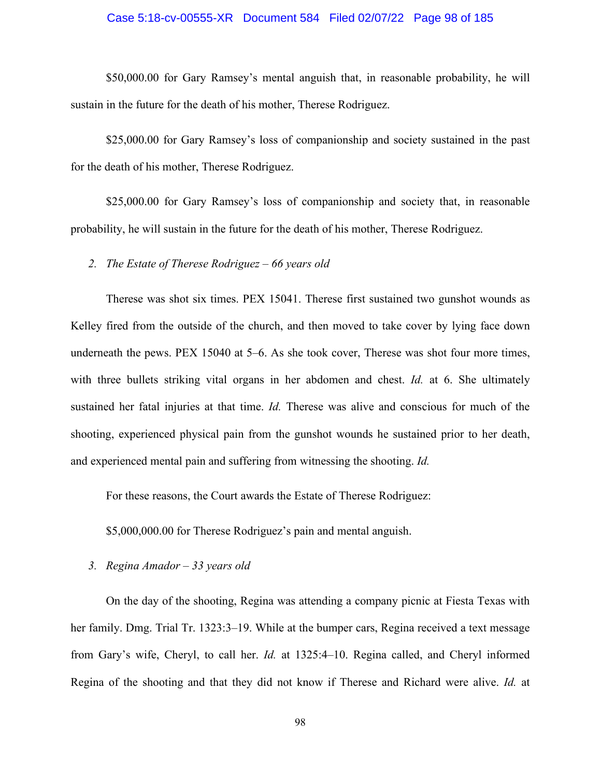### Case 5:18-cv-00555-XR Document 584 Filed 02/07/22 Page 98 of 185

\$50,000.00 for Gary Ramsey's mental anguish that, in reasonable probability, he will sustain in the future for the death of his mother, Therese Rodriguez.

\$25,000.00 for Gary Ramsey's loss of companionship and society sustained in the past for the death of his mother, Therese Rodriguez.

\$25,000.00 for Gary Ramsey's loss of companionship and society that, in reasonable probability, he will sustain in the future for the death of his mother, Therese Rodriguez.

*2. The Estate of Therese Rodriguez – 66 years old*

Therese was shot six times. PEX 15041. Therese first sustained two gunshot wounds as Kelley fired from the outside of the church, and then moved to take cover by lying face down underneath the pews. PEX 15040 at 5–6. As she took cover, Therese was shot four more times, with three bullets striking vital organs in her abdomen and chest. *Id.* at 6. She ultimately sustained her fatal injuries at that time. *Id.* Therese was alive and conscious for much of the shooting, experienced physical pain from the gunshot wounds he sustained prior to her death, and experienced mental pain and suffering from witnessing the shooting. *Id.* 

For these reasons, the Court awards the Estate of Therese Rodriguez:

\$5,000,000.00 for Therese Rodriguez's pain and mental anguish.

*3. Regina Amador – 33 years old*

On the day of the shooting, Regina was attending a company picnic at Fiesta Texas with her family. Dmg. Trial Tr. 1323:3–19. While at the bumper cars, Regina received a text message from Gary's wife, Cheryl, to call her. *Id.* at 1325:4–10. Regina called, and Cheryl informed Regina of the shooting and that they did not know if Therese and Richard were alive. *Id.* at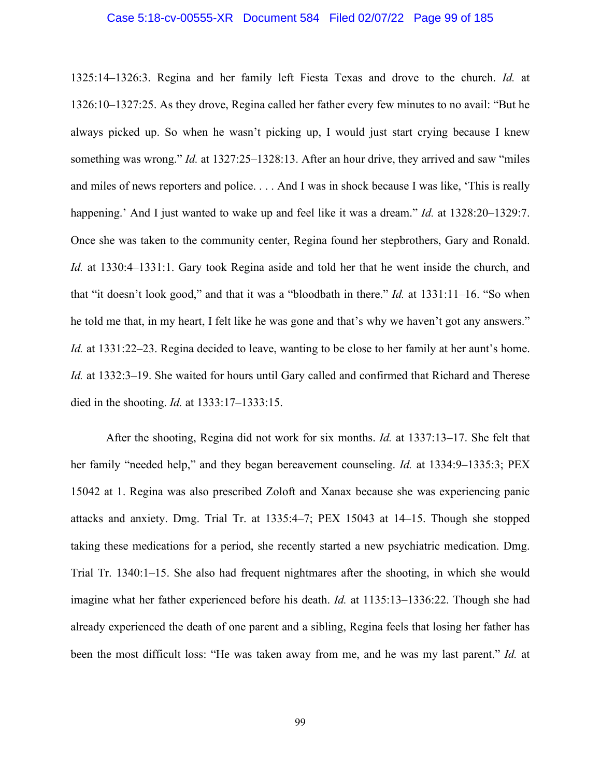### Case 5:18-cv-00555-XR Document 584 Filed 02/07/22 Page 99 of 185

1325:14–1326:3. Regina and her family left Fiesta Texas and drove to the church. *Id.* at 1326:10–1327:25. As they drove, Regina called her father every few minutes to no avail: "But he always picked up. So when he wasn't picking up, I would just start crying because I knew something was wrong." *Id.* at 1327:25–1328:13. After an hour drive, they arrived and saw "miles and miles of news reporters and police. . . . And I was in shock because I was like, 'This is really happening.' And I just wanted to wake up and feel like it was a dream." *Id.* at 1328:20–1329:7. Once she was taken to the community center, Regina found her stepbrothers, Gary and Ronald. *Id.* at 1330:4–1331:1. Gary took Regina aside and told her that he went inside the church, and that "it doesn't look good," and that it was a "bloodbath in there." *Id.* at 1331:11–16. "So when he told me that, in my heart, I felt like he was gone and that's why we haven't got any answers." *Id.* at 1331:22–23. Regina decided to leave, wanting to be close to her family at her aunt's home. *Id.* at 1332:3–19. She waited for hours until Gary called and confirmed that Richard and Therese died in the shooting. *Id.* at 1333:17–1333:15.

After the shooting, Regina did not work for six months. *Id.* at 1337:13–17. She felt that her family "needed help," and they began bereavement counseling. *Id.* at 1334:9–1335:3; PEX 15042 at 1. Regina was also prescribed Zoloft and Xanax because she was experiencing panic attacks and anxiety. Dmg. Trial Tr. at 1335:4–7; PEX 15043 at 14–15. Though she stopped taking these medications for a period, she recently started a new psychiatric medication. Dmg. Trial Tr. 1340:1–15. She also had frequent nightmares after the shooting, in which she would imagine what her father experienced before his death. *Id.* at 1135:13–1336:22. Though she had already experienced the death of one parent and a sibling, Regina feels that losing her father has been the most difficult loss: "He was taken away from me, and he was my last parent." *Id.* at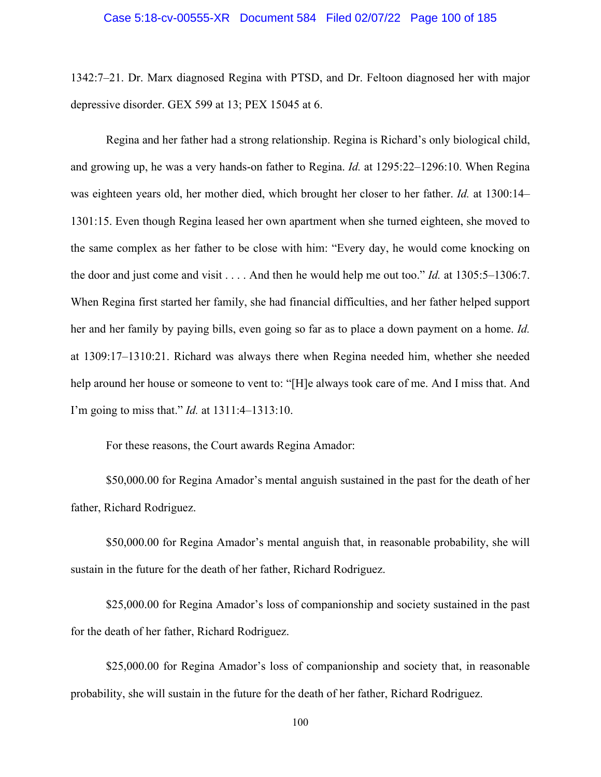#### Case 5:18-cv-00555-XR Document 584 Filed 02/07/22 Page 100 of 185

1342:7–21. Dr. Marx diagnosed Regina with PTSD, and Dr. Feltoon diagnosed her with major depressive disorder. GEX 599 at 13; PEX 15045 at 6.

Regina and her father had a strong relationship. Regina is Richard's only biological child, and growing up, he was a very hands-on father to Regina. *Id.* at 1295:22–1296:10. When Regina was eighteen years old, her mother died, which brought her closer to her father. *Id.* at 1300:14– 1301:15. Even though Regina leased her own apartment when she turned eighteen, she moved to the same complex as her father to be close with him: "Every day, he would come knocking on the door and just come and visit . . . . And then he would help me out too." *Id.* at 1305:5–1306:7. When Regina first started her family, she had financial difficulties, and her father helped support her and her family by paying bills, even going so far as to place a down payment on a home. *Id.* at 1309:17–1310:21. Richard was always there when Regina needed him, whether she needed help around her house or someone to vent to: "[H]e always took care of me. And I miss that. And I'm going to miss that." *Id.* at 1311:4–1313:10.

For these reasons, the Court awards Regina Amador:

\$50,000.00 for Regina Amador's mental anguish sustained in the past for the death of her father, Richard Rodriguez.

\$50,000.00 for Regina Amador's mental anguish that, in reasonable probability, she will sustain in the future for the death of her father, Richard Rodriguez.

\$25,000.00 for Regina Amador's loss of companionship and society sustained in the past for the death of her father, Richard Rodriguez.

\$25,000.00 for Regina Amador's loss of companionship and society that, in reasonable probability, she will sustain in the future for the death of her father, Richard Rodriguez.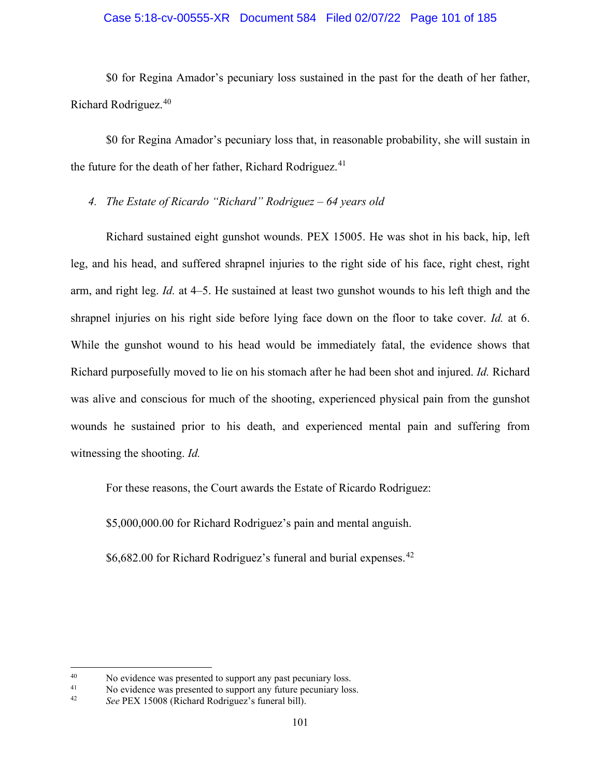## Case 5:18-cv-00555-XR Document 584 Filed 02/07/22 Page 101 of 185

\$0 for Regina Amador's pecuniary loss sustained in the past for the death of her father, Richard Rodriguez. [40](#page-100-0)

\$0 for Regina Amador's pecuniary loss that, in reasonable probability, she will sustain in the future for the death of her father, Richard Rodriguez.<sup>[41](#page-100-1)</sup>

*4. The Estate of Ricardo "Richard" Rodriguez – 64 years old* 

Richard sustained eight gunshot wounds. PEX 15005. He was shot in his back, hip, left leg, and his head, and suffered shrapnel injuries to the right side of his face, right chest, right arm, and right leg. *Id.* at 4–5. He sustained at least two gunshot wounds to his left thigh and the shrapnel injuries on his right side before lying face down on the floor to take cover. *Id.* at 6. While the gunshot wound to his head would be immediately fatal, the evidence shows that Richard purposefully moved to lie on his stomach after he had been shot and injured. *Id.* Richard was alive and conscious for much of the shooting, experienced physical pain from the gunshot wounds he sustained prior to his death, and experienced mental pain and suffering from witnessing the shooting. *Id.*

For these reasons, the Court awards the Estate of Ricardo Rodriguez:

\$5,000,000.00 for Richard Rodriguez's pain and mental anguish.

\$6,682.00 for Richard Rodriguez's funeral and burial expenses.<sup>[42](#page-100-2)</sup>

<span id="page-100-0"></span><sup>40</sup> No evidence was presented to support any past pecuniary loss.<br>41 No evidence was presented to support any future pequaism loss.

<span id="page-100-1"></span><sup>&</sup>lt;sup>41</sup> No evidence was presented to support any future pecuniary loss.<br><sup>42</sup> See PEX 15008 (Pichard Podriguez's funeral bill).

<span id="page-100-2"></span>See PEX 15008 (Richard Rodriguez's funeral bill).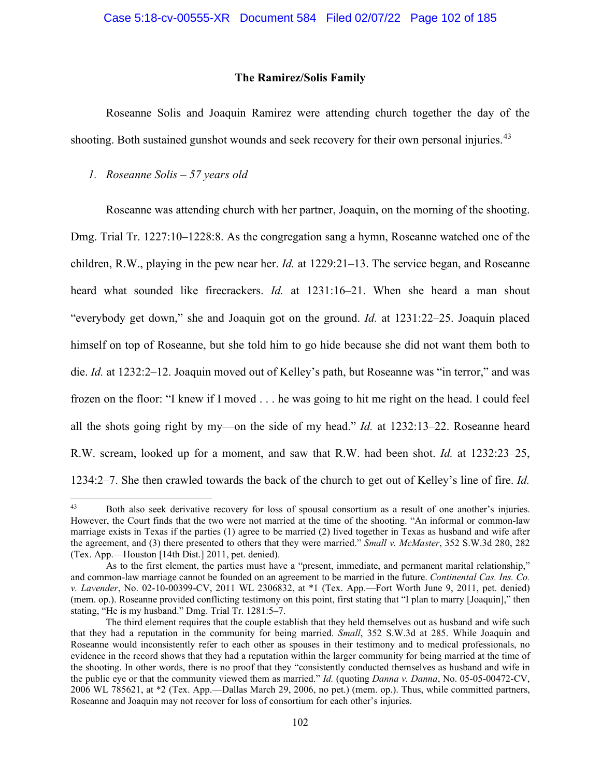### **The Ramirez/Solis Family**

Roseanne Solis and Joaquin Ramirez were attending church together the day of the shooting. Both sustained gunshot wounds and seek recovery for their own personal injuries.<sup>[43](#page-101-0)</sup>

### *1. Roseanne Solis – 57 years old*

Roseanne was attending church with her partner, Joaquin, on the morning of the shooting. Dmg. Trial Tr. 1227:10–1228:8. As the congregation sang a hymn, Roseanne watched one of the children, R.W., playing in the pew near her. *Id.* at 1229:21–13. The service began, and Roseanne heard what sounded like firecrackers. *Id.* at 1231:16–21. When she heard a man shout "everybody get down," she and Joaquin got on the ground. *Id.* at 1231:22–25. Joaquin placed himself on top of Roseanne, but she told him to go hide because she did not want them both to die. *Id.* at 1232:2–12. Joaquin moved out of Kelley's path, but Roseanne was "in terror," and was frozen on the floor: "I knew if I moved . . . he was going to hit me right on the head. I could feel all the shots going right by my—on the side of my head." *Id.* at 1232:13–22. Roseanne heard R.W. scream, looked up for a moment, and saw that R.W. had been shot. *Id.* at 1232:23–25, 1234:2–7. She then crawled towards the back of the church to get out of Kelley's line of fire. *Id.*

<span id="page-101-0"></span><sup>&</sup>lt;sup>43</sup> Both also seek derivative recovery for loss of spousal consortium as a result of one another's injuries. However, the Court finds that the two were not married at the time of the shooting. "An informal or common-law marriage exists in Texas if the parties (1) agree to be married (2) lived together in Texas as husband and wife after the agreement, and (3) there presented to others that they were married." *Small v. McMaster*, 352 S.W.3d 280, 282 (Tex. App.—Houston [14th Dist.] 2011, pet. denied).

As to the first element, the parties must have a "present, immediate, and permanent marital relationship," and common-law marriage cannot be founded on an agreement to be married in the future. *Continental Cas. Ins. Co. v. Lavender*, No. 02-10-00399-CV, 2011 WL 2306832, at \*1 (Tex. App.—Fort Worth June 9, 2011, pet. denied) (mem. op.). Roseanne provided conflicting testimony on this point, first stating that "I plan to marry [Joaquin]," then stating, "He is my husband." Dmg. Trial Tr. 1281:5–7.

The third element requires that the couple establish that they held themselves out as husband and wife such that they had a reputation in the community for being married. *Small*, 352 S.W.3d at 285. While Joaquin and Roseanne would inconsistently refer to each other as spouses in their testimony and to medical professionals, no evidence in the record shows that they had a reputation within the larger community for being married at the time of the shooting. In other words, there is no proof that they "consistently conducted themselves as husband and wife in the public eye or that the community viewed them as married." *Id.* (quoting *Danna v. Danna*, No. 05-05-00472-CV, 2006 WL 785621, at \*2 (Tex. App.—Dallas March 29, 2006, no pet.) (mem. op.). Thus, while committed partners, Roseanne and Joaquin may not recover for loss of consortium for each other's injuries.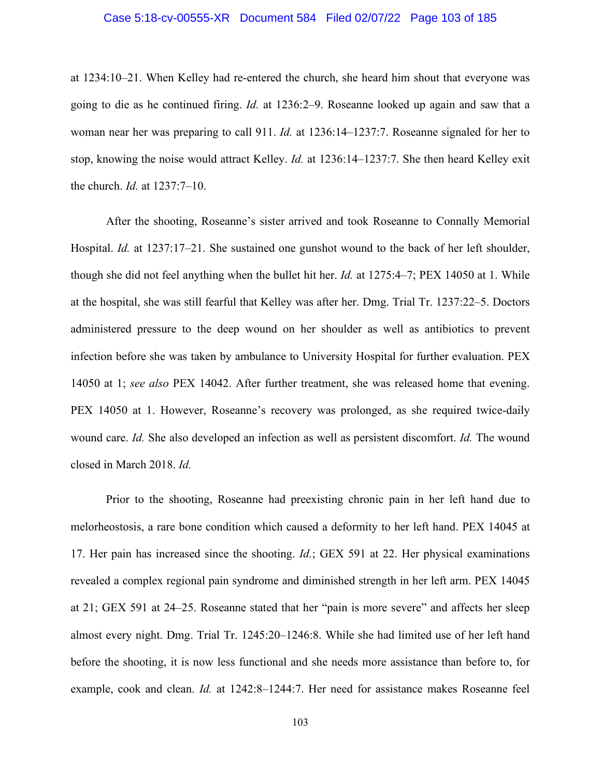### Case 5:18-cv-00555-XR Document 584 Filed 02/07/22 Page 103 of 185

at 1234:10–21. When Kelley had re-entered the church, she heard him shout that everyone was going to die as he continued firing. *Id.* at 1236:2–9. Roseanne looked up again and saw that a woman near her was preparing to call 911. *Id.* at 1236:14–1237:7. Roseanne signaled for her to stop, knowing the noise would attract Kelley. *Id.* at 1236:14–1237:7. She then heard Kelley exit the church. *Id.* at 1237:7–10.

After the shooting, Roseanne's sister arrived and took Roseanne to Connally Memorial Hospital. *Id.* at 1237:17–21. She sustained one gunshot wound to the back of her left shoulder, though she did not feel anything when the bullet hit her. *Id.* at 1275:4–7; PEX 14050 at 1. While at the hospital, she was still fearful that Kelley was after her. Dmg. Trial Tr. 1237:22–5. Doctors administered pressure to the deep wound on her shoulder as well as antibiotics to prevent infection before she was taken by ambulance to University Hospital for further evaluation. PEX 14050 at 1; *see also* PEX 14042. After further treatment, she was released home that evening. PEX 14050 at 1. However, Roseanne's recovery was prolonged, as she required twice-daily wound care. *Id.* She also developed an infection as well as persistent discomfort. *Id.* The wound closed in March 2018. *Id.*

Prior to the shooting, Roseanne had preexisting chronic pain in her left hand due to melorheostosis, a rare bone condition which caused a deformity to her left hand. PEX 14045 at 17. Her pain has increased since the shooting. *Id.*; GEX 591 at 22. Her physical examinations revealed a complex regional pain syndrome and diminished strength in her left arm. PEX 14045 at 21; GEX 591 at 24–25. Roseanne stated that her "pain is more severe" and affects her sleep almost every night. Dmg. Trial Tr. 1245:20–1246:8. While she had limited use of her left hand before the shooting, it is now less functional and she needs more assistance than before to, for example, cook and clean. *Id.* at 1242:8–1244:7. Her need for assistance makes Roseanne feel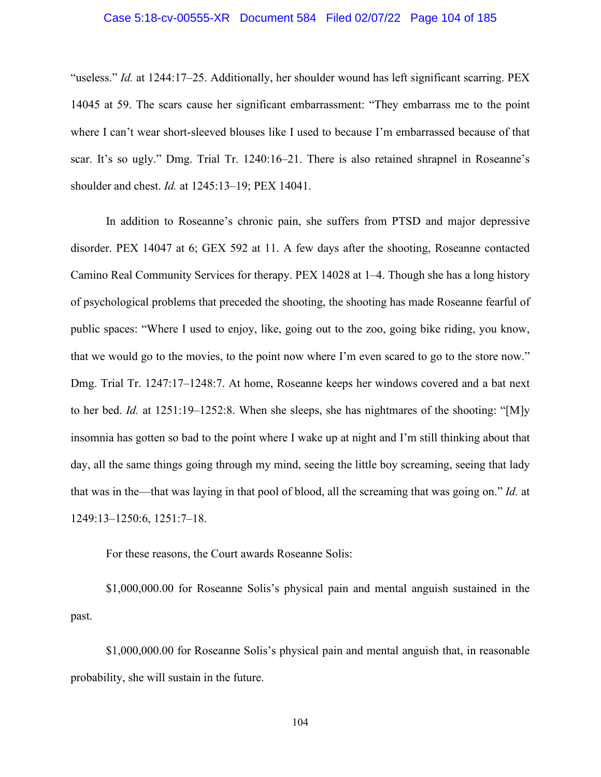### Case 5:18-cv-00555-XR Document 584 Filed 02/07/22 Page 104 of 185

"useless." *Id.* at 1244:17–25. Additionally, her shoulder wound has left significant scarring. PEX 14045 at 59. The scars cause her significant embarrassment: "They embarrass me to the point where I can't wear short-sleeved blouses like I used to because I'm embarrassed because of that scar. It's so ugly." Dmg. Trial Tr. 1240:16–21. There is also retained shrapnel in Roseanne's shoulder and chest. *Id.* at 1245:13–19; PEX 14041.

In addition to Roseanne's chronic pain, she suffers from PTSD and major depressive disorder. PEX 14047 at 6; GEX 592 at 11. A few days after the shooting, Roseanne contacted Camino Real Community Services for therapy. PEX 14028 at 1–4. Though she has a long history of psychological problems that preceded the shooting, the shooting has made Roseanne fearful of public spaces: "Where I used to enjoy, like, going out to the zoo, going bike riding, you know, that we would go to the movies, to the point now where I'm even scared to go to the store now." Dmg. Trial Tr. 1247:17–1248:7. At home, Roseanne keeps her windows covered and a bat next to her bed. *Id.* at 1251:19–1252:8. When she sleeps, she has nightmares of the shooting: "[M]y insomnia has gotten so bad to the point where I wake up at night and I'm still thinking about that day, all the same things going through my mind, seeing the little boy screaming, seeing that lady that was in the—that was laying in that pool of blood, all the screaming that was going on." *Id.* at 1249:13–1250:6, 1251:7–18.

For these reasons, the Court awards Roseanne Solis:

\$1,000,000.00 for Roseanne Solis's physical pain and mental anguish sustained in the past.

\$1,000,000.00 for Roseanne Solis's physical pain and mental anguish that, in reasonable probability, she will sustain in the future.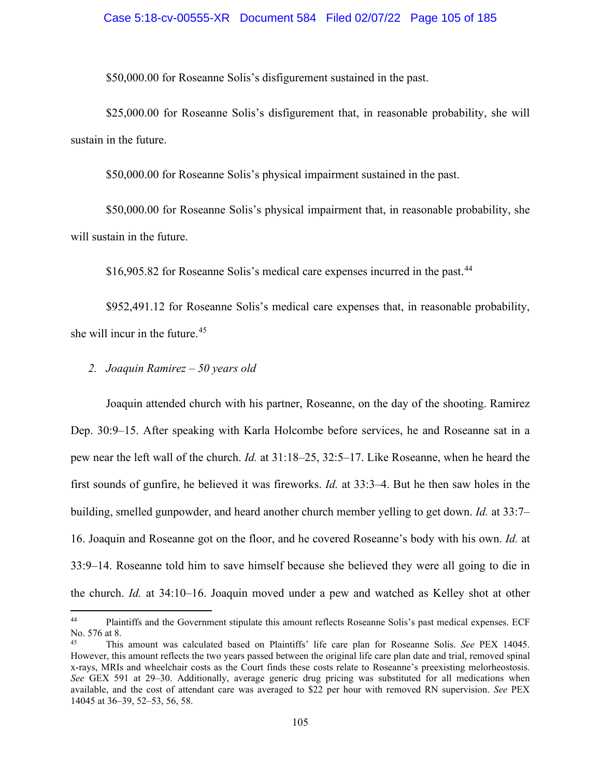#### Case 5:18-cv-00555-XR Document 584 Filed 02/07/22 Page 105 of 185

\$50,000.00 for Roseanne Solis's disfigurement sustained in the past.

\$25,000.00 for Roseanne Solis's disfigurement that, in reasonable probability, she will sustain in the future.

\$50,000.00 for Roseanne Solis's physical impairment sustained in the past.

\$50,000.00 for Roseanne Solis's physical impairment that, in reasonable probability, she will sustain in the future.

\$16,905.82 for Roseanne Solis's medical care expenses incurred in the past.<sup>44</sup>

\$952,491.12 for Roseanne Solis's medical care expenses that, in reasonable probability, she will incur in the future.<sup>[45](#page-104-1)</sup>

## *2. Joaquin Ramirez – 50 years old*

Joaquin attended church with his partner, Roseanne, on the day of the shooting. Ramirez Dep. 30:9–15. After speaking with Karla Holcombe before services, he and Roseanne sat in a pew near the left wall of the church. *Id.* at 31:18–25, 32:5–17. Like Roseanne, when he heard the first sounds of gunfire, he believed it was fireworks. *Id.* at 33:3–4. But he then saw holes in the building, smelled gunpowder, and heard another church member yelling to get down. *Id.* at 33:7– 16. Joaquin and Roseanne got on the floor, and he covered Roseanne's body with his own. *Id.* at 33:9–14. Roseanne told him to save himself because she believed they were all going to die in the church. *Id.* at 34:10–16. Joaquin moved under a pew and watched as Kelley shot at other

<span id="page-104-0"></span><sup>44</sup> Plaintiffs and the Government stipulate this amount reflects Roseanne Solis's past medical expenses. ECF No. 576 at 8.

<span id="page-104-1"></span><sup>45</sup> This amount was calculated based on Plaintiffs' life care plan for Roseanne Solis. *See* PEX 14045. However, this amount reflects the two years passed between the original life care plan date and trial, removed spinal x-rays, MRIs and wheelchair costs as the Court finds these costs relate to Roseanne's preexisting melorheostosis. *See* GEX 591 at 29–30. Additionally, average generic drug pricing was substituted for all medications when available, and the cost of attendant care was averaged to \$22 per hour with removed RN supervision. *See* PEX 14045 at 36–39, 52–53, 56, 58.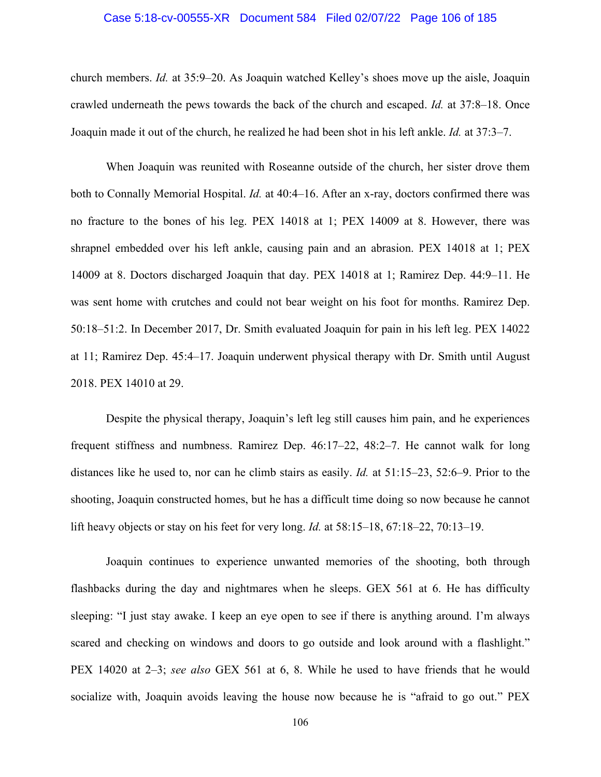### Case 5:18-cv-00555-XR Document 584 Filed 02/07/22 Page 106 of 185

church members. *Id.* at 35:9–20. As Joaquin watched Kelley's shoes move up the aisle, Joaquin crawled underneath the pews towards the back of the church and escaped. *Id.* at 37:8–18. Once Joaquin made it out of the church, he realized he had been shot in his left ankle. *Id.* at 37:3–7.

When Joaquin was reunited with Roseanne outside of the church, her sister drove them both to Connally Memorial Hospital. *Id.* at 40:4–16. After an x-ray, doctors confirmed there was no fracture to the bones of his leg. PEX 14018 at 1; PEX 14009 at 8. However, there was shrapnel embedded over his left ankle, causing pain and an abrasion. PEX 14018 at 1; PEX 14009 at 8. Doctors discharged Joaquin that day. PEX 14018 at 1; Ramirez Dep. 44:9–11. He was sent home with crutches and could not bear weight on his foot for months. Ramirez Dep. 50:18–51:2. In December 2017, Dr. Smith evaluated Joaquin for pain in his left leg. PEX 14022 at 11; Ramirez Dep. 45:4–17. Joaquin underwent physical therapy with Dr. Smith until August 2018. PEX 14010 at 29.

Despite the physical therapy, Joaquin's left leg still causes him pain, and he experiences frequent stiffness and numbness. Ramirez Dep. 46:17–22, 48:2–7. He cannot walk for long distances like he used to, nor can he climb stairs as easily. *Id.* at 51:15–23, 52:6–9. Prior to the shooting, Joaquin constructed homes, but he has a difficult time doing so now because he cannot lift heavy objects or stay on his feet for very long. *Id.* at 58:15–18, 67:18–22, 70:13–19.

Joaquin continues to experience unwanted memories of the shooting, both through flashbacks during the day and nightmares when he sleeps. GEX 561 at 6. He has difficulty sleeping: "I just stay awake. I keep an eye open to see if there is anything around. I'm always scared and checking on windows and doors to go outside and look around with a flashlight." PEX 14020 at 2–3; *see also* GEX 561 at 6, 8. While he used to have friends that he would socialize with, Joaquin avoids leaving the house now because he is "afraid to go out." PEX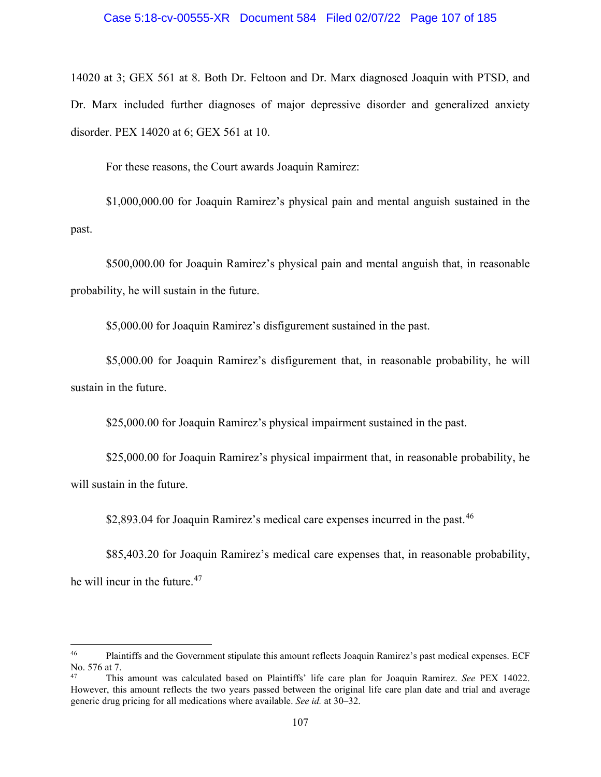14020 at 3; GEX 561 at 8. Both Dr. Feltoon and Dr. Marx diagnosed Joaquin with PTSD, and Dr. Marx included further diagnoses of major depressive disorder and generalized anxiety disorder. PEX 14020 at 6; GEX 561 at 10.

For these reasons, the Court awards Joaquin Ramirez:

\$1,000,000.00 for Joaquin Ramirez's physical pain and mental anguish sustained in the past.

\$500,000.00 for Joaquin Ramirez's physical pain and mental anguish that, in reasonable probability, he will sustain in the future.

\$5,000.00 for Joaquin Ramirez's disfigurement sustained in the past.

\$5,000.00 for Joaquin Ramirez's disfigurement that, in reasonable probability, he will sustain in the future.

\$25,000.00 for Joaquin Ramirez's physical impairment sustained in the past.

\$25,000.00 for Joaquin Ramirez's physical impairment that, in reasonable probability, he will sustain in the future.

\$2,893.04 for Joaquin Ramirez's medical care expenses incurred in the past.<sup>46</sup>

\$85,403.20 for Joaquin Ramirez's medical care expenses that, in reasonable probability, he will incur in the future.<sup>[47](#page-106-1)</sup>

<span id="page-106-0"></span><sup>&</sup>lt;sup>46</sup> Plaintiffs and the Government stipulate this amount reflects Joaquin Ramirez's past medical expenses. ECF No. 576 at 7.<br><sup>47</sup> This

<span id="page-106-1"></span><sup>47</sup> This amount was calculated based on Plaintiffs' life care plan for Joaquin Ramirez. *See* PEX 14022. However, this amount reflects the two years passed between the original life care plan date and trial and average generic drug pricing for all medications where available. *See id.* at 30–32.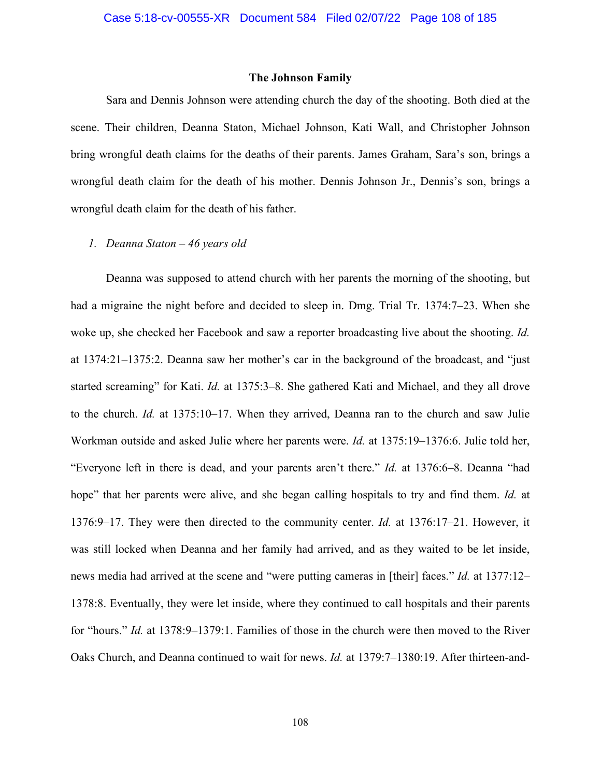#### **The Johnson Family**

Sara and Dennis Johnson were attending church the day of the shooting. Both died at the scene. Their children, Deanna Staton, Michael Johnson, Kati Wall, and Christopher Johnson bring wrongful death claims for the deaths of their parents. James Graham, Sara's son, brings a wrongful death claim for the death of his mother. Dennis Johnson Jr., Dennis's son, brings a wrongful death claim for the death of his father.

## *1. Deanna Staton – 46 years old*

Deanna was supposed to attend church with her parents the morning of the shooting, but had a migraine the night before and decided to sleep in. Dmg. Trial Tr. 1374:7–23. When she woke up, she checked her Facebook and saw a reporter broadcasting live about the shooting. *Id.* at 1374:21–1375:2. Deanna saw her mother's car in the background of the broadcast, and "just started screaming" for Kati. *Id.* at 1375:3–8. She gathered Kati and Michael, and they all drove to the church. *Id.* at 1375:10–17. When they arrived, Deanna ran to the church and saw Julie Workman outside and asked Julie where her parents were. *Id.* at 1375:19–1376:6. Julie told her, "Everyone left in there is dead, and your parents aren't there." *Id.* at 1376:6–8. Deanna "had hope" that her parents were alive, and she began calling hospitals to try and find them. *Id.* at 1376:9–17. They were then directed to the community center. *Id.* at 1376:17–21. However, it was still locked when Deanna and her family had arrived, and as they waited to be let inside, news media had arrived at the scene and "were putting cameras in [their] faces." *Id.* at 1377:12– 1378:8. Eventually, they were let inside, where they continued to call hospitals and their parents for "hours." *Id.* at 1378:9–1379:1. Families of those in the church were then moved to the River Oaks Church, and Deanna continued to wait for news. *Id.* at 1379:7–1380:19. After thirteen-and-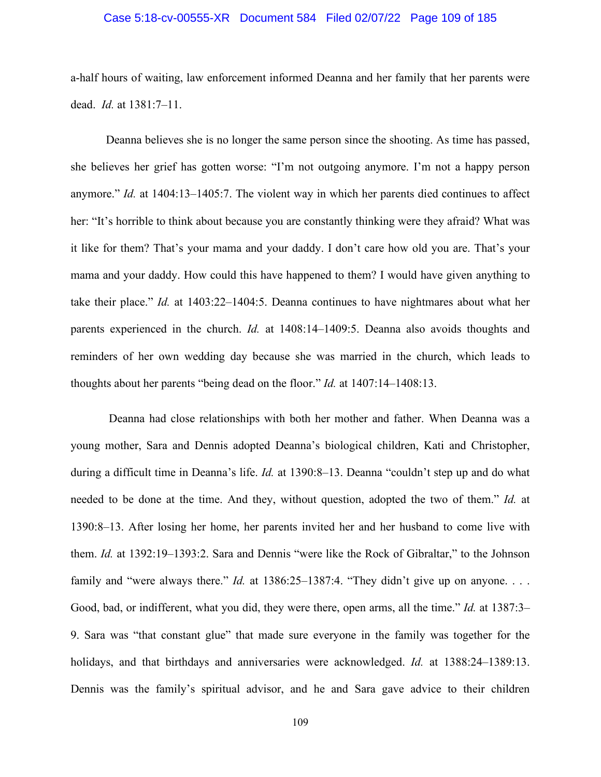## Case 5:18-cv-00555-XR Document 584 Filed 02/07/22 Page 109 of 185

a-half hours of waiting, law enforcement informed Deanna and her family that her parents were dead. *Id.* at 1381:7–11.

Deanna believes she is no longer the same person since the shooting. As time has passed, she believes her grief has gotten worse: "I'm not outgoing anymore. I'm not a happy person anymore." *Id.* at 1404:13–1405:7. The violent way in which her parents died continues to affect her: "It's horrible to think about because you are constantly thinking were they afraid? What was it like for them? That's your mama and your daddy. I don't care how old you are. That's your mama and your daddy. How could this have happened to them? I would have given anything to take their place." *Id.* at 1403:22–1404:5. Deanna continues to have nightmares about what her parents experienced in the church. *Id.* at 1408:14–1409:5. Deanna also avoids thoughts and reminders of her own wedding day because she was married in the church, which leads to thoughts about her parents "being dead on the floor." *Id.* at 1407:14–1408:13.

Deanna had close relationships with both her mother and father. When Deanna was a young mother, Sara and Dennis adopted Deanna's biological children, Kati and Christopher, during a difficult time in Deanna's life. *Id.* at 1390:8–13. Deanna "couldn't step up and do what needed to be done at the time. And they, without question, adopted the two of them." *Id.* at 1390:8–13. After losing her home, her parents invited her and her husband to come live with them. *Id.* at 1392:19–1393:2. Sara and Dennis "were like the Rock of Gibraltar," to the Johnson family and "were always there." *Id.* at 1386:25–1387:4. "They didn't give up on anyone. . . . Good, bad, or indifferent, what you did, they were there, open arms, all the time." *Id.* at 1387:3– 9. Sara was "that constant glue" that made sure everyone in the family was together for the holidays, and that birthdays and anniversaries were acknowledged. *Id.* at 1388:24–1389:13. Dennis was the family's spiritual advisor, and he and Sara gave advice to their children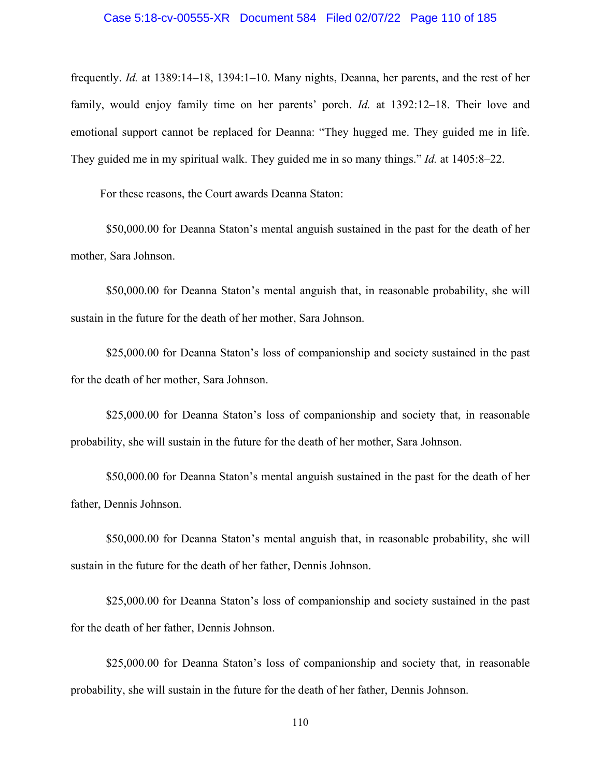#### Case 5:18-cv-00555-XR Document 584 Filed 02/07/22 Page 110 of 185

frequently. *Id.* at 1389:14–18, 1394:1–10. Many nights, Deanna, her parents, and the rest of her family, would enjoy family time on her parents' porch. *Id.* at 1392:12–18. Their love and emotional support cannot be replaced for Deanna: "They hugged me. They guided me in life. They guided me in my spiritual walk. They guided me in so many things." *Id.* at 1405:8–22.

For these reasons, the Court awards Deanna Staton:

\$50,000.00 for Deanna Staton's mental anguish sustained in the past for the death of her mother, Sara Johnson.

\$50,000.00 for Deanna Staton's mental anguish that, in reasonable probability, she will sustain in the future for the death of her mother, Sara Johnson.

\$25,000.00 for Deanna Staton's loss of companionship and society sustained in the past for the death of her mother, Sara Johnson.

\$25,000.00 for Deanna Staton's loss of companionship and society that, in reasonable probability, she will sustain in the future for the death of her mother, Sara Johnson.

\$50,000.00 for Deanna Staton's mental anguish sustained in the past for the death of her father, Dennis Johnson.

\$50,000.00 for Deanna Staton's mental anguish that, in reasonable probability, she will sustain in the future for the death of her father, Dennis Johnson.

\$25,000.00 for Deanna Staton's loss of companionship and society sustained in the past for the death of her father, Dennis Johnson.

\$25,000.00 for Deanna Staton's loss of companionship and society that, in reasonable probability, she will sustain in the future for the death of her father, Dennis Johnson.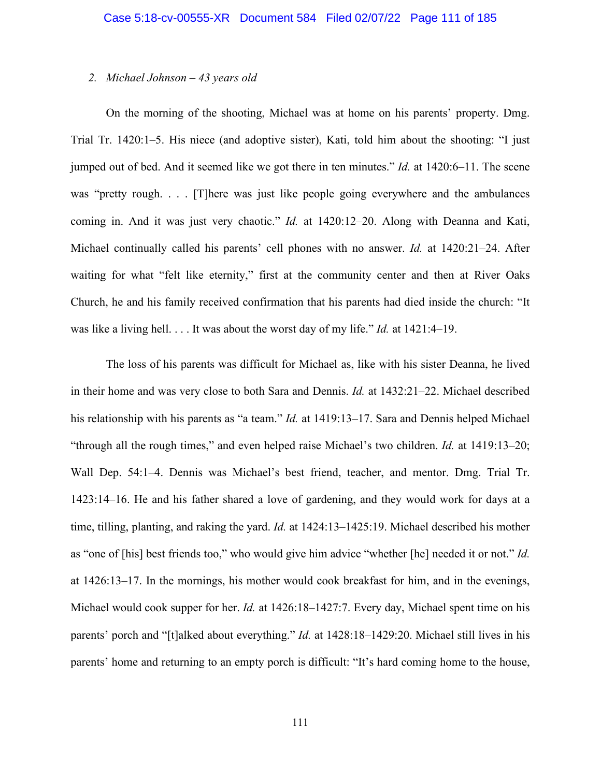## *2. Michael Johnson – 43 years old*

On the morning of the shooting, Michael was at home on his parents' property. Dmg. Trial Tr. 1420:1–5. His niece (and adoptive sister), Kati, told him about the shooting: "I just jumped out of bed. And it seemed like we got there in ten minutes." *Id.* at 1420:6–11. The scene was "pretty rough. . . . [T] here was just like people going everywhere and the ambulances coming in. And it was just very chaotic." *Id.* at 1420:12–20. Along with Deanna and Kati, Michael continually called his parents' cell phones with no answer. *Id.* at 1420:21–24. After waiting for what "felt like eternity," first at the community center and then at River Oaks Church, he and his family received confirmation that his parents had died inside the church: "It was like a living hell. . . . It was about the worst day of my life." *Id.* at 1421:4–19.

The loss of his parents was difficult for Michael as, like with his sister Deanna, he lived in their home and was very close to both Sara and Dennis. *Id.* at 1432:21–22. Michael described his relationship with his parents as "a team." *Id.* at 1419:13–17. Sara and Dennis helped Michael "through all the rough times," and even helped raise Michael's two children. *Id.* at 1419:13–20; Wall Dep. 54:1–4. Dennis was Michael's best friend, teacher, and mentor. Dmg. Trial Tr. 1423:14–16. He and his father shared a love of gardening, and they would work for days at a time, tilling, planting, and raking the yard. *Id.* at 1424:13–1425:19. Michael described his mother as "one of [his] best friends too," who would give him advice "whether [he] needed it or not." *Id.* at 1426:13–17. In the mornings, his mother would cook breakfast for him, and in the evenings, Michael would cook supper for her. *Id.* at 1426:18–1427:7. Every day, Michael spent time on his parents' porch and "[t]alked about everything." *Id.* at 1428:18–1429:20. Michael still lives in his parents' home and returning to an empty porch is difficult: "It's hard coming home to the house,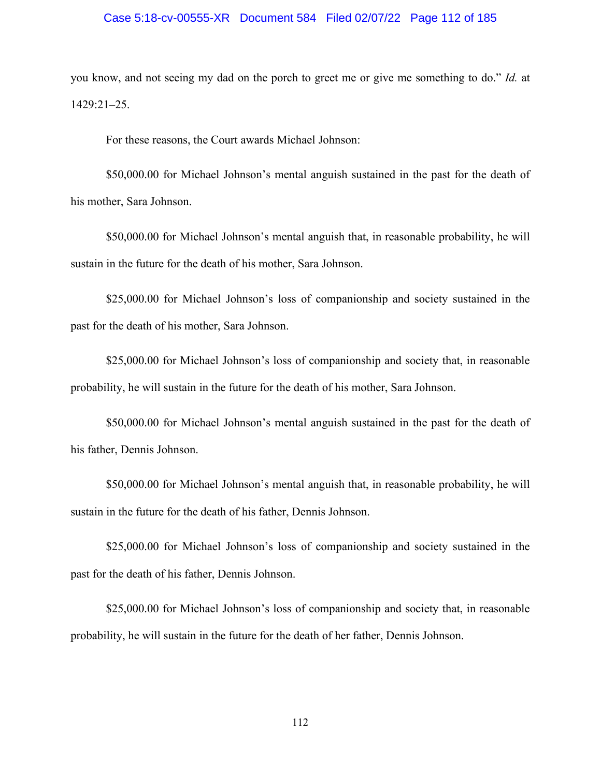## Case 5:18-cv-00555-XR Document 584 Filed 02/07/22 Page 112 of 185

you know, and not seeing my dad on the porch to greet me or give me something to do." *Id.* at 1429:21–25.

For these reasons, the Court awards Michael Johnson:

\$50,000.00 for Michael Johnson's mental anguish sustained in the past for the death of his mother, Sara Johnson.

\$50,000.00 for Michael Johnson's mental anguish that, in reasonable probability, he will sustain in the future for the death of his mother, Sara Johnson.

\$25,000.00 for Michael Johnson's loss of companionship and society sustained in the past for the death of his mother, Sara Johnson.

\$25,000.00 for Michael Johnson's loss of companionship and society that, in reasonable probability, he will sustain in the future for the death of his mother, Sara Johnson.

\$50,000.00 for Michael Johnson's mental anguish sustained in the past for the death of his father, Dennis Johnson.

\$50,000.00 for Michael Johnson's mental anguish that, in reasonable probability, he will sustain in the future for the death of his father, Dennis Johnson.

\$25,000.00 for Michael Johnson's loss of companionship and society sustained in the past for the death of his father, Dennis Johnson.

\$25,000.00 for Michael Johnson's loss of companionship and society that, in reasonable probability, he will sustain in the future for the death of her father, Dennis Johnson.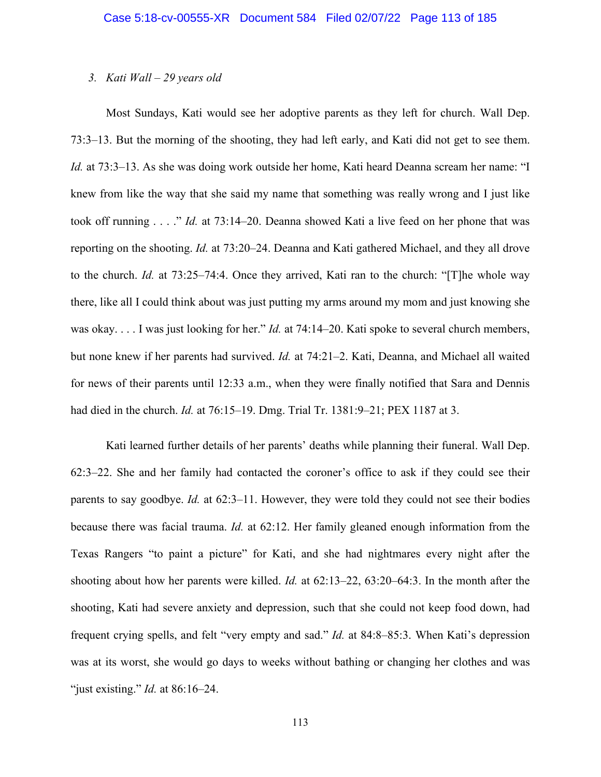## *3. Kati Wall – 29 years old*

Most Sundays, Kati would see her adoptive parents as they left for church. Wall Dep. 73:3–13. But the morning of the shooting, they had left early, and Kati did not get to see them. *Id.* at 73:3–13. As she was doing work outside her home, Kati heard Deanna scream her name: "I knew from like the way that she said my name that something was really wrong and I just like took off running . . . ." *Id.* at 73:14–20. Deanna showed Kati a live feed on her phone that was reporting on the shooting. *Id.* at 73:20–24. Deanna and Kati gathered Michael, and they all drove to the church. *Id.* at 73:25–74:4. Once they arrived, Kati ran to the church: "[T]he whole way there, like all I could think about was just putting my arms around my mom and just knowing she was okay. . . . I was just looking for her." *Id.* at 74:14–20. Kati spoke to several church members, but none knew if her parents had survived. *Id.* at 74:21–2. Kati, Deanna, and Michael all waited for news of their parents until 12:33 a.m., when they were finally notified that Sara and Dennis had died in the church. *Id.* at 76:15–19. Dmg. Trial Tr. 1381:9–21; PEX 1187 at 3.

Kati learned further details of her parents' deaths while planning their funeral. Wall Dep. 62:3–22. She and her family had contacted the coroner's office to ask if they could see their parents to say goodbye. *Id.* at 62:3–11. However, they were told they could not see their bodies because there was facial trauma. *Id.* at 62:12. Her family gleaned enough information from the Texas Rangers "to paint a picture" for Kati, and she had nightmares every night after the shooting about how her parents were killed. *Id.* at 62:13–22, 63:20–64:3. In the month after the shooting, Kati had severe anxiety and depression, such that she could not keep food down, had frequent crying spells, and felt "very empty and sad." *Id.* at 84:8–85:3. When Kati's depression was at its worst, she would go days to weeks without bathing or changing her clothes and was "just existing." *Id.* at 86:16–24.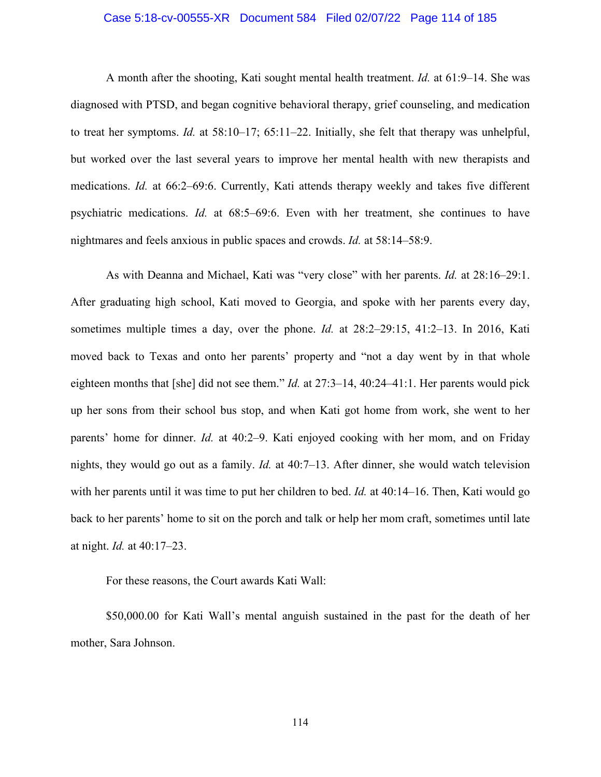## Case 5:18-cv-00555-XR Document 584 Filed 02/07/22 Page 114 of 185

A month after the shooting, Kati sought mental health treatment. *Id.* at 61:9–14. She was diagnosed with PTSD, and began cognitive behavioral therapy, grief counseling, and medication to treat her symptoms. *Id.* at 58:10–17; 65:11–22. Initially, she felt that therapy was unhelpful, but worked over the last several years to improve her mental health with new therapists and medications. *Id.* at 66:2–69:6. Currently, Kati attends therapy weekly and takes five different psychiatric medications. *Id.* at 68:5–69:6. Even with her treatment, she continues to have nightmares and feels anxious in public spaces and crowds. *Id.* at 58:14–58:9.

As with Deanna and Michael, Kati was "very close" with her parents. *Id.* at 28:16–29:1. After graduating high school, Kati moved to Georgia, and spoke with her parents every day, sometimes multiple times a day, over the phone. *Id.* at 28:2–29:15, 41:2–13. In 2016, Kati moved back to Texas and onto her parents' property and "not a day went by in that whole eighteen months that [she] did not see them." *Id.* at 27:3–14, 40:24–41:1. Her parents would pick up her sons from their school bus stop, and when Kati got home from work, she went to her parents' home for dinner. *Id.* at 40:2–9. Kati enjoyed cooking with her mom, and on Friday nights, they would go out as a family. *Id.* at 40:7–13. After dinner, she would watch television with her parents until it was time to put her children to bed. *Id.* at 40:14–16. Then, Kati would go back to her parents' home to sit on the porch and talk or help her mom craft, sometimes until late at night. *Id.* at 40:17–23.

For these reasons, the Court awards Kati Wall:

\$50,000.00 for Kati Wall's mental anguish sustained in the past for the death of her mother, Sara Johnson.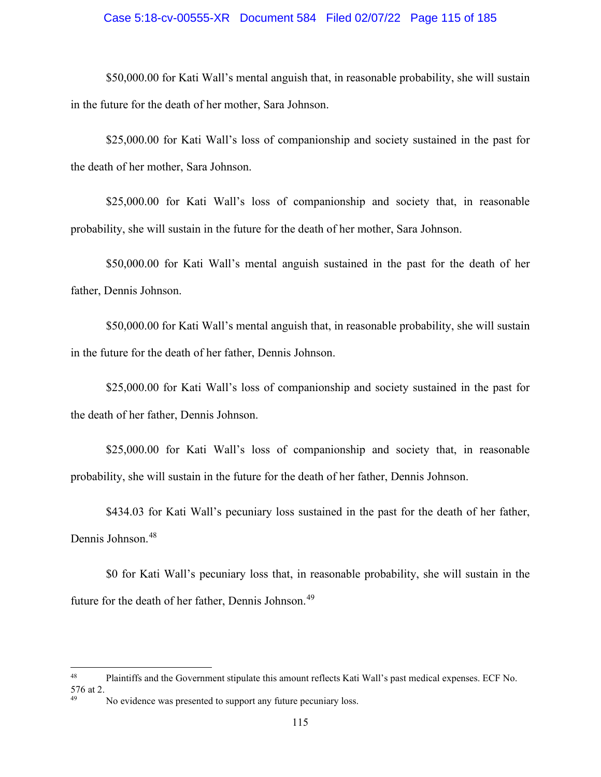## Case 5:18-cv-00555-XR Document 584 Filed 02/07/22 Page 115 of 185

\$50,000.00 for Kati Wall's mental anguish that, in reasonable probability, she will sustain in the future for the death of her mother, Sara Johnson.

\$25,000.00 for Kati Wall's loss of companionship and society sustained in the past for the death of her mother, Sara Johnson.

\$25,000.00 for Kati Wall's loss of companionship and society that, in reasonable probability, she will sustain in the future for the death of her mother, Sara Johnson.

\$50,000.00 for Kati Wall's mental anguish sustained in the past for the death of her father, Dennis Johnson.

\$50,000.00 for Kati Wall's mental anguish that, in reasonable probability, she will sustain in the future for the death of her father, Dennis Johnson.

\$25,000.00 for Kati Wall's loss of companionship and society sustained in the past for the death of her father, Dennis Johnson.

\$25,000.00 for Kati Wall's loss of companionship and society that, in reasonable probability, she will sustain in the future for the death of her father, Dennis Johnson.

\$434.03 for Kati Wall's pecuniary loss sustained in the past for the death of her father, Dennis Johnson.<sup>[48](#page-114-0)</sup>

\$0 for Kati Wall's pecuniary loss that, in reasonable probability, she will sustain in the future for the death of her father, Dennis Johnson.<sup>[49](#page-114-1)</sup>

<span id="page-114-0"></span><sup>48</sup> Plaintiffs and the Government stipulate this amount reflects Kati Wall's past medical expenses. ECF No. 576 at 2.

<span id="page-114-1"></span>No evidence was presented to support any future pecuniary loss.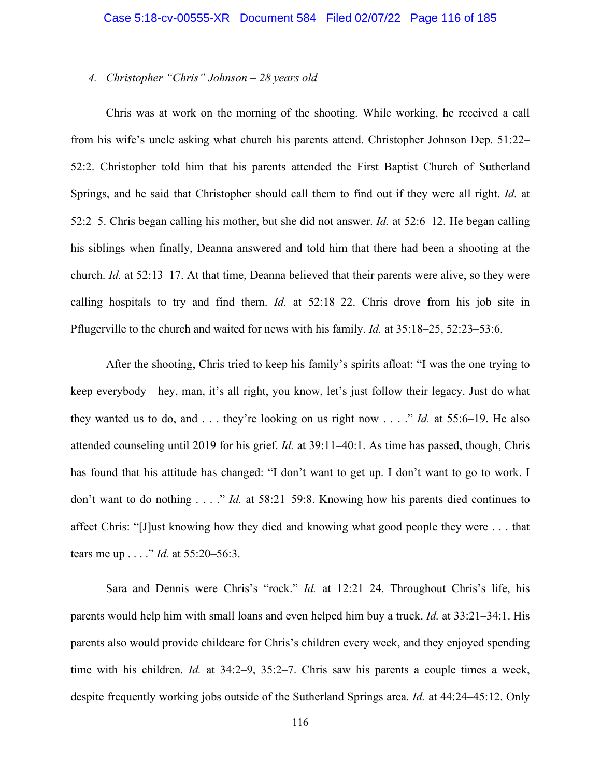## *4. Christopher "Chris" Johnson – 28 years old*

Chris was at work on the morning of the shooting. While working, he received a call from his wife's uncle asking what church his parents attend. Christopher Johnson Dep. 51:22– 52:2. Christopher told him that his parents attended the First Baptist Church of Sutherland Springs, and he said that Christopher should call them to find out if they were all right. *Id.* at 52:2–5. Chris began calling his mother, but she did not answer. *Id.* at 52:6–12. He began calling his siblings when finally, Deanna answered and told him that there had been a shooting at the church. *Id.* at 52:13–17. At that time, Deanna believed that their parents were alive, so they were calling hospitals to try and find them. *Id.* at 52:18–22. Chris drove from his job site in Pflugerville to the church and waited for news with his family. *Id.* at 35:18–25, 52:23–53:6.

After the shooting, Chris tried to keep his family's spirits afloat: "I was the one trying to keep everybody—hey, man, it's all right, you know, let's just follow their legacy. Just do what they wanted us to do, and  $\ldots$  they're looking on us right now  $\ldots$  " *Id.* at 55:6–19. He also attended counseling until 2019 for his grief. *Id.* at 39:11–40:1. As time has passed, though, Chris has found that his attitude has changed: "I don't want to get up. I don't want to go to work. I don't want to do nothing . . . ." *Id.* at 58:21–59:8. Knowing how his parents died continues to affect Chris: "[J]ust knowing how they died and knowing what good people they were . . . that tears me up . . . ." *Id.* at 55:20–56:3.

Sara and Dennis were Chris's "rock." *Id.* at 12:21–24. Throughout Chris's life, his parents would help him with small loans and even helped him buy a truck. *Id.* at 33:21–34:1. His parents also would provide childcare for Chris's children every week, and they enjoyed spending time with his children. *Id.* at 34:2–9, 35:2–7. Chris saw his parents a couple times a week, despite frequently working jobs outside of the Sutherland Springs area. *Id.* at 44:24–45:12. Only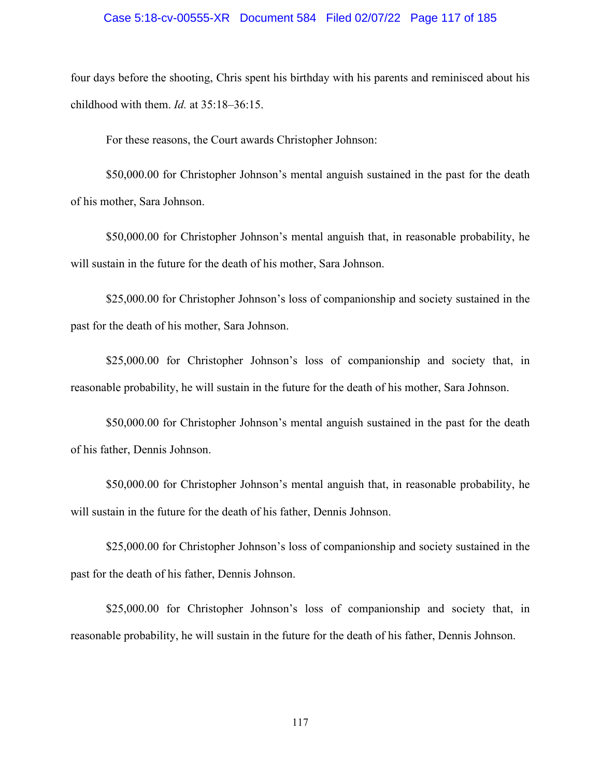#### Case 5:18-cv-00555-XR Document 584 Filed 02/07/22 Page 117 of 185

four days before the shooting, Chris spent his birthday with his parents and reminisced about his childhood with them. *Id.* at 35:18–36:15.

For these reasons, the Court awards Christopher Johnson:

 \$50,000.00 for Christopher Johnson's mental anguish sustained in the past for the death of his mother, Sara Johnson.

\$50,000.00 for Christopher Johnson's mental anguish that, in reasonable probability, he will sustain in the future for the death of his mother, Sara Johnson.

\$25,000.00 for Christopher Johnson's loss of companionship and society sustained in the past for the death of his mother, Sara Johnson.

\$25,000.00 for Christopher Johnson's loss of companionship and society that, in reasonable probability, he will sustain in the future for the death of his mother, Sara Johnson.

\$50,000.00 for Christopher Johnson's mental anguish sustained in the past for the death of his father, Dennis Johnson.

\$50,000.00 for Christopher Johnson's mental anguish that, in reasonable probability, he will sustain in the future for the death of his father, Dennis Johnson.

\$25,000.00 for Christopher Johnson's loss of companionship and society sustained in the past for the death of his father, Dennis Johnson.

\$25,000.00 for Christopher Johnson's loss of companionship and society that, in reasonable probability, he will sustain in the future for the death of his father, Dennis Johnson.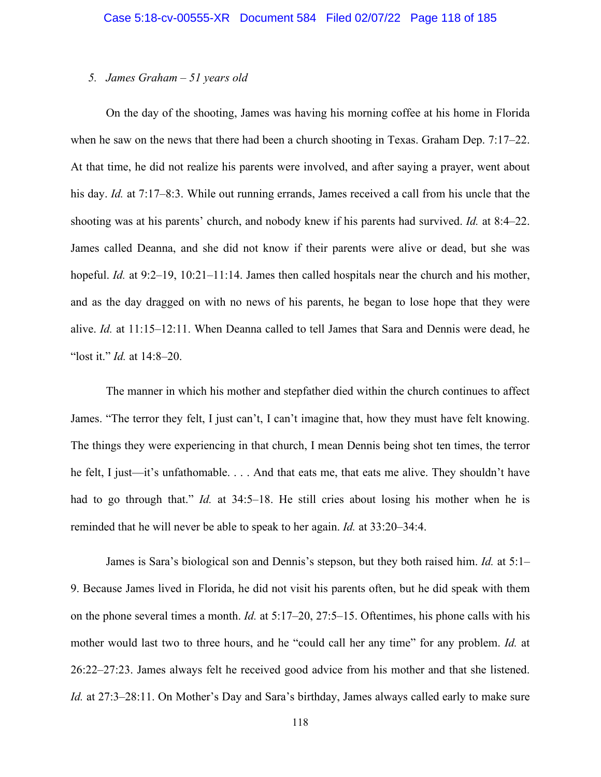## *5. James Graham – 51 years old*

On the day of the shooting, James was having his morning coffee at his home in Florida when he saw on the news that there had been a church shooting in Texas. Graham Dep. 7:17–22. At that time, he did not realize his parents were involved, and after saying a prayer, went about his day. *Id.* at 7:17–8:3. While out running errands, James received a call from his uncle that the shooting was at his parents' church, and nobody knew if his parents had survived. *Id.* at 8:4–22. James called Deanna, and she did not know if their parents were alive or dead, but she was hopeful. *Id.* at 9:2–19, 10:21–11:14. James then called hospitals near the church and his mother, and as the day dragged on with no news of his parents, he began to lose hope that they were alive. *Id.* at 11:15–12:11. When Deanna called to tell James that Sara and Dennis were dead, he "lost it." *Id.* at 14:8–20.

The manner in which his mother and stepfather died within the church continues to affect James. "The terror they felt, I just can't, I can't imagine that, how they must have felt knowing. The things they were experiencing in that church, I mean Dennis being shot ten times, the terror he felt, I just—it's unfathomable. . . . And that eats me, that eats me alive. They shouldn't have had to go through that." *Id.* at 34:5–18. He still cries about losing his mother when he is reminded that he will never be able to speak to her again. *Id.* at 33:20–34:4.

James is Sara's biological son and Dennis's stepson, but they both raised him. *Id.* at 5:1– 9. Because James lived in Florida, he did not visit his parents often, but he did speak with them on the phone several times a month. *Id.* at 5:17–20, 27:5–15. Oftentimes, his phone calls with his mother would last two to three hours, and he "could call her any time" for any problem. *Id.* at 26:22–27:23. James always felt he received good advice from his mother and that she listened. *Id.* at 27:3–28:11. On Mother's Day and Sara's birthday, James always called early to make sure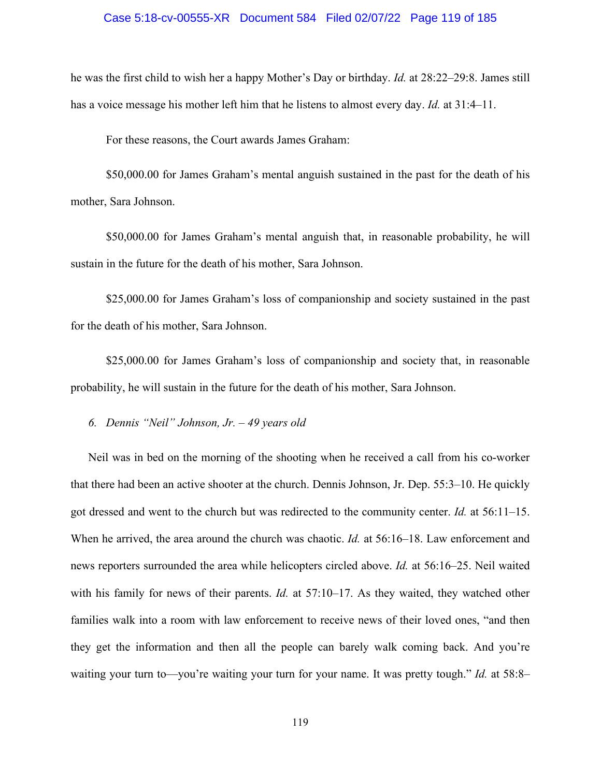#### Case 5:18-cv-00555-XR Document 584 Filed 02/07/22 Page 119 of 185

he was the first child to wish her a happy Mother's Day or birthday. *Id.* at 28:22–29:8. James still has a voice message his mother left him that he listens to almost every day. *Id.* at 31:4–11.

For these reasons, the Court awards James Graham:

\$50,000.00 for James Graham's mental anguish sustained in the past for the death of his mother, Sara Johnson.

\$50,000.00 for James Graham's mental anguish that, in reasonable probability, he will sustain in the future for the death of his mother, Sara Johnson.

\$25,000.00 for James Graham's loss of companionship and society sustained in the past for the death of his mother, Sara Johnson.

\$25,000.00 for James Graham's loss of companionship and society that, in reasonable probability, he will sustain in the future for the death of his mother, Sara Johnson.

*6. Dennis "Neil" Johnson, Jr. – 49 years old* 

Neil was in bed on the morning of the shooting when he received a call from his co-worker that there had been an active shooter at the church. Dennis Johnson, Jr. Dep. 55:3–10. He quickly got dressed and went to the church but was redirected to the community center. *Id.* at 56:11–15. When he arrived, the area around the church was chaotic. *Id.* at 56:16–18. Law enforcement and news reporters surrounded the area while helicopters circled above. *Id.* at 56:16–25. Neil waited with his family for news of their parents. *Id.* at 57:10–17. As they waited, they watched other families walk into a room with law enforcement to receive news of their loved ones, "and then they get the information and then all the people can barely walk coming back. And you're waiting your turn to—you're waiting your turn for your name. It was pretty tough." *Id.* at 58:8–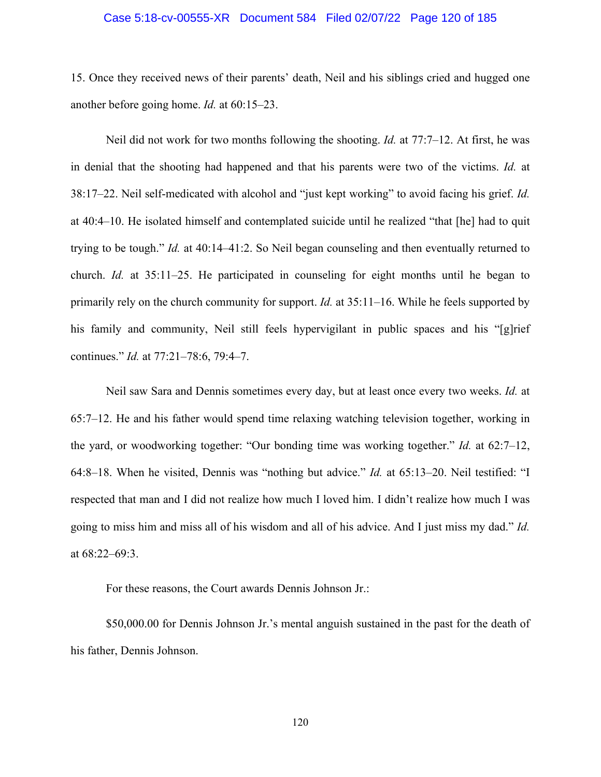#### Case 5:18-cv-00555-XR Document 584 Filed 02/07/22 Page 120 of 185

15. Once they received news of their parents' death, Neil and his siblings cried and hugged one another before going home. *Id.* at 60:15–23.

Neil did not work for two months following the shooting. *Id.* at 77:7–12. At first, he was in denial that the shooting had happened and that his parents were two of the victims. *Id.* at 38:17–22. Neil self-medicated with alcohol and "just kept working" to avoid facing his grief. *Id.* at 40:4–10. He isolated himself and contemplated suicide until he realized "that [he] had to quit trying to be tough." *Id.* at 40:14–41:2. So Neil began counseling and then eventually returned to church. *Id.* at 35:11–25. He participated in counseling for eight months until he began to primarily rely on the church community for support. *Id.* at 35:11–16. While he feels supported by his family and community, Neil still feels hypervigilant in public spaces and his "[g]rief continues." *Id.* at 77:21–78:6, 79:4–7.

Neil saw Sara and Dennis sometimes every day, but at least once every two weeks. *Id.* at 65:7–12. He and his father would spend time relaxing watching television together, working in the yard, or woodworking together: "Our bonding time was working together." *Id.* at 62:7–12, 64:8–18. When he visited, Dennis was "nothing but advice." *Id.* at 65:13–20. Neil testified: "I respected that man and I did not realize how much I loved him. I didn't realize how much I was going to miss him and miss all of his wisdom and all of his advice. And I just miss my dad." *Id.* at 68:22–69:3.

For these reasons, the Court awards Dennis Johnson Jr.:

\$50,000.00 for Dennis Johnson Jr.'s mental anguish sustained in the past for the death of his father, Dennis Johnson.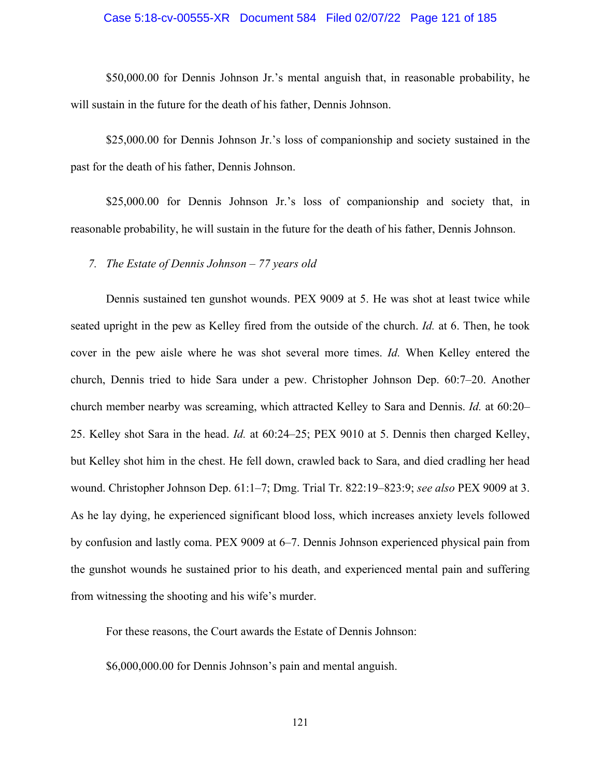## Case 5:18-cv-00555-XR Document 584 Filed 02/07/22 Page 121 of 185

\$50,000.00 for Dennis Johnson Jr.'s mental anguish that, in reasonable probability, he will sustain in the future for the death of his father, Dennis Johnson.

\$25,000.00 for Dennis Johnson Jr.'s loss of companionship and society sustained in the past for the death of his father, Dennis Johnson.

\$25,000.00 for Dennis Johnson Jr.'s loss of companionship and society that, in reasonable probability, he will sustain in the future for the death of his father, Dennis Johnson.

*7. The Estate of Dennis Johnson – 77 years old* 

Dennis sustained ten gunshot wounds. PEX 9009 at 5. He was shot at least twice while seated upright in the pew as Kelley fired from the outside of the church. *Id.* at 6. Then, he took cover in the pew aisle where he was shot several more times. *Id.* When Kelley entered the church, Dennis tried to hide Sara under a pew. Christopher Johnson Dep. 60:7–20. Another church member nearby was screaming, which attracted Kelley to Sara and Dennis. *Id.* at 60:20– 25. Kelley shot Sara in the head. *Id.* at 60:24–25; PEX 9010 at 5. Dennis then charged Kelley, but Kelley shot him in the chest. He fell down, crawled back to Sara, and died cradling her head wound. Christopher Johnson Dep. 61:1–7; Dmg. Trial Tr. 822:19–823:9; *see also* PEX 9009 at 3. As he lay dying, he experienced significant blood loss, which increases anxiety levels followed by confusion and lastly coma. PEX 9009 at 6–7. Dennis Johnson experienced physical pain from the gunshot wounds he sustained prior to his death, and experienced mental pain and suffering from witnessing the shooting and his wife's murder.

For these reasons, the Court awards the Estate of Dennis Johnson:

\$6,000,000.00 for Dennis Johnson's pain and mental anguish.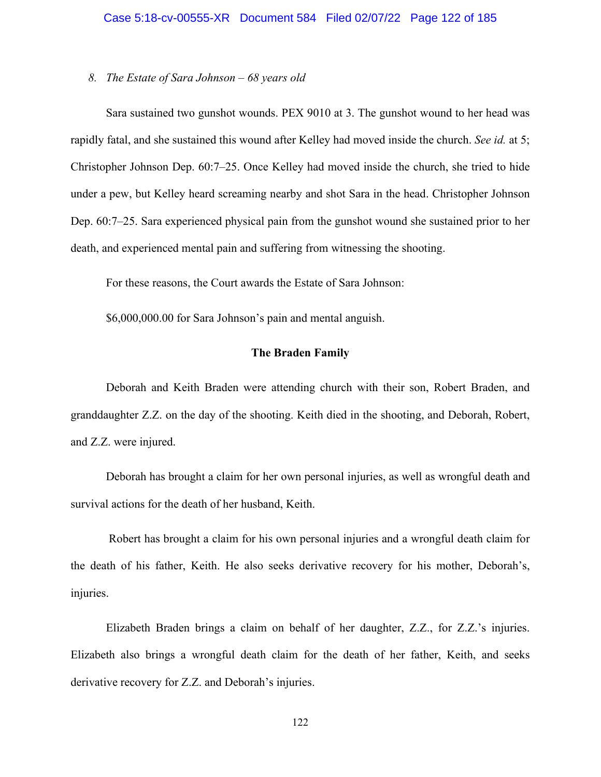# Case 5:18-cv-00555-XR Document 584 Filed 02/07/22 Page 122 of 185

## *8. The Estate of Sara Johnson – 68 years old*

Sara sustained two gunshot wounds. PEX 9010 at 3. The gunshot wound to her head was rapidly fatal, and she sustained this wound after Kelley had moved inside the church. *See id.* at 5; Christopher Johnson Dep. 60:7–25. Once Kelley had moved inside the church, she tried to hide under a pew, but Kelley heard screaming nearby and shot Sara in the head. Christopher Johnson Dep. 60:7–25. Sara experienced physical pain from the gunshot wound she sustained prior to her death, and experienced mental pain and suffering from witnessing the shooting.

For these reasons, the Court awards the Estate of Sara Johnson:

\$6,000,000.00 for Sara Johnson's pain and mental anguish.

## **The Braden Family**

Deborah and Keith Braden were attending church with their son, Robert Braden, and granddaughter Z.Z. on the day of the shooting. Keith died in the shooting, and Deborah, Robert, and Z.Z. were injured.

Deborah has brought a claim for her own personal injuries, as well as wrongful death and survival actions for the death of her husband, Keith.

Robert has brought a claim for his own personal injuries and a wrongful death claim for the death of his father, Keith. He also seeks derivative recovery for his mother, Deborah's, injuries.

Elizabeth Braden brings a claim on behalf of her daughter, Z.Z., for Z.Z.'s injuries. Elizabeth also brings a wrongful death claim for the death of her father, Keith, and seeks derivative recovery for Z.Z. and Deborah's injuries.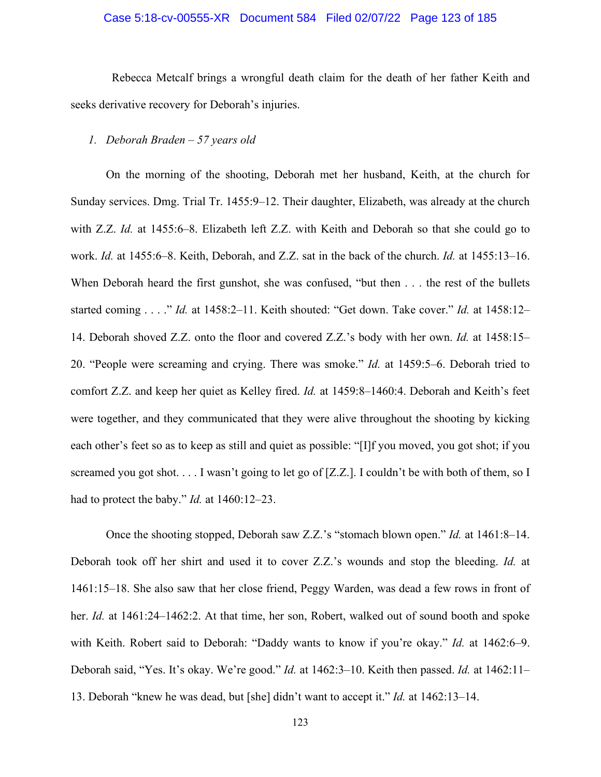## Case 5:18-cv-00555-XR Document 584 Filed 02/07/22 Page 123 of 185

 Rebecca Metcalf brings a wrongful death claim for the death of her father Keith and seeks derivative recovery for Deborah's injuries.

## *1. Deborah Braden – 57 years old*

On the morning of the shooting, Deborah met her husband, Keith, at the church for Sunday services. Dmg. Trial Tr. 1455:9–12. Their daughter, Elizabeth, was already at the church with Z.Z. *Id.* at 1455:6–8. Elizabeth left Z.Z. with Keith and Deborah so that she could go to work. *Id.* at 1455:6–8. Keith, Deborah, and Z.Z. sat in the back of the church. *Id.* at 1455:13–16. When Deborah heard the first gunshot, she was confused, "but then . . . the rest of the bullets started coming . . . ." *Id.* at 1458:2–11. Keith shouted: "Get down. Take cover." *Id.* at 1458:12– 14. Deborah shoved Z.Z. onto the floor and covered Z.Z.'s body with her own. *Id.* at 1458:15– 20. "People were screaming and crying. There was smoke." *Id.* at 1459:5–6. Deborah tried to comfort Z.Z. and keep her quiet as Kelley fired. *Id.* at 1459:8–1460:4. Deborah and Keith's feet were together, and they communicated that they were alive throughout the shooting by kicking each other's feet so as to keep as still and quiet as possible: "[I]f you moved, you got shot; if you screamed you got shot. . . . I wasn't going to let go of [Z.Z.]. I couldn't be with both of them, so I had to protect the baby." *Id.* at 1460:12–23.

Once the shooting stopped, Deborah saw Z.Z.'s "stomach blown open." *Id.* at 1461:8–14. Deborah took off her shirt and used it to cover Z.Z.'s wounds and stop the bleeding. *Id.* at 1461:15–18. She also saw that her close friend, Peggy Warden, was dead a few rows in front of her. *Id.* at 1461:24–1462:2. At that time, her son, Robert, walked out of sound booth and spoke with Keith. Robert said to Deborah: "Daddy wants to know if you're okay." *Id.* at 1462:6–9. Deborah said, "Yes. It's okay. We're good." *Id.* at 1462:3–10. Keith then passed. *Id.* at 1462:11– 13. Deborah "knew he was dead, but [she] didn't want to accept it." *Id.* at 1462:13–14.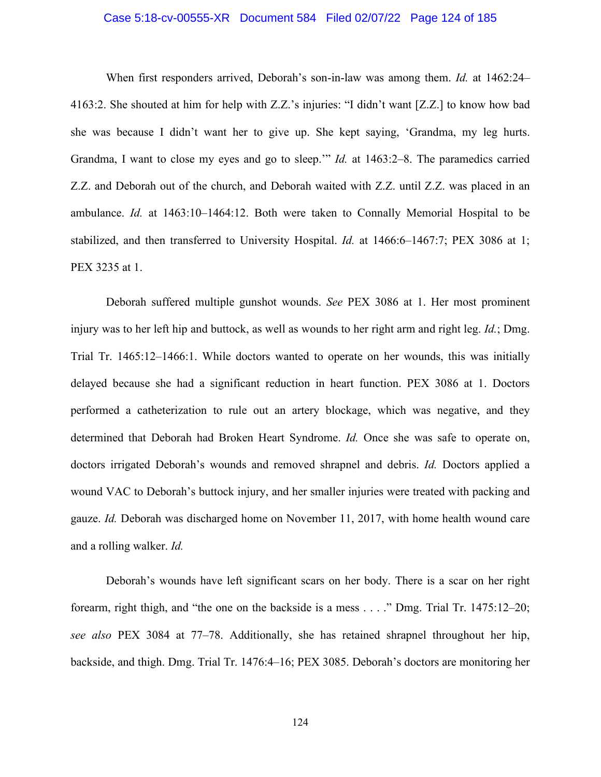## Case 5:18-cv-00555-XR Document 584 Filed 02/07/22 Page 124 of 185

 When first responders arrived, Deborah's son-in-law was among them. *Id.* at 1462:24– 4163:2. She shouted at him for help with Z.Z.'s injuries: "I didn't want [Z.Z.] to know how bad she was because I didn't want her to give up. She kept saying, 'Grandma, my leg hurts. Grandma, I want to close my eyes and go to sleep.'" *Id.* at 1463:2–8. The paramedics carried Z.Z. and Deborah out of the church, and Deborah waited with Z.Z. until Z.Z. was placed in an ambulance. *Id.* at 1463:10–1464:12. Both were taken to Connally Memorial Hospital to be stabilized, and then transferred to University Hospital. *Id.* at 1466:6–1467:7; PEX 3086 at 1; PEX 3235 at 1.

Deborah suffered multiple gunshot wounds. *See* PEX 3086 at 1. Her most prominent injury was to her left hip and buttock, as well as wounds to her right arm and right leg. *Id.*; Dmg. Trial Tr. 1465:12–1466:1. While doctors wanted to operate on her wounds, this was initially delayed because she had a significant reduction in heart function. PEX 3086 at 1. Doctors performed a catheterization to rule out an artery blockage, which was negative, and they determined that Deborah had Broken Heart Syndrome. *Id.* Once she was safe to operate on, doctors irrigated Deborah's wounds and removed shrapnel and debris. *Id.* Doctors applied a wound VAC to Deborah's buttock injury, and her smaller injuries were treated with packing and gauze. *Id.* Deborah was discharged home on November 11, 2017, with home health wound care and a rolling walker. *Id.*

Deborah's wounds have left significant scars on her body. There is a scar on her right forearm, right thigh, and "the one on the backside is a mess . . . ." Dmg. Trial Tr. 1475:12–20; *see also* PEX 3084 at 77–78. Additionally, she has retained shrapnel throughout her hip, backside, and thigh. Dmg. Trial Tr. 1476:4–16; PEX 3085. Deborah's doctors are monitoring her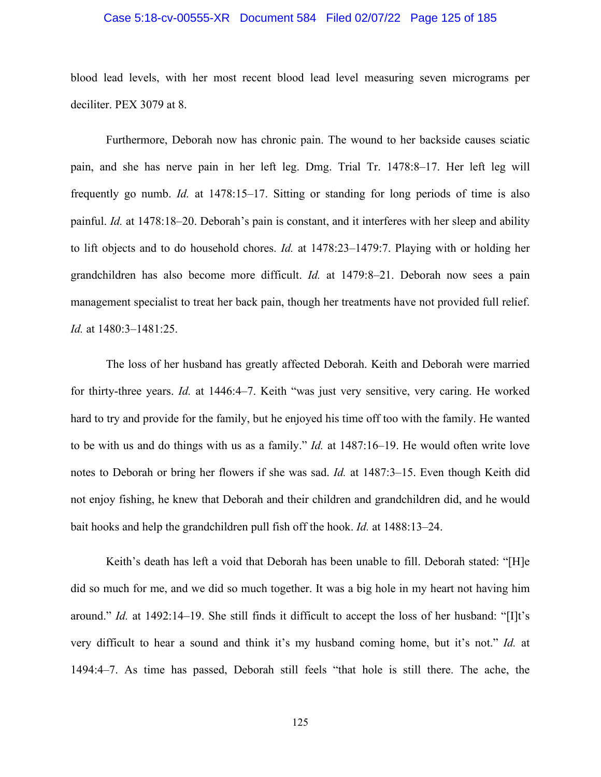## Case 5:18-cv-00555-XR Document 584 Filed 02/07/22 Page 125 of 185

blood lead levels, with her most recent blood lead level measuring seven micrograms per deciliter. PEX 3079 at 8.

Furthermore, Deborah now has chronic pain. The wound to her backside causes sciatic pain, and she has nerve pain in her left leg. Dmg. Trial Tr. 1478:8–17. Her left leg will frequently go numb. *Id.* at 1478:15–17. Sitting or standing for long periods of time is also painful. *Id.* at 1478:18–20. Deborah's pain is constant, and it interferes with her sleep and ability to lift objects and to do household chores. *Id.* at 1478:23–1479:7. Playing with or holding her grandchildren has also become more difficult. *Id.* at 1479:8–21. Deborah now sees a pain management specialist to treat her back pain, though her treatments have not provided full relief. *Id.* at 1480:3–1481:25.

The loss of her husband has greatly affected Deborah. Keith and Deborah were married for thirty-three years. *Id.* at 1446:4–7. Keith "was just very sensitive, very caring. He worked hard to try and provide for the family, but he enjoyed his time off too with the family. He wanted to be with us and do things with us as a family." *Id.* at 1487:16–19. He would often write love notes to Deborah or bring her flowers if she was sad. *Id.* at 1487:3–15. Even though Keith did not enjoy fishing, he knew that Deborah and their children and grandchildren did, and he would bait hooks and help the grandchildren pull fish off the hook. *Id.* at 1488:13–24.

Keith's death has left a void that Deborah has been unable to fill. Deborah stated: "[H]e did so much for me, and we did so much together. It was a big hole in my heart not having him around." *Id.* at 1492:14–19. She still finds it difficult to accept the loss of her husband: "[I]t's very difficult to hear a sound and think it's my husband coming home, but it's not." *Id.* at 1494:4–7. As time has passed, Deborah still feels "that hole is still there. The ache, the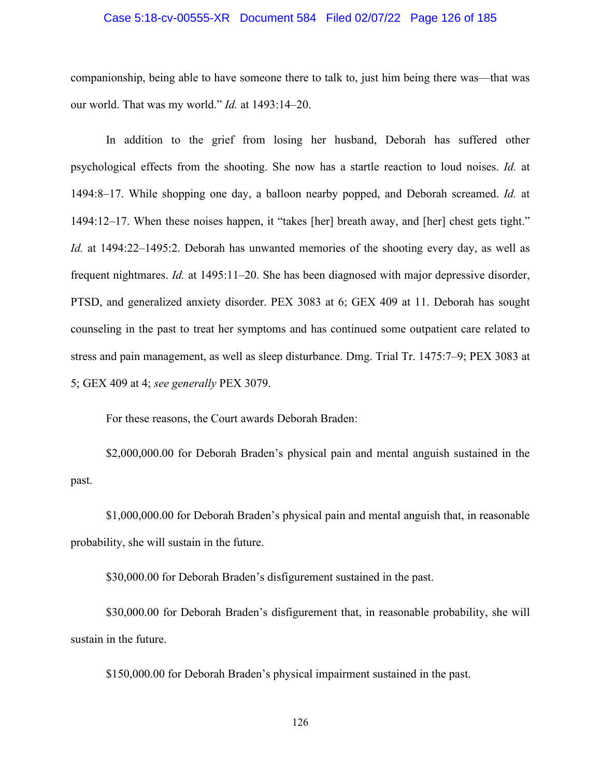### Case 5:18-cv-00555-XR Document 584 Filed 02/07/22 Page 126 of 185

companionship, being able to have someone there to talk to, just him being there was—that was our world. That was my world." *Id.* at 1493:14–20.

In addition to the grief from losing her husband, Deborah has suffered other psychological effects from the shooting. She now has a startle reaction to loud noises. *Id.* at 1494:8–17. While shopping one day, a balloon nearby popped, and Deborah screamed. *Id.* at 1494:12–17. When these noises happen, it "takes [her] breath away, and [her] chest gets tight." *Id.* at 1494:22–1495:2. Deborah has unwanted memories of the shooting every day, as well as frequent nightmares. *Id.* at 1495:11–20. She has been diagnosed with major depressive disorder, PTSD, and generalized anxiety disorder. PEX 3083 at 6; GEX 409 at 11. Deborah has sought counseling in the past to treat her symptoms and has continued some outpatient care related to stress and pain management, as well as sleep disturbance. Dmg. Trial Tr. 1475:7–9; PEX 3083 at 5; GEX 409 at 4; *see generally* PEX 3079.

For these reasons, the Court awards Deborah Braden:

\$2,000,000.00 for Deborah Braden's physical pain and mental anguish sustained in the past.

\$1,000,000.00 for Deborah Braden's physical pain and mental anguish that, in reasonable probability, she will sustain in the future.

\$30,000.00 for Deborah Braden's disfigurement sustained in the past.

\$30,000.00 for Deborah Braden's disfigurement that, in reasonable probability, she will sustain in the future.

\$150,000.00 for Deborah Braden's physical impairment sustained in the past.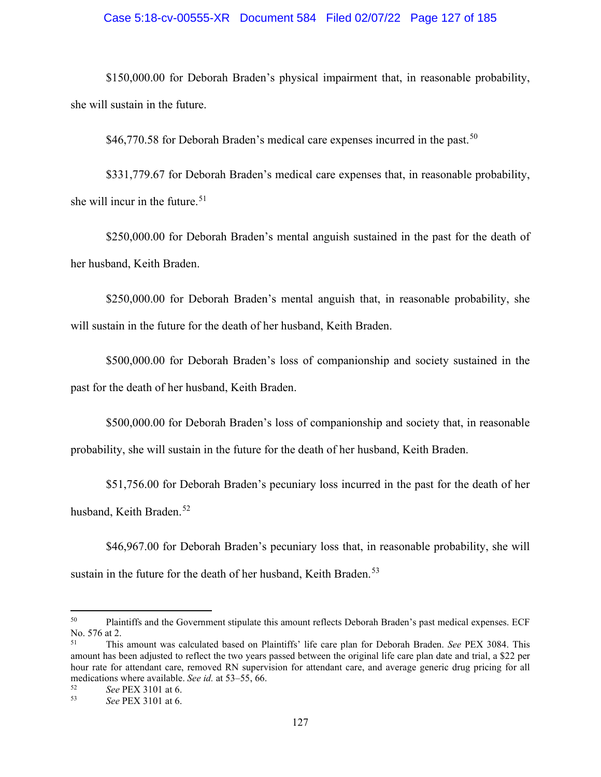## Case 5:18-cv-00555-XR Document 584 Filed 02/07/22 Page 127 of 185

\$150,000.00 for Deborah Braden's physical impairment that, in reasonable probability, she will sustain in the future.

 $$46,770.58$  for Deborah Braden's medical care expenses incurred in the past.<sup>50</sup>

\$331,779.67 for Deborah Braden's medical care expenses that, in reasonable probability, she will incur in the future.  $51$ 

\$250,000.00 for Deborah Braden's mental anguish sustained in the past for the death of her husband, Keith Braden.

\$250,000.00 for Deborah Braden's mental anguish that, in reasonable probability, she will sustain in the future for the death of her husband, Keith Braden.

\$500,000.00 for Deborah Braden's loss of companionship and society sustained in the past for the death of her husband, Keith Braden.

\$500,000.00 for Deborah Braden's loss of companionship and society that, in reasonable probability, she will sustain in the future for the death of her husband, Keith Braden.

\$51,756.00 for Deborah Braden's pecuniary loss incurred in the past for the death of her husband, Keith Braden.<sup>[52](#page-126-2)</sup>

\$46,967.00 for Deborah Braden's pecuniary loss that, in reasonable probability, she will sustain in the future for the death of her husband, Keith Braden.<sup>[53](#page-126-3)</sup>

<span id="page-126-0"></span><sup>50</sup> Plaintiffs and the Government stipulate this amount reflects Deborah Braden's past medical expenses. ECF No. 576 at 2.

<span id="page-126-1"></span><sup>51</sup> This amount was calculated based on Plaintiffs' life care plan for Deborah Braden. *See* PEX 3084. This amount has been adjusted to reflect the two years passed between the original life care plan date and trial, a \$22 per hour rate for attendant care, removed RN supervision for attendant care, and average generic drug pricing for all medications where available. *See id.* at 53–55, 66.<br> ${}^{52}$ 

<span id="page-126-3"></span><span id="page-126-2"></span><sup>52</sup> *See* PEX 3101 at 6.

<sup>53</sup> *See* PEX 3101 at 6.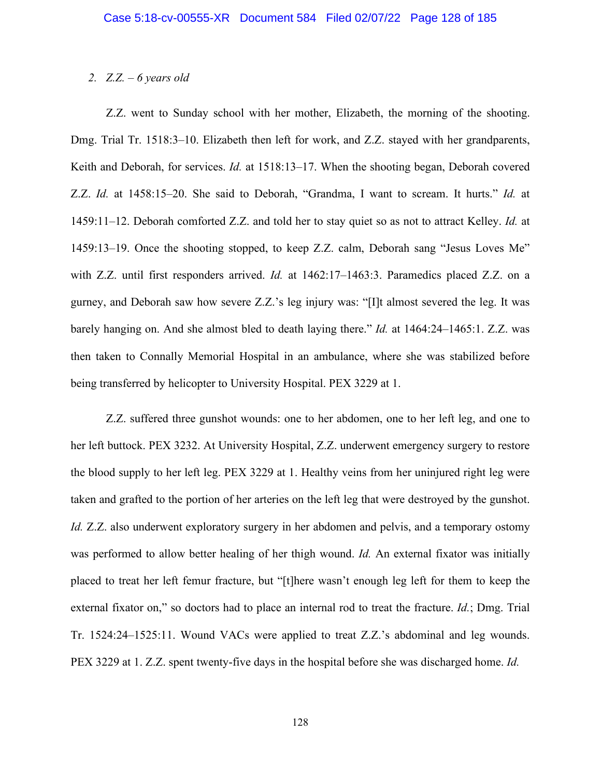## *2. Z.Z. – 6 years old*

Z.Z. went to Sunday school with her mother, Elizabeth, the morning of the shooting. Dmg. Trial Tr. 1518:3–10. Elizabeth then left for work, and Z.Z. stayed with her grandparents, Keith and Deborah, for services. *Id.* at 1518:13–17. When the shooting began, Deborah covered Z.Z. *Id.* at 1458:15–20. She said to Deborah, "Grandma, I want to scream. It hurts." *Id.* at 1459:11–12. Deborah comforted Z.Z. and told her to stay quiet so as not to attract Kelley. *Id.* at 1459:13–19. Once the shooting stopped, to keep Z.Z. calm, Deborah sang "Jesus Loves Me" with Z.Z. until first responders arrived. *Id.* at 1462:17–1463:3. Paramedics placed Z.Z. on a gurney, and Deborah saw how severe Z.Z.'s leg injury was: "[I]t almost severed the leg. It was barely hanging on. And she almost bled to death laying there." *Id.* at 1464:24–1465:1. Z.Z. was then taken to Connally Memorial Hospital in an ambulance, where she was stabilized before being transferred by helicopter to University Hospital. PEX 3229 at 1.

Z.Z. suffered three gunshot wounds: one to her abdomen, one to her left leg, and one to her left buttock. PEX 3232. At University Hospital, Z.Z. underwent emergency surgery to restore the blood supply to her left leg. PEX 3229 at 1. Healthy veins from her uninjured right leg were taken and grafted to the portion of her arteries on the left leg that were destroyed by the gunshot. *Id.* Z.Z. also underwent exploratory surgery in her abdomen and pelvis, and a temporary ostomy was performed to allow better healing of her thigh wound. *Id.* An external fixator was initially placed to treat her left femur fracture, but "[t]here wasn't enough leg left for them to keep the external fixator on," so doctors had to place an internal rod to treat the fracture. *Id.*; Dmg. Trial Tr. 1524:24–1525:11. Wound VACs were applied to treat Z.Z.'s abdominal and leg wounds. PEX 3229 at 1. Z.Z. spent twenty-five days in the hospital before she was discharged home. *Id.*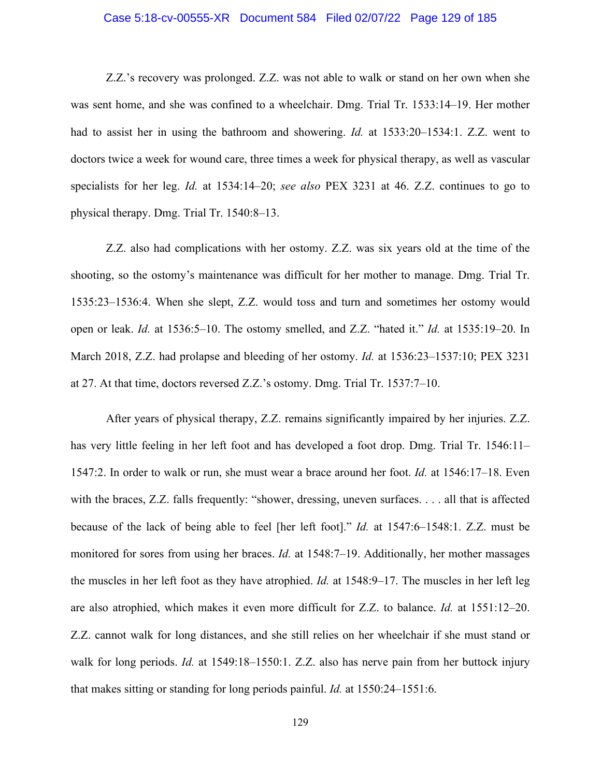## Case 5:18-cv-00555-XR Document 584 Filed 02/07/22 Page 129 of 185

Z.Z.'s recovery was prolonged. Z.Z. was not able to walk or stand on her own when she was sent home, and she was confined to a wheelchair. Dmg. Trial Tr. 1533:14–19. Her mother had to assist her in using the bathroom and showering. *Id.* at 1533:20–1534:1. Z.Z. went to doctors twice a week for wound care, three times a week for physical therapy, as well as vascular specialists for her leg. *Id.* at 1534:14–20; *see also* PEX 3231 at 46. Z.Z. continues to go to physical therapy. Dmg. Trial Tr. 1540:8–13.

Z.Z. also had complications with her ostomy. Z.Z. was six years old at the time of the shooting, so the ostomy's maintenance was difficult for her mother to manage. Dmg. Trial Tr. 1535:23–1536:4. When she slept, Z.Z. would toss and turn and sometimes her ostomy would open or leak. *Id.* at 1536:5–10. The ostomy smelled, and Z.Z. "hated it." *Id.* at 1535:19–20. In March 2018, Z.Z. had prolapse and bleeding of her ostomy. *Id.* at 1536:23–1537:10; PEX 3231 at 27. At that time, doctors reversed Z.Z.'s ostomy. Dmg. Trial Tr. 1537:7–10.

After years of physical therapy, Z.Z. remains significantly impaired by her injuries. Z.Z. has very little feeling in her left foot and has developed a foot drop. Dmg. Trial Tr. 1546:11– 1547:2. In order to walk or run, she must wear a brace around her foot. *Id.* at 1546:17–18. Even with the braces, Z.Z. falls frequently: "shower, dressing, uneven surfaces. . . . all that is affected because of the lack of being able to feel [her left foot]." *Id.* at 1547:6–1548:1. Z.Z. must be monitored for sores from using her braces. *Id.* at 1548:7–19. Additionally, her mother massages the muscles in her left foot as they have atrophied. *Id.* at 1548:9–17. The muscles in her left leg are also atrophied, which makes it even more difficult for Z.Z. to balance. *Id.* at 1551:12–20. Z.Z. cannot walk for long distances, and she still relies on her wheelchair if she must stand or walk for long periods. *Id.* at 1549:18–1550:1. Z.Z. also has nerve pain from her buttock injury that makes sitting or standing for long periods painful. *Id.* at 1550:24–1551:6.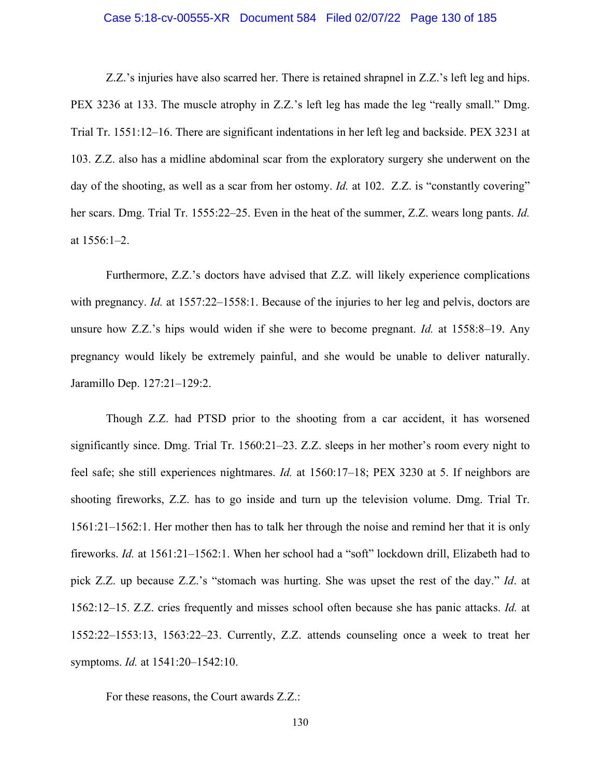## Case 5:18-cv-00555-XR Document 584 Filed 02/07/22 Page 130 of 185

Z.Z.'s injuries have also scarred her. There is retained shrapnel in Z.Z.'s left leg and hips. PEX 3236 at 133. The muscle atrophy in Z.Z.'s left leg has made the leg "really small." Dmg. Trial Tr. 1551:12–16. There are significant indentations in her left leg and backside. PEX 3231 at 103. Z.Z. also has a midline abdominal scar from the exploratory surgery she underwent on the day of the shooting, as well as a scar from her ostomy. *Id.* at 102. Z.Z. is "constantly covering" her scars. Dmg. Trial Tr. 1555:22–25. Even in the heat of the summer, Z.Z. wears long pants. *Id.* at 1556:1–2.

Furthermore, Z.Z.'s doctors have advised that Z.Z. will likely experience complications with pregnancy. *Id.* at 1557:22–1558:1. Because of the injuries to her leg and pelvis, doctors are unsure how Z.Z.'s hips would widen if she were to become pregnant. *Id.* at 1558:8–19. Any pregnancy would likely be extremely painful, and she would be unable to deliver naturally. Jaramillo Dep. 127:21–129:2.

Though Z.Z. had PTSD prior to the shooting from a car accident, it has worsened significantly since. Dmg. Trial Tr. 1560:21–23. Z.Z. sleeps in her mother's room every night to feel safe; she still experiences nightmares. *Id.* at 1560:17–18; PEX 3230 at 5. If neighbors are shooting fireworks, Z.Z. has to go inside and turn up the television volume. Dmg. Trial Tr. 1561:21–1562:1. Her mother then has to talk her through the noise and remind her that it is only fireworks. *Id.* at 1561:21–1562:1. When her school had a "soft" lockdown drill, Elizabeth had to pick Z.Z. up because Z.Z.'s "stomach was hurting. She was upset the rest of the day." *Id*. at 1562:12–15. Z.Z. cries frequently and misses school often because she has panic attacks. *Id.* at 1552:22–1553:13, 1563:22–23. Currently, Z.Z. attends counseling once a week to treat her symptoms. *Id.* at 1541:20–1542:10.

For these reasons, the Court awards Z.Z.: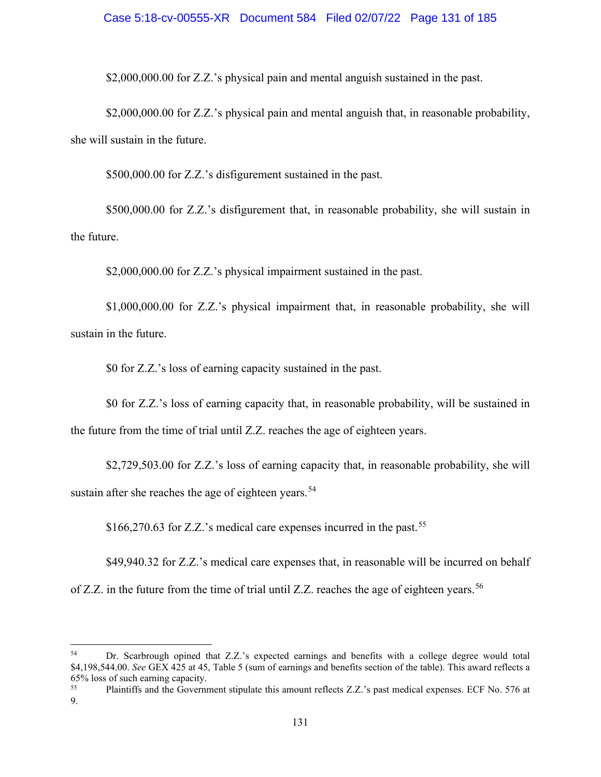## Case 5:18-cv-00555-XR Document 584 Filed 02/07/22 Page 131 of 185

\$2,000,000.00 for Z.Z.'s physical pain and mental anguish sustained in the past.

\$2,000,000.00 for Z.Z.'s physical pain and mental anguish that, in reasonable probability, she will sustain in the future.

\$500,000.00 for Z.Z.'s disfigurement sustained in the past.

\$500,000.00 for Z.Z.'s disfigurement that, in reasonable probability, she will sustain in the future.

\$2,000,000.00 for Z.Z.'s physical impairment sustained in the past.

\$1,000,000.00 for Z.Z.'s physical impairment that, in reasonable probability, she will sustain in the future.

\$0 for Z.Z.'s loss of earning capacity sustained in the past.

\$0 for Z.Z.'s loss of earning capacity that, in reasonable probability, will be sustained in the future from the time of trial until Z.Z. reaches the age of eighteen years.

\$2,729,503.00 for Z.Z.'s loss of earning capacity that, in reasonable probability, she will sustain after she reaches the age of eighteen years.<sup>[54](#page-130-0)</sup>

\$166,270.63 for Z.Z.'s medical care expenses incurred in the past.<sup>55</sup>

<span id="page-130-2"></span>\$49,940.32 for Z.Z.'s medical care expenses that, in reasonable will be incurred on behalf of Z.Z. in the future from the time of trial until Z.Z. reaches the age of eighteen years.<sup>[56](#page-130-2)</sup>

<span id="page-130-0"></span><sup>54</sup> Dr. Scarbrough opined that Z.Z.'s expected earnings and benefits with a college degree would total \$4,198,544.00. *See* GEX 425 at 45, Table 5 (sum of earnings and benefits section of the table). This award reflects a 65% loss of such earning capacity.

<span id="page-130-1"></span><sup>55</sup> Plaintiffs and the Government stipulate this amount reflects Z.Z.'s past medical expenses. ECF No. 576 at 9.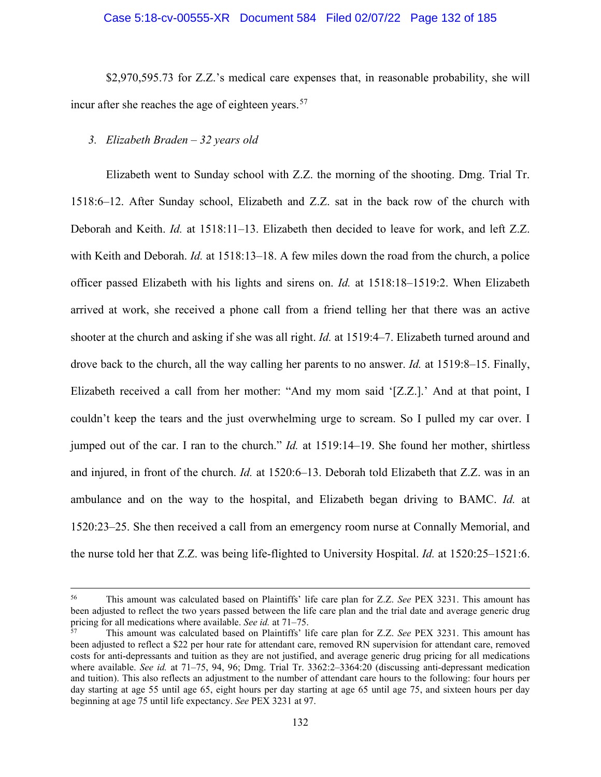#### Case 5:18-cv-00555-XR Document 584 Filed 02/07/22 Page 132 of 185

\$2,970,595.73 for Z.Z.'s medical care expenses that, in reasonable probability, she will incur after she reaches the age of eighteen years.<sup>[57](#page-131-0)</sup>

## *3. Elizabeth Braden – 32 years old*

Elizabeth went to Sunday school with Z.Z. the morning of the shooting. Dmg. Trial Tr. 1518:6–12. After Sunday school, Elizabeth and Z.Z. sat in the back row of the church with Deborah and Keith. *Id.* at 1518:11–13. Elizabeth then decided to leave for work, and left Z.Z. with Keith and Deborah. *Id.* at 1518:13–18. A few miles down the road from the church, a police officer passed Elizabeth with his lights and sirens on. *Id.* at 1518:18–1519:2. When Elizabeth arrived at work, she received a phone call from a friend telling her that there was an active shooter at the church and asking if she was all right. *Id.* at 1519:4–7. Elizabeth turned around and drove back to the church, all the way calling her parents to no answer. *Id.* at 1519:8–15. Finally, Elizabeth received a call from her mother: "And my mom said '[Z.Z.].' And at that point, I couldn't keep the tears and the just overwhelming urge to scream. So I pulled my car over. I jumped out of the car. I ran to the church." *Id.* at 1519:14–19. She found her mother, shirtless and injured, in front of the church. *Id.* at 1520:6–13. Deborah told Elizabeth that Z.Z. was in an ambulance and on the way to the hospital, and Elizabeth began driving to BAMC. *Id.* at 1520:23–25. She then received a call from an emergency room nurse at Connally Memorial, and the nurse told her that Z.Z. was being life-flighted to University Hospital. *Id.* at 1520:25–1521:6.

<sup>56</sup> This amount was calculated based on Plaintiffs' life care plan for Z.Z. *See* PEX 3231. This amount has been adjusted to reflect the two years passed between the life care plan and the trial date and average generic drug pricing for all medications where available. *See id.* at 71–75.

<span id="page-131-0"></span><sup>57</sup> This amount was calculated based on Plaintiffs' life care plan for Z.Z. *See* PEX 3231. This amount has been adjusted to reflect a \$22 per hour rate for attendant care, removed RN supervision for attendant care, removed costs for anti-depressants and tuition as they are not justified, and average generic drug pricing for all medications where available. *See id.* at 71–75, 94, 96; Dmg. Trial Tr. 3362:2–3364:20 (discussing anti-depressant medication and tuition). This also reflects an adjustment to the number of attendant care hours to the following: four hours per day starting at age 55 until age 65, eight hours per day starting at age 65 until age 75, and sixteen hours per day beginning at age 75 until life expectancy. *See* PEX 3231 at 97.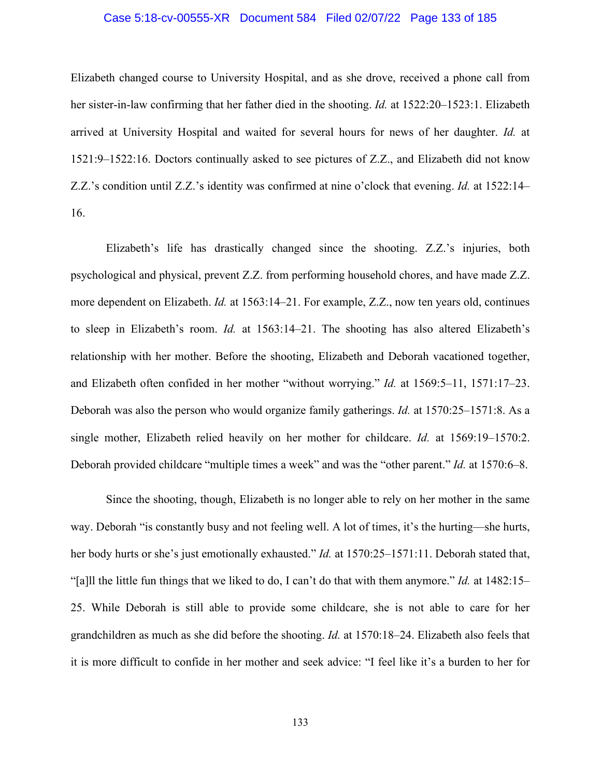## Case 5:18-cv-00555-XR Document 584 Filed 02/07/22 Page 133 of 185

Elizabeth changed course to University Hospital, and as she drove, received a phone call from her sister-in-law confirming that her father died in the shooting. *Id.* at 1522:20–1523:1. Elizabeth arrived at University Hospital and waited for several hours for news of her daughter. *Id.* at 1521:9–1522:16. Doctors continually asked to see pictures of Z.Z., and Elizabeth did not know Z.Z.'s condition until Z.Z.'s identity was confirmed at nine o'clock that evening. *Id.* at 1522:14– 16.

Elizabeth's life has drastically changed since the shooting. Z.Z.'s injuries, both psychological and physical, prevent Z.Z. from performing household chores, and have made Z.Z. more dependent on Elizabeth. *Id.* at 1563:14–21. For example, Z.Z., now ten years old, continues to sleep in Elizabeth's room. *Id.* at 1563:14–21. The shooting has also altered Elizabeth's relationship with her mother. Before the shooting, Elizabeth and Deborah vacationed together, and Elizabeth often confided in her mother "without worrying." *Id.* at 1569:5–11, 1571:17–23. Deborah was also the person who would organize family gatherings. *Id.* at 1570:25–1571:8. As a single mother, Elizabeth relied heavily on her mother for childcare. *Id.* at 1569:19–1570:2. Deborah provided childcare "multiple times a week" and was the "other parent." *Id.* at 1570:6–8.

Since the shooting, though, Elizabeth is no longer able to rely on her mother in the same way. Deborah "is constantly busy and not feeling well. A lot of times, it's the hurting—she hurts, her body hurts or she's just emotionally exhausted." *Id.* at 1570:25–1571:11. Deborah stated that, "[a]ll the little fun things that we liked to do, I can't do that with them anymore." *Id.* at 1482:15– 25. While Deborah is still able to provide some childcare, she is not able to care for her grandchildren as much as she did before the shooting. *Id.* at 1570:18–24. Elizabeth also feels that it is more difficult to confide in her mother and seek advice: "I feel like it's a burden to her for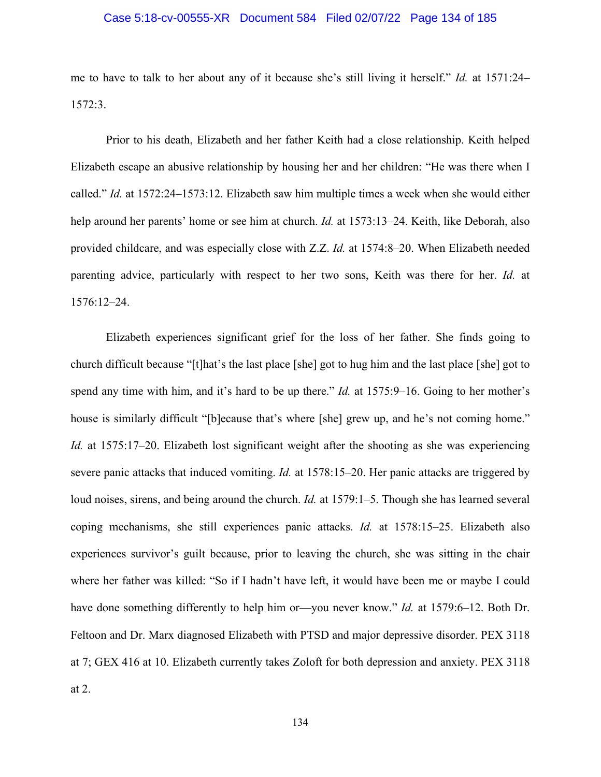## Case 5:18-cv-00555-XR Document 584 Filed 02/07/22 Page 134 of 185

me to have to talk to her about any of it because she's still living it herself." *Id.* at 1571:24– 1572:3.

Prior to his death, Elizabeth and her father Keith had a close relationship. Keith helped Elizabeth escape an abusive relationship by housing her and her children: "He was there when I called." *Id.* at 1572:24–1573:12. Elizabeth saw him multiple times a week when she would either help around her parents' home or see him at church. *Id.* at 1573:13–24. Keith, like Deborah, also provided childcare, and was especially close with Z.Z. *Id.* at 1574:8–20. When Elizabeth needed parenting advice, particularly with respect to her two sons, Keith was there for her. *Id.* at 1576:12–24.

Elizabeth experiences significant grief for the loss of her father. She finds going to church difficult because "[t]hat's the last place [she] got to hug him and the last place [she] got to spend any time with him, and it's hard to be up there." *Id.* at 1575:9–16. Going to her mother's house is similarly difficult "[b]ecause that's where [she] grew up, and he's not coming home." *Id.* at 1575:17–20. Elizabeth lost significant weight after the shooting as she was experiencing severe panic attacks that induced vomiting. *Id.* at 1578:15–20. Her panic attacks are triggered by loud noises, sirens, and being around the church. *Id.* at 1579:1–5. Though she has learned several coping mechanisms, she still experiences panic attacks. *Id.* at 1578:15–25. Elizabeth also experiences survivor's guilt because, prior to leaving the church, she was sitting in the chair where her father was killed: "So if I hadn't have left, it would have been me or maybe I could have done something differently to help him or—you never know." *Id.* at 1579:6–12. Both Dr. Feltoon and Dr. Marx diagnosed Elizabeth with PTSD and major depressive disorder. PEX 3118 at 7; GEX 416 at 10. Elizabeth currently takes Zoloft for both depression and anxiety. PEX 3118 at 2.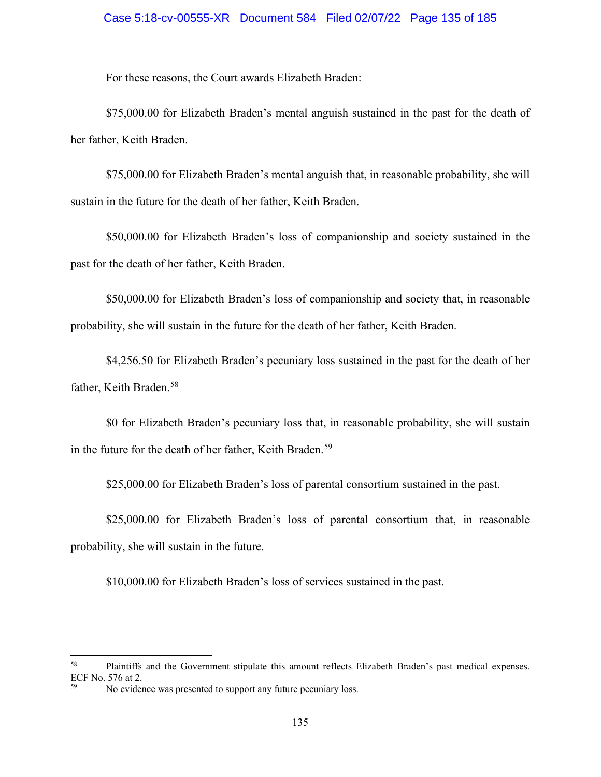## Case 5:18-cv-00555-XR Document 584 Filed 02/07/22 Page 135 of 185

For these reasons, the Court awards Elizabeth Braden:

\$75,000.00 for Elizabeth Braden's mental anguish sustained in the past for the death of her father, Keith Braden.

\$75,000.00 for Elizabeth Braden's mental anguish that, in reasonable probability, she will sustain in the future for the death of her father, Keith Braden.

\$50,000.00 for Elizabeth Braden's loss of companionship and society sustained in the past for the death of her father, Keith Braden.

\$50,000.00 for Elizabeth Braden's loss of companionship and society that, in reasonable probability, she will sustain in the future for the death of her father, Keith Braden.

\$4,256.50 for Elizabeth Braden's pecuniary loss sustained in the past for the death of her father, Keith Braden. [58](#page-134-0)

\$0 for Elizabeth Braden's pecuniary loss that, in reasonable probability, she will sustain in the future for the death of her father, Keith Braden. [59](#page-134-1)

\$25,000.00 for Elizabeth Braden's loss of parental consortium sustained in the past.

\$25,000.00 for Elizabeth Braden's loss of parental consortium that, in reasonable probability, she will sustain in the future.

\$10,000.00 for Elizabeth Braden's loss of services sustained in the past.

<span id="page-134-0"></span><sup>58</sup> Plaintiffs and the Government stipulate this amount reflects Elizabeth Braden's past medical expenses. ECF No. 576 at 2.

<span id="page-134-1"></span>No evidence was presented to support any future pecuniary loss.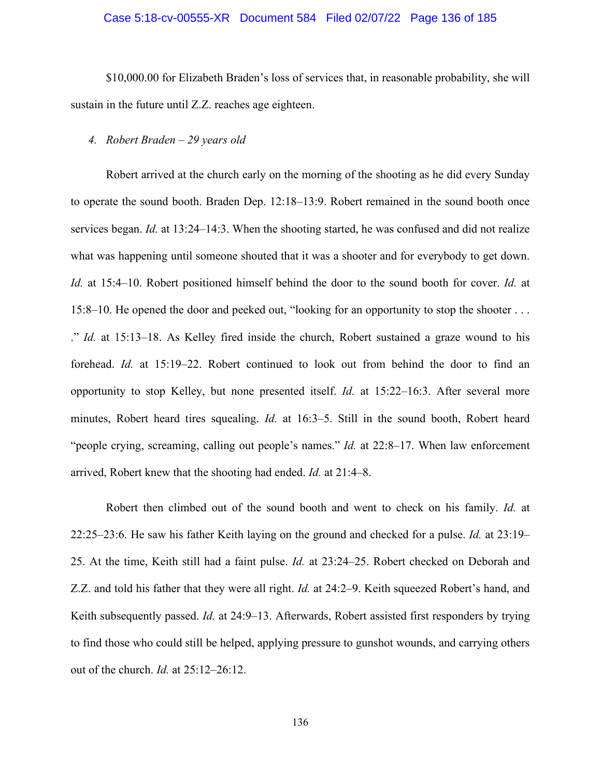## Case 5:18-cv-00555-XR Document 584 Filed 02/07/22 Page 136 of 185

\$10,000.00 for Elizabeth Braden's loss of services that, in reasonable probability, she will sustain in the future until Z.Z. reaches age eighteen.

# *4. Robert Braden – 29 years old*

Robert arrived at the church early on the morning of the shooting as he did every Sunday to operate the sound booth. Braden Dep. 12:18–13:9. Robert remained in the sound booth once services began. *Id.* at 13:24–14:3. When the shooting started, he was confused and did not realize what was happening until someone shouted that it was a shooter and for everybody to get down. *Id.* at 15:4–10. Robert positioned himself behind the door to the sound booth for cover. *Id.* at 15:8–10. He opened the door and peeked out, "looking for an opportunity to stop the shooter . . . ." *Id.* at 15:13–18. As Kelley fired inside the church, Robert sustained a graze wound to his forehead. *Id.* at 15:19–22. Robert continued to look out from behind the door to find an opportunity to stop Kelley, but none presented itself. *Id.* at 15:22–16:3. After several more minutes, Robert heard tires squealing. *Id.* at 16:3–5. Still in the sound booth, Robert heard "people crying, screaming, calling out people's names." *Id.* at 22:8–17. When law enforcement arrived, Robert knew that the shooting had ended. *Id.* at 21:4–8.

Robert then climbed out of the sound booth and went to check on his family. *Id.* at 22:25–23:6. He saw his father Keith laying on the ground and checked for a pulse. *Id.* at 23:19– 25. At the time, Keith still had a faint pulse. *Id.* at 23:24–25. Robert checked on Deborah and Z.Z. and told his father that they were all right. *Id.* at 24:2–9. Keith squeezed Robert's hand, and Keith subsequently passed. *Id.* at 24:9–13. Afterwards, Robert assisted first responders by trying to find those who could still be helped, applying pressure to gunshot wounds, and carrying others out of the church. *Id.* at 25:12–26:12.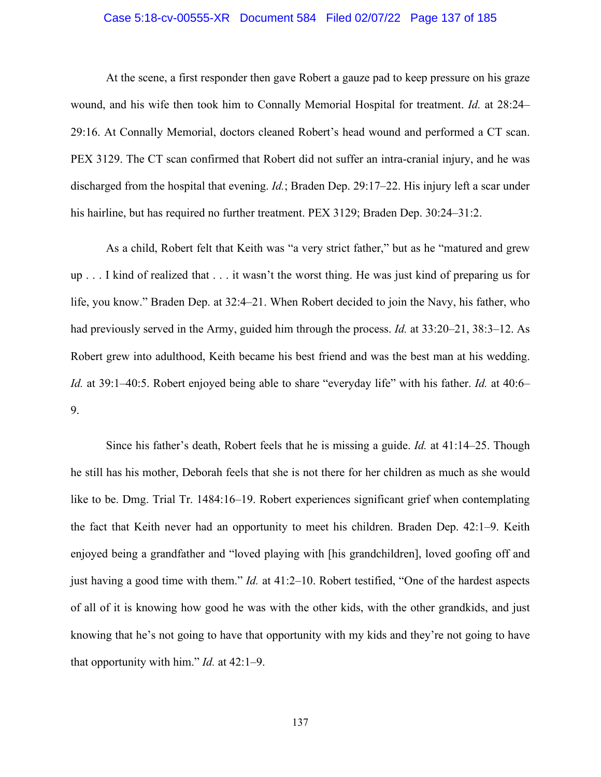## Case 5:18-cv-00555-XR Document 584 Filed 02/07/22 Page 137 of 185

At the scene, a first responder then gave Robert a gauze pad to keep pressure on his graze wound, and his wife then took him to Connally Memorial Hospital for treatment. *Id.* at 28:24– 29:16. At Connally Memorial, doctors cleaned Robert's head wound and performed a CT scan. PEX 3129. The CT scan confirmed that Robert did not suffer an intra-cranial injury, and he was discharged from the hospital that evening. *Id.*; Braden Dep. 29:17–22. His injury left a scar under his hairline, but has required no further treatment. PEX 3129; Braden Dep. 30:24–31:2.

As a child, Robert felt that Keith was "a very strict father," but as he "matured and grew up . . . I kind of realized that . . . it wasn't the worst thing. He was just kind of preparing us for life, you know." Braden Dep. at 32:4–21. When Robert decided to join the Navy, his father, who had previously served in the Army, guided him through the process. *Id.* at 33:20–21, 38:3–12. As Robert grew into adulthood, Keith became his best friend and was the best man at his wedding. *Id.* at 39:1–40:5. Robert enjoyed being able to share "everyday life" with his father. *Id.* at 40:6– 9.

Since his father's death, Robert feels that he is missing a guide. *Id.* at 41:14–25. Though he still has his mother, Deborah feels that she is not there for her children as much as she would like to be. Dmg. Trial Tr. 1484:16–19. Robert experiences significant grief when contemplating the fact that Keith never had an opportunity to meet his children. Braden Dep. 42:1–9. Keith enjoyed being a grandfather and "loved playing with [his grandchildren], loved goofing off and just having a good time with them." *Id.* at 41:2–10. Robert testified, "One of the hardest aspects of all of it is knowing how good he was with the other kids, with the other grandkids, and just knowing that he's not going to have that opportunity with my kids and they're not going to have that opportunity with him." *Id.* at 42:1–9.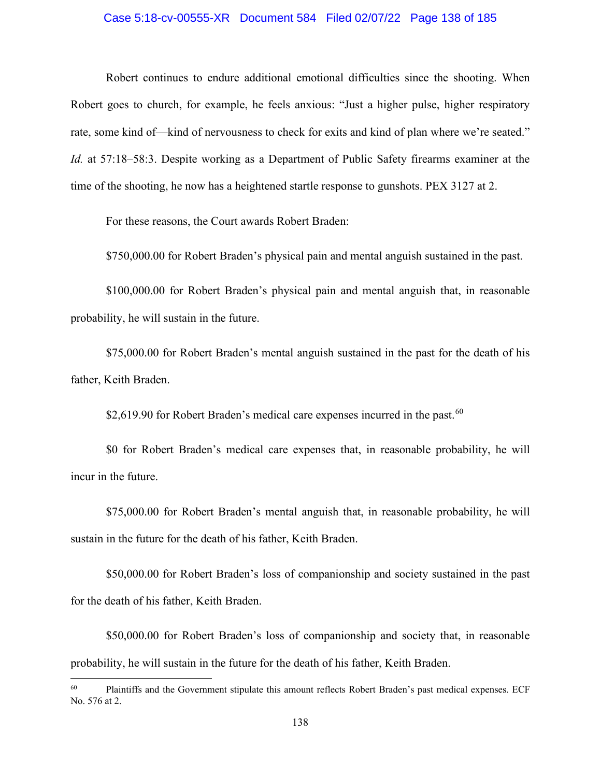## Case 5:18-cv-00555-XR Document 584 Filed 02/07/22 Page 138 of 185

Robert continues to endure additional emotional difficulties since the shooting. When Robert goes to church, for example, he feels anxious: "Just a higher pulse, higher respiratory rate, some kind of—kind of nervousness to check for exits and kind of plan where we're seated." *Id.* at 57:18–58:3. Despite working as a Department of Public Safety firearms examiner at the time of the shooting, he now has a heightened startle response to gunshots. PEX 3127 at 2.

For these reasons, the Court awards Robert Braden:

\$750,000.00 for Robert Braden's physical pain and mental anguish sustained in the past.

\$100,000.00 for Robert Braden's physical pain and mental anguish that, in reasonable probability, he will sustain in the future.

\$75,000.00 for Robert Braden's mental anguish sustained in the past for the death of his father, Keith Braden.

\$2,619.90 for Robert Braden's medical care expenses incurred in the past.<sup>[60](#page-137-0)</sup>

\$0 for Robert Braden's medical care expenses that, in reasonable probability, he will incur in the future.

\$75,000.00 for Robert Braden's mental anguish that, in reasonable probability, he will sustain in the future for the death of his father, Keith Braden.

\$50,000.00 for Robert Braden's loss of companionship and society sustained in the past for the death of his father, Keith Braden.

\$50,000.00 for Robert Braden's loss of companionship and society that, in reasonable probability, he will sustain in the future for the death of his father, Keith Braden.

<span id="page-137-0"></span><sup>&</sup>lt;sup>60</sup> Plaintiffs and the Government stipulate this amount reflects Robert Braden's past medical expenses. ECF No. 576 at 2.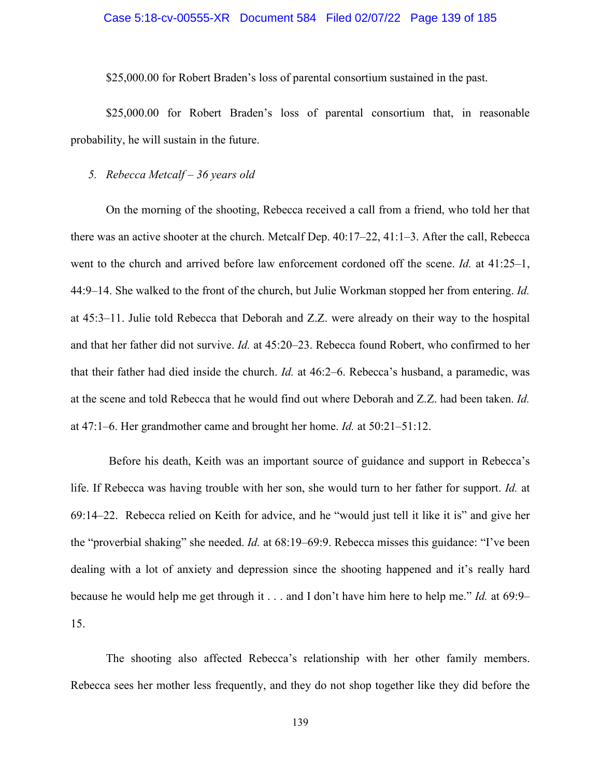### Case 5:18-cv-00555-XR Document 584 Filed 02/07/22 Page 139 of 185

\$25,000.00 for Robert Braden's loss of parental consortium sustained in the past.

\$25,000.00 for Robert Braden's loss of parental consortium that, in reasonable probability, he will sustain in the future.

## *5. Rebecca Metcalf – 36 years old*

On the morning of the shooting, Rebecca received a call from a friend, who told her that there was an active shooter at the church. Metcalf Dep. 40:17–22, 41:1–3. After the call, Rebecca went to the church and arrived before law enforcement cordoned off the scene. *Id.* at 41:25–1, 44:9–14. She walked to the front of the church, but Julie Workman stopped her from entering. *Id.* at 45:3–11. Julie told Rebecca that Deborah and Z.Z. were already on their way to the hospital and that her father did not survive. *Id.* at 45:20–23. Rebecca found Robert, who confirmed to her that their father had died inside the church. *Id.* at 46:2–6. Rebecca's husband, a paramedic, was at the scene and told Rebecca that he would find out where Deborah and Z.Z. had been taken. *Id.* at 47:1–6. Her grandmother came and brought her home. *Id.* at 50:21–51:12.

Before his death, Keith was an important source of guidance and support in Rebecca's life. If Rebecca was having trouble with her son, she would turn to her father for support. *Id.* at 69:14–22. Rebecca relied on Keith for advice, and he "would just tell it like it is" and give her the "proverbial shaking" she needed. *Id.* at 68:19–69:9. Rebecca misses this guidance: "I've been dealing with a lot of anxiety and depression since the shooting happened and it's really hard because he would help me get through it . . . and I don't have him here to help me." *Id.* at 69:9– 15.

The shooting also affected Rebecca's relationship with her other family members. Rebecca sees her mother less frequently, and they do not shop together like they did before the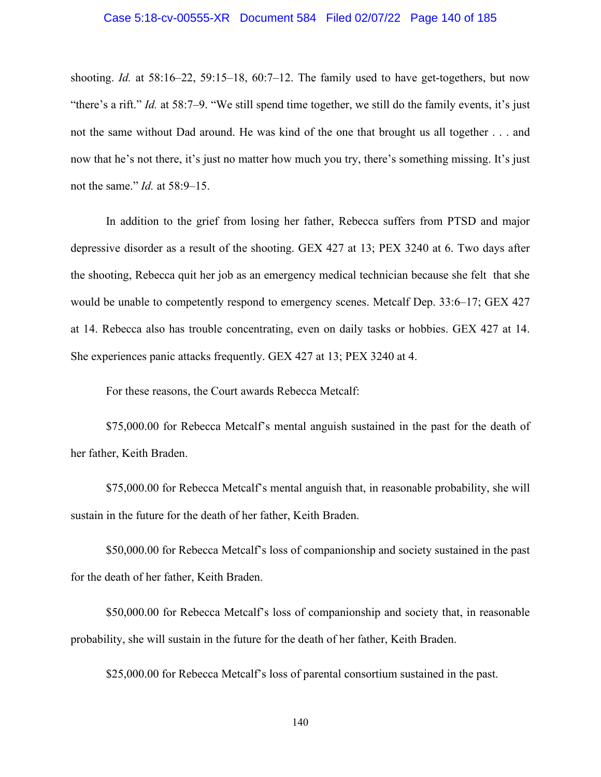#### Case 5:18-cv-00555-XR Document 584 Filed 02/07/22 Page 140 of 185

shooting. *Id.* at 58:16–22, 59:15–18, 60:7–12. The family used to have get-togethers, but now "there's a rift." *Id.* at 58:7–9. "We still spend time together, we still do the family events, it's just not the same without Dad around. He was kind of the one that brought us all together . . . and now that he's not there, it's just no matter how much you try, there's something missing. It's just not the same." *Id.* at 58:9–15.

In addition to the grief from losing her father, Rebecca suffers from PTSD and major depressive disorder as a result of the shooting. GEX 427 at 13; PEX 3240 at 6. Two days after the shooting, Rebecca quit her job as an emergency medical technician because she felt that she would be unable to competently respond to emergency scenes. Metcalf Dep. 33:6–17; GEX 427 at 14. Rebecca also has trouble concentrating, even on daily tasks or hobbies. GEX 427 at 14. She experiences panic attacks frequently. GEX 427 at 13; PEX 3240 at 4.

For these reasons, the Court awards Rebecca Metcalf:

\$75,000.00 for Rebecca Metcalf's mental anguish sustained in the past for the death of her father, Keith Braden.

\$75,000.00 for Rebecca Metcalf's mental anguish that, in reasonable probability, she will sustain in the future for the death of her father, Keith Braden.

\$50,000.00 for Rebecca Metcalf's loss of companionship and society sustained in the past for the death of her father, Keith Braden.

\$50,000.00 for Rebecca Metcalf's loss of companionship and society that, in reasonable probability, she will sustain in the future for the death of her father, Keith Braden.

\$25,000.00 for Rebecca Metcalf's loss of parental consortium sustained in the past.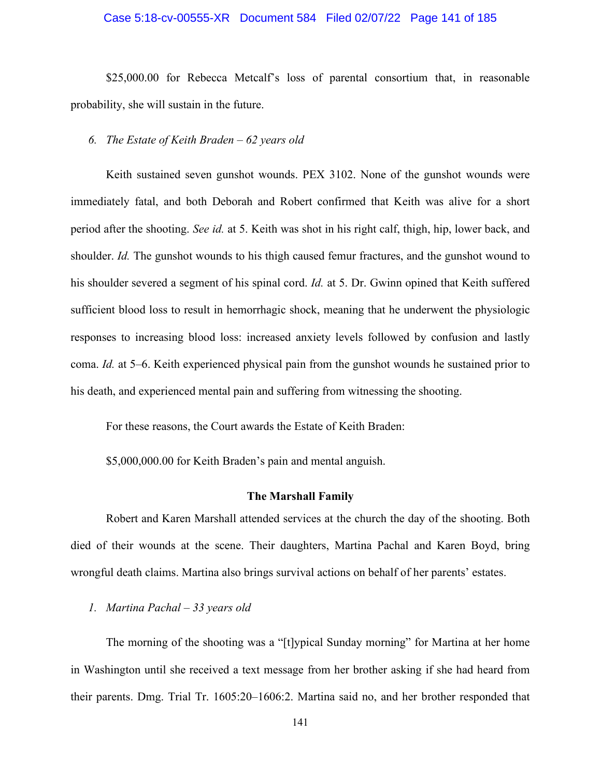## Case 5:18-cv-00555-XR Document 584 Filed 02/07/22 Page 141 of 185

\$25,000.00 for Rebecca Metcalf's loss of parental consortium that, in reasonable probability, she will sustain in the future.

# *6. The Estate of Keith Braden – 62 years old*

Keith sustained seven gunshot wounds. PEX 3102. None of the gunshot wounds were immediately fatal, and both Deborah and Robert confirmed that Keith was alive for a short period after the shooting. *See id.* at 5. Keith was shot in his right calf, thigh, hip, lower back, and shoulder. *Id.* The gunshot wounds to his thigh caused femur fractures, and the gunshot wound to his shoulder severed a segment of his spinal cord. *Id.* at 5. Dr. Gwinn opined that Keith suffered sufficient blood loss to result in hemorrhagic shock, meaning that he underwent the physiologic responses to increasing blood loss: increased anxiety levels followed by confusion and lastly coma. *Id.* at 5–6. Keith experienced physical pain from the gunshot wounds he sustained prior to his death, and experienced mental pain and suffering from witnessing the shooting.

For these reasons, the Court awards the Estate of Keith Braden:

\$5,000,000.00 for Keith Braden's pain and mental anguish.

## **The Marshall Family**

Robert and Karen Marshall attended services at the church the day of the shooting. Both died of their wounds at the scene. Their daughters, Martina Pachal and Karen Boyd, bring wrongful death claims. Martina also brings survival actions on behalf of her parents' estates.

## *1. Martina Pachal – 33 years old*

The morning of the shooting was a "[t]ypical Sunday morning" for Martina at her home in Washington until she received a text message from her brother asking if she had heard from their parents. Dmg. Trial Tr. 1605:20–1606:2. Martina said no, and her brother responded that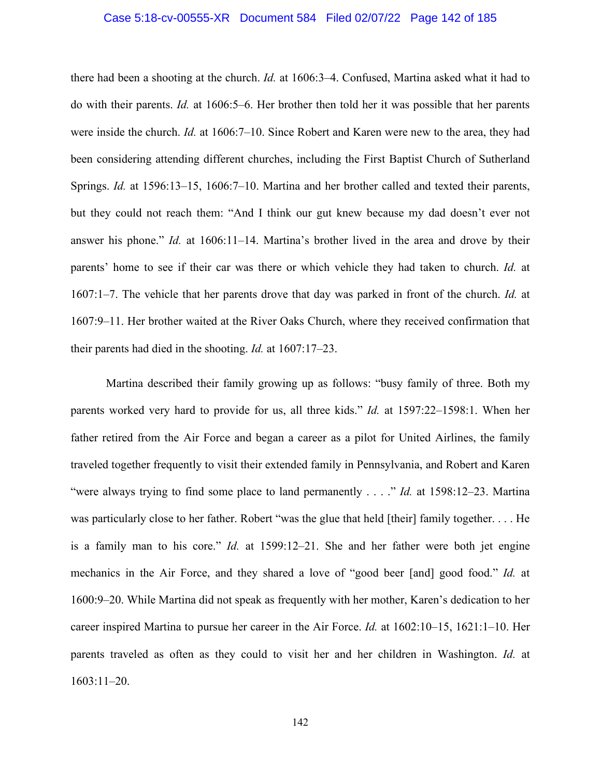#### Case 5:18-cv-00555-XR Document 584 Filed 02/07/22 Page 142 of 185

there had been a shooting at the church. *Id.* at 1606:3–4. Confused, Martina asked what it had to do with their parents. *Id.* at 1606:5–6. Her brother then told her it was possible that her parents were inside the church. *Id.* at 1606:7–10. Since Robert and Karen were new to the area, they had been considering attending different churches, including the First Baptist Church of Sutherland Springs. *Id.* at 1596:13–15, 1606:7–10. Martina and her brother called and texted their parents, but they could not reach them: "And I think our gut knew because my dad doesn't ever not answer his phone." *Id.* at 1606:11–14. Martina's brother lived in the area and drove by their parents' home to see if their car was there or which vehicle they had taken to church. *Id.* at 1607:1–7. The vehicle that her parents drove that day was parked in front of the church. *Id.* at 1607:9–11. Her brother waited at the River Oaks Church, where they received confirmation that their parents had died in the shooting. *Id.* at 1607:17–23.

Martina described their family growing up as follows: "busy family of three. Both my parents worked very hard to provide for us, all three kids." *Id.* at 1597:22–1598:1. When her father retired from the Air Force and began a career as a pilot for United Airlines, the family traveled together frequently to visit their extended family in Pennsylvania, and Robert and Karen "were always trying to find some place to land permanently . . . ." *Id.* at 1598:12–23. Martina was particularly close to her father. Robert "was the glue that held [their] family together. . . . He is a family man to his core." *Id.* at 1599:12–21. She and her father were both jet engine mechanics in the Air Force, and they shared a love of "good beer [and] good food." *Id.* at 1600:9–20. While Martina did not speak as frequently with her mother, Karen's dedication to her career inspired Martina to pursue her career in the Air Force. *Id.* at 1602:10–15, 1621:1–10. Her parents traveled as often as they could to visit her and her children in Washington. *Id.* at 1603:11–20.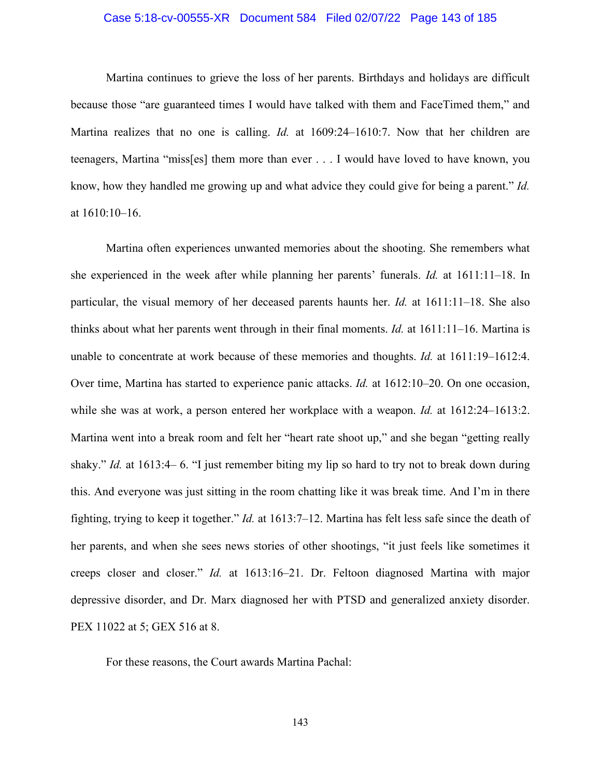## Case 5:18-cv-00555-XR Document 584 Filed 02/07/22 Page 143 of 185

Martina continues to grieve the loss of her parents. Birthdays and holidays are difficult because those "are guaranteed times I would have talked with them and FaceTimed them," and Martina realizes that no one is calling. *Id.* at 1609:24–1610:7. Now that her children are teenagers, Martina "miss[es] them more than ever . . . I would have loved to have known, you know, how they handled me growing up and what advice they could give for being a parent." *Id.* at 1610:10–16.

Martina often experiences unwanted memories about the shooting. She remembers what she experienced in the week after while planning her parents' funerals. *Id.* at 1611:11–18. In particular, the visual memory of her deceased parents haunts her. *Id.* at 1611:11–18. She also thinks about what her parents went through in their final moments. *Id.* at 1611:11–16. Martina is unable to concentrate at work because of these memories and thoughts. *Id.* at 1611:19–1612:4. Over time, Martina has started to experience panic attacks. *Id.* at 1612:10–20. On one occasion, while she was at work, a person entered her workplace with a weapon. *Id.* at 1612:24–1613:2. Martina went into a break room and felt her "heart rate shoot up," and she began "getting really shaky." *Id.* at 1613:4– 6. "I just remember biting my lip so hard to try not to break down during this. And everyone was just sitting in the room chatting like it was break time. And I'm in there fighting, trying to keep it together." *Id.* at 1613:7–12. Martina has felt less safe since the death of her parents, and when she sees news stories of other shootings, "it just feels like sometimes it creeps closer and closer." *Id.* at 1613:16–21. Dr. Feltoon diagnosed Martina with major depressive disorder, and Dr. Marx diagnosed her with PTSD and generalized anxiety disorder. PEX 11022 at 5; GEX 516 at 8.

For these reasons, the Court awards Martina Pachal: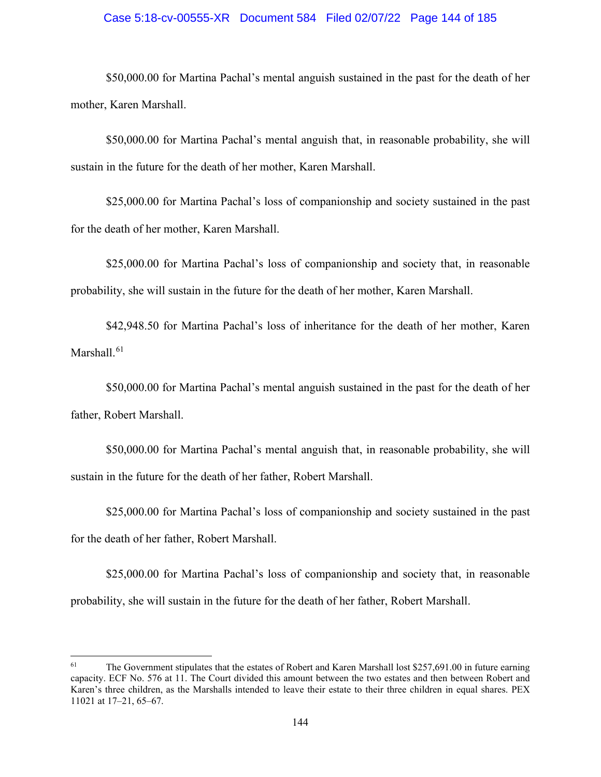## Case 5:18-cv-00555-XR Document 584 Filed 02/07/22 Page 144 of 185

\$50,000.00 for Martina Pachal's mental anguish sustained in the past for the death of her mother, Karen Marshall.

\$50,000.00 for Martina Pachal's mental anguish that, in reasonable probability, she will sustain in the future for the death of her mother, Karen Marshall.

\$25,000.00 for Martina Pachal's loss of companionship and society sustained in the past for the death of her mother, Karen Marshall.

\$25,000.00 for Martina Pachal's loss of companionship and society that, in reasonable probability, she will sustain in the future for the death of her mother, Karen Marshall.

\$42,948.50 for Martina Pachal's loss of inheritance for the death of her mother, Karen Marshall. [61](#page-143-0)

\$50,000.00 for Martina Pachal's mental anguish sustained in the past for the death of her father, Robert Marshall.

\$50,000.00 for Martina Pachal's mental anguish that, in reasonable probability, she will sustain in the future for the death of her father, Robert Marshall.

\$25,000.00 for Martina Pachal's loss of companionship and society sustained in the past for the death of her father, Robert Marshall.

\$25,000.00 for Martina Pachal's loss of companionship and society that, in reasonable probability, she will sustain in the future for the death of her father, Robert Marshall.

<span id="page-143-0"></span> $61$  The Government stipulates that the estates of Robert and Karen Marshall lost \$257,691.00 in future earning capacity. ECF No. 576 at 11. The Court divided this amount between the two estates and then between Robert and Karen's three children, as the Marshalls intended to leave their estate to their three children in equal shares. PEX 11021 at 17–21, 65–67.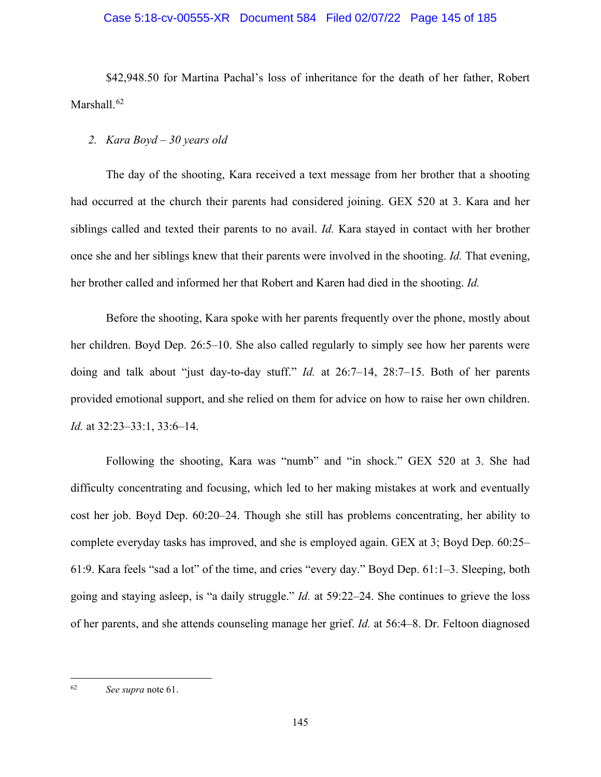# Case 5:18-cv-00555-XR Document 584 Filed 02/07/22 Page 145 of 185

\$42,948.50 for Martina Pachal's loss of inheritance for the death of her father, Robert Marshall. [62](#page-144-0)

# *2. Kara Boyd – 30 years old*

The day of the shooting, Kara received a text message from her brother that a shooting had occurred at the church their parents had considered joining. GEX 520 at 3. Kara and her siblings called and texted their parents to no avail. *Id.* Kara stayed in contact with her brother once she and her siblings knew that their parents were involved in the shooting. *Id.* That evening, her brother called and informed her that Robert and Karen had died in the shooting. *Id.* 

Before the shooting, Kara spoke with her parents frequently over the phone, mostly about her children. Boyd Dep. 26:5–10. She also called regularly to simply see how her parents were doing and talk about "just day-to-day stuff." *Id.* at 26:7–14, 28:7–15. Both of her parents provided emotional support, and she relied on them for advice on how to raise her own children. *Id.* at 32:23–33:1, 33:6–14.

Following the shooting, Kara was "numb" and "in shock." GEX 520 at 3. She had difficulty concentrating and focusing, which led to her making mistakes at work and eventually cost her job. Boyd Dep. 60:20–24. Though she still has problems concentrating, her ability to complete everyday tasks has improved, and she is employed again. GEX at 3; Boyd Dep. 60:25– 61:9. Kara feels "sad a lot" of the time, and cries "every day." Boyd Dep. 61:1–3. Sleeping, both going and staying asleep, is "a daily struggle." *Id.* at 59:22–24. She continues to grieve the loss of her parents, and she attends counseling manage her grief. *Id.* at 56:4–8. Dr. Feltoon diagnosed

<span id="page-144-0"></span><sup>62</sup> *See supra* note 61.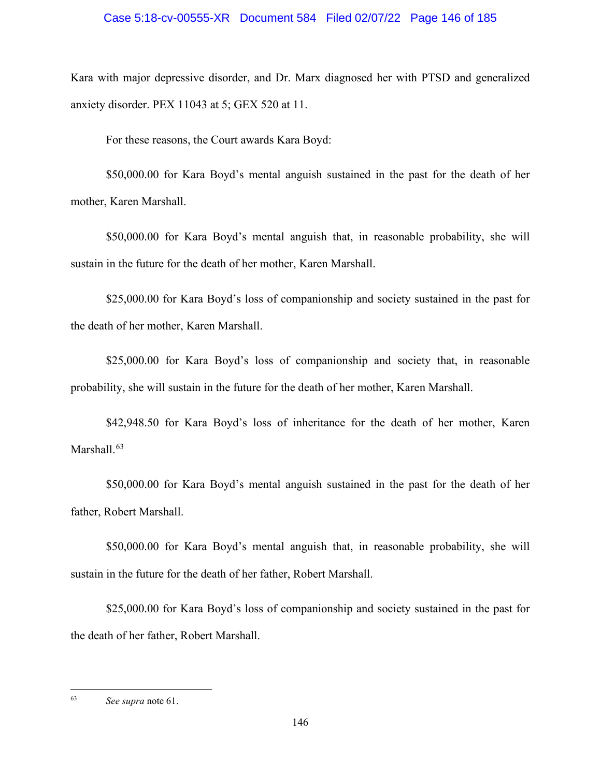## Case 5:18-cv-00555-XR Document 584 Filed 02/07/22 Page 146 of 185

Kara with major depressive disorder, and Dr. Marx diagnosed her with PTSD and generalized anxiety disorder. PEX 11043 at 5; GEX 520 at 11.

For these reasons, the Court awards Kara Boyd:

\$50,000.00 for Kara Boyd's mental anguish sustained in the past for the death of her mother, Karen Marshall.

\$50,000.00 for Kara Boyd's mental anguish that, in reasonable probability, she will sustain in the future for the death of her mother, Karen Marshall.

\$25,000.00 for Kara Boyd's loss of companionship and society sustained in the past for the death of her mother, Karen Marshall.

\$25,000.00 for Kara Boyd's loss of companionship and society that, in reasonable probability, she will sustain in the future for the death of her mother, Karen Marshall.

\$42,948.50 for Kara Boyd's loss of inheritance for the death of her mother, Karen Marshall.<sup>[63](#page-145-0)</sup>

\$50,000.00 for Kara Boyd's mental anguish sustained in the past for the death of her father, Robert Marshall.

\$50,000.00 for Kara Boyd's mental anguish that, in reasonable probability, she will sustain in the future for the death of her father, Robert Marshall.

\$25,000.00 for Kara Boyd's loss of companionship and society sustained in the past for the death of her father, Robert Marshall.

<span id="page-145-0"></span><sup>63</sup> *See supra* note 61.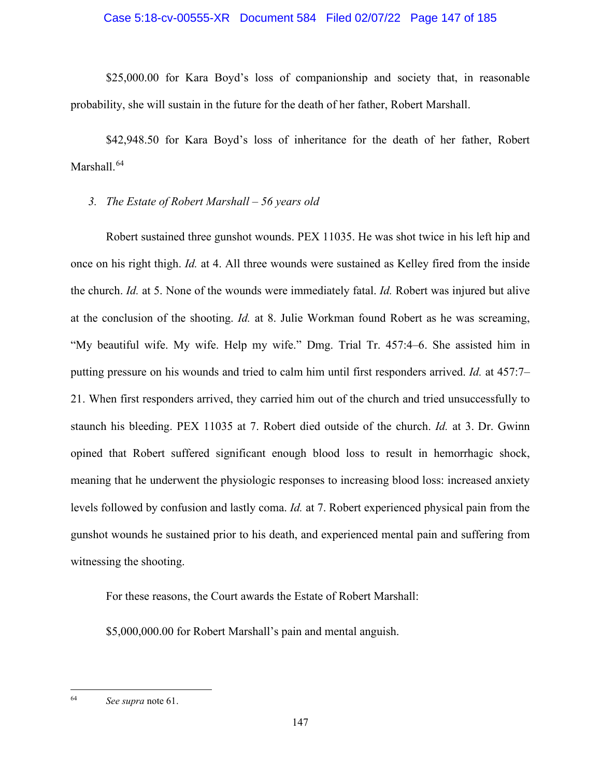# Case 5:18-cv-00555-XR Document 584 Filed 02/07/22 Page 147 of 185

\$25,000.00 for Kara Boyd's loss of companionship and society that, in reasonable probability, she will sustain in the future for the death of her father, Robert Marshall.

\$42,948.50 for Kara Boyd's loss of inheritance for the death of her father, Robert Marshall. [64](#page-146-0)

# *3. The Estate of Robert Marshall – 56 years old*

Robert sustained three gunshot wounds. PEX 11035. He was shot twice in his left hip and once on his right thigh. *Id.* at 4. All three wounds were sustained as Kelley fired from the inside the church. *Id.* at 5. None of the wounds were immediately fatal. *Id.* Robert was injured but alive at the conclusion of the shooting. *Id.* at 8. Julie Workman found Robert as he was screaming, "My beautiful wife. My wife. Help my wife." Dmg. Trial Tr. 457:4–6. She assisted him in putting pressure on his wounds and tried to calm him until first responders arrived. *Id.* at 457:7– 21. When first responders arrived, they carried him out of the church and tried unsuccessfully to staunch his bleeding. PEX 11035 at 7. Robert died outside of the church. *Id.* at 3. Dr. Gwinn opined that Robert suffered significant enough blood loss to result in hemorrhagic shock, meaning that he underwent the physiologic responses to increasing blood loss: increased anxiety levels followed by confusion and lastly coma. *Id.* at 7. Robert experienced physical pain from the gunshot wounds he sustained prior to his death, and experienced mental pain and suffering from witnessing the shooting.

For these reasons, the Court awards the Estate of Robert Marshall:

\$5,000,000.00 for Robert Marshall's pain and mental anguish.

<span id="page-146-0"></span><sup>64</sup> *See supra* note 61.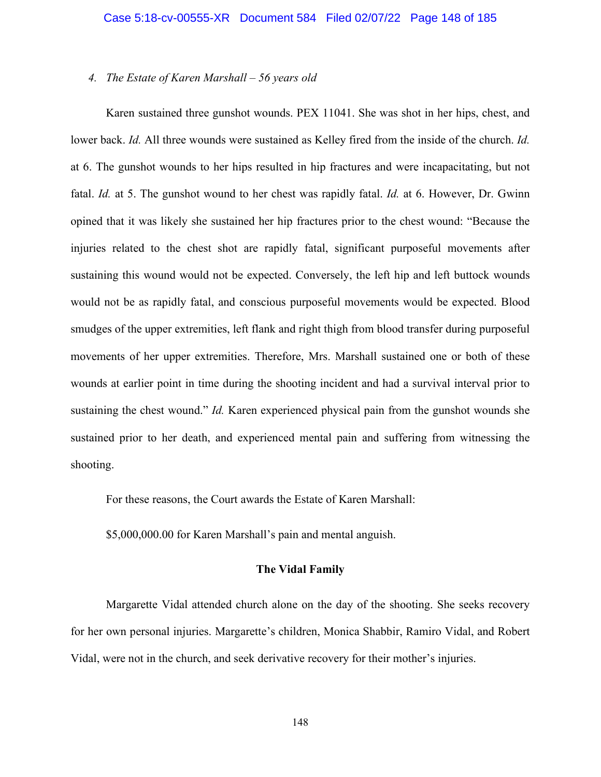### *4. The Estate of Karen Marshall – 56 years old*

Karen sustained three gunshot wounds. PEX 11041. She was shot in her hips, chest, and lower back. *Id.* All three wounds were sustained as Kelley fired from the inside of the church. *Id.* at 6. The gunshot wounds to her hips resulted in hip fractures and were incapacitating, but not fatal. *Id.* at 5. The gunshot wound to her chest was rapidly fatal. *Id.* at 6. However, Dr. Gwinn opined that it was likely she sustained her hip fractures prior to the chest wound: "Because the injuries related to the chest shot are rapidly fatal, significant purposeful movements after sustaining this wound would not be expected. Conversely, the left hip and left buttock wounds would not be as rapidly fatal, and conscious purposeful movements would be expected. Blood smudges of the upper extremities, left flank and right thigh from blood transfer during purposeful movements of her upper extremities. Therefore, Mrs. Marshall sustained one or both of these wounds at earlier point in time during the shooting incident and had a survival interval prior to sustaining the chest wound." *Id.* Karen experienced physical pain from the gunshot wounds she sustained prior to her death, and experienced mental pain and suffering from witnessing the shooting.

For these reasons, the Court awards the Estate of Karen Marshall:

\$5,000,000.00 for Karen Marshall's pain and mental anguish.

# **The Vidal Family**

Margarette Vidal attended church alone on the day of the shooting. She seeks recovery for her own personal injuries. Margarette's children, Monica Shabbir, Ramiro Vidal, and Robert Vidal, were not in the church, and seek derivative recovery for their mother's injuries.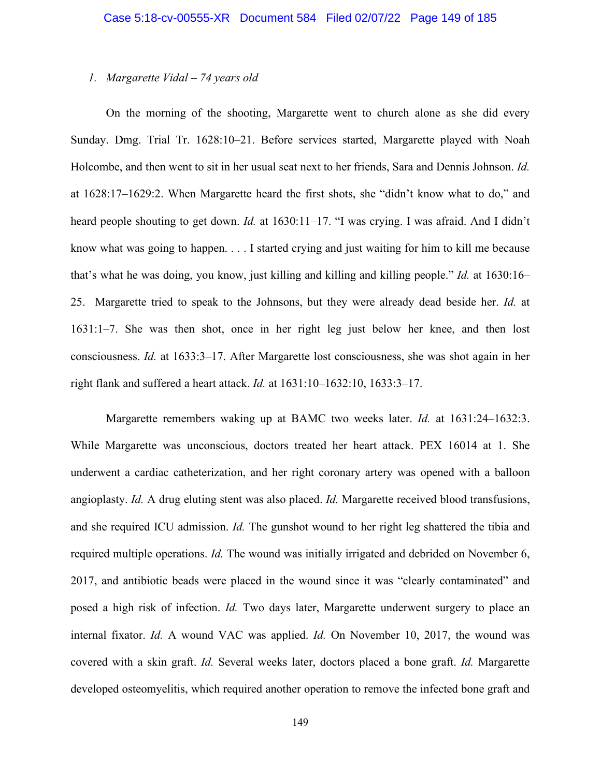#### *1. Margarette Vidal – 74 years old*

On the morning of the shooting, Margarette went to church alone as she did every Sunday. Dmg. Trial Tr. 1628:10–21. Before services started, Margarette played with Noah Holcombe, and then went to sit in her usual seat next to her friends, Sara and Dennis Johnson. *Id.* at 1628:17–1629:2. When Margarette heard the first shots, she "didn't know what to do," and heard people shouting to get down. *Id.* at 1630:11–17. "I was crying. I was afraid. And I didn't know what was going to happen. . . . I started crying and just waiting for him to kill me because that's what he was doing, you know, just killing and killing and killing people." *Id.* at 1630:16– 25. Margarette tried to speak to the Johnsons, but they were already dead beside her. *Id.* at 1631:1–7. She was then shot, once in her right leg just below her knee, and then lost consciousness. *Id.* at 1633:3–17. After Margarette lost consciousness, she was shot again in her right flank and suffered a heart attack. *Id.* at 1631:10–1632:10, 1633:3–17.

Margarette remembers waking up at BAMC two weeks later. *Id.* at 1631:24–1632:3. While Margarette was unconscious, doctors treated her heart attack. PEX 16014 at 1. She underwent a cardiac catheterization, and her right coronary artery was opened with a balloon angioplasty. *Id.* A drug eluting stent was also placed. *Id.* Margarette received blood transfusions, and she required ICU admission. *Id.* The gunshot wound to her right leg shattered the tibia and required multiple operations. *Id.* The wound was initially irrigated and debrided on November 6, 2017, and antibiotic beads were placed in the wound since it was "clearly contaminated" and posed a high risk of infection. *Id.* Two days later, Margarette underwent surgery to place an internal fixator. *Id.* A wound VAC was applied. *Id.* On November 10, 2017, the wound was covered with a skin graft. *Id.* Several weeks later, doctors placed a bone graft. *Id.* Margarette developed osteomyelitis, which required another operation to remove the infected bone graft and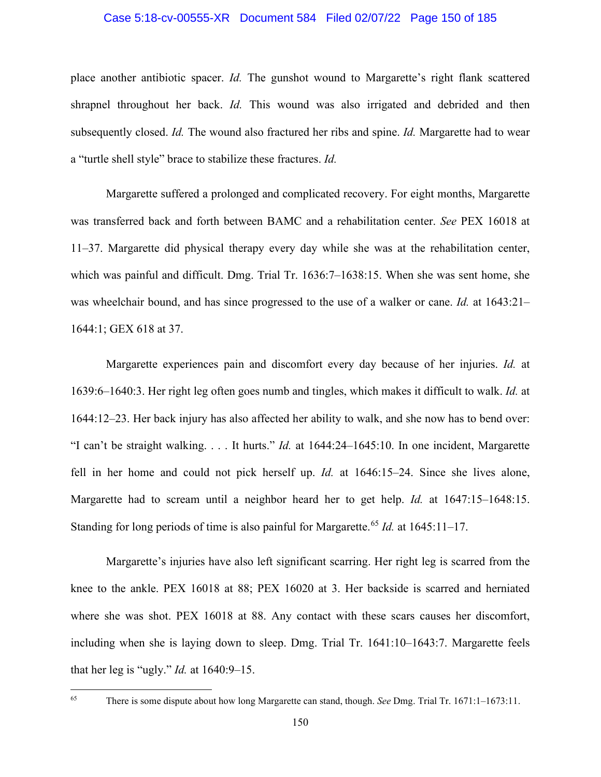## Case 5:18-cv-00555-XR Document 584 Filed 02/07/22 Page 150 of 185

place another antibiotic spacer. *Id.* The gunshot wound to Margarette's right flank scattered shrapnel throughout her back. *Id.* This wound was also irrigated and debrided and then subsequently closed. *Id.* The wound also fractured her ribs and spine. *Id.* Margarette had to wear a "turtle shell style" brace to stabilize these fractures. *Id.*

Margarette suffered a prolonged and complicated recovery. For eight months, Margarette was transferred back and forth between BAMC and a rehabilitation center. *See* PEX 16018 at 11–37. Margarette did physical therapy every day while she was at the rehabilitation center, which was painful and difficult. Dmg. Trial Tr. 1636:7-1638:15. When she was sent home, she was wheelchair bound, and has since progressed to the use of a walker or cane. *Id.* at 1643:21– 1644:1; GEX 618 at 37.

Margarette experiences pain and discomfort every day because of her injuries. *Id.* at 1639:6–1640:3. Her right leg often goes numb and tingles, which makes it difficult to walk. *Id.* at 1644:12–23. Her back injury has also affected her ability to walk, and she now has to bend over: "I can't be straight walking. . . . It hurts." *Id.* at 1644:24–1645:10. In one incident, Margarette fell in her home and could not pick herself up. *Id.* at 1646:15–24. Since she lives alone, Margarette had to scream until a neighbor heard her to get help. *Id.* at 1647:15–1648:15. Standing for long periods of time is also painful for Margarette.<sup>[65](#page-149-0)</sup> *Id.* at 1645:11–17.

Margarette's injuries have also left significant scarring. Her right leg is scarred from the knee to the ankle. PEX 16018 at 88; PEX 16020 at 3. Her backside is scarred and herniated where she was shot. PEX 16018 at 88. Any contact with these scars causes her discomfort, including when she is laying down to sleep. Dmg. Trial Tr. 1641:10–1643:7. Margarette feels that her leg is "ugly." *Id.* at 1640:9–15.

<span id="page-149-0"></span><sup>65</sup> There is some dispute about how long Margarette can stand, though. *See* Dmg. Trial Tr. 1671:1–1673:11.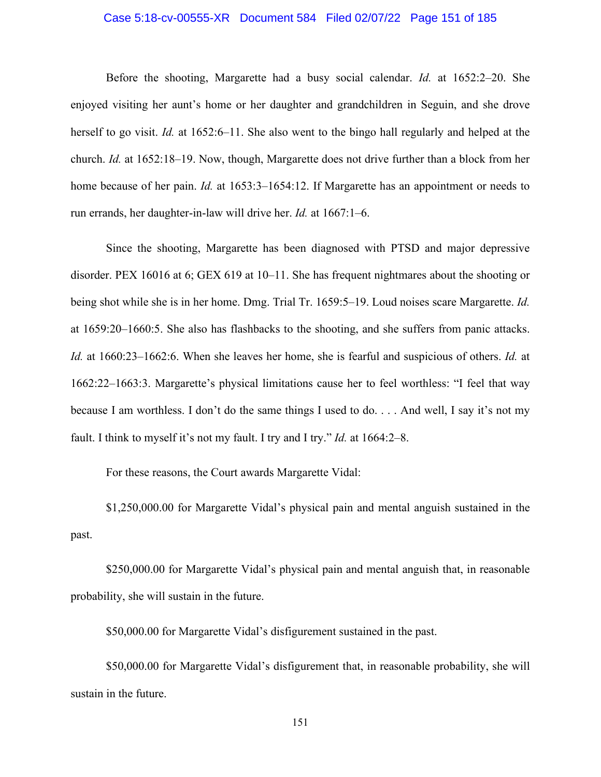## Case 5:18-cv-00555-XR Document 584 Filed 02/07/22 Page 151 of 185

Before the shooting, Margarette had a busy social calendar. *Id.* at 1652:2–20. She enjoyed visiting her aunt's home or her daughter and grandchildren in Seguin, and she drove herself to go visit. *Id.* at 1652:6–11. She also went to the bingo hall regularly and helped at the church. *Id.* at 1652:18–19. Now, though, Margarette does not drive further than a block from her home because of her pain. *Id.* at 1653:3–1654:12. If Margarette has an appointment or needs to run errands, her daughter-in-law will drive her. *Id.* at 1667:1–6.

Since the shooting, Margarette has been diagnosed with PTSD and major depressive disorder. PEX 16016 at 6; GEX 619 at 10–11. She has frequent nightmares about the shooting or being shot while she is in her home. Dmg. Trial Tr. 1659:5–19. Loud noises scare Margarette. *Id.* at 1659:20–1660:5. She also has flashbacks to the shooting, and she suffers from panic attacks. *Id.* at 1660:23–1662:6. When she leaves her home, she is fearful and suspicious of others. *Id.* at 1662:22–1663:3. Margarette's physical limitations cause her to feel worthless: "I feel that way because I am worthless. I don't do the same things I used to do. . . . And well, I say it's not my fault. I think to myself it's not my fault. I try and I try." *Id.* at 1664:2–8.

For these reasons, the Court awards Margarette Vidal:

\$1,250,000.00 for Margarette Vidal's physical pain and mental anguish sustained in the past.

\$250,000.00 for Margarette Vidal's physical pain and mental anguish that, in reasonable probability, she will sustain in the future.

\$50,000.00 for Margarette Vidal's disfigurement sustained in the past.

\$50,000.00 for Margarette Vidal's disfigurement that, in reasonable probability, she will sustain in the future.

151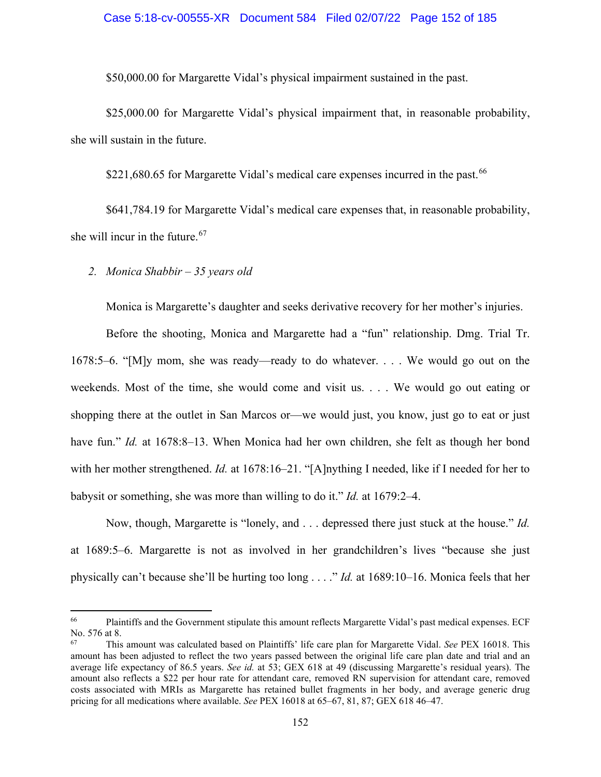#### Case 5:18-cv-00555-XR Document 584 Filed 02/07/22 Page 152 of 185

\$50,000.00 for Margarette Vidal's physical impairment sustained in the past.

\$25,000.00 for Margarette Vidal's physical impairment that, in reasonable probability, she will sustain in the future.

\$221,680.65 for Margarette Vidal's medical care expenses incurred in the past.<sup>[66](#page-151-0)</sup>

\$641,784.19 for Margarette Vidal's medical care expenses that, in reasonable probability, she will incur in the future.<sup>[67](#page-151-1)</sup>

*2. Monica Shabbir – 35 years old* 

Monica is Margarette's daughter and seeks derivative recovery for her mother's injuries.

Before the shooting, Monica and Margarette had a "fun" relationship. Dmg. Trial Tr. 1678:5–6. "[M]y mom, she was ready—ready to do whatever. . . . We would go out on the weekends. Most of the time, she would come and visit us. . . . We would go out eating or shopping there at the outlet in San Marcos or—we would just, you know, just go to eat or just have fun." *Id.* at 1678:8-13. When Monica had her own children, she felt as though her bond with her mother strengthened. *Id.* at 1678:16–21. "[A]nything I needed, like if I needed for her to babysit or something, she was more than willing to do it." *Id.* at 1679:2–4.

Now, though, Margarette is "lonely, and . . . depressed there just stuck at the house." *Id.* at 1689:5–6. Margarette is not as involved in her grandchildren's lives "because she just physically can't because she'll be hurting too long . . . ." *Id.* at 1689:10–16. Monica feels that her

<span id="page-151-0"></span><sup>66</sup> Plaintiffs and the Government stipulate this amount reflects Margarette Vidal's past medical expenses. ECF No. 576 at 8.

<span id="page-151-1"></span><sup>67</sup> This amount was calculated based on Plaintiffs' life care plan for Margarette Vidal. *See* PEX 16018. This amount has been adjusted to reflect the two years passed between the original life care plan date and trial and an average life expectancy of 86.5 years. *See id.* at 53; GEX 618 at 49 (discussing Margarette's residual years). The amount also reflects a \$22 per hour rate for attendant care, removed RN supervision for attendant care, removed costs associated with MRIs as Margarette has retained bullet fragments in her body, and average generic drug pricing for all medications where available. *See* PEX 16018 at 65–67, 81, 87; GEX 618 46–47.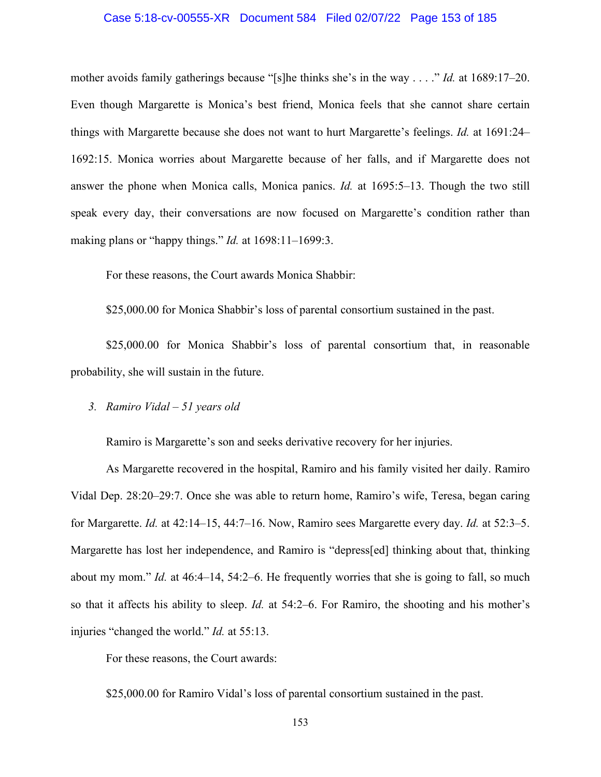#### Case 5:18-cv-00555-XR Document 584 Filed 02/07/22 Page 153 of 185

mother avoids family gatherings because "[s]he thinks she's in the way . . . ." *Id.* at 1689:17–20. Even though Margarette is Monica's best friend, Monica feels that she cannot share certain things with Margarette because she does not want to hurt Margarette's feelings. *Id.* at 1691:24– 1692:15. Monica worries about Margarette because of her falls, and if Margarette does not answer the phone when Monica calls, Monica panics. *Id.* at 1695:5–13. Though the two still speak every day, their conversations are now focused on Margarette's condition rather than making plans or "happy things." *Id.* at 1698:11–1699:3.

For these reasons, the Court awards Monica Shabbir:

\$25,000.00 for Monica Shabbir's loss of parental consortium sustained in the past.

\$25,000.00 for Monica Shabbir's loss of parental consortium that, in reasonable probability, she will sustain in the future.

# *3. Ramiro Vidal – 51 years old*

Ramiro is Margarette's son and seeks derivative recovery for her injuries.

As Margarette recovered in the hospital, Ramiro and his family visited her daily. Ramiro Vidal Dep. 28:20–29:7. Once she was able to return home, Ramiro's wife, Teresa, began caring for Margarette. *Id.* at 42:14–15, 44:7–16. Now, Ramiro sees Margarette every day. *Id.* at 52:3–5. Margarette has lost her independence, and Ramiro is "depress[ed] thinking about that, thinking about my mom." *Id.* at 46:4–14, 54:2–6. He frequently worries that she is going to fall, so much so that it affects his ability to sleep. *Id.* at 54:2–6. For Ramiro, the shooting and his mother's injuries "changed the world." *Id.* at 55:13.

For these reasons, the Court awards:

\$25,000.00 for Ramiro Vidal's loss of parental consortium sustained in the past.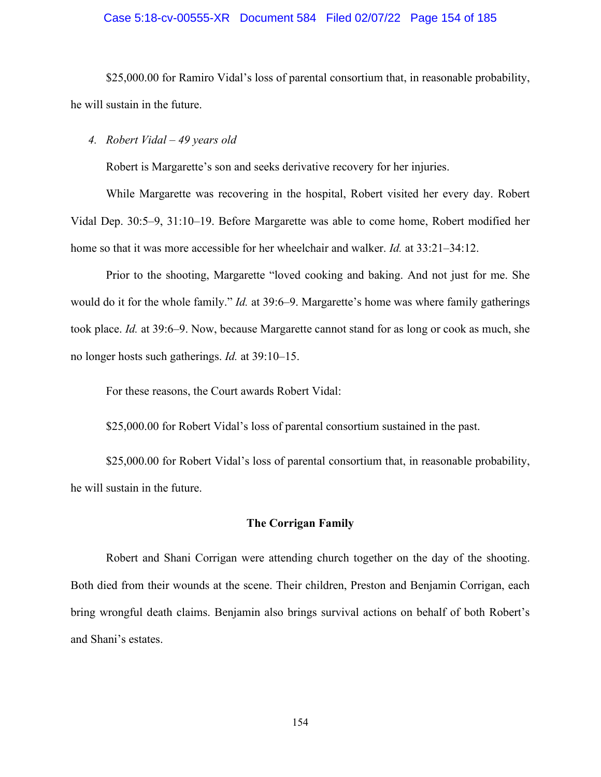#### Case 5:18-cv-00555-XR Document 584 Filed 02/07/22 Page 154 of 185

\$25,000.00 for Ramiro Vidal's loss of parental consortium that, in reasonable probability, he will sustain in the future.

## *4. Robert Vidal – 49 years old*

Robert is Margarette's son and seeks derivative recovery for her injuries.

While Margarette was recovering in the hospital, Robert visited her every day. Robert Vidal Dep. 30:5–9, 31:10–19. Before Margarette was able to come home, Robert modified her home so that it was more accessible for her wheelchair and walker. *Id.* at 33:21–34:12.

Prior to the shooting, Margarette "loved cooking and baking. And not just for me. She would do it for the whole family." *Id.* at 39:6–9. Margarette's home was where family gatherings took place. *Id.* at 39:6–9. Now, because Margarette cannot stand for as long or cook as much, she no longer hosts such gatherings. *Id.* at 39:10–15.

For these reasons, the Court awards Robert Vidal:

\$25,000.00 for Robert Vidal's loss of parental consortium sustained in the past.

\$25,000.00 for Robert Vidal's loss of parental consortium that, in reasonable probability, he will sustain in the future.

## **The Corrigan Family**

Robert and Shani Corrigan were attending church together on the day of the shooting. Both died from their wounds at the scene. Their children, Preston and Benjamin Corrigan, each bring wrongful death claims. Benjamin also brings survival actions on behalf of both Robert's and Shani's estates.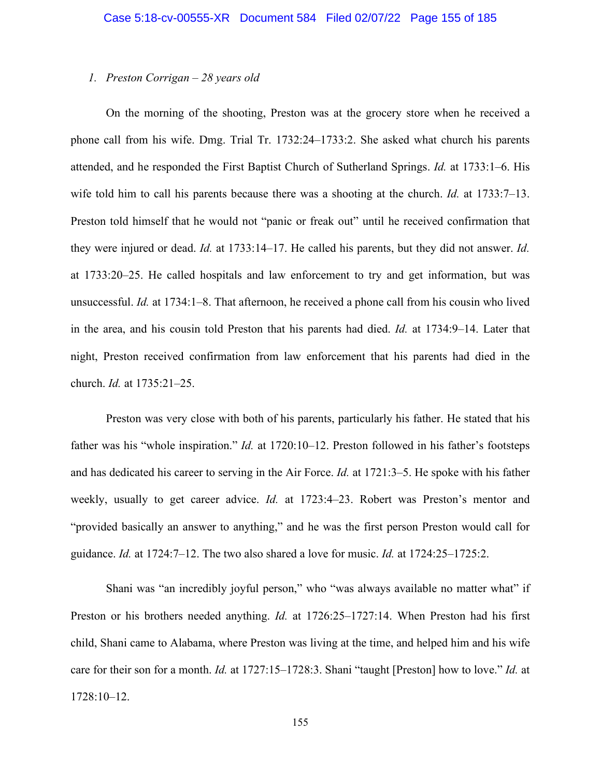### *1. Preston Corrigan – 28 years old*

On the morning of the shooting, Preston was at the grocery store when he received a phone call from his wife. Dmg. Trial Tr. 1732:24–1733:2. She asked what church his parents attended, and he responded the First Baptist Church of Sutherland Springs. *Id.* at 1733:1–6. His wife told him to call his parents because there was a shooting at the church. *Id.* at 1733:7–13. Preston told himself that he would not "panic or freak out" until he received confirmation that they were injured or dead. *Id.* at 1733:14–17. He called his parents, but they did not answer. *Id.* at 1733:20–25. He called hospitals and law enforcement to try and get information, but was unsuccessful. *Id.* at 1734:1–8. That afternoon, he received a phone call from his cousin who lived in the area, and his cousin told Preston that his parents had died. *Id.* at 1734:9–14. Later that night, Preston received confirmation from law enforcement that his parents had died in the church. *Id.* at 1735:21–25.

Preston was very close with both of his parents, particularly his father. He stated that his father was his "whole inspiration." *Id.* at 1720:10–12. Preston followed in his father's footsteps and has dedicated his career to serving in the Air Force. *Id.* at 1721:3–5. He spoke with his father weekly, usually to get career advice. *Id.* at 1723:4–23. Robert was Preston's mentor and "provided basically an answer to anything," and he was the first person Preston would call for guidance. *Id.* at 1724:7–12. The two also shared a love for music. *Id.* at 1724:25–1725:2.

Shani was "an incredibly joyful person," who "was always available no matter what" if Preston or his brothers needed anything. *Id.* at 1726:25–1727:14. When Preston had his first child, Shani came to Alabama, where Preston was living at the time, and helped him and his wife care for their son for a month. *Id.* at 1727:15–1728:3. Shani "taught [Preston] how to love." *Id.* at 1728:10–12.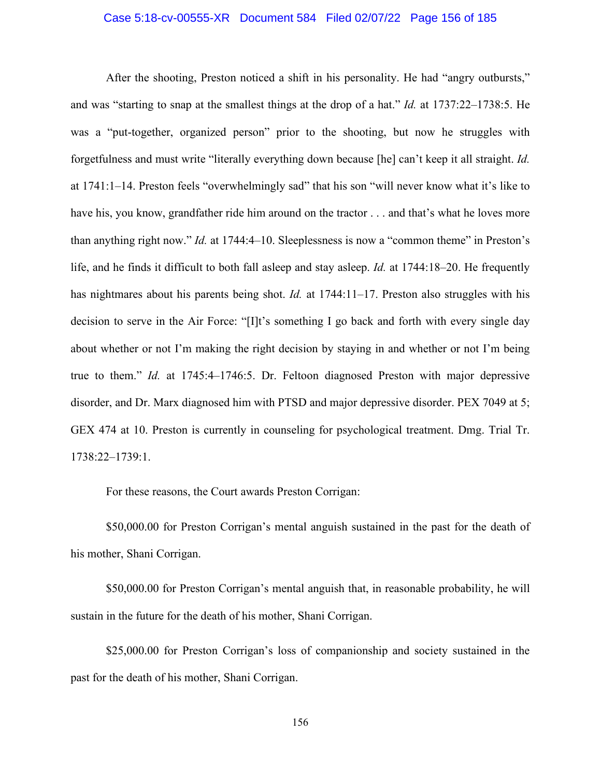#### Case 5:18-cv-00555-XR Document 584 Filed 02/07/22 Page 156 of 185

After the shooting, Preston noticed a shift in his personality. He had "angry outbursts," and was "starting to snap at the smallest things at the drop of a hat." *Id.* at 1737:22–1738:5. He was a "put-together, organized person" prior to the shooting, but now he struggles with forgetfulness and must write "literally everything down because [he] can't keep it all straight. *Id.* at 1741:1–14. Preston feels "overwhelmingly sad" that his son "will never know what it's like to have his, you know, grandfather ride him around on the tractor . . . and that's what he loves more than anything right now." *Id.* at 1744:4–10. Sleeplessness is now a "common theme" in Preston's life, and he finds it difficult to both fall asleep and stay asleep. *Id.* at 1744:18–20. He frequently has nightmares about his parents being shot. *Id.* at 1744:11–17. Preston also struggles with his decision to serve in the Air Force: "[I]t's something I go back and forth with every single day about whether or not I'm making the right decision by staying in and whether or not I'm being true to them." *Id.* at 1745:4–1746:5. Dr. Feltoon diagnosed Preston with major depressive disorder, and Dr. Marx diagnosed him with PTSD and major depressive disorder. PEX 7049 at 5; GEX 474 at 10. Preston is currently in counseling for psychological treatment. Dmg. Trial Tr. 1738:22–1739:1.

For these reasons, the Court awards Preston Corrigan:

\$50,000.00 for Preston Corrigan's mental anguish sustained in the past for the death of his mother, Shani Corrigan.

\$50,000.00 for Preston Corrigan's mental anguish that, in reasonable probability, he will sustain in the future for the death of his mother, Shani Corrigan.

\$25,000.00 for Preston Corrigan's loss of companionship and society sustained in the past for the death of his mother, Shani Corrigan.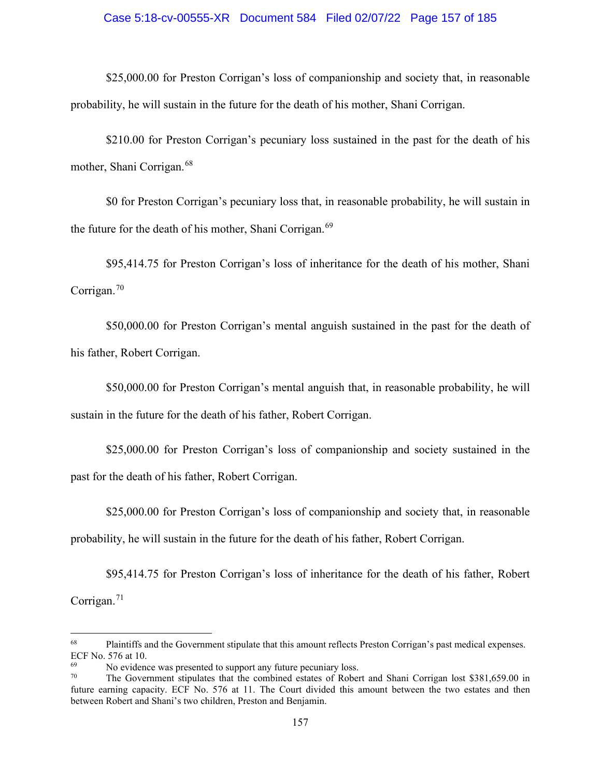## Case 5:18-cv-00555-XR Document 584 Filed 02/07/22 Page 157 of 185

\$25,000.00 for Preston Corrigan's loss of companionship and society that, in reasonable probability, he will sustain in the future for the death of his mother, Shani Corrigan.

\$210.00 for Preston Corrigan's pecuniary loss sustained in the past for the death of his mother, Shani Corrigan.<sup>[68](#page-156-0)</sup>

\$0 for Preston Corrigan's pecuniary loss that, in reasonable probability, he will sustain in the future for the death of his mother, Shani Corrigan.<sup>[69](#page-156-1)</sup>

\$95,414.75 for Preston Corrigan's loss of inheritance for the death of his mother, Shani Corrigan.<sup>[70](#page-156-2)</sup>

\$50,000.00 for Preston Corrigan's mental anguish sustained in the past for the death of his father, Robert Corrigan.

\$50,000.00 for Preston Corrigan's mental anguish that, in reasonable probability, he will sustain in the future for the death of his father, Robert Corrigan.

\$25,000.00 for Preston Corrigan's loss of companionship and society sustained in the past for the death of his father, Robert Corrigan.

\$25,000.00 for Preston Corrigan's loss of companionship and society that, in reasonable probability, he will sustain in the future for the death of his father, Robert Corrigan.

\$95,414.75 for Preston Corrigan's loss of inheritance for the death of his father, Robert Corrigan. $71$ 

<span id="page-156-0"></span><sup>&</sup>lt;sup>68</sup> Plaintiffs and the Government stipulate that this amount reflects Preston Corrigan's past medical expenses. ECF No. 576 at 10.

No evidence was presented to support any future pecuniary loss.

<span id="page-156-3"></span><span id="page-156-2"></span><span id="page-156-1"></span>The Government stipulates that the combined estates of Robert and Shani Corrigan lost \$381,659.00 in future earning capacity. ECF No. 576 at 11. The Court divided this amount between the two estates and then between Robert and Shani's two children, Preston and Benjamin.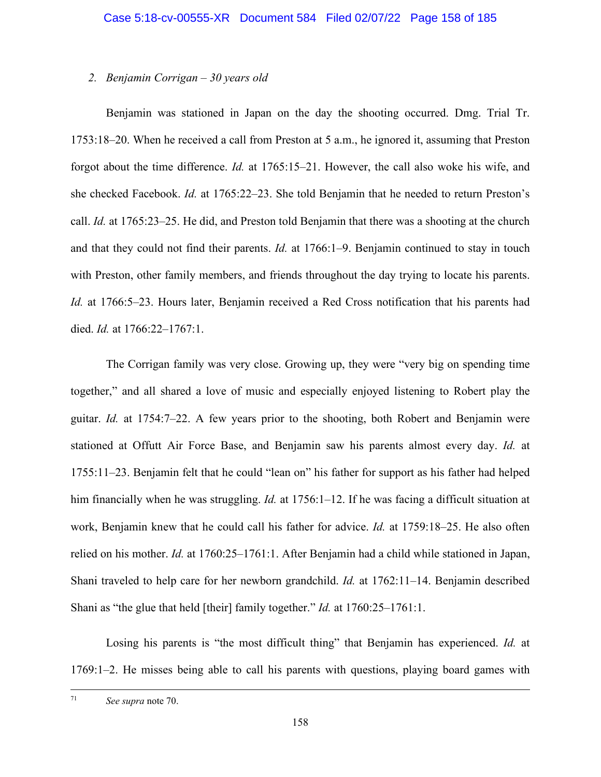# *2. Benjamin Corrigan – 30 years old*

Benjamin was stationed in Japan on the day the shooting occurred. Dmg. Trial Tr. 1753:18–20. When he received a call from Preston at 5 a.m., he ignored it, assuming that Preston forgot about the time difference. *Id.* at 1765:15–21. However, the call also woke his wife, and she checked Facebook. *Id.* at 1765:22–23. She told Benjamin that he needed to return Preston's call. *Id.* at 1765:23–25. He did, and Preston told Benjamin that there was a shooting at the church and that they could not find their parents. *Id.* at 1766:1–9. Benjamin continued to stay in touch with Preston, other family members, and friends throughout the day trying to locate his parents. *Id.* at 1766:5–23. Hours later, Benjamin received a Red Cross notification that his parents had died. *Id.* at 1766:22–1767:1.

The Corrigan family was very close. Growing up, they were "very big on spending time together," and all shared a love of music and especially enjoyed listening to Robert play the guitar. *Id.* at 1754:7–22. A few years prior to the shooting, both Robert and Benjamin were stationed at Offutt Air Force Base, and Benjamin saw his parents almost every day. *Id.* at 1755:11–23. Benjamin felt that he could "lean on" his father for support as his father had helped him financially when he was struggling. *Id.* at 1756:1–12. If he was facing a difficult situation at work, Benjamin knew that he could call his father for advice. *Id.* at 1759:18–25. He also often relied on his mother. *Id.* at 1760:25–1761:1. After Benjamin had a child while stationed in Japan, Shani traveled to help care for her newborn grandchild. *Id.* at 1762:11–14. Benjamin described Shani as "the glue that held [their] family together." *Id.* at 1760:25–1761:1.

Losing his parents is "the most difficult thing" that Benjamin has experienced. *Id.* at 1769:1–2. He misses being able to call his parents with questions, playing board games with

<sup>71</sup> *See supra* note 70.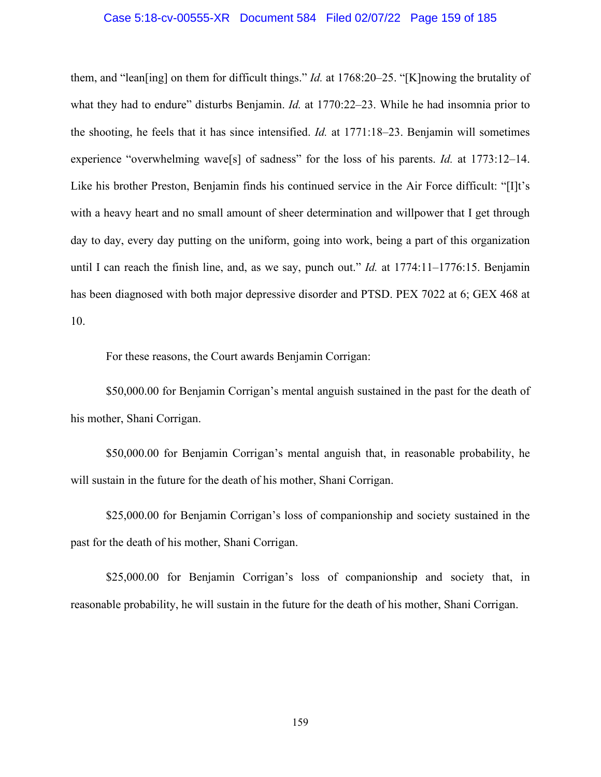#### Case 5:18-cv-00555-XR Document 584 Filed 02/07/22 Page 159 of 185

them, and "lean[ing] on them for difficult things." *Id.* at 1768:20–25. "[K]nowing the brutality of what they had to endure" disturbs Benjamin. *Id.* at 1770:22–23. While he had insomnia prior to the shooting, he feels that it has since intensified. *Id.* at 1771:18–23. Benjamin will sometimes experience "overwhelming wave[s] of sadness" for the loss of his parents. *Id.* at 1773:12–14. Like his brother Preston, Benjamin finds his continued service in the Air Force difficult: "[I]t's with a heavy heart and no small amount of sheer determination and willpower that I get through day to day, every day putting on the uniform, going into work, being a part of this organization until I can reach the finish line, and, as we say, punch out." *Id.* at 1774:11–1776:15. Benjamin has been diagnosed with both major depressive disorder and PTSD. PEX 7022 at 6; GEX 468 at 10.

For these reasons, the Court awards Benjamin Corrigan:

\$50,000.00 for Benjamin Corrigan's mental anguish sustained in the past for the death of his mother, Shani Corrigan.

\$50,000.00 for Benjamin Corrigan's mental anguish that, in reasonable probability, he will sustain in the future for the death of his mother, Shani Corrigan.

\$25,000.00 for Benjamin Corrigan's loss of companionship and society sustained in the past for the death of his mother, Shani Corrigan.

\$25,000.00 for Benjamin Corrigan's loss of companionship and society that, in reasonable probability, he will sustain in the future for the death of his mother, Shani Corrigan.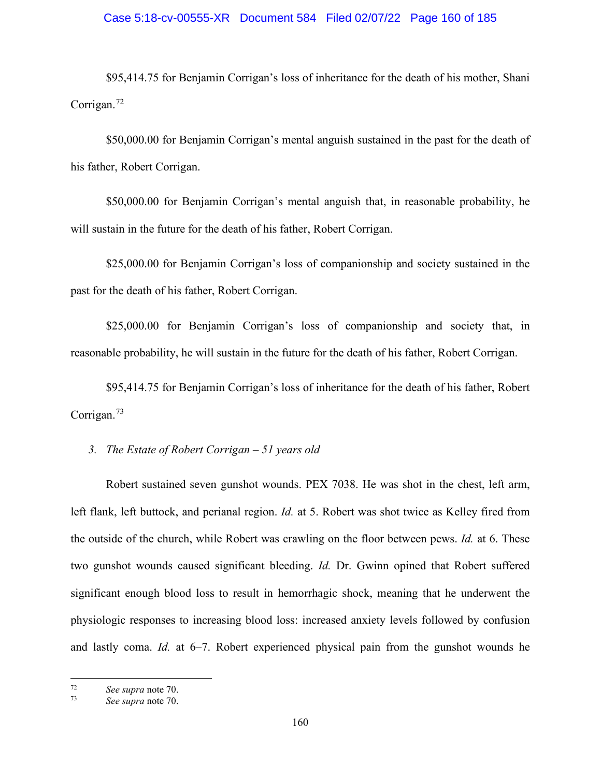# Case 5:18-cv-00555-XR Document 584 Filed 02/07/22 Page 160 of 185

\$95,414.75 for Benjamin Corrigan's loss of inheritance for the death of his mother, Shani Corrigan.<sup>[72](#page-159-0)</sup>

\$50,000.00 for Benjamin Corrigan's mental anguish sustained in the past for the death of his father, Robert Corrigan.

\$50,000.00 for Benjamin Corrigan's mental anguish that, in reasonable probability, he will sustain in the future for the death of his father, Robert Corrigan.

\$25,000.00 for Benjamin Corrigan's loss of companionship and society sustained in the past for the death of his father, Robert Corrigan.

\$25,000.00 for Benjamin Corrigan's loss of companionship and society that, in reasonable probability, he will sustain in the future for the death of his father, Robert Corrigan.

\$95,414.75 for Benjamin Corrigan's loss of inheritance for the death of his father, Robert Corrigan.[73](#page-159-1)

*3. The Estate of Robert Corrigan – 51 years old* 

Robert sustained seven gunshot wounds. PEX 7038. He was shot in the chest, left arm, left flank, left buttock, and perianal region. *Id.* at 5. Robert was shot twice as Kelley fired from the outside of the church, while Robert was crawling on the floor between pews. *Id.* at 6. These two gunshot wounds caused significant bleeding. *Id.* Dr. Gwinn opined that Robert suffered significant enough blood loss to result in hemorrhagic shock, meaning that he underwent the physiologic responses to increasing blood loss: increased anxiety levels followed by confusion and lastly coma. *Id.* at 6–7. Robert experienced physical pain from the gunshot wounds he

<span id="page-159-0"></span><sup>72</sup> *See supra* note 70.

<span id="page-159-1"></span><sup>73</sup> *See supra* note 70.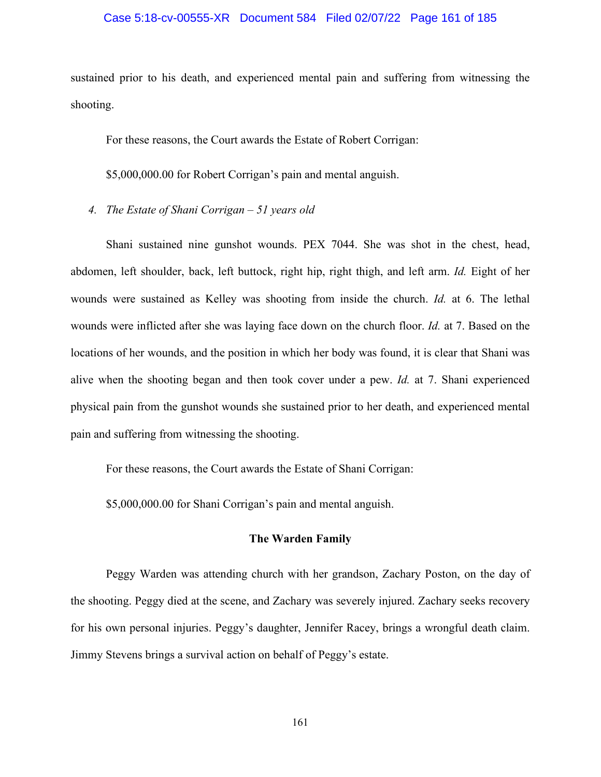#### Case 5:18-cv-00555-XR Document 584 Filed 02/07/22 Page 161 of 185

sustained prior to his death, and experienced mental pain and suffering from witnessing the shooting.

For these reasons, the Court awards the Estate of Robert Corrigan:

\$5,000,000.00 for Robert Corrigan's pain and mental anguish.

*4. The Estate of Shani Corrigan – 51 years old* 

Shani sustained nine gunshot wounds. PEX 7044. She was shot in the chest, head, abdomen, left shoulder, back, left buttock, right hip, right thigh, and left arm. *Id.* Eight of her wounds were sustained as Kelley was shooting from inside the church. *Id.* at 6. The lethal wounds were inflicted after she was laying face down on the church floor. *Id.* at 7. Based on the locations of her wounds, and the position in which her body was found, it is clear that Shani was alive when the shooting began and then took cover under a pew. *Id.* at 7. Shani experienced physical pain from the gunshot wounds she sustained prior to her death, and experienced mental pain and suffering from witnessing the shooting.

For these reasons, the Court awards the Estate of Shani Corrigan:

\$5,000,000.00 for Shani Corrigan's pain and mental anguish.

#### **The Warden Family**

Peggy Warden was attending church with her grandson, Zachary Poston, on the day of the shooting. Peggy died at the scene, and Zachary was severely injured. Zachary seeks recovery for his own personal injuries. Peggy's daughter, Jennifer Racey, brings a wrongful death claim. Jimmy Stevens brings a survival action on behalf of Peggy's estate.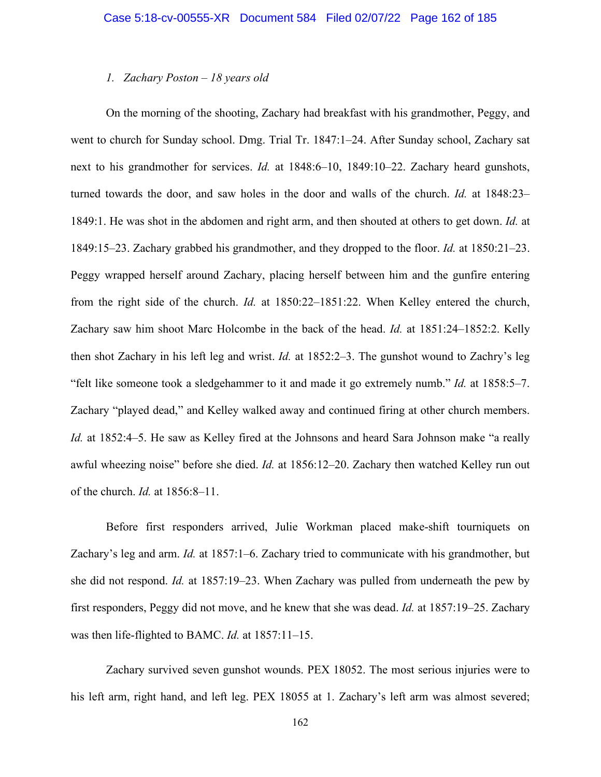#### *1. Zachary Poston – 18 years old*

On the morning of the shooting, Zachary had breakfast with his grandmother, Peggy, and went to church for Sunday school. Dmg. Trial Tr. 1847:1–24. After Sunday school, Zachary sat next to his grandmother for services. *Id.* at 1848:6–10, 1849:10–22. Zachary heard gunshots, turned towards the door, and saw holes in the door and walls of the church. *Id.* at 1848:23– 1849:1. He was shot in the abdomen and right arm, and then shouted at others to get down. *Id.* at 1849:15–23. Zachary grabbed his grandmother, and they dropped to the floor. *Id.* at 1850:21–23. Peggy wrapped herself around Zachary, placing herself between him and the gunfire entering from the right side of the church. *Id.* at 1850:22–1851:22. When Kelley entered the church, Zachary saw him shoot Marc Holcombe in the back of the head. *Id.* at 1851:24–1852:2. Kelly then shot Zachary in his left leg and wrist. *Id.* at 1852:2–3. The gunshot wound to Zachry's leg "felt like someone took a sledgehammer to it and made it go extremely numb." *Id.* at 1858:5–7. Zachary "played dead," and Kelley walked away and continued firing at other church members. *Id.* at 1852:4–5. He saw as Kelley fired at the Johnsons and heard Sara Johnson make "a really awful wheezing noise" before she died. *Id.* at 1856:12–20. Zachary then watched Kelley run out of the church. *Id.* at 1856:8–11.

Before first responders arrived, Julie Workman placed make-shift tourniquets on Zachary's leg and arm. *Id.* at 1857:1–6. Zachary tried to communicate with his grandmother, but she did not respond. *Id.* at 1857:19–23. When Zachary was pulled from underneath the pew by first responders, Peggy did not move, and he knew that she was dead. *Id.* at 1857:19–25. Zachary was then life-flighted to BAMC. *Id.* at 1857:11–15.

Zachary survived seven gunshot wounds. PEX 18052. The most serious injuries were to his left arm, right hand, and left leg. PEX 18055 at 1. Zachary's left arm was almost severed;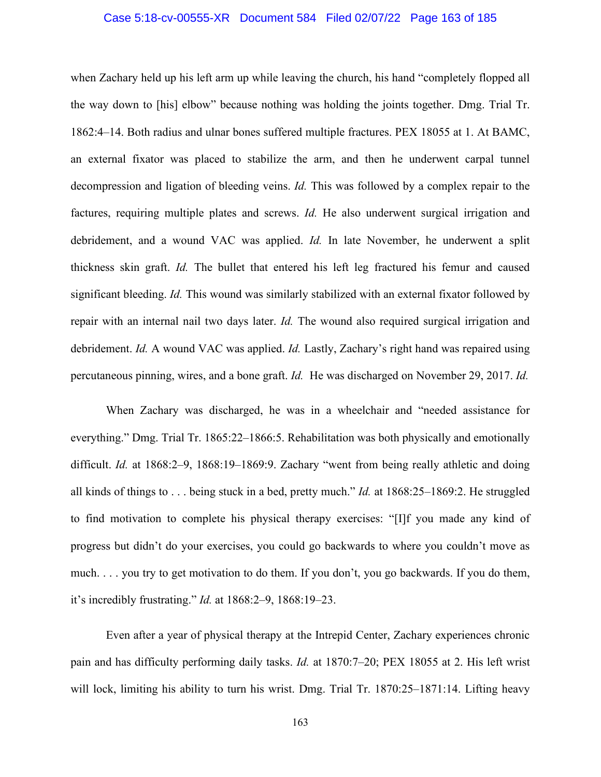#### Case 5:18-cv-00555-XR Document 584 Filed 02/07/22 Page 163 of 185

when Zachary held up his left arm up while leaving the church, his hand "completely flopped all the way down to [his] elbow" because nothing was holding the joints together. Dmg. Trial Tr. 1862:4–14. Both radius and ulnar bones suffered multiple fractures. PEX 18055 at 1. At BAMC, an external fixator was placed to stabilize the arm, and then he underwent carpal tunnel decompression and ligation of bleeding veins. *Id.* This was followed by a complex repair to the factures, requiring multiple plates and screws. *Id.* He also underwent surgical irrigation and debridement, and a wound VAC was applied. *Id.* In late November, he underwent a split thickness skin graft. *Id.* The bullet that entered his left leg fractured his femur and caused significant bleeding. *Id.* This wound was similarly stabilized with an external fixator followed by repair with an internal nail two days later. *Id.* The wound also required surgical irrigation and debridement. *Id.* A wound VAC was applied. *Id.* Lastly, Zachary's right hand was repaired using percutaneous pinning, wires, and a bone graft. *Id.* He was discharged on November 29, 2017. *Id.*

When Zachary was discharged, he was in a wheelchair and "needed assistance for everything." Dmg. Trial Tr. 1865:22–1866:5. Rehabilitation was both physically and emotionally difficult. *Id.* at 1868:2–9, 1868:19–1869:9. Zachary "went from being really athletic and doing all kinds of things to . . . being stuck in a bed, pretty much." *Id.* at 1868:25–1869:2. He struggled to find motivation to complete his physical therapy exercises: "[I]f you made any kind of progress but didn't do your exercises, you could go backwards to where you couldn't move as much. . . . you try to get motivation to do them. If you don't, you go backwards. If you do them, it's incredibly frustrating." *Id.* at 1868:2–9, 1868:19–23.

Even after a year of physical therapy at the Intrepid Center, Zachary experiences chronic pain and has difficulty performing daily tasks. *Id.* at 1870:7–20; PEX 18055 at 2. His left wrist will lock, limiting his ability to turn his wrist. Dmg. Trial Tr. 1870:25–1871:14. Lifting heavy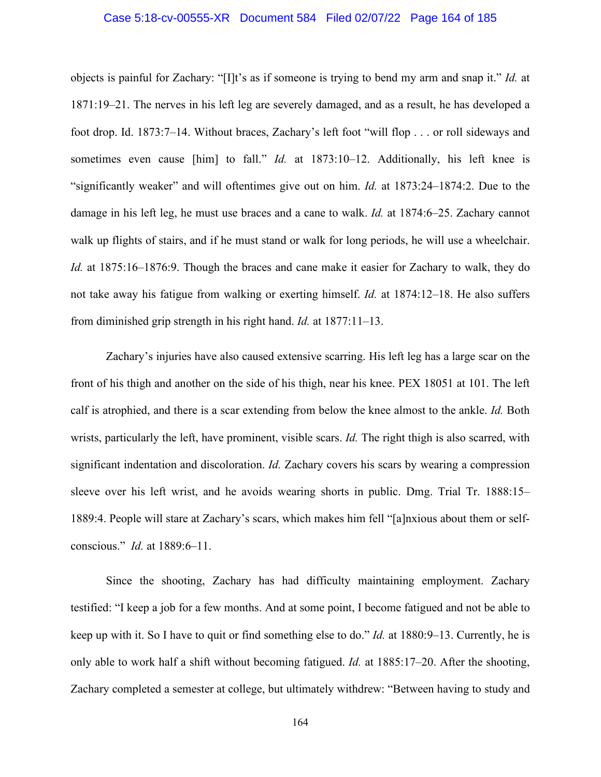#### Case 5:18-cv-00555-XR Document 584 Filed 02/07/22 Page 164 of 185

objects is painful for Zachary: "[I]t's as if someone is trying to bend my arm and snap it." *Id.* at 1871:19–21. The nerves in his left leg are severely damaged, and as a result, he has developed a foot drop. Id. 1873:7–14. Without braces, Zachary's left foot "will flop . . . or roll sideways and sometimes even cause [him] to fall." *Id.* at 1873:10–12. Additionally, his left knee is "significantly weaker" and will oftentimes give out on him. *Id.* at 1873:24–1874:2. Due to the damage in his left leg, he must use braces and a cane to walk. *Id.* at 1874:6–25. Zachary cannot walk up flights of stairs, and if he must stand or walk for long periods, he will use a wheelchair. *Id.* at 1875:16–1876:9. Though the braces and cane make it easier for Zachary to walk, they do not take away his fatigue from walking or exerting himself. *Id.* at 1874:12–18. He also suffers from diminished grip strength in his right hand. *Id.* at 1877:11–13.

Zachary's injuries have also caused extensive scarring. His left leg has a large scar on the front of his thigh and another on the side of his thigh, near his knee. PEX 18051 at 101. The left calf is atrophied, and there is a scar extending from below the knee almost to the ankle. *Id.* Both wrists, particularly the left, have prominent, visible scars. *Id.* The right thigh is also scarred, with significant indentation and discoloration. *Id.* Zachary covers his scars by wearing a compression sleeve over his left wrist, and he avoids wearing shorts in public. Dmg. Trial Tr. 1888:15– 1889:4. People will stare at Zachary's scars, which makes him fell "[a]nxious about them or selfconscious." *Id.* at 1889:6–11.

Since the shooting, Zachary has had difficulty maintaining employment. Zachary testified: "I keep a job for a few months. And at some point, I become fatigued and not be able to keep up with it. So I have to quit or find something else to do." *Id.* at 1880:9–13. Currently, he is only able to work half a shift without becoming fatigued. *Id.* at 1885:17–20. After the shooting, Zachary completed a semester at college, but ultimately withdrew: "Between having to study and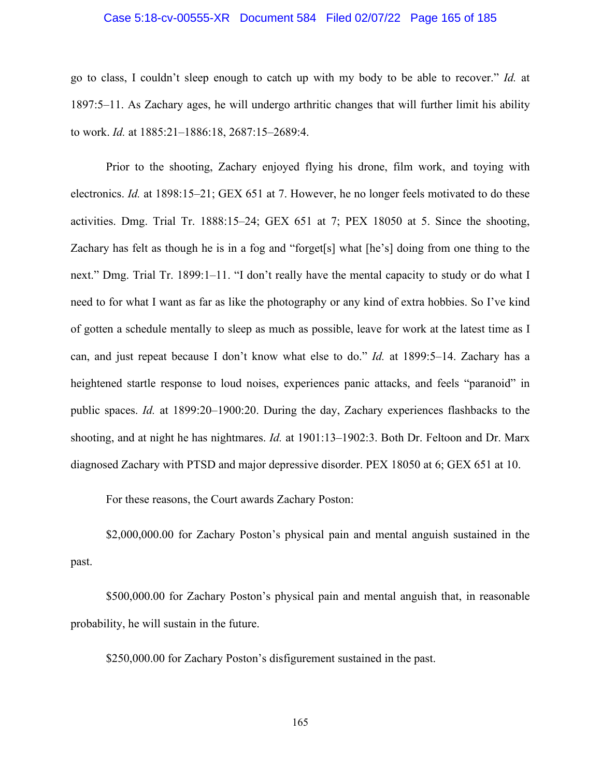## Case 5:18-cv-00555-XR Document 584 Filed 02/07/22 Page 165 of 185

go to class, I couldn't sleep enough to catch up with my body to be able to recover." *Id.* at 1897:5–11. As Zachary ages, he will undergo arthritic changes that will further limit his ability to work. *Id.* at 1885:21–1886:18, 2687:15–2689:4.

Prior to the shooting, Zachary enjoyed flying his drone, film work, and toying with electronics. *Id.* at 1898:15–21; GEX 651 at 7. However, he no longer feels motivated to do these activities. Dmg. Trial Tr. 1888:15–24; GEX 651 at 7; PEX 18050 at 5. Since the shooting, Zachary has felt as though he is in a fog and "forget[s] what [he's] doing from one thing to the next." Dmg. Trial Tr. 1899:1–11. "I don't really have the mental capacity to study or do what I need to for what I want as far as like the photography or any kind of extra hobbies. So I've kind of gotten a schedule mentally to sleep as much as possible, leave for work at the latest time as I can, and just repeat because I don't know what else to do." *Id.* at 1899:5–14. Zachary has a heightened startle response to loud noises, experiences panic attacks, and feels "paranoid" in public spaces. *Id.* at 1899:20–1900:20. During the day, Zachary experiences flashbacks to the shooting, and at night he has nightmares. *Id.* at 1901:13–1902:3. Both Dr. Feltoon and Dr. Marx diagnosed Zachary with PTSD and major depressive disorder. PEX 18050 at 6; GEX 651 at 10.

For these reasons, the Court awards Zachary Poston:

\$2,000,000.00 for Zachary Poston's physical pain and mental anguish sustained in the past.

\$500,000.00 for Zachary Poston's physical pain and mental anguish that, in reasonable probability, he will sustain in the future.

\$250,000.00 for Zachary Poston's disfigurement sustained in the past.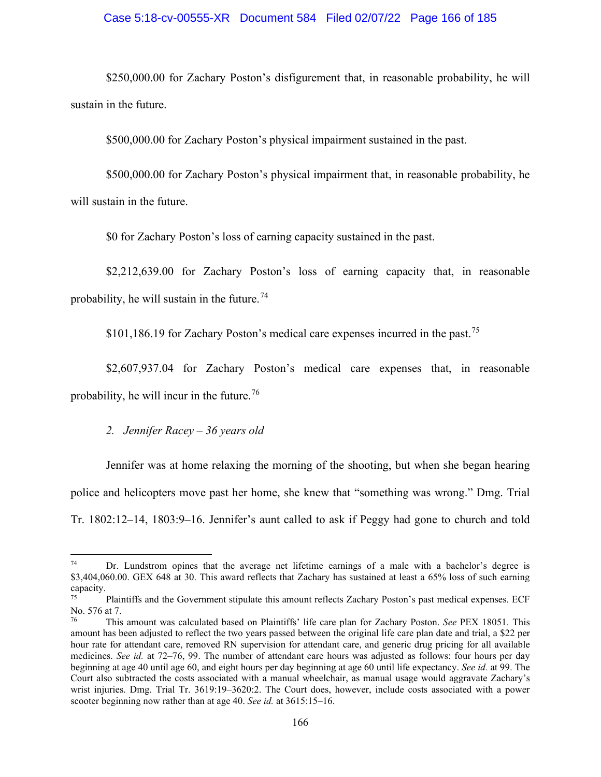#### Case 5:18-cv-00555-XR Document 584 Filed 02/07/22 Page 166 of 185

\$250,000.00 for Zachary Poston's disfigurement that, in reasonable probability, he will sustain in the future.

\$500,000.00 for Zachary Poston's physical impairment sustained in the past.

\$500,000.00 for Zachary Poston's physical impairment that, in reasonable probability, he will sustain in the future.

\$0 for Zachary Poston's loss of earning capacity sustained in the past.

\$2,212,639.00 for Zachary Poston's loss of earning capacity that, in reasonable probability, he will sustain in the future.<sup>[74](#page-165-0)</sup>

\$101,186.19 for Zachary Poston's medical care expenses incurred in the past.<sup>75</sup>

\$2,607,937.04 for Zachary Poston's medical care expenses that, in reasonable probability, he will incur in the future.  $76$ 

# *2. Jennifer Racey – 36 years old*

Jennifer was at home relaxing the morning of the shooting, but when she began hearing police and helicopters move past her home, she knew that "something was wrong." Dmg. Trial Tr. 1802:12–14, 1803:9–16. Jennifer's aunt called to ask if Peggy had gone to church and told

<span id="page-165-0"></span><sup>&</sup>lt;sup>74</sup> Dr. Lundstrom opines that the average net lifetime earnings of a male with a bachelor's degree is \$3,404,060.00. GEX 648 at 30. This award reflects that Zachary has sustained at least a 65% loss of such earning capacity.

<span id="page-165-1"></span>Plaintiffs and the Government stipulate this amount reflects Zachary Poston's past medical expenses. ECF No. 576 at 7.

<span id="page-165-2"></span><sup>76</sup> This amount was calculated based on Plaintiffs' life care plan for Zachary Poston. *See* PEX 18051. This amount has been adjusted to reflect the two years passed between the original life care plan date and trial, a \$22 per hour rate for attendant care, removed RN supervision for attendant care, and generic drug pricing for all available medicines. *See id.* at 72–76, 99. The number of attendant care hours was adjusted as follows: four hours per day beginning at age 40 until age 60, and eight hours per day beginning at age 60 until life expectancy. *See id.* at 99. The Court also subtracted the costs associated with a manual wheelchair, as manual usage would aggravate Zachary's wrist injuries. Dmg. Trial Tr. 3619:19–3620:2. The Court does, however, include costs associated with a power scooter beginning now rather than at age 40. *See id.* at 3615:15–16.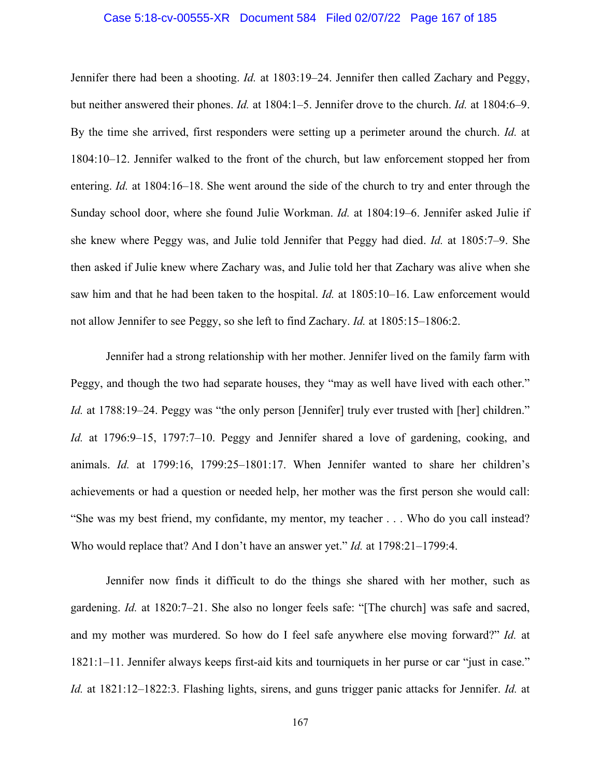#### Case 5:18-cv-00555-XR Document 584 Filed 02/07/22 Page 167 of 185

Jennifer there had been a shooting. *Id.* at 1803:19–24. Jennifer then called Zachary and Peggy, but neither answered their phones. *Id.* at 1804:1–5. Jennifer drove to the church. *Id.* at 1804:6–9. By the time she arrived, first responders were setting up a perimeter around the church. *Id.* at 1804:10–12. Jennifer walked to the front of the church, but law enforcement stopped her from entering. *Id.* at 1804:16–18. She went around the side of the church to try and enter through the Sunday school door, where she found Julie Workman. *Id.* at 1804:19–6. Jennifer asked Julie if she knew where Peggy was, and Julie told Jennifer that Peggy had died. *Id.* at 1805:7–9. She then asked if Julie knew where Zachary was, and Julie told her that Zachary was alive when she saw him and that he had been taken to the hospital. *Id.* at 1805:10–16. Law enforcement would not allow Jennifer to see Peggy, so she left to find Zachary. *Id.* at 1805:15–1806:2.

Jennifer had a strong relationship with her mother. Jennifer lived on the family farm with Peggy, and though the two had separate houses, they "may as well have lived with each other." *Id.* at 1788:19–24. Peggy was "the only person [Jennifer] truly ever trusted with [her] children." *Id.* at 1796:9–15, 1797:7–10. Peggy and Jennifer shared a love of gardening, cooking, and animals. *Id.* at 1799:16, 1799:25–1801:17. When Jennifer wanted to share her children's achievements or had a question or needed help, her mother was the first person she would call: "She was my best friend, my confidante, my mentor, my teacher . . . Who do you call instead? Who would replace that? And I don't have an answer yet." *Id.* at 1798:21–1799:4.

Jennifer now finds it difficult to do the things she shared with her mother, such as gardening. *Id.* at 1820:7–21. She also no longer feels safe: "[The church] was safe and sacred, and my mother was murdered. So how do I feel safe anywhere else moving forward?" *Id.* at 1821:1–11. Jennifer always keeps first-aid kits and tourniquets in her purse or car "just in case." *Id.* at 1821:12–1822:3. Flashing lights, sirens, and guns trigger panic attacks for Jennifer. *Id.* at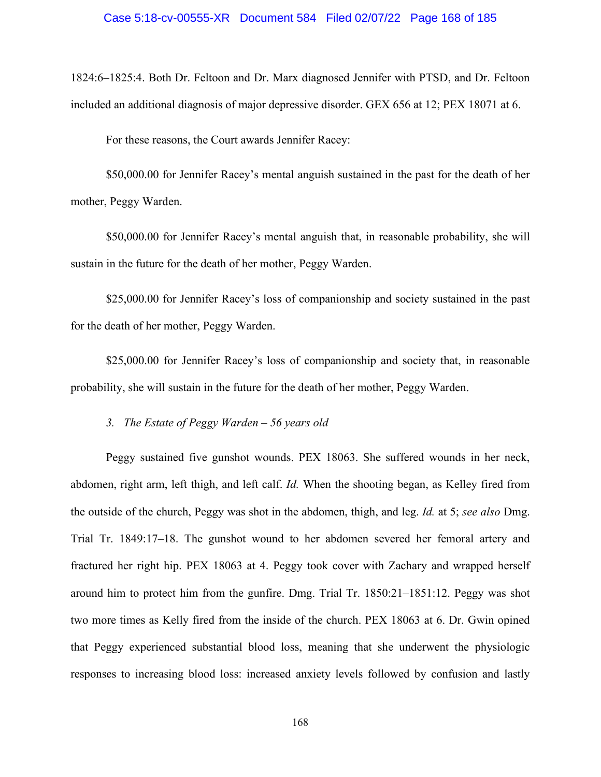1824:6–1825:4. Both Dr. Feltoon and Dr. Marx diagnosed Jennifer with PTSD, and Dr. Feltoon included an additional diagnosis of major depressive disorder. GEX 656 at 12; PEX 18071 at 6.

For these reasons, the Court awards Jennifer Racey:

\$50,000.00 for Jennifer Racey's mental anguish sustained in the past for the death of her mother, Peggy Warden.

\$50,000.00 for Jennifer Racey's mental anguish that, in reasonable probability, she will sustain in the future for the death of her mother, Peggy Warden.

\$25,000.00 for Jennifer Racey's loss of companionship and society sustained in the past for the death of her mother, Peggy Warden.

\$25,000.00 for Jennifer Racey's loss of companionship and society that, in reasonable probability, she will sustain in the future for the death of her mother, Peggy Warden.

*3. The Estate of Peggy Warden – 56 years old* 

Peggy sustained five gunshot wounds. PEX 18063. She suffered wounds in her neck, abdomen, right arm, left thigh, and left calf. *Id.* When the shooting began, as Kelley fired from the outside of the church, Peggy was shot in the abdomen, thigh, and leg. *Id.* at 5; *see also* Dmg. Trial Tr. 1849:17–18. The gunshot wound to her abdomen severed her femoral artery and fractured her right hip. PEX 18063 at 4. Peggy took cover with Zachary and wrapped herself around him to protect him from the gunfire. Dmg. Trial Tr. 1850:21–1851:12. Peggy was shot two more times as Kelly fired from the inside of the church. PEX 18063 at 6. Dr. Gwin opined that Peggy experienced substantial blood loss, meaning that she underwent the physiologic responses to increasing blood loss: increased anxiety levels followed by confusion and lastly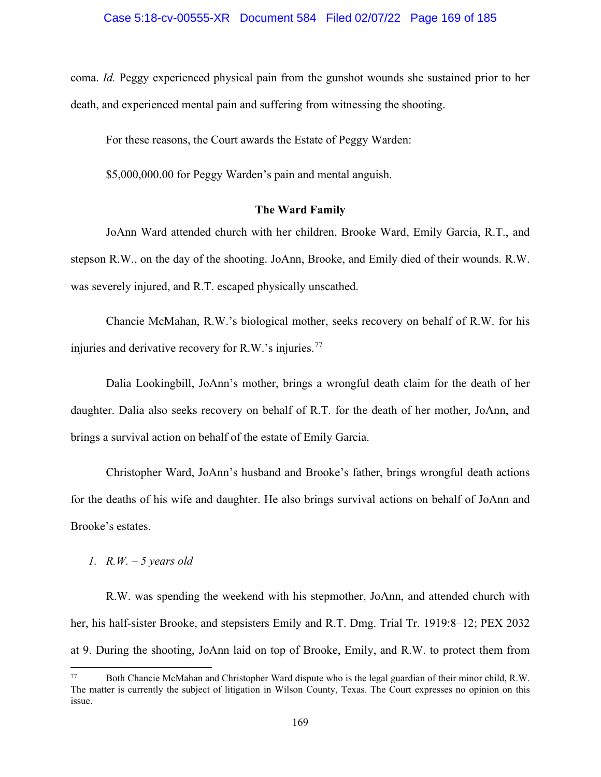coma. *Id.* Peggy experienced physical pain from the gunshot wounds she sustained prior to her death, and experienced mental pain and suffering from witnessing the shooting.

For these reasons, the Court awards the Estate of Peggy Warden:

\$5,000,000.00 for Peggy Warden's pain and mental anguish.

# **The Ward Family**

JoAnn Ward attended church with her children, Brooke Ward, Emily Garcia, R.T., and stepson R.W., on the day of the shooting. JoAnn, Brooke, and Emily died of their wounds. R.W. was severely injured, and R.T. escaped physically unscathed.

Chancie McMahan, R.W.'s biological mother, seeks recovery on behalf of R.W. for his injuries and derivative recovery for R.W.'s injuries.<sup>[77](#page-168-0)</sup>

Dalia Lookingbill, JoAnn's mother, brings a wrongful death claim for the death of her daughter. Dalia also seeks recovery on behalf of R.T. for the death of her mother, JoAnn, and brings a survival action on behalf of the estate of Emily Garcia.

Christopher Ward, JoAnn's husband and Brooke's father, brings wrongful death actions for the deaths of his wife and daughter. He also brings survival actions on behalf of JoAnn and Brooke's estates.

# *1. R.W. – 5 years old*

R.W. was spending the weekend with his stepmother, JoAnn, and attended church with her, his half-sister Brooke, and stepsisters Emily and R.T. Dmg. Trial Tr. 1919:8–12; PEX 2032 at 9. During the shooting, JoAnn laid on top of Brooke, Emily, and R.W. to protect them from

<span id="page-168-0"></span><sup>77</sup> Both Chancie McMahan and Christopher Ward dispute who is the legal guardian of their minor child, R.W. The matter is currently the subject of litigation in Wilson County, Texas. The Court expresses no opinion on this issue.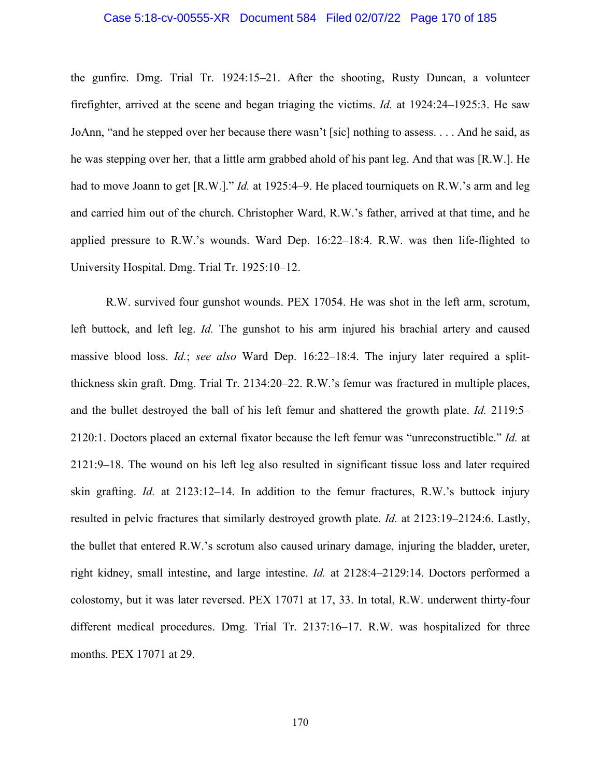#### Case 5:18-cv-00555-XR Document 584 Filed 02/07/22 Page 170 of 185

the gunfire. Dmg. Trial Tr. 1924:15–21. After the shooting, Rusty Duncan, a volunteer firefighter, arrived at the scene and began triaging the victims. *Id.* at 1924:24–1925:3. He saw JoAnn, "and he stepped over her because there wasn't [sic] nothing to assess. . . . And he said, as he was stepping over her, that a little arm grabbed ahold of his pant leg. And that was [R.W.]. He had to move Joann to get [R.W.]." *Id.* at 1925:4–9. He placed tourniquets on R.W.'s arm and leg and carried him out of the church. Christopher Ward, R.W.'s father, arrived at that time, and he applied pressure to R.W.'s wounds. Ward Dep. 16:22–18:4. R.W. was then life-flighted to University Hospital. Dmg. Trial Tr. 1925:10–12.

R.W. survived four gunshot wounds. PEX 17054. He was shot in the left arm, scrotum, left buttock, and left leg. *Id.* The gunshot to his arm injured his brachial artery and caused massive blood loss. *Id.*; *see also* Ward Dep. 16:22–18:4. The injury later required a splitthickness skin graft. Dmg. Trial Tr. 2134:20–22. R.W.'s femur was fractured in multiple places, and the bullet destroyed the ball of his left femur and shattered the growth plate. *Id.* 2119:5– 2120:1. Doctors placed an external fixator because the left femur was "unreconstructible." *Id.* at 2121:9–18. The wound on his left leg also resulted in significant tissue loss and later required skin grafting. *Id.* at 2123:12–14. In addition to the femur fractures, R.W.'s buttock injury resulted in pelvic fractures that similarly destroyed growth plate. *Id.* at 2123:19–2124:6. Lastly, the bullet that entered R.W.'s scrotum also caused urinary damage, injuring the bladder, ureter, right kidney, small intestine, and large intestine. *Id.* at 2128:4–2129:14. Doctors performed a colostomy, but it was later reversed. PEX 17071 at 17, 33. In total, R.W. underwent thirty-four different medical procedures. Dmg. Trial Tr. 2137:16–17. R.W. was hospitalized for three months. PEX 17071 at 29.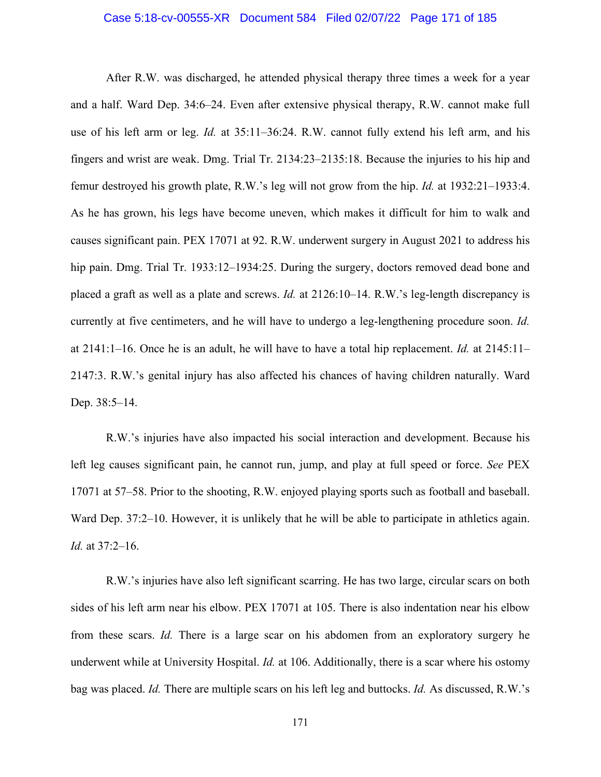#### Case 5:18-cv-00555-XR Document 584 Filed 02/07/22 Page 171 of 185

After R.W. was discharged, he attended physical therapy three times a week for a year and a half. Ward Dep. 34:6–24. Even after extensive physical therapy, R.W. cannot make full use of his left arm or leg. *Id.* at 35:11–36:24. R.W. cannot fully extend his left arm, and his fingers and wrist are weak. Dmg. Trial Tr. 2134:23–2135:18. Because the injuries to his hip and femur destroyed his growth plate, R.W.'s leg will not grow from the hip. *Id.* at 1932:21–1933:4. As he has grown, his legs have become uneven, which makes it difficult for him to walk and causes significant pain. PEX 17071 at 92. R.W. underwent surgery in August 2021 to address his hip pain. Dmg. Trial Tr. 1933:12–1934:25. During the surgery, doctors removed dead bone and placed a graft as well as a plate and screws. *Id.* at 2126:10–14. R.W.'s leg-length discrepancy is currently at five centimeters, and he will have to undergo a leg-lengthening procedure soon. *Id.* at 2141:1–16. Once he is an adult, he will have to have a total hip replacement. *Id.* at 2145:11– 2147:3. R.W.'s genital injury has also affected his chances of having children naturally. Ward Dep. 38:5–14.

R.W.'s injuries have also impacted his social interaction and development. Because his left leg causes significant pain, he cannot run, jump, and play at full speed or force. *See* PEX 17071 at 57–58. Prior to the shooting, R.W. enjoyed playing sports such as football and baseball. Ward Dep. 37:2–10. However, it is unlikely that he will be able to participate in athletics again. *Id.* at 37:2–16.

R.W.'s injuries have also left significant scarring. He has two large, circular scars on both sides of his left arm near his elbow. PEX 17071 at 105. There is also indentation near his elbow from these scars. *Id.* There is a large scar on his abdomen from an exploratory surgery he underwent while at University Hospital. *Id.* at 106. Additionally, there is a scar where his ostomy bag was placed. *Id.* There are multiple scars on his left leg and buttocks. *Id.* As discussed, R.W.'s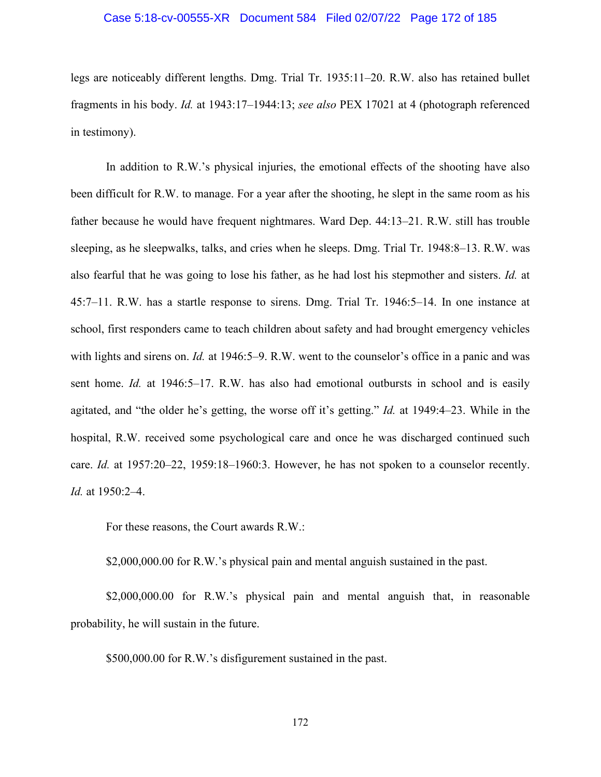#### Case 5:18-cv-00555-XR Document 584 Filed 02/07/22 Page 172 of 185

legs are noticeably different lengths. Dmg. Trial Tr. 1935:11–20. R.W. also has retained bullet fragments in his body. *Id.* at 1943:17–1944:13; *see also* PEX 17021 at 4 (photograph referenced in testimony).

In addition to R.W.'s physical injuries, the emotional effects of the shooting have also been difficult for R.W. to manage. For a year after the shooting, he slept in the same room as his father because he would have frequent nightmares. Ward Dep. 44:13–21. R.W. still has trouble sleeping, as he sleepwalks, talks, and cries when he sleeps. Dmg. Trial Tr. 1948:8–13. R.W. was also fearful that he was going to lose his father, as he had lost his stepmother and sisters. *Id.* at 45:7–11. R.W. has a startle response to sirens. Dmg. Trial Tr. 1946:5–14. In one instance at school, first responders came to teach children about safety and had brought emergency vehicles with lights and sirens on. *Id.* at 1946:5–9. R.W. went to the counselor's office in a panic and was sent home. *Id.* at 1946:5–17. R.W. has also had emotional outbursts in school and is easily agitated, and "the older he's getting, the worse off it's getting." *Id.* at 1949:4–23. While in the hospital, R.W. received some psychological care and once he was discharged continued such care. *Id.* at 1957:20–22, 1959:18–1960:3. However, he has not spoken to a counselor recently. *Id.* at 1950:2–4.

For these reasons, the Court awards R.W.:

\$2,000,000.00 for R.W.'s physical pain and mental anguish sustained in the past.

\$2,000,000.00 for R.W.'s physical pain and mental anguish that, in reasonable probability, he will sustain in the future.

\$500,000.00 for R.W.'s disfigurement sustained in the past.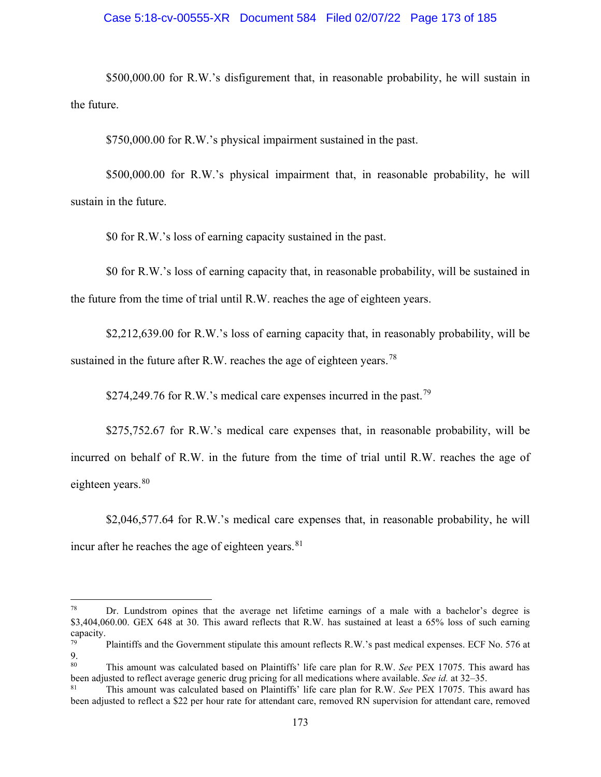## Case 5:18-cv-00555-XR Document 584 Filed 02/07/22 Page 173 of 185

\$500,000.00 for R.W.'s disfigurement that, in reasonable probability, he will sustain in the future.

\$750,000.00 for R.W.'s physical impairment sustained in the past.

\$500,000.00 for R.W.'s physical impairment that, in reasonable probability, he will sustain in the future.

\$0 for R.W.'s loss of earning capacity sustained in the past.

\$0 for R.W.'s loss of earning capacity that, in reasonable probability, will be sustained in the future from the time of trial until R.W. reaches the age of eighteen years.

\$2,212,639.00 for R.W.'s loss of earning capacity that, in reasonably probability, will be sustained in the future after R.W. reaches the age of eighteen years.<sup>[78](#page-172-0)</sup>

\$274,249.76 for R.W.'s medical care expenses incurred in the past.<sup>[79](#page-172-1)</sup>

\$275,752.67 for R.W.'s medical care expenses that, in reasonable probability, will be incurred on behalf of R.W. in the future from the time of trial until R.W. reaches the age of eighteen years.<sup>[80](#page-172-2)</sup>

\$2,046,577.64 for R.W.'s medical care expenses that, in reasonable probability, he will incur after he reaches the age of eighteen years. [81](#page-172-3)

<span id="page-172-0"></span> $78$  Dr. Lundstrom opines that the average net lifetime earnings of a male with a bachelor's degree is \$3,404,060.00. GEX 648 at 30. This award reflects that R.W. has sustained at least a 65% loss of such earning capacity.

<span id="page-172-1"></span>Plaintiffs and the Government stipulate this amount reflects R.W.'s past medical expenses. ECF No. 576 at  $\frac{9}{80}$ 

<span id="page-172-2"></span><sup>80</sup> This amount was calculated based on Plaintiffs' life care plan for R.W. *See* PEX 17075. This award has been adjusted to reflect average generic drug pricing for all medications where available. *See id.* at 32–35.

<span id="page-172-3"></span><sup>81</sup> This amount was calculated based on Plaintiffs' life care plan for R.W. *See* PEX 17075. This award has been adjusted to reflect a \$22 per hour rate for attendant care, removed RN supervision for attendant care, removed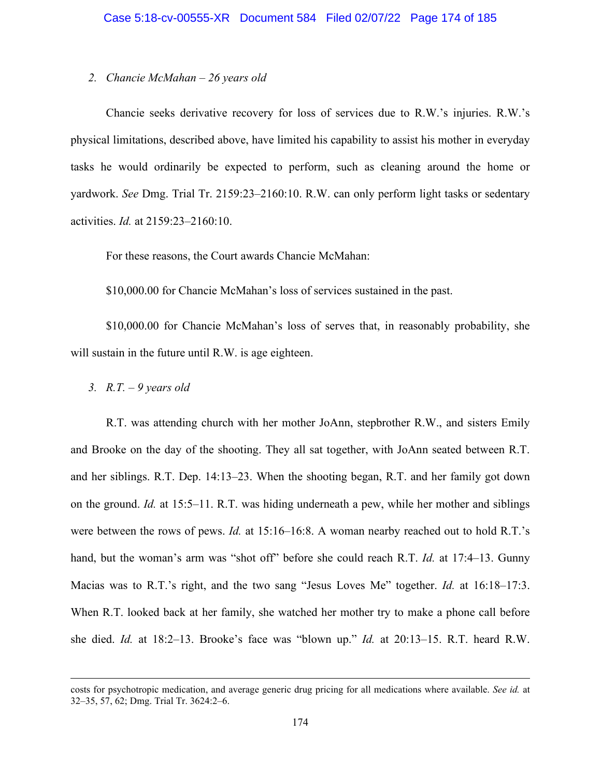# *2. Chancie McMahan – 26 years old*

Chancie seeks derivative recovery for loss of services due to R.W.'s injuries. R.W.'s physical limitations, described above, have limited his capability to assist his mother in everyday tasks he would ordinarily be expected to perform, such as cleaning around the home or yardwork. *See* Dmg. Trial Tr. 2159:23–2160:10. R.W. can only perform light tasks or sedentary activities. *Id.* at 2159:23–2160:10.

For these reasons, the Court awards Chancie McMahan:

\$10,000.00 for Chancie McMahan's loss of services sustained in the past.

\$10,000.00 for Chancie McMahan's loss of serves that, in reasonably probability, she will sustain in the future until R.W. is age eighteen.

*3. R.T. – 9 years old* 

R.T. was attending church with her mother JoAnn, stepbrother R.W., and sisters Emily and Brooke on the day of the shooting. They all sat together, with JoAnn seated between R.T. and her siblings. R.T. Dep. 14:13–23. When the shooting began, R.T. and her family got down on the ground. *Id.* at 15:5–11. R.T. was hiding underneath a pew, while her mother and siblings were between the rows of pews. *Id.* at 15:16–16:8. A woman nearby reached out to hold R.T.'s hand, but the woman's arm was "shot off" before she could reach R.T. *Id.* at 17:4–13. Gunny Macias was to R.T.'s right, and the two sang "Jesus Loves Me" together. *Id.* at 16:18–17:3. When R.T. looked back at her family, she watched her mother try to make a phone call before she died. *Id.* at 18:2–13. Brooke's face was "blown up." *Id.* at 20:13–15. R.T. heard R.W.

costs for psychotropic medication, and average generic drug pricing for all medications where available. *See id.* at 32–35, 57, 62; Dmg. Trial Tr. 3624:2–6.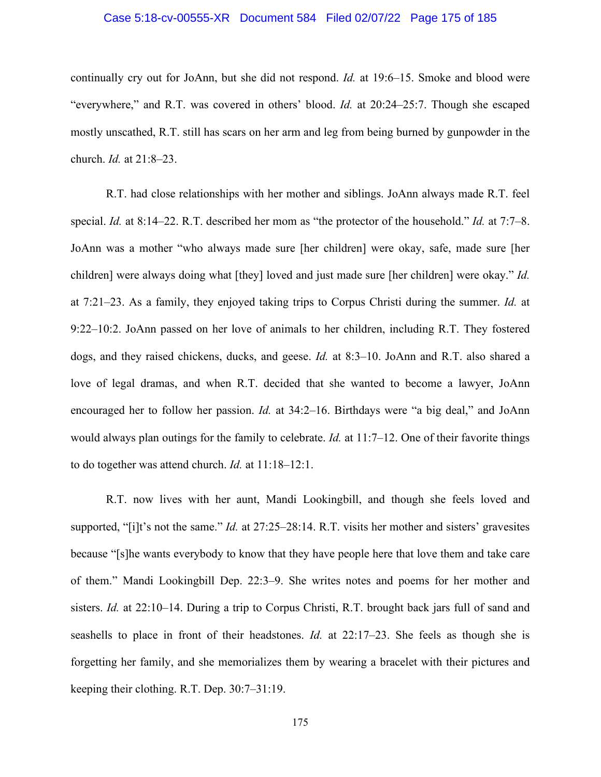#### Case 5:18-cv-00555-XR Document 584 Filed 02/07/22 Page 175 of 185

continually cry out for JoAnn, but she did not respond. *Id.* at 19:6–15. Smoke and blood were "everywhere," and R.T. was covered in others' blood. *Id.* at 20:24–25:7. Though she escaped mostly unscathed, R.T. still has scars on her arm and leg from being burned by gunpowder in the church. *Id.* at 21:8–23.

R.T. had close relationships with her mother and siblings. JoAnn always made R.T. feel special. *Id.* at 8:14–22. R.T. described her mom as "the protector of the household." *Id.* at 7:7–8. JoAnn was a mother "who always made sure [her children] were okay, safe, made sure [her children] were always doing what [they] loved and just made sure [her children] were okay." *Id.* at 7:21–23. As a family, they enjoyed taking trips to Corpus Christi during the summer. *Id.* at 9:22–10:2. JoAnn passed on her love of animals to her children, including R.T. They fostered dogs, and they raised chickens, ducks, and geese. *Id.* at 8:3–10. JoAnn and R.T. also shared a love of legal dramas, and when R.T. decided that she wanted to become a lawyer, JoAnn encouraged her to follow her passion. *Id.* at 34:2–16. Birthdays were "a big deal," and JoAnn would always plan outings for the family to celebrate. *Id.* at 11:7–12. One of their favorite things to do together was attend church. *Id.* at 11:18–12:1.

R.T. now lives with her aunt, Mandi Lookingbill, and though she feels loved and supported, "[i]t's not the same." *Id.* at 27:25–28:14. R.T. visits her mother and sisters' gravesites because "[s]he wants everybody to know that they have people here that love them and take care of them." Mandi Lookingbill Dep. 22:3–9. She writes notes and poems for her mother and sisters. *Id.* at 22:10–14. During a trip to Corpus Christi, R.T. brought back jars full of sand and seashells to place in front of their headstones. *Id.* at 22:17–23. She feels as though she is forgetting her family, and she memorializes them by wearing a bracelet with their pictures and keeping their clothing. R.T. Dep. 30:7–31:19.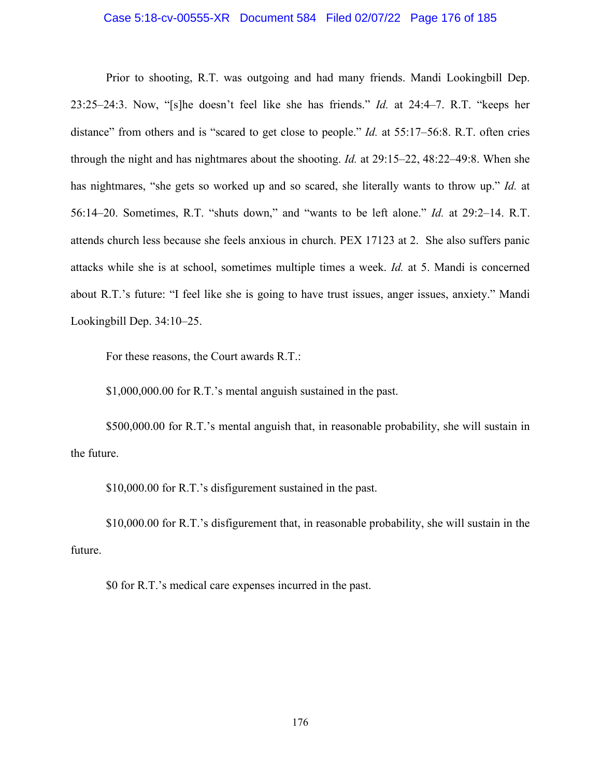#### Case 5:18-cv-00555-XR Document 584 Filed 02/07/22 Page 176 of 185

Prior to shooting, R.T. was outgoing and had many friends. Mandi Lookingbill Dep. 23:25–24:3. Now, "[s]he doesn't feel like she has friends." *Id.* at 24:4–7. R.T. "keeps her distance" from others and is "scared to get close to people." *Id.* at 55:17–56:8. R.T. often cries through the night and has nightmares about the shooting. *Id.* at 29:15–22, 48:22–49:8. When she has nightmares, "she gets so worked up and so scared, she literally wants to throw up." *Id.* at 56:14–20. Sometimes, R.T. "shuts down," and "wants to be left alone." *Id.* at 29:2–14. R.T. attends church less because she feels anxious in church. PEX 17123 at 2. She also suffers panic attacks while she is at school, sometimes multiple times a week. *Id.* at 5. Mandi is concerned about R.T.'s future: "I feel like she is going to have trust issues, anger issues, anxiety." Mandi Lookingbill Dep. 34:10–25.

For these reasons, the Court awards R.T.:

\$1,000,000.00 for R.T.'s mental anguish sustained in the past.

\$500,000.00 for R.T.'s mental anguish that, in reasonable probability, she will sustain in the future.

\$10,000.00 for R.T.'s disfigurement sustained in the past.

\$10,000.00 for R.T.'s disfigurement that, in reasonable probability, she will sustain in the future.

\$0 for R.T.'s medical care expenses incurred in the past.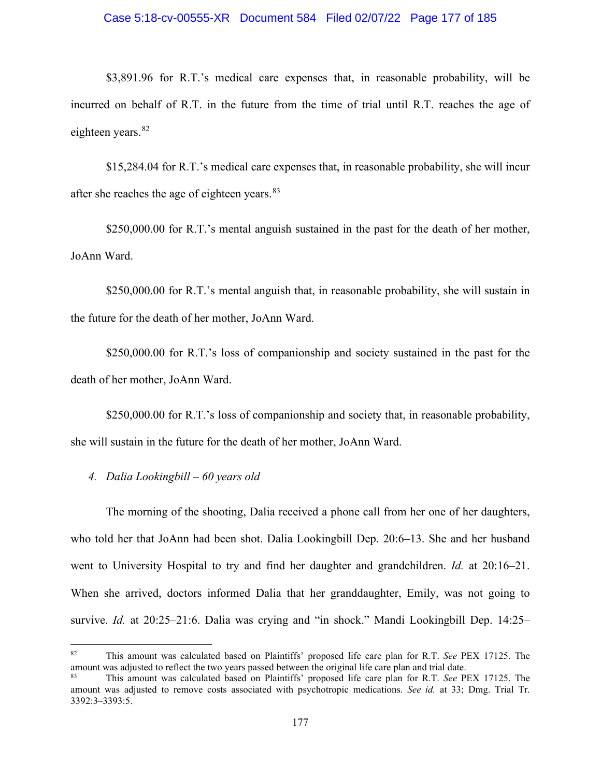#### Case 5:18-cv-00555-XR Document 584 Filed 02/07/22 Page 177 of 185

\$3,891.96 for R.T.'s medical care expenses that, in reasonable probability, will be incurred on behalf of R.T. in the future from the time of trial until R.T. reaches the age of eighteen years. [82](#page-176-0)

\$15,284.04 for R.T.'s medical care expenses that, in reasonable probability, she will incur after she reaches the age of eighteen years.<sup>[83](#page-176-1)</sup>

\$250,000.00 for R.T.'s mental anguish sustained in the past for the death of her mother, JoAnn Ward.

\$250,000.00 for R.T.'s mental anguish that, in reasonable probability, she will sustain in the future for the death of her mother, JoAnn Ward.

\$250,000.00 for R.T.'s loss of companionship and society sustained in the past for the death of her mother, JoAnn Ward.

\$250,000.00 for R.T.'s loss of companionship and society that, in reasonable probability, she will sustain in the future for the death of her mother, JoAnn Ward.

*4. Dalia Lookingbill – 60 years old* 

The morning of the shooting, Dalia received a phone call from her one of her daughters, who told her that JoAnn had been shot. Dalia Lookingbill Dep. 20:6–13. She and her husband went to University Hospital to try and find her daughter and grandchildren. *Id.* at 20:16–21. When she arrived, doctors informed Dalia that her granddaughter, Emily, was not going to survive. *Id.* at 20:25–21:6. Dalia was crying and "in shock." Mandi Lookingbill Dep. 14:25–

<span id="page-176-0"></span><sup>82</sup> This amount was calculated based on Plaintiffs' proposed life care plan for R.T. *See* PEX 17125. The amount was adjusted to reflect the two years passed between the original life care plan and trial date.

<span id="page-176-1"></span><sup>83</sup> This amount was calculated based on Plaintiffs' proposed life care plan for R.T. *See* PEX 17125. The amount was adjusted to remove costs associated with psychotropic medications. *See id.* at 33; Dmg. Trial Tr. 3392:3–3393:5.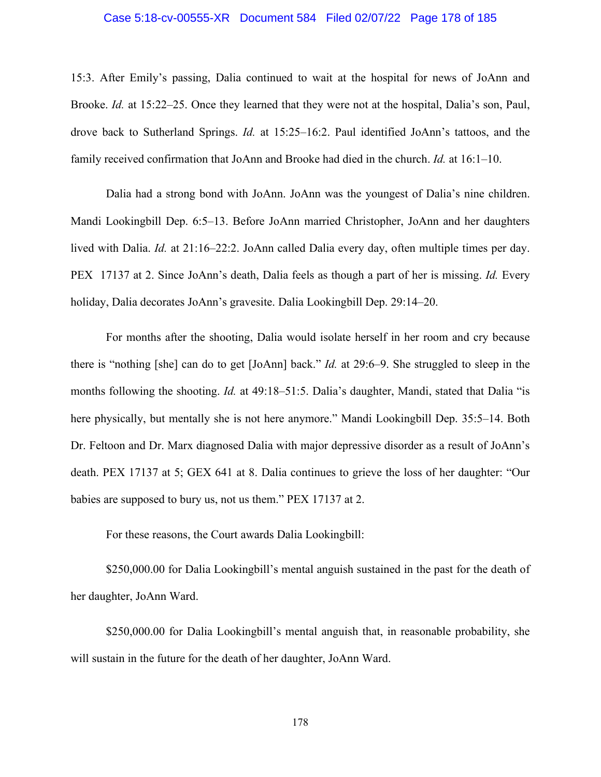#### Case 5:18-cv-00555-XR Document 584 Filed 02/07/22 Page 178 of 185

15:3. After Emily's passing, Dalia continued to wait at the hospital for news of JoAnn and Brooke. *Id.* at 15:22–25. Once they learned that they were not at the hospital, Dalia's son, Paul, drove back to Sutherland Springs. *Id.* at 15:25–16:2. Paul identified JoAnn's tattoos, and the family received confirmation that JoAnn and Brooke had died in the church. *Id.* at 16:1–10.

Dalia had a strong bond with JoAnn. JoAnn was the youngest of Dalia's nine children. Mandi Lookingbill Dep. 6:5–13. Before JoAnn married Christopher, JoAnn and her daughters lived with Dalia. *Id.* at 21:16–22:2. JoAnn called Dalia every day, often multiple times per day. PEX 17137 at 2. Since JoAnn's death, Dalia feels as though a part of her is missing. *Id.* Every holiday, Dalia decorates JoAnn's gravesite. Dalia Lookingbill Dep. 29:14–20.

For months after the shooting, Dalia would isolate herself in her room and cry because there is "nothing [she] can do to get [JoAnn] back." *Id.* at 29:6–9. She struggled to sleep in the months following the shooting. *Id.* at 49:18–51:5. Dalia's daughter, Mandi, stated that Dalia "is here physically, but mentally she is not here anymore." Mandi Lookingbill Dep. 35:5–14. Both Dr. Feltoon and Dr. Marx diagnosed Dalia with major depressive disorder as a result of JoAnn's death. PEX 17137 at 5; GEX 641 at 8. Dalia continues to grieve the loss of her daughter: "Our babies are supposed to bury us, not us them." PEX 17137 at 2.

For these reasons, the Court awards Dalia Lookingbill:

\$250,000.00 for Dalia Lookingbill's mental anguish sustained in the past for the death of her daughter, JoAnn Ward.

\$250,000.00 for Dalia Lookingbill's mental anguish that, in reasonable probability, she will sustain in the future for the death of her daughter, JoAnn Ward.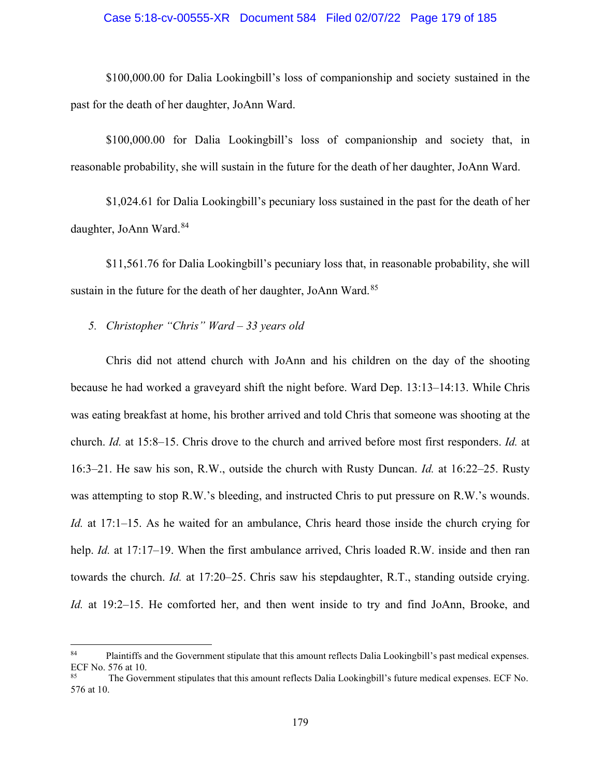## Case 5:18-cv-00555-XR Document 584 Filed 02/07/22 Page 179 of 185

\$100,000.00 for Dalia Lookingbill's loss of companionship and society sustained in the past for the death of her daughter, JoAnn Ward.

\$100,000.00 for Dalia Lookingbill's loss of companionship and society that, in reasonable probability, she will sustain in the future for the death of her daughter, JoAnn Ward.

\$1,024.61 for Dalia Lookingbill's pecuniary loss sustained in the past for the death of her daughter, JoAnn Ward.<sup>[84](#page-178-0)</sup>

\$11,561.76 for Dalia Lookingbill's pecuniary loss that, in reasonable probability, she will sustain in the future for the death of her daughter, JoAnn Ward.<sup>[85](#page-178-1)</sup>

# *5. Christopher "Chris" Ward – 33 years old*

Chris did not attend church with JoAnn and his children on the day of the shooting because he had worked a graveyard shift the night before. Ward Dep. 13:13–14:13. While Chris was eating breakfast at home, his brother arrived and told Chris that someone was shooting at the church. *Id.* at 15:8–15. Chris drove to the church and arrived before most first responders. *Id.* at 16:3–21. He saw his son, R.W., outside the church with Rusty Duncan. *Id.* at 16:22–25. Rusty was attempting to stop R.W.'s bleeding, and instructed Chris to put pressure on R.W.'s wounds. *Id.* at 17:1–15. As he waited for an ambulance, Chris heard those inside the church crying for help. *Id.* at 17:17–19. When the first ambulance arrived, Chris loaded R.W. inside and then ran towards the church. *Id.* at 17:20–25. Chris saw his stepdaughter, R.T., standing outside crying. *Id.* at 19:2–15. He comforted her, and then went inside to try and find JoAnn, Brooke, and

<span id="page-178-0"></span><sup>&</sup>lt;sup>84</sup> Plaintiffs and the Government stipulate that this amount reflects Dalia Lookingbill's past medical expenses. ECF No. 576 at 10.

<span id="page-178-1"></span><sup>&</sup>lt;sup>85</sup> The Government stipulates that this amount reflects Dalia Lookingbill's future medical expenses. ECF No. 576 at 10.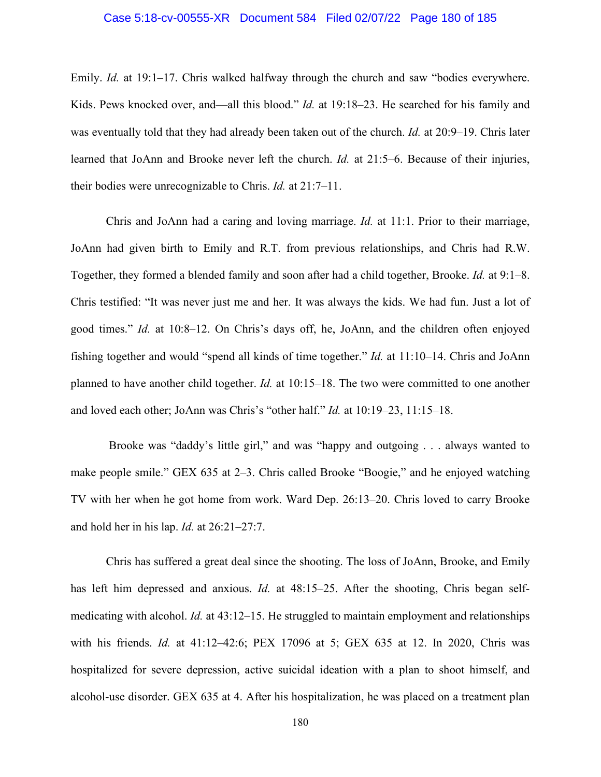#### Case 5:18-cv-00555-XR Document 584 Filed 02/07/22 Page 180 of 185

Emily. *Id.* at 19:1–17. Chris walked halfway through the church and saw "bodies everywhere. Kids. Pews knocked over, and—all this blood." *Id.* at 19:18–23. He searched for his family and was eventually told that they had already been taken out of the church. *Id.* at 20:9–19. Chris later learned that JoAnn and Brooke never left the church. *Id.* at 21:5–6. Because of their injuries, their bodies were unrecognizable to Chris. *Id.* at 21:7–11.

Chris and JoAnn had a caring and loving marriage. *Id.* at 11:1. Prior to their marriage, JoAnn had given birth to Emily and R.T. from previous relationships, and Chris had R.W. Together, they formed a blended family and soon after had a child together, Brooke. *Id.* at 9:1–8. Chris testified: "It was never just me and her. It was always the kids. We had fun. Just a lot of good times." *Id.* at 10:8–12. On Chris's days off, he, JoAnn, and the children often enjoyed fishing together and would "spend all kinds of time together." *Id.* at 11:10–14. Chris and JoAnn planned to have another child together. *Id.* at 10:15–18. The two were committed to one another and loved each other; JoAnn was Chris's "other half." *Id.* at 10:19–23, 11:15–18.

Brooke was "daddy's little girl," and was "happy and outgoing . . . always wanted to make people smile." GEX 635 at 2–3. Chris called Brooke "Boogie," and he enjoyed watching TV with her when he got home from work. Ward Dep. 26:13–20. Chris loved to carry Brooke and hold her in his lap. *Id.* at 26:21–27:7.

Chris has suffered a great deal since the shooting. The loss of JoAnn, Brooke, and Emily has left him depressed and anxious. *Id.* at 48:15–25. After the shooting, Chris began selfmedicating with alcohol. *Id.* at 43:12–15. He struggled to maintain employment and relationships with his friends. *Id.* at 41:12–42:6; PEX 17096 at 5; GEX 635 at 12. In 2020, Chris was hospitalized for severe depression, active suicidal ideation with a plan to shoot himself, and alcohol-use disorder. GEX 635 at 4. After his hospitalization, he was placed on a treatment plan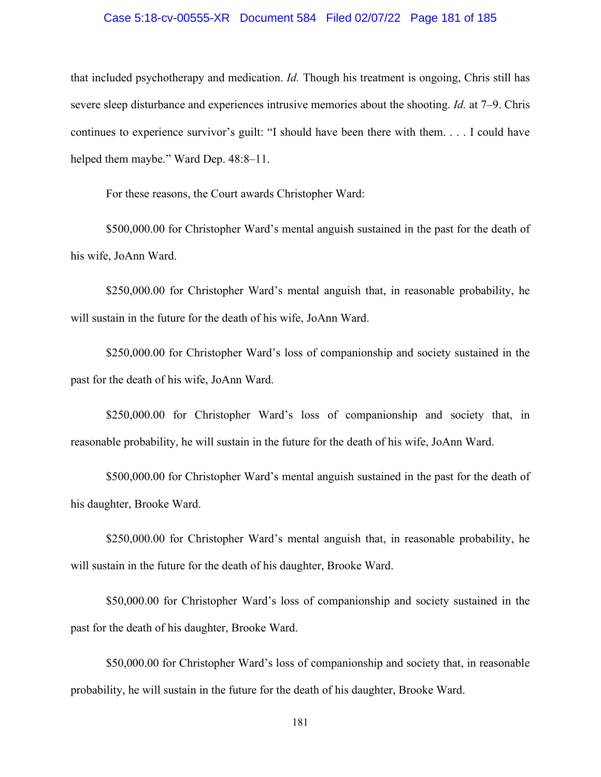## Case 5:18-cv-00555-XR Document 584 Filed 02/07/22 Page 181 of 185

that included psychotherapy and medication. *Id.* Though his treatment is ongoing, Chris still has severe sleep disturbance and experiences intrusive memories about the shooting. *Id.* at 7–9. Chris continues to experience survivor's guilt: "I should have been there with them. . . . I could have helped them maybe." Ward Dep. 48:8-11.

For these reasons, the Court awards Christopher Ward:

\$500,000.00 for Christopher Ward's mental anguish sustained in the past for the death of his wife, JoAnn Ward.

\$250,000.00 for Christopher Ward's mental anguish that, in reasonable probability, he will sustain in the future for the death of his wife, JoAnn Ward.

\$250,000.00 for Christopher Ward's loss of companionship and society sustained in the past for the death of his wife, JoAnn Ward.

\$250,000.00 for Christopher Ward's loss of companionship and society that, in reasonable probability, he will sustain in the future for the death of his wife, JoAnn Ward.

\$500,000.00 for Christopher Ward's mental anguish sustained in the past for the death of his daughter, Brooke Ward.

\$250,000.00 for Christopher Ward's mental anguish that, in reasonable probability, he will sustain in the future for the death of his daughter, Brooke Ward.

\$50,000.00 for Christopher Ward's loss of companionship and society sustained in the past for the death of his daughter, Brooke Ward.

\$50,000.00 for Christopher Ward's loss of companionship and society that, in reasonable probability, he will sustain in the future for the death of his daughter, Brooke Ward.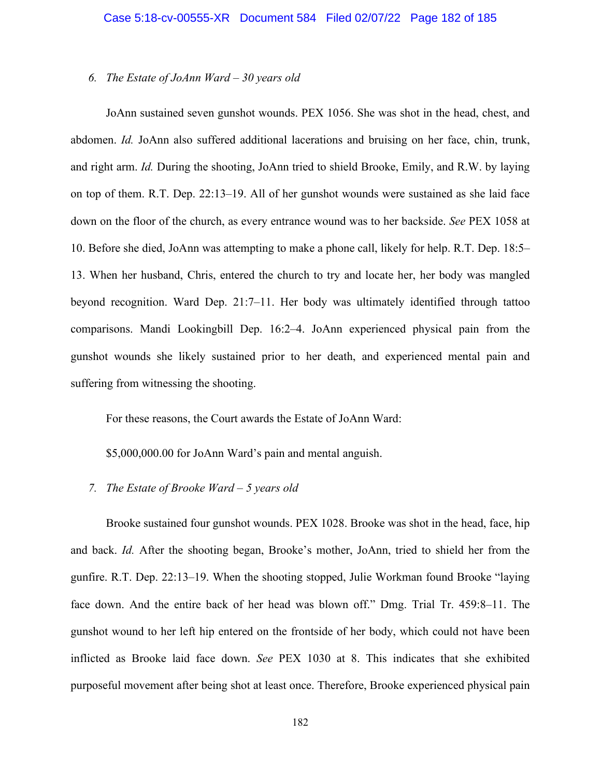## *6. The Estate of JoAnn Ward – 30 years old*

JoAnn sustained seven gunshot wounds. PEX 1056. She was shot in the head, chest, and abdomen. *Id.* JoAnn also suffered additional lacerations and bruising on her face, chin, trunk, and right arm. *Id.* During the shooting, JoAnn tried to shield Brooke, Emily, and R.W. by laying on top of them. R.T. Dep. 22:13–19. All of her gunshot wounds were sustained as she laid face down on the floor of the church, as every entrance wound was to her backside. *See* PEX 1058 at 10. Before she died, JoAnn was attempting to make a phone call, likely for help. R.T. Dep. 18:5– 13. When her husband, Chris, entered the church to try and locate her, her body was mangled beyond recognition. Ward Dep. 21:7–11. Her body was ultimately identified through tattoo comparisons. Mandi Lookingbill Dep. 16:2–4. JoAnn experienced physical pain from the gunshot wounds she likely sustained prior to her death, and experienced mental pain and suffering from witnessing the shooting.

For these reasons, the Court awards the Estate of JoAnn Ward:

\$5,000,000.00 for JoAnn Ward's pain and mental anguish.

# *7. The Estate of Brooke Ward – 5 years old*

Brooke sustained four gunshot wounds. PEX 1028. Brooke was shot in the head, face, hip and back. *Id.* After the shooting began, Brooke's mother, JoAnn, tried to shield her from the gunfire. R.T. Dep. 22:13–19. When the shooting stopped, Julie Workman found Brooke "laying face down. And the entire back of her head was blown off." Dmg. Trial Tr. 459:8–11. The gunshot wound to her left hip entered on the frontside of her body, which could not have been inflicted as Brooke laid face down. *See* PEX 1030 at 8. This indicates that she exhibited purposeful movement after being shot at least once. Therefore, Brooke experienced physical pain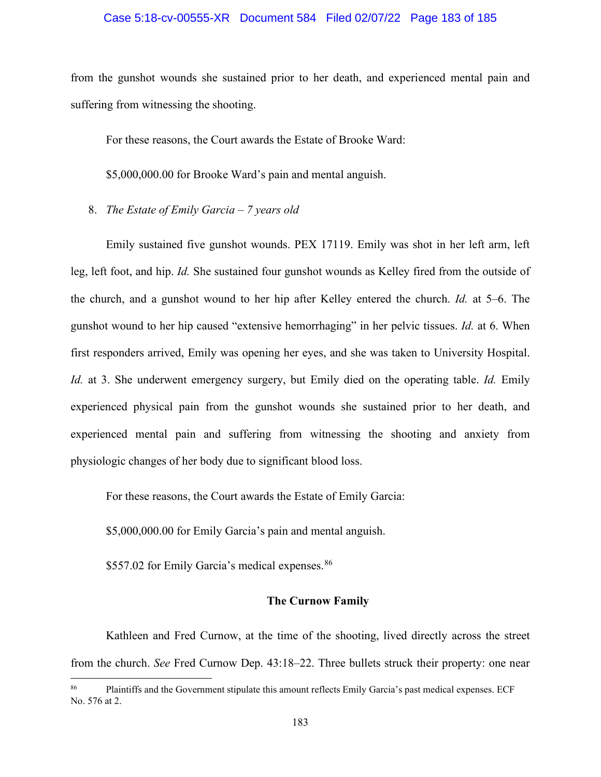## Case 5:18-cv-00555-XR Document 584 Filed 02/07/22 Page 183 of 185

from the gunshot wounds she sustained prior to her death, and experienced mental pain and suffering from witnessing the shooting.

For these reasons, the Court awards the Estate of Brooke Ward:

\$5,000,000.00 for Brooke Ward's pain and mental anguish.

8. *The Estate of Emily Garcia – 7 years old* 

Emily sustained five gunshot wounds. PEX 17119. Emily was shot in her left arm, left leg, left foot, and hip. *Id.* She sustained four gunshot wounds as Kelley fired from the outside of the church, and a gunshot wound to her hip after Kelley entered the church. *Id.* at 5–6. The gunshot wound to her hip caused "extensive hemorrhaging" in her pelvic tissues. *Id.* at 6. When first responders arrived, Emily was opening her eyes, and she was taken to University Hospital. *Id.* at 3. She underwent emergency surgery, but Emily died on the operating table. *Id.* Emily experienced physical pain from the gunshot wounds she sustained prior to her death, and experienced mental pain and suffering from witnessing the shooting and anxiety from physiologic changes of her body due to significant blood loss.

For these reasons, the Court awards the Estate of Emily Garcia:

\$5,000,000.00 for Emily Garcia's pain and mental anguish.

\$557.02 for Emily Garcia's medical expenses.<sup>[86](#page-182-0)</sup>

## **The Curnow Family**

Kathleen and Fred Curnow, at the time of the shooting, lived directly across the street from the church. *See* Fred Curnow Dep. 43:18–22. Three bullets struck their property: one near

<span id="page-182-0"></span><sup>&</sup>lt;sup>86</sup> Plaintiffs and the Government stipulate this amount reflects Emily Garcia's past medical expenses. ECF No. 576 at 2.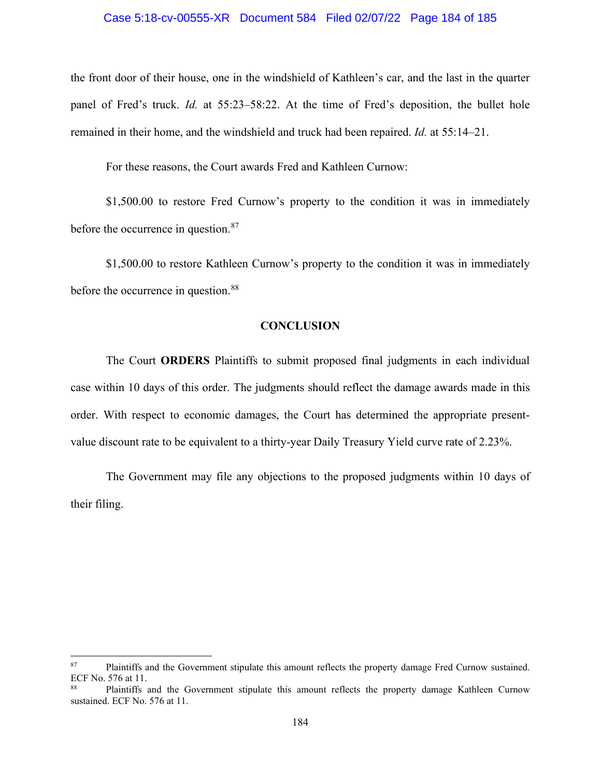#### Case 5:18-cv-00555-XR Document 584 Filed 02/07/22 Page 184 of 185

the front door of their house, one in the windshield of Kathleen's car, and the last in the quarter panel of Fred's truck. *Id.* at 55:23–58:22. At the time of Fred's deposition, the bullet hole remained in their home, and the windshield and truck had been repaired. *Id.* at 55:14–21.

For these reasons, the Court awards Fred and Kathleen Curnow:

\$1,500.00 to restore Fred Curnow's property to the condition it was in immediately before the occurrence in question.<sup>[87](#page-183-0)</sup>

\$1,500.00 to restore Kathleen Curnow's property to the condition it was in immediately before the occurrence in question.<sup>[88](#page-183-1)</sup>

# **CONCLUSION**

The Court **ORDERS** Plaintiffs to submit proposed final judgments in each individual case within 10 days of this order. The judgments should reflect the damage awards made in this order. With respect to economic damages, the Court has determined the appropriate presentvalue discount rate to be equivalent to a thirty-year Daily Treasury Yield curve rate of 2.23%.

The Government may file any objections to the proposed judgments within 10 days of their filing.

<span id="page-183-0"></span><sup>&</sup>lt;sup>87</sup> Plaintiffs and the Government stipulate this amount reflects the property damage Fred Curnow sustained. ECF No. 576 at 11.

<span id="page-183-1"></span>Plaintiffs and the Government stipulate this amount reflects the property damage Kathleen Curnow sustained. ECF No. 576 at 11.